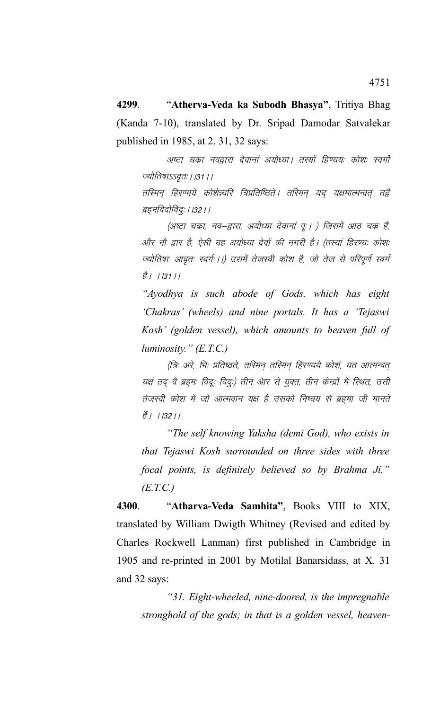**4299**. "**Atherva-Veda ka Subodh Bhasya"**, Tritiya Bhag (Kanda 7-10), translated by Dr. Sripad Damodar Satvalekar published in 1985, at 2. 31, 32 says:

अष्टा चका नवद्वारा देवानां अयोध्या। तस्यों हिण्ययः कोशः स्वर्गो ज्योतिषाऽऽवृतः । ।31 । । तस्मिन हिरण्मये कोशेन्न्वरि त्रिप्रतिष्ठिते । तस्मिन यद यक्षमात्मन्वत तद्वै ब्रह्मविदोविदुः । ।३२ । ।

(अष्टा चक्रा, नव-द्वारा, अयोध्या देवानां पृ:। ) जिसमें आठ चक्र हैं, ओर नौ द्वार है, ऐसी यह अयोध्या देवों की नगरी है। (तस्यां हिरण्य: कोश: ज्योतिषाः आवृतः स्वर्गः । ।) उसमें तेजस्वी कोश है, जो तेज से परिपूर्ण स्वर्ग है। ।।31।।

*"Ayodhya is such abode of Gods, which has eight 'Chakras' (wheels) and nine portals. It has a 'Tejaswi Kosh' (golden vessel), which amounts to heaven full of luminosity." (E.T.C.)*

(त्रिः अरे, भिः प्रतिष्ठते, तस्मिन तस्मिन हिरण्यये कोशं, यत आत्मन्वत यक्षं तद् वै ब्रहमः विदुः विदुः) तीन ओर से युक्त, तीन केन्द्रों में स्थित, उसी तेजस्वी कोश में जो आत्मवान यक्ष है उसको निष्चय से ब्रह़मा जी मानते  $\overset{<}{5}$  | 13211

*"The self knowing Yaksha (demi God), who exists in that Tejaswi Kosh surrounded on three sides with three focal points, is definitely believed so by Brahma Ji." (E.T.C.)*

**4300**. "**Atharva-Veda Samhita"**, Books VIII to XIX, translated by William Dwigth Whitney (Revised and edited by Charles Rockwell Lanman) first published in Cambridge in 1905 and re-printed in 2001 by Motilal Banarsidass, at X. 31 and 32 says:

*"31. Eight-wheeled, nine-doored, is the impregnable stronghold of the gods; in that is a golden vessel, heaven-*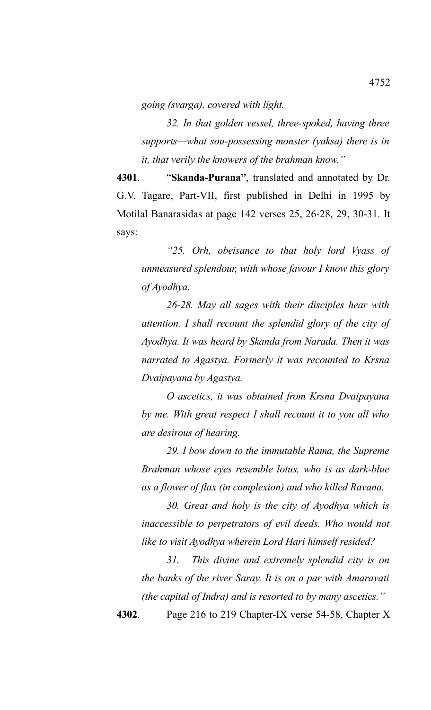*going (svarga), covered with light.*

*32. In that golden vessel, three-spoked, having three supports—what sou-possessing monster (yaksa) there is in it, that verily the knowers of the brahman know."*

**4301**. "**Skanda-Purana"**, translated and annotated by Dr. G.V. Tagare, Part-VII, first published in Delhi in 1995 by Motilal Banarasidas at page 142 verses 25, 26-28, 29, 30-31. It says:

*"25. Orh, obeisance to that holy lord Vyass of unmeasured splendour, with whose favour I know this glory of Ayodhya.*

*26-28. May all sages with their disciples hear with attention. I shall recount the splendid glory of the city of Ayodhya. It was heard by Skanda from Narada. Then it was narrated to Agastya. Formerly it was recounted to Krsna Dvaipayana by Agastya.* 

*O ascetics, it was obtained from Krsna Dvaipayana by me. With great respect I shall recount it to you all who are desirous of hearing.* 

*29. I bow down to the immutable Rama, the Supreme Brahman whose eyes resemble lotus, who is as dark-blue as a flower of flax (in complexion) and who killed Ravana.*

*30. Great and holy is the city of Ayodhya which is inaccessible to perpetrators of evil deeds. Who would not like to visit Ayodhya wherein Lord Hari himself resided?*

*31. This divine and extremely splendid city is on the banks of the river Saray. It is on a par with Amaravati (the capital of Indra) and is resorted to by many ascetics."*

**4302**. Page 216 to 219 Chapter-IX verse 54-58, Chapter X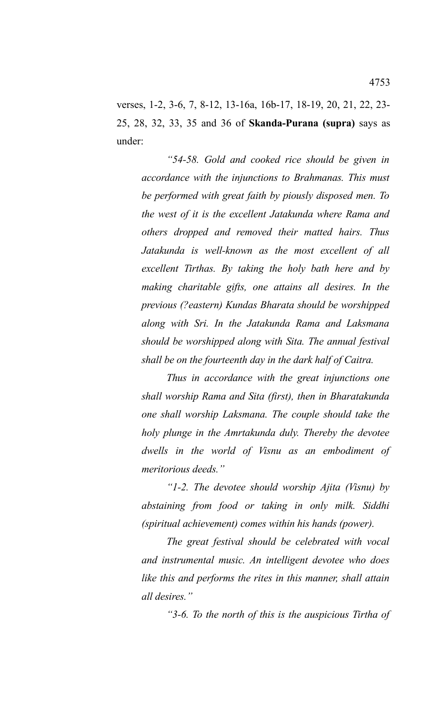verses, 1-2, 3-6, 7, 8-12, 13-16a, 16b-17, 18-19, 20, 21, 22, 23- 25, 28, 32, 33, 35 and 36 of **Skanda-Purana (supra)** says as under:

*"54-58. Gold and cooked rice should be given in accordance with the injunctions to Brahmanas. This must be performed with great faith by piously disposed men. To the west of it is the excellent Jatakunda where Rama and others dropped and removed their matted hairs. Thus Jatakunda is well-known as the most excellent of all excellent Tirthas. By taking the holy bath here and by making charitable gifts, one attains all desires. In the previous (?eastern) Kundas Bharata should be worshipped along with Sri. In the Jatakunda Rama and Laksmana should be worshipped along with Sita. The annual festival shall be on the fourteenth day in the dark half of Caitra.* 

*Thus in accordance with the great injunctions one shall worship Rama and Sita (first), then in Bharatakunda one shall worship Laksmana. The couple should take the holy plunge in the Amrtakunda duly. Thereby the devotee dwells in the world of Visnu as an embodiment of meritorious deeds."*

*"1-2. The devotee should worship Ajita (Visnu) by abstaining from food or taking in only milk. Siddhi (spiritual achievement) comes within his hands (power).* 

*The great festival should be celebrated with vocal and instrumental music. An intelligent devotee who does like this and performs the rites in this manner, shall attain all desires."*

*"3-6. To the north of this is the auspicious Tirtha of*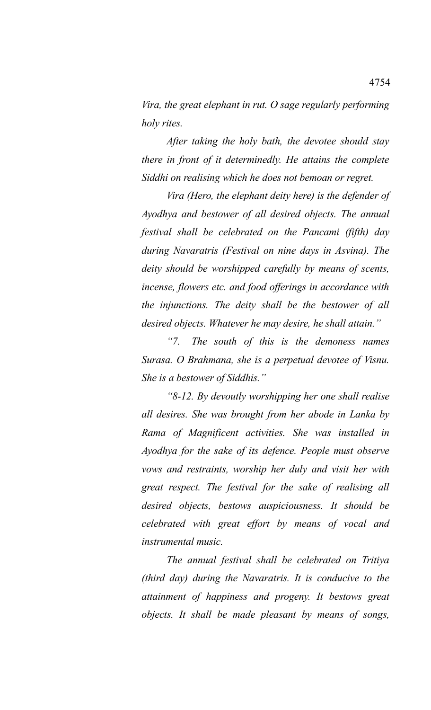*Vira, the great elephant in rut. O sage regularly performing holy rites.* 

*After taking the holy bath, the devotee should stay there in front of it determinedly. He attains the complete Siddhi on realising which he does not bemoan or regret.* 

*Vira (Hero, the elephant deity here) is the defender of Ayodhya and bestower of all desired objects. The annual festival shall be celebrated on the Pancami (fifth) day during Navaratris (Festival on nine days in Asvina). The deity should be worshipped carefully by means of scents, incense, flowers etc. and food offerings in accordance with the injunctions. The deity shall be the bestower of all desired objects. Whatever he may desire, he shall attain."*

*"7. The south of this is the demoness names Surasa. O Brahmana, she is a perpetual devotee of Visnu. She is a bestower of Siddhis."*

*"8-12. By devoutly worshipping her one shall realise all desires. She was brought from her abode in Lanka by Rama of Magnificent activities. She was installed in Ayodhya for the sake of its defence. People must observe vows and restraints, worship her duly and visit her with great respect. The festival for the sake of realising all desired objects, bestows auspiciousness. It should be celebrated with great effort by means of vocal and instrumental music.*

*The annual festival shall be celebrated on Tritiya (third day) during the Navaratris. It is conducive to the attainment of happiness and progeny. It bestows great objects. It shall be made pleasant by means of songs,*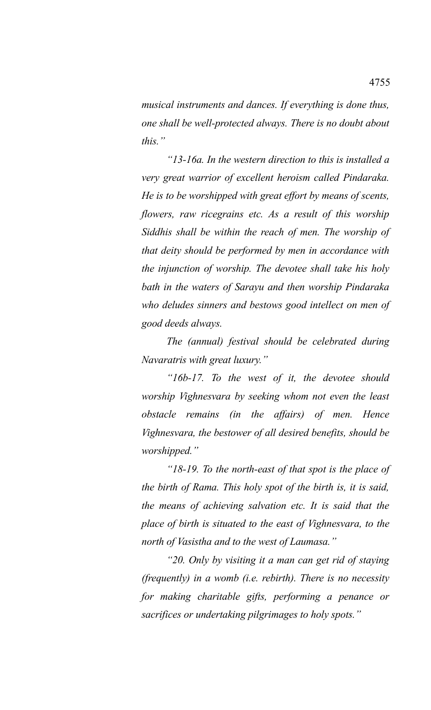*musical instruments and dances. If everything is done thus, one shall be well-protected always. There is no doubt about this."*

*"13-16a. In the western direction to this is installed a very great warrior of excellent heroism called Pindaraka. He is to be worshipped with great effort by means of scents, flowers, raw ricegrains etc. As a result of this worship Siddhis shall be within the reach of men. The worship of that deity should be performed by men in accordance with the injunction of worship. The devotee shall take his holy bath in the waters of Sarayu and then worship Pindaraka who deludes sinners and bestows good intellect on men of good deeds always.* 

*The (annual) festival should be celebrated during Navaratris with great luxury."*

*"16b-17. To the west of it, the devotee should worship Vighnesvara by seeking whom not even the least obstacle remains (in the affairs) of men. Hence Vighnesvara, the bestower of all desired benefits, should be worshipped."*

*"18-19. To the north-east of that spot is the place of the birth of Rama. This holy spot of the birth is, it is said, the means of achieving salvation etc. It is said that the place of birth is situated to the east of Vighnesvara, to the north of Vasistha and to the west of Laumasa."*

*"20. Only by visiting it a man can get rid of staying (frequently) in a womb (i.e. rebirth). There is no necessity for making charitable gifts, performing a penance or sacrifices or undertaking pilgrimages to holy spots."*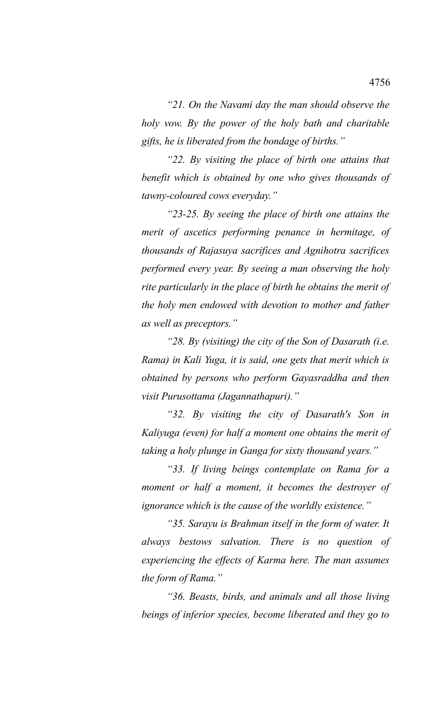*"21. On the Navami day the man should observe the holy vow. By the power of the holy bath and charitable gifts, he is liberated from the bondage of births."*

*"22. By visiting the place of birth one attains that benefit which is obtained by one who gives thousands of tawny-coloured cows everyday."*

*"23-25. By seeing the place of birth one attains the merit of ascetics performing penance in hermitage, of thousands of Rajasuya sacrifices and Agnihotra sacrifices performed every year. By seeing a man observing the holy rite particularly in the place of birth he obtains the merit of the holy men endowed with devotion to mother and father as well as preceptors."*

*"28. By (visiting) the city of the Son of Dasarath (i.e. Rama) in Kali Yuga, it is said, one gets that merit which is obtained by persons who perform Gayasraddha and then visit Purusottama (Jagannathapuri)."*

*"32. By visiting the city of Dasarath's Son in Kaliyuga (even) for half a moment one obtains the merit of taking a holy plunge in Ganga for sixty thousand years."*

*"33. If living beings contemplate on Rama for a moment or half a moment, it becomes the destroyer of ignorance which is the cause of the worldly existence."*

*"35. Sarayu is Brahman itself in the form of water. It always bestows salvation. There is no question of experiencing the effects of Karma here. The man assumes the form of Rama."*

*"36. Beasts, birds, and animals and all those living beings of inferior species, become liberated and they go to*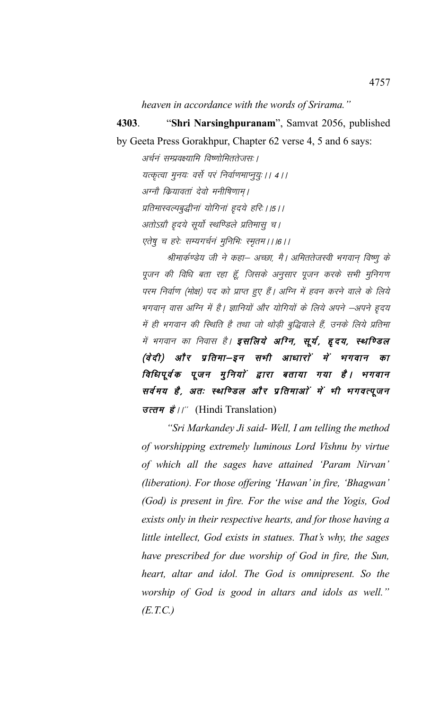*heaven in accordance with the words of Srirama."*

**4303**. "**Shri Narsinghpuranam**", Samvat 2056, published by Geeta Press Gorakhpur, Chapter 62 verse 4, 5 and 6 says:

> अर्चनं सम्प्रवक्ष्यामि विष्णोमिततेजसः। यत्कृत्वा मुनयः वर्से परं निर्वाणमाप्नुयुः । । ४ । । अग्नौ क्रियावतां देवो मनीषिणाम् । प्रतिमास्वल्पबुद्धीनां योगिनां हृदये हरिः । ।5 । । अतोऽग्रौ इदये सूर्यो स्थण्डिले प्रतिमासू च । एतेषु च हरेः सम्यगर्चनं मुनिभिः स्मृतम । । । 6। ।

श्रीमार्कण्डेय जी ने कहा— अच्छा, मै। अमिततेजस्वी भगवान् विष्णु के पूजन की विधि बता रहा हूँ, जिसके अनुसार पूजन करके सभी मुनिगण परम निर्वाण (मोक्ष) पद को प्राप्त हुए हैं। अग्नि में हवन करने वाले के लिये भगवान् वास अग्नि में है। ज्ञानियों और योगियों के लिये अपने –अपने हृदय में ही भगवान की स्थिति है तथा जो थोड़ी बुद्धिवाले हैं, उनके लिये प्रतिमा में भगवान का निवास है। इसलिये अग्नि, सूर्य, हृ*दय, स्थ*ण्डिल (वेदी) और प्रतिमा–इन सभी आधारों में भगवान का विधिपूर्वक पूजन मुनियों द्वारा बताया गया है। भगवान सर्वमय है, अतः स्थण्डिल और प्रतिमाओं में भी भगवत्पूजन  $\vec{\sigma}$  $\vec{\sigma}$   $\vec{\sigma}$  //" (Hindi Translation)

*"Sri Markandey Ji said- Well, I am telling the method of worshipping extremely luminous Lord Vishnu by virtue of which all the sages have attained 'Param Nirvan' (liberation). For those offering 'Hawan' in fire, 'Bhagwan' (God) is present in fire. For the wise and the Yogis, God exists only in their respective hearts, and for those having a little intellect, God exists in statues. That's why, the sages have prescribed for due worship of God in fire, the Sun, heart, altar and idol. The God is omnipresent. So the worship of God is good in altars and idols as well." (E.T.C.)*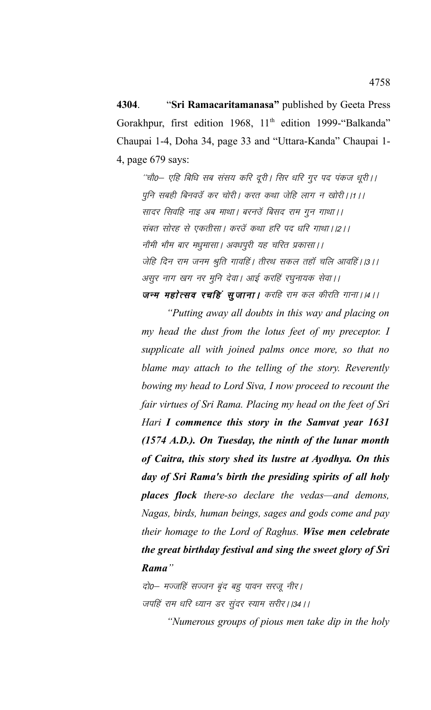**4304**. "**Sri Ramacaritamanasa"** published by Geeta Press Gorakhpur, first edition 1968, 11<sup>th</sup> edition 1999-"Balkanda" Chaupai 1-4, Doha 34, page 33 and "Uttara-Kanda" Chaupai 1- 4, page 679 says:

''चौ0— एहि बिधि सब संसय करि दूरी। सिर धरि गुर पद पंकज धूरी।। पुनि सबही बिनवउँ कर चोरी। करत कथा जेहि लाग न खोरी।।1।। सादर सिवहि नाइ अब माथा। बरनउँ बिसद राम गुन गाथा।। संबत सोरह से एकतीसा। करउँ कथा हरि पद धरि गाथा।।2।। नौमी भौम बार मधुमासा | अवधपुरी यह चरित प्रकासा | | जेहि दिन राम जनम श्रति गावहिं। तीरथ सकल तहाँ चलि आवहिं।।३।। असुर नाग खग नर मुनि देवा। आई करहिं रघुनायक सेवा।। जन्म महोत्सव रचहिं सूजाना | करहि राम कल कीरति गाना | |4 | |

*"Putting away all doubts in this way and placing on my head the dust from the lotus feet of my preceptor. I supplicate all with joined palms once more, so that no blame may attach to the telling of the story. Reverently bowing my head to Lord Siva, I now proceed to recount the fair virtues of Sri Rama. Placing my head on the feet of Sri Hari I commence this story in the Samvat year 1631 (1574 A.D.). On Tuesday, the ninth of the lunar month of Caitra, this story shed its lustre at Ayodhya. On this day of Sri Rama's birth the presiding spirits of all holy places flock there-so declare the vedas—and demons, Nagas, birds, human beings, sages and gods come and pay their homage to the Lord of Raghus. Wise men celebrate the great birthday festival and sing the sweet glory of Sri Rama"*

दो0- मज्जहिं सज्जन बृंद बहु पावन सरजू नीर। जपहिं राम धरि ध्यान डर सुंदर स्याम सरीर। 134। 1 *"Numerous groups of pious men take dip in the holy*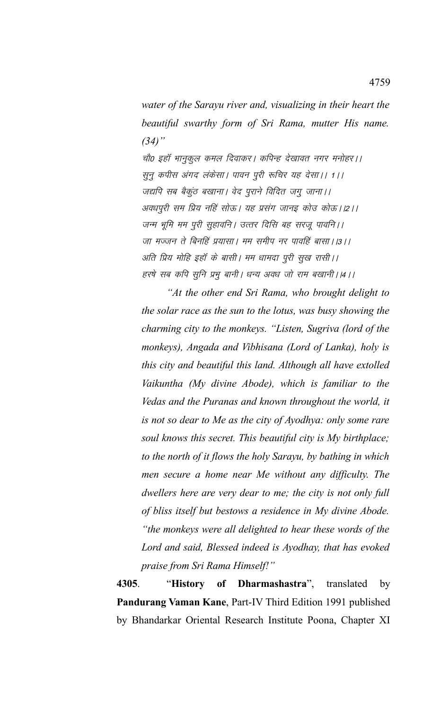*water of the Sarayu river and, visualizing in their heart the beautiful swarthy form of Sri Rama, mutter His name. (34)"*

चौ0 इहाँ भानुकुल कमल दिवाकर। कपिन्ह देखावत नगर मनोहर।। सून् कपीस अंगद लंकेसा। पावन पूरी रूचिर यह देसा।। 1।। जद्यपि सब बैकूंठ बखाना। वेद पुराने विदित जगू जाना।। अवधपुरी सम प्रिय नहिं सोऊ। यह प्रसंग जानइ कोउ कोऊ।।2।। जन्म भूमि मम पूरी सूहावनि | उत्तर दिसि बह सरजू पावनि | | जा मज्जन ते बिनहिं प्रयासा । मम समीप नर पावहिं बासा । ।3 । । अति प्रिय मोहि इहाँ के बासी। मम धामदा पूरी सूख रासी।। हरषे सब कपि सूनि प्रभु बानी। धन्य अवध जो राम बखानी।।4।।

*"At the other end Sri Rama, who brought delight to the solar race as the sun to the lotus, was busy showing the charming city to the monkeys. "Listen, Sugriva (lord of the monkeys), Angada and Vibhisana (Lord of Lanka), holy is this city and beautiful this land. Although all have extolled Vaikuntha (My divine Abode), which is familiar to the Vedas and the Puranas and known throughout the world, it is not so dear to Me as the city of Ayodhya: only some rare soul knows this secret. This beautiful city is My birthplace; to the north of it flows the holy Sarayu, by bathing in which men secure a home near Me without any difficulty. The dwellers here are very dear to me; the city is not only full of bliss itself but bestows a residence in My divine Abode. "the monkeys were all delighted to hear these words of the Lord and said, Blessed indeed is Ayodhay, that has evoked praise from Sri Rama Himself!"*

**4305**. "**History of Dharmashastra**", translated by **Pandurang Vaman Kane**, Part-IV Third Edition 1991 published by Bhandarkar Oriental Research Institute Poona, Chapter XI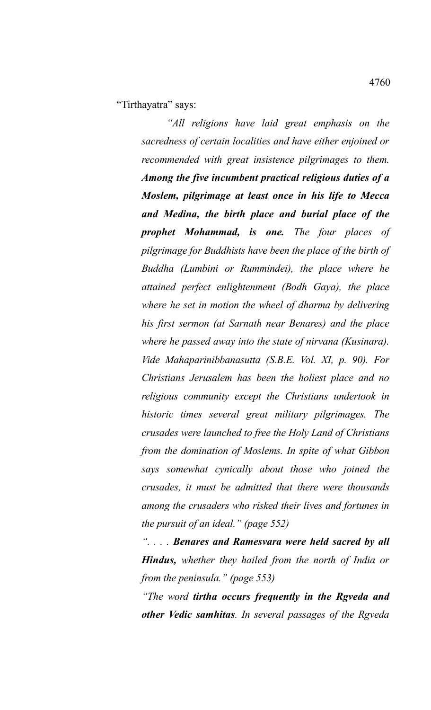"Tirthayatra" says:

*"All religions have laid great emphasis on the sacredness of certain localities and have either enjoined or recommended with great insistence pilgrimages to them. Among the five incumbent practical religious duties of a Moslem, pilgrimage at least once in his life to Mecca and Medina, the birth place and burial place of the prophet Mohammad, is one. The four places of pilgrimage for Buddhists have been the place of the birth of Buddha (Lumbini or Rummindei), the place where he attained perfect enlightenment (Bodh Gaya), the place where he set in motion the wheel of dharma by delivering his first sermon (at Sarnath near Benares) and the place where he passed away into the state of nirvana (Kusinara). Vide Mahaparinibbanasutta (S.B.E. Vol. XI, p. 90). For Christians Jerusalem has been the holiest place and no religious community except the Christians undertook in historic times several great military pilgrimages. The crusades were launched to free the Holy Land of Christians from the domination of Moslems. In spite of what Gibbon says somewhat cynically about those who joined the crusades, it must be admitted that there were thousands among the crusaders who risked their lives and fortunes in the pursuit of an ideal." (page 552)*

*". . . . Benares and Ramesvara were held sacred by all Hindus, whether they hailed from the north of India or from the peninsula." (page 553)*

*"The word tirtha occurs frequently in the Rgveda and other Vedic samhitas. In several passages of the Rgveda*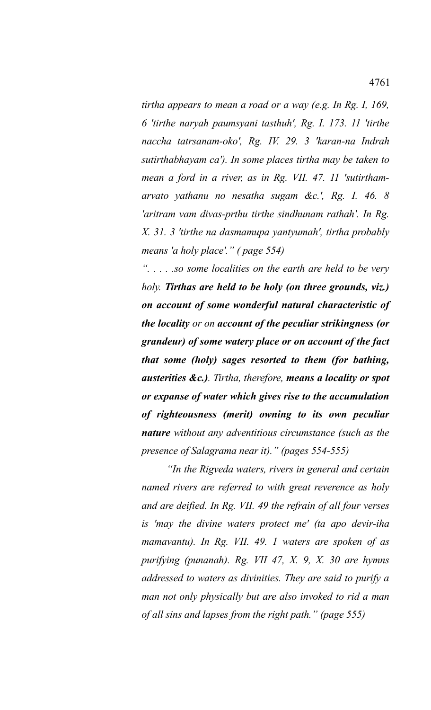*tirtha appears to mean a road or a way (e.g. In Rg. I, 169, 6 'tirthe naryah paumsyani tasthuh', Rg. I. 173. 11 'tirthe naccha tatrsanam-oko', Rg. IV. 29. 3 'karan-na Indrah sutirthabhayam ca'). In some places tirtha may be taken to mean a ford in a river, as in Rg. VII. 47. 11 'sutirthamarvato yathanu no nesatha sugam &c.', Rg. I. 46. 8 'aritram vam divas-prthu tirthe sindhunam rathah'. In Rg. X. 31. 3 'tirthe na dasmamupa yantyumah', tirtha probably means 'a holy place'." ( page 554)*

*". . . . .so some localities on the earth are held to be very holy. Tirthas are held to be holy (on three grounds, viz.) on account of some wonderful natural characteristic of the locality or on account of the peculiar strikingness (or grandeur) of some watery place or on account of the fact that some (holy) sages resorted to them (for bathing, austerities &c.). Tirtha, therefore, means a locality or spot or expanse of water which gives rise to the accumulation of righteousness (merit) owning to its own peculiar nature without any adventitious circumstance (such as the presence of Salagrama near it)." (pages 554-555)*

*"In the Rigveda waters, rivers in general and certain named rivers are referred to with great reverence as holy and are deified. In Rg. VII. 49 the refrain of all four verses is 'may the divine waters protect me' (ta apo devir-iha mamavantu). In Rg. VII. 49. 1 waters are spoken of as purifying (punanah). Rg. VII 47, X. 9, X. 30 are hymns addressed to waters as divinities. They are said to purify a man not only physically but are also invoked to rid a man of all sins and lapses from the right path." (page 555)*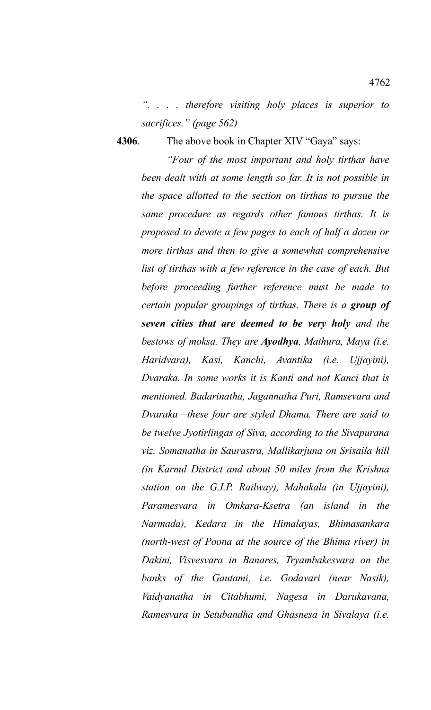*". . . . therefore visiting holy places is superior to sacrifices." (page 562)*

**4306**. The above book in Chapter XIV "Gaya" says:

*"Four of the most important and holy tirthas have been dealt with at some length so far. It is not possible in the space allotted to the section on tirthas to pursue the same procedure as regards other famous tirthas. It is proposed to devote a few pages to each of half a dozen or more tirthas and then to give a somewhat comprehensive list of tirthas with a few reference in the case of each. But before proceeding further reference must be made to certain popular groupings of tirthas. There is a group of seven cities that are deemed to be very holy and the bestows of moksa. They are Ayodhya, Mathura, Maya (i.e. Haridvara), Kasi, Kanchi, Avantika (i.e. Ujjayini), Dvaraka. In some works it is Kanti and not Kanci that is mentioned. Badarinatha, Jagannatha Puri, Ramsevara and Dvaraka—these four are styled Dhama. There are said to be twelve Jyotirlingas of Siva, according to the Sivapurana viz. Somanatha in Saurastra, Mallikarjuna on Srisaila hill (in Karnul District and about 50 miles from the Krishna station on the G.I.P. Railway), Mahakala (in Ujjayini), Paramesvara in Omkara-Ksetra (an island in the Narmada), Kedara in the Himalayas, Bhimasankara (north-west of Poona at the source of the Bhima river) in Dakini, Visvesvara in Banares, Tryambakesvara on the banks of the Gautami, i.e. Godavari (near Nasik), Vaidyanatha in Citabhumi, Nagesa in Darukavana, Ramesvara in Setubandha and Ghasnesa in Sivalaya (i.e.*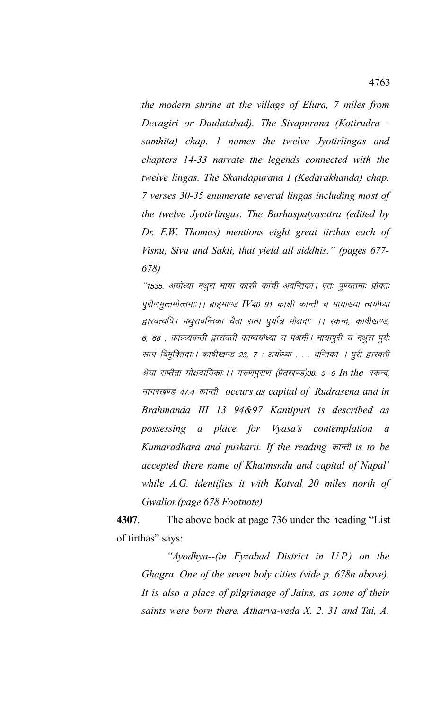*the modern shrine at the village of Elura, 7 miles from Devagiri or Daulatabad). The Sivapurana (Kotirudra samhita) chap. 1 names the twelve Jyotirlingas and chapters 14-33 narrate the legends connected with the twelve lingas. The Skandapurana I (Kedarakhanda) chap. 7 verses 30-35 enumerate several lingas including most of the twelve Jyotirlingas. The Barhaspatyasutra (edited by Dr. F.W. Thomas) mentions eight great tirthas each of Visnu, Siva and Sakti, that yield all siddhis." (pages 677- 678)*

''1535. अयोध्या मथुरा माया काशी कांची अवन्तिका। एतः पुण्यतमाः प्रोक्तः पुरीणमुत्तमोत्तमाः । । ब्राहमाण्ड IV40 91 काशी कान्ती च मायाख्या त्वयोध्या द्वारवत्यपि । मथुरावन्तिका चैता सत्प पुर्योत्र मोक्षदाः । । स्कन्द, काषीखण्ड, 6, 68 , काञ्च्यवन्ती द्वारावती काष्ययोध्या च पश्रमी । मायापुरी च मथुरा पूर्यः सत्प विमुक्तिदाः । काषीखण्ड 23, 7 : अयोध्या . . . वन्तिका । पुरी द्वारवती श्रेया सप्तैता मोक्षदायिकाः । । गरुणपुराण (प्रेतखण्ड)38. 5–6 In the स्कन्द, नागरखण्ड 47.4 कान्ती occurs as capital of Rudrasena and in *Brahmanda III 13 94&97 Kantipuri is described as possessing a place for Vyasa's contemplation a Kumaradhara and puskarii. If the reading*  $\overline{\phi}$  *and is to be accepted there name of Khatmsndu and capital of Napal' while A.G. identifies it with Kotval 20 miles north of Gwalior.(page 678 Footnote)*

**4307**. The above book at page 736 under the heading "List of tirthas" says:

*"Ayodhya--(in Fyzabad District in U.P.) on the Ghagra. One of the seven holy cities (vide p. 678n above). It is also a place of pilgrimage of Jains, as some of their saints were born there. Atharva-veda X. 2. 31 and Tai, A.*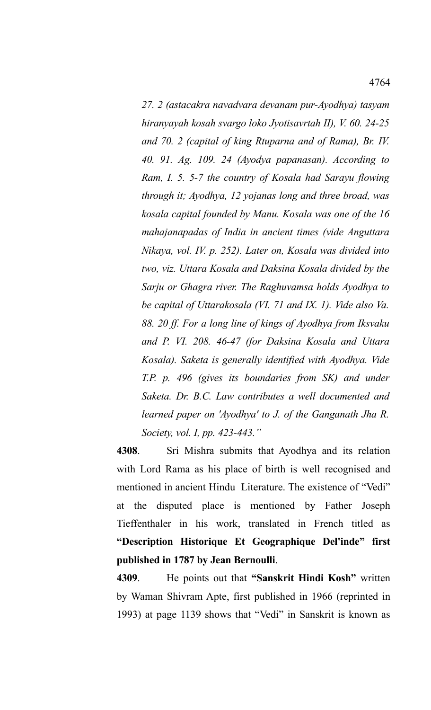*27. 2 (astacakra navadvara devanam pur-Ayodhya) tasyam hiranyayah kosah svargo loko Jyotisavrtah II), V. 60. 24-25 and 70. 2 (capital of king Rtuparna and of Rama), Br. IV. 40. 91. Ag. 109. 24 (Ayodya papanasan). According to Ram, I. 5. 5-7 the country of Kosala had Sarayu flowing through it; Ayodhya, 12 yojanas long and three broad, was kosala capital founded by Manu. Kosala was one of the 16 mahajanapadas of India in ancient times (vide Anguttara Nikaya, vol. IV. p. 252). Later on, Kosala was divided into two, viz. Uttara Kosala and Daksina Kosala divided by the Sarju or Ghagra river. The Raghuvamsa holds Ayodhya to be capital of Uttarakosala (VI. 71 and IX. 1). Vide also Va. 88. 20 ff. For a long line of kings of Ayodhya from Iksvaku and P. VI. 208. 46-47 (for Daksina Kosala and Uttara Kosala). Saketa is generally identified with Ayodhya. Vide T.P. p. 496 (gives its boundaries from SK) and under Saketa. Dr. B.C. Law contributes a well documented and learned paper on 'Ayodhya' to J. of the Ganganath Jha R. Society, vol. I, pp. 423-443."*

**4308**. Sri Mishra submits that Ayodhya and its relation with Lord Rama as his place of birth is well recognised and mentioned in ancient Hindu Literature. The existence of "Vedi" at the disputed place is mentioned by Father Joseph Tieffenthaler in his work, translated in French titled as **"Description Historique Et Geographique Del'inde" first published in 1787 by Jean Bernoulli**.

**4309**. He points out that **"Sanskrit Hindi Kosh"** written by Waman Shivram Apte, first published in 1966 (reprinted in 1993) at page 1139 shows that "Vedi" in Sanskrit is known as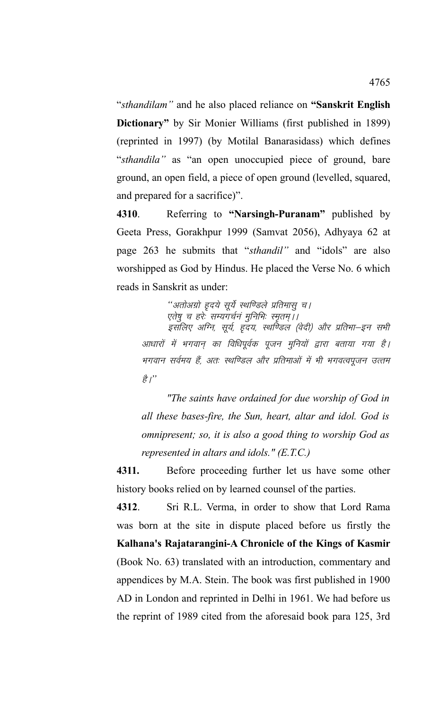"*sthandilam"* and he also placed reliance on **"Sanskrit English Dictionary"** by Sir Monier Williams (first published in 1899) (reprinted in 1997) (by Motilal Banarasidass) which defines "*sthandila*" as "an open unoccupied piece of ground, bare ground, an open field, a piece of open ground (levelled, squared, and prepared for a sacrifice)".

**4310**. Referring to **"Narsingh-Puranam"** published by Geeta Press, Gorakhpur 1999 (Samvat 2056), Adhyaya 62 at page 263 he submits that "*sthandil"* and "idols" are also worshipped as God by Hindus. He placed the Verse No. 6 which reads in Sanskrit as under:

"अतोअग्रो हृदये सूर्ये स्थण्डिले प्रतिमासु च। एतेषु च हरे. सम्यगर्चनं मुनिभिः स्मृतम् । । इसलिए अग्नि, सूर्य, इृदय, स्थण्डिल (वेदी) और प्रतिभा–इन सभी आधारों में भगवान का विधिपूर्वक पूजन मुनियों द्वारा बताया गया है। भगवान सर्वमय हैं, अतः स्थण्डिल और प्रतिमाओं में भी भगवत्वपूजन उत्तम

 $\frac{a}{b}$ <sup>"</sup>

*"The saints have ordained for due worship of God in all these bases-fire, the Sun, heart, altar and idol. God is omnipresent; so, it is also a good thing to worship God as represented in altars and idols." (E.T.C.)*

**4311.** Before proceeding further let us have some other history books relied on by learned counsel of the parties.

**4312**. Sri R.L. Verma, in order to show that Lord Rama was born at the site in dispute placed before us firstly the **Kalhana's Rajatarangini-A Chronicle of the Kings of Kasmir** (Book No. 63) translated with an introduction, commentary and appendices by M.A. Stein. The book was first published in 1900 AD in London and reprinted in Delhi in 1961. We had before us the reprint of 1989 cited from the aforesaid book para 125, 3rd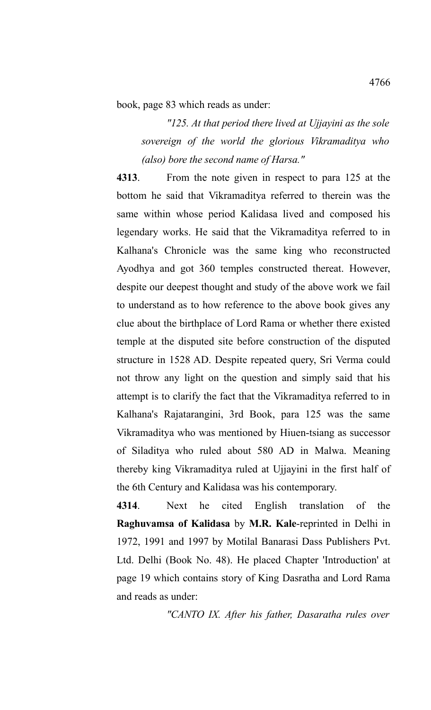book, page 83 which reads as under:

*"125. At that period there lived at Ujjayini as the sole sovereign of the world the glorious Vikramaditya who (also) bore the second name of Harsa."*

**4313**. From the note given in respect to para 125 at the bottom he said that Vikramaditya referred to therein was the same within whose period Kalidasa lived and composed his legendary works. He said that the Vikramaditya referred to in Kalhana's Chronicle was the same king who reconstructed Ayodhya and got 360 temples constructed thereat. However, despite our deepest thought and study of the above work we fail to understand as to how reference to the above book gives any clue about the birthplace of Lord Rama or whether there existed temple at the disputed site before construction of the disputed structure in 1528 AD. Despite repeated query, Sri Verma could not throw any light on the question and simply said that his attempt is to clarify the fact that the Vikramaditya referred to in Kalhana's Rajatarangini, 3rd Book, para 125 was the same Vikramaditya who was mentioned by Hiuen-tsiang as successor of Siladitya who ruled about 580 AD in Malwa. Meaning thereby king Vikramaditya ruled at Ujjayini in the first half of the 6th Century and Kalidasa was his contemporary.

**4314**. Next he cited English translation of the **Raghuvamsa of Kalidasa** by **M.R. Kale**-reprinted in Delhi in 1972, 1991 and 1997 by Motilal Banarasi Dass Publishers Pvt. Ltd. Delhi (Book No. 48). He placed Chapter 'Introduction' at page 19 which contains story of King Dasratha and Lord Rama and reads as under:

*"CANTO IX. After his father, Dasaratha rules over*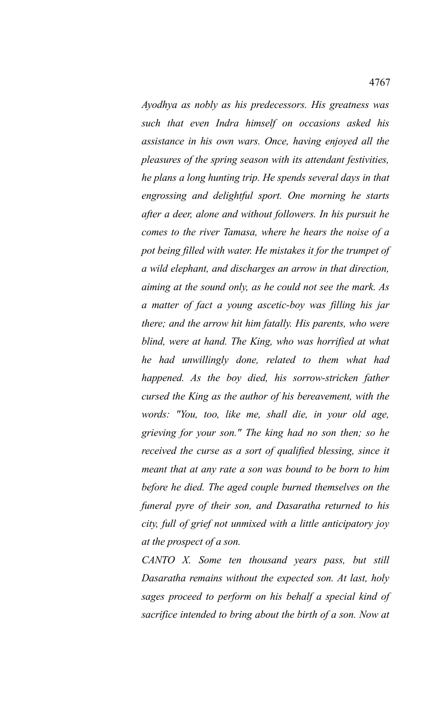*Ayodhya as nobly as his predecessors. His greatness was such that even Indra himself on occasions asked his assistance in his own wars. Once, having enjoyed all the pleasures of the spring season with its attendant festivities, he plans a long hunting trip. He spends several days in that engrossing and delightful sport. One morning he starts after a deer, alone and without followers. In his pursuit he comes to the river Tamasa, where he hears the noise of a pot being filled with water. He mistakes it for the trumpet of a wild elephant, and discharges an arrow in that direction, aiming at the sound only, as he could not see the mark. As a matter of fact a young ascetic-boy was filling his jar there; and the arrow hit him fatally. His parents, who were blind, were at hand. The King, who was horrified at what he had unwillingly done, related to them what had happened. As the boy died, his sorrow-stricken father cursed the King as the author of his bereavement, with the words: "You, too, like me, shall die, in your old age, grieving for your son." The king had no son then; so he received the curse as a sort of qualified blessing, since it meant that at any rate a son was bound to be born to him before he died. The aged couple burned themselves on the funeral pyre of their son, and Dasaratha returned to his city, full of grief not unmixed with a little anticipatory joy at the prospect of a son.* 

*CANTO X. Some ten thousand years pass, but still Dasaratha remains without the expected son. At last, holy sages proceed to perform on his behalf a special kind of sacrifice intended to bring about the birth of a son. Now at*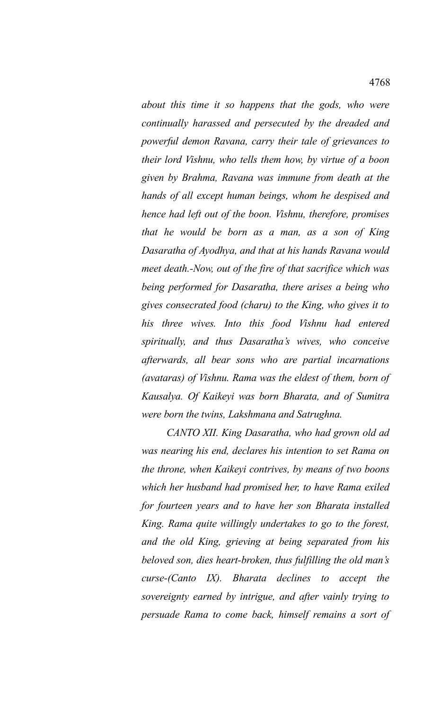*about this time it so happens that the gods, who were continually harassed and persecuted by the dreaded and powerful demon Ravana, carry their tale of grievances to their lord Vishnu, who tells them how, by virtue of a boon given by Brahma, Ravana was immune from death at the hands of all except human beings, whom he despised and hence had left out of the boon. Vishnu, therefore, promises that he would be born as a man, as a son of King Dasaratha of Ayodhya, and that at his hands Ravana would meet death.-Now, out of the fire of that sacrifice which was being performed for Dasaratha, there arises a being who gives consecrated food (charu) to the King, who gives it to his three wives. Into this food Vishnu had entered spiritually, and thus Dasaratha's wives, who conceive afterwards, all bear sons who are partial incarnations (avataras) of Vishnu. Rama was the eldest of them, born of Kausalya. Of Kaikeyi was born Bharata, and of Sumitra were born the twins, Lakshmana and Satrughna.*

*CANTO XII. King Dasaratha, who had grown old ad was nearing his end, declares his intention to set Rama on the throne, when Kaikeyi contrives, by means of two boons which her husband had promised her, to have Rama exiled for fourteen years and to have her son Bharata installed King. Rama quite willingly undertakes to go to the forest, and the old King, grieving at being separated from his beloved son, dies heart-broken, thus fulfilling the old man's curse-(Canto IX). Bharata declines to accept the sovereignty earned by intrigue, and after vainly trying to persuade Rama to come back, himself remains a sort of*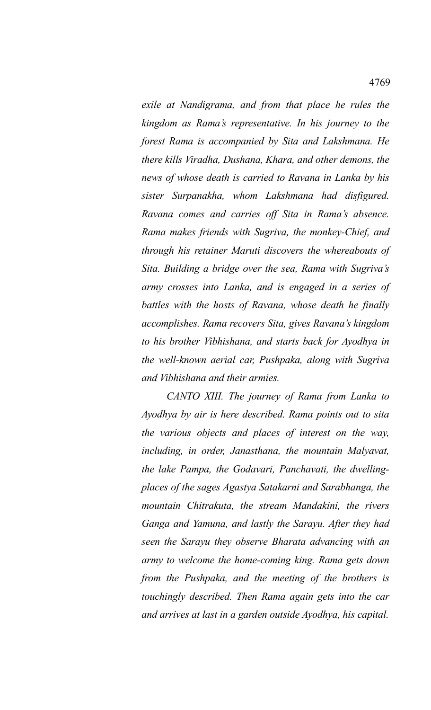*exile at Nandigrama, and from that place he rules the kingdom as Rama's representative. In his journey to the forest Rama is accompanied by Sita and Lakshmana. He there kills Viradha, Dushana, Khara, and other demons, the news of whose death is carried to Ravana in Lanka by his sister Surpanakha, whom Lakshmana had disfigured. Ravana comes and carries off Sita in Rama's absence. Rama makes friends with Sugriva, the monkey-Chief, and through his retainer Maruti discovers the whereabouts of Sita. Building a bridge over the sea, Rama with Sugriva's army crosses into Lanka, and is engaged in a series of battles with the hosts of Ravana, whose death he finally accomplishes. Rama recovers Sita, gives Ravana's kingdom to his brother Vibhishana, and starts back for Ayodhya in the well-known aerial car, Pushpaka, along with Sugriva and Vibhishana and their armies.* 

*CANTO XIII. The journey of Rama from Lanka to Ayodhya by air is here described. Rama points out to sita the various objects and places of interest on the way, including, in order, Janasthana, the mountain Malyavat, the lake Pampa, the Godavari, Panchavati, the dwellingplaces of the sages Agastya Satakarni and Sarabhanga, the mountain Chitrakuta, the stream Mandakini, the rivers Ganga and Yamuna, and lastly the Sarayu. After they had seen the Sarayu they observe Bharata advancing with an army to welcome the home-coming king. Rama gets down from the Pushpaka, and the meeting of the brothers is touchingly described. Then Rama again gets into the car and arrives at last in a garden outside Ayodhya, his capital.*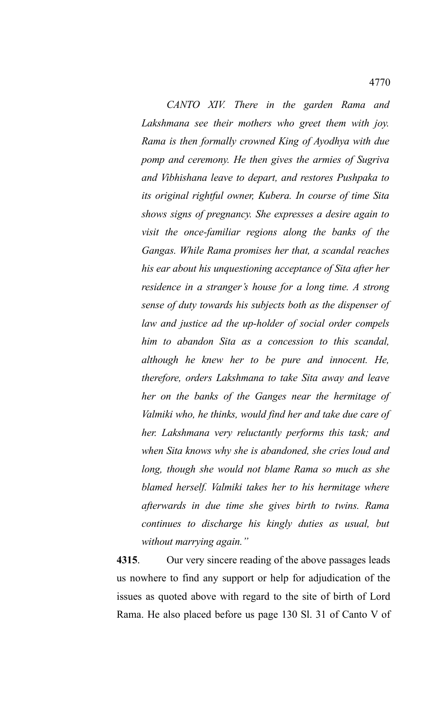*CANTO XIV. There in the garden Rama and Lakshmana see their mothers who greet them with joy. Rama is then formally crowned King of Ayodhya with due pomp and ceremony. He then gives the armies of Sugriva and Vibhishana leave to depart, and restores Pushpaka to its original rightful owner, Kubera. In course of time Sita shows signs of pregnancy. She expresses a desire again to visit the once-familiar regions along the banks of the Gangas. While Rama promises her that, a scandal reaches his ear about his unquestioning acceptance of Sita after her residence in a stranger's house for a long time. A strong sense of duty towards his subjects both as the dispenser of law and justice ad the up-holder of social order compels him to abandon Sita as a concession to this scandal, although he knew her to be pure and innocent. He, therefore, orders Lakshmana to take Sita away and leave her on the banks of the Ganges near the hermitage of Valmiki who, he thinks, would find her and take due care of her. Lakshmana very reluctantly performs this task; and when Sita knows why she is abandoned, she cries loud and long, though she would not blame Rama so much as she blamed herself. Valmiki takes her to his hermitage where afterwards in due time she gives birth to twins. Rama continues to discharge his kingly duties as usual, but without marrying again."*

**4315**. Our very sincere reading of the above passages leads us nowhere to find any support or help for adjudication of the issues as quoted above with regard to the site of birth of Lord Rama. He also placed before us page 130 Sl. 31 of Canto V of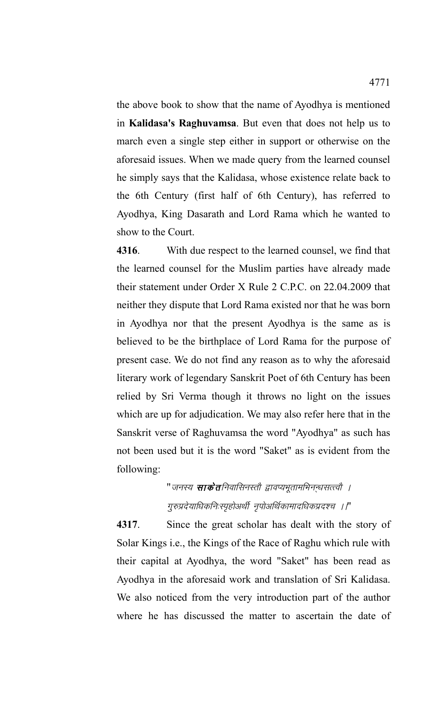the above book to show that the name of Ayodhya is mentioned in **Kalidasa's Raghuvamsa**. But even that does not help us to march even a single step either in support or otherwise on the aforesaid issues. When we made query from the learned counsel he simply says that the Kalidasa, whose existence relate back to the 6th Century (first half of 6th Century), has referred to Ayodhya, King Dasarath and Lord Rama which he wanted to show to the Court.

**4316**. With due respect to the learned counsel, we find that the learned counsel for the Muslim parties have already made their statement under Order X Rule 2 C.P.C. on 22.04.2009 that neither they dispute that Lord Rama existed nor that he was born in Ayodhya nor that the present Ayodhya is the same as is believed to be the birthplace of Lord Rama for the purpose of present case. We do not find any reason as to why the aforesaid literary work of legendary Sanskrit Poet of 6th Century has been relied by Sri Verma though it throws no light on the issues which are up for adjudication. We may also refer here that in the Sanskrit verse of Raghuvamsa the word "Ayodhya" as such has not been used but it is the word "Saket" as is evident from the following:

## "जनस्य **साकेत**निवासिनस्तौ द्वावप्यभूतामभिनन्धसत्त्वौ । गुरुप्रदेयाधिकनिःस्पृहोअर्थी नृपोअर्थिकामादधिकप्रदश्च ।।"

**4317**. Since the great scholar has dealt with the story of Solar Kings i.e., the Kings of the Race of Raghu which rule with their capital at Ayodhya, the word "Saket" has been read as Ayodhya in the aforesaid work and translation of Sri Kalidasa. We also noticed from the very introduction part of the author where he has discussed the matter to ascertain the date of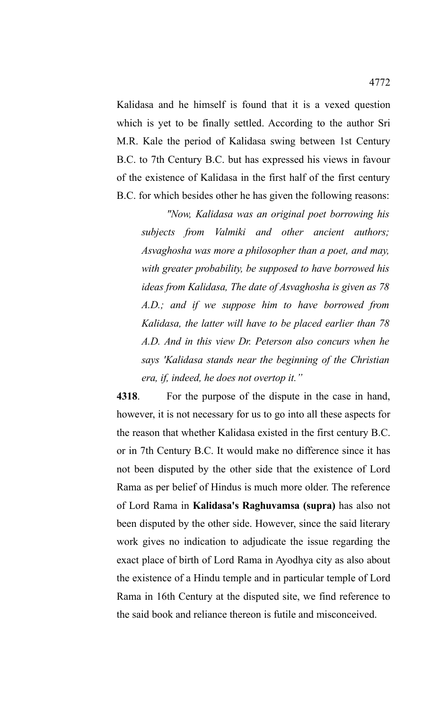Kalidasa and he himself is found that it is a vexed question which is yet to be finally settled. According to the author Sri M.R. Kale the period of Kalidasa swing between 1st Century B.C. to 7th Century B.C. but has expressed his views in favour of the existence of Kalidasa in the first half of the first century B.C. for which besides other he has given the following reasons:

*"Now, Kalidasa was an original poet borrowing his subjects from Valmiki and other ancient authors; Asvaghosha was more a philosopher than a poet, and may, with greater probability, be supposed to have borrowed his ideas from Kalidasa, The date of Asvaghosha is given as 78 A.D.; and if we suppose him to have borrowed from Kalidasa, the latter will have to be placed earlier than 78 A.D. And in this view Dr. Peterson also concurs when he says 'Kalidasa stands near the beginning of the Christian era, if, indeed, he does not overtop it."*

**4318**. For the purpose of the dispute in the case in hand, however, it is not necessary for us to go into all these aspects for the reason that whether Kalidasa existed in the first century B.C. or in 7th Century B.C. It would make no difference since it has not been disputed by the other side that the existence of Lord Rama as per belief of Hindus is much more older. The reference of Lord Rama in **Kalidasa's Raghuvamsa (supra)** has also not been disputed by the other side. However, since the said literary work gives no indication to adjudicate the issue regarding the exact place of birth of Lord Rama in Ayodhya city as also about the existence of a Hindu temple and in particular temple of Lord Rama in 16th Century at the disputed site, we find reference to the said book and reliance thereon is futile and misconceived.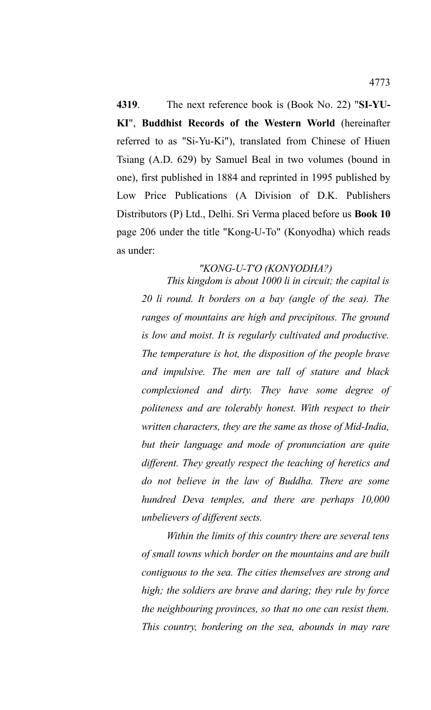**4319**. The next reference book is (Book No. 22) "**SI-YU-KI**", **Buddhist Records of the Western World** (hereinafter referred to as "Si-Yu-Ki"), translated from Chinese of Hiuen Tsiang (A.D. 629) by Samuel Beal in two volumes (bound in one), first published in 1884 and reprinted in 1995 published by Low Price Publications (A Division of D.K. Publishers Distributors (P) Ltd., Delhi. Sri Verma placed before us **Book 10** page 206 under the title "Kong-U-To" (Konyodha) which reads as under:

## *"KONG-U-T'O (KONYODHA?)*

*This kingdom is about 1000 li in circuit; the capital is 20 li round. It borders on a bay (angle of the sea). The ranges of mountains are high and precipitous. The ground is low and moist. It is regularly cultivated and productive. The temperature is hot, the disposition of the people brave and impulsive. The men are tall of stature and black complexioned and dirty. They have some degree of politeness and are tolerably honest. With respect to their written characters, they are the same as those of Mid-India, but their language and mode of pronunciation are quite different. They greatly respect the teaching of heretics and do not believe in the law of Buddha. There are some hundred Deva temples, and there are perhaps 10,000 unbelievers of different sects.* 

*Within the limits of this country there are several tens of small towns which border on the mountains and are built contiguous to the sea. The cities themselves are strong and high; the soldiers are brave and daring; they rule by force the neighbouring provinces, so that no one can resist them. This country, bordering on the sea, abounds in may rare*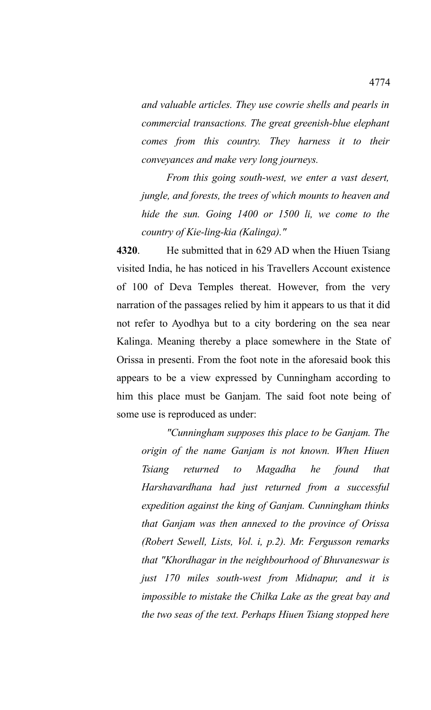*and valuable articles. They use cowrie shells and pearls in commercial transactions. The great greenish-blue elephant comes from this country. They harness it to their conveyances and make very long journeys.* 

*From this going south-west, we enter a vast desert, jungle, and forests, the trees of which mounts to heaven and hide the sun. Going 1400 or 1500 li, we come to the country of Kie-ling-kia (Kalinga)."*

**4320**. He submitted that in 629 AD when the Hiuen Tsiang visited India, he has noticed in his Travellers Account existence of 100 of Deva Temples thereat. However, from the very narration of the passages relied by him it appears to us that it did not refer to Ayodhya but to a city bordering on the sea near Kalinga. Meaning thereby a place somewhere in the State of Orissa in presenti. From the foot note in the aforesaid book this appears to be a view expressed by Cunningham according to him this place must be Ganjam. The said foot note being of some use is reproduced as under:

*"Cunningham supposes this place to be Ganjam. The origin of the name Ganjam is not known. When Hiuen Tsiang returned to Magadha he found that Harshavardhana had just returned from a successful expedition against the king of Ganjam. Cunningham thinks that Ganjam was then annexed to the province of Orissa (Robert Sewell, Lists, Vol. i, p.2). Mr. Fergusson remarks that "Khordhagar in the neighbourhood of Bhuvaneswar is just 170 miles south-west from Midnapur, and it is impossible to mistake the Chilka Lake as the great bay and the two seas of the text. Perhaps Hiuen Tsiang stopped here*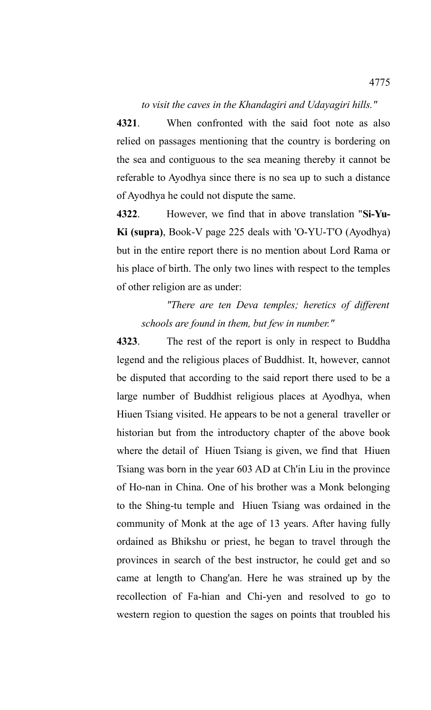*to visit the caves in the Khandagiri and Udayagiri hills."*

**4321**. When confronted with the said foot note as also relied on passages mentioning that the country is bordering on the sea and contiguous to the sea meaning thereby it cannot be referable to Ayodhya since there is no sea up to such a distance of Ayodhya he could not dispute the same.

**4322**. However, we find that in above translation "**Si-Yu-Ki (supra)**, Book-V page 225 deals with 'O-YU-T'O (Ayodhya) but in the entire report there is no mention about Lord Rama or his place of birth. The only two lines with respect to the temples of other religion are as under:

*"There are ten Deva temples; heretics of different schools are found in them, but few in number."*

**4323**. The rest of the report is only in respect to Buddha legend and the religious places of Buddhist. It, however, cannot be disputed that according to the said report there used to be a large number of Buddhist religious places at Ayodhya, when Hiuen Tsiang visited. He appears to be not a general traveller or historian but from the introductory chapter of the above book where the detail of Hiuen Tsiang is given, we find that Hiuen Tsiang was born in the year 603 AD at Ch'in Liu in the province of Ho-nan in China. One of his brother was a Monk belonging to the Shing-tu temple and Hiuen Tsiang was ordained in the community of Monk at the age of 13 years. After having fully ordained as Bhikshu or priest, he began to travel through the provinces in search of the best instructor, he could get and so came at length to Chang'an. Here he was strained up by the recollection of Fa-hian and Chi-yen and resolved to go to western region to question the sages on points that troubled his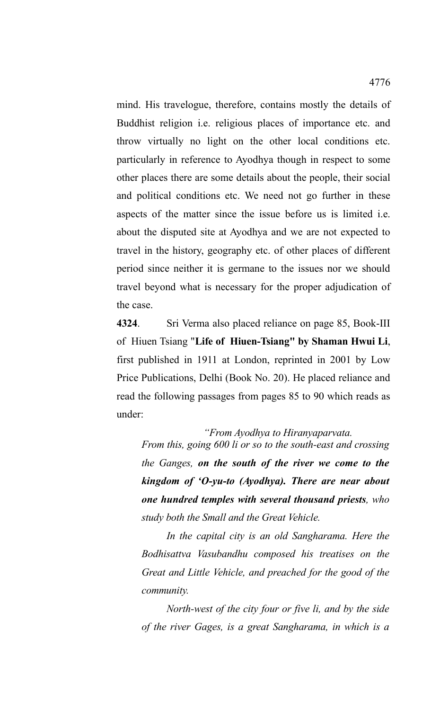mind. His travelogue, therefore, contains mostly the details of Buddhist religion i.e. religious places of importance etc. and throw virtually no light on the other local conditions etc. particularly in reference to Ayodhya though in respect to some other places there are some details about the people, their social and political conditions etc. We need not go further in these aspects of the matter since the issue before us is limited i.e. about the disputed site at Ayodhya and we are not expected to travel in the history, geography etc. of other places of different period since neither it is germane to the issues nor we should travel beyond what is necessary for the proper adjudication of the case.

**4324**. Sri Verma also placed reliance on page 85, Book-III of Hiuen Tsiang "**Life of Hiuen-Tsiang" by Shaman Hwui Li**, first published in 1911 at London, reprinted in 2001 by Low Price Publications, Delhi (Book No. 20). He placed reliance and read the following passages from pages 85 to 90 which reads as under:

*"From Ayodhya to Hiranyaparvata. From this, going 600 li or so to the south-east and crossing the Ganges, on the south of the river we come to the kingdom of 'O-yu-to (Ayodhya). There are near about one hundred temples with several thousand priests, who study both the Small and the Great Vehicle.* 

*In the capital city is an old Sangharama. Here the Bodhisattva Vasubandhu composed his treatises on the Great and Little Vehicle, and preached for the good of the community.*

*North-west of the city four or five li, and by the side of the river Gages, is a great Sangharama, in which is a*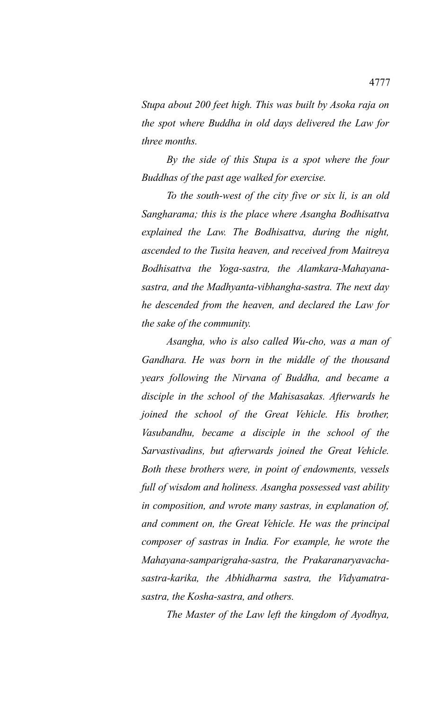*Stupa about 200 feet high. This was built by Asoka raja on the spot where Buddha in old days delivered the Law for three months.* 

*By the side of this Stupa is a spot where the four Buddhas of the past age walked for exercise.* 

*To the south-west of the city five or six li, is an old Sangharama; this is the place where Asangha Bodhisattva explained the Law. The Bodhisattva, during the night, ascended to the Tusita heaven, and received from Maitreya Bodhisattva the Yoga-sastra, the Alamkara-Mahayanasastra, and the Madhyanta-vibhangha-sastra. The next day he descended from the heaven, and declared the Law for the sake of the community.* 

*Asangha, who is also called Wu-cho, was a man of Gandhara. He was born in the middle of the thousand years following the Nirvana of Buddha, and became a disciple in the school of the Mahisasakas. Afterwards he joined the school of the Great Vehicle. His brother, Vasubandhu, became a disciple in the school of the Sarvastivadins, but afterwards joined the Great Vehicle. Both these brothers were, in point of endowments, vessels full of wisdom and holiness. Asangha possessed vast ability in composition, and wrote many sastras, in explanation of, and comment on, the Great Vehicle. He was the principal composer of sastras in India. For example, he wrote the Mahayana-samparigraha-sastra, the Prakaranaryavachasastra-karika, the Abhidharma sastra, the Vidyamatrasastra, the Kosha-sastra, and others.* 

*The Master of the Law left the kingdom of Ayodhya,*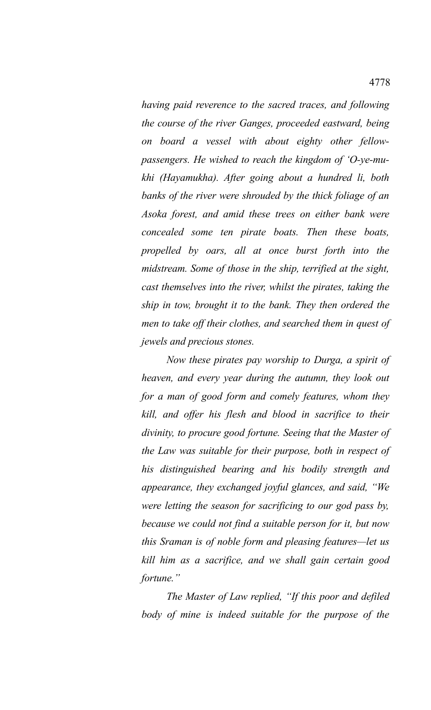*having paid reverence to the sacred traces, and following the course of the river Ganges, proceeded eastward, being on board a vessel with about eighty other fellowpassengers. He wished to reach the kingdom of 'O-ye-mukhi (Hayamukha). After going about a hundred li, both banks of the river were shrouded by the thick foliage of an Asoka forest, and amid these trees on either bank were concealed some ten pirate boats. Then these boats, propelled by oars, all at once burst forth into the midstream. Some of those in the ship, terrified at the sight, cast themselves into the river, whilst the pirates, taking the ship in tow, brought it to the bank. They then ordered the men to take off their clothes, and searched them in quest of jewels and precious stones.* 

*Now these pirates pay worship to Durga, a spirit of heaven, and every year during the autumn, they look out for a man of good form and comely features, whom they kill, and offer his flesh and blood in sacrifice to their divinity, to procure good fortune. Seeing that the Master of the Law was suitable for their purpose, both in respect of his distinguished bearing and his bodily strength and appearance, they exchanged joyful glances, and said, "We were letting the season for sacrificing to our god pass by, because we could not find a suitable person for it, but now this Sraman is of noble form and pleasing features—let us kill him as a sacrifice, and we shall gain certain good fortune."*

*The Master of Law replied, "If this poor and defiled body of mine is indeed suitable for the purpose of the*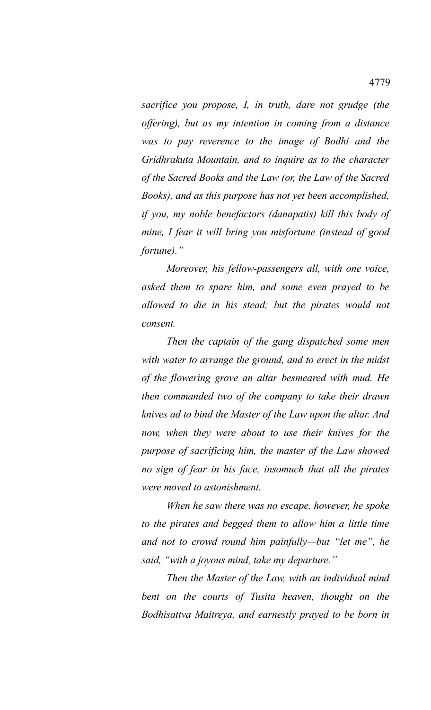*sacrifice you propose, I, in truth, dare not grudge (the offering), but as my intention in coming from a distance was to pay reverence to the image of Bodhi and the Gridhrakuta Mountain, and to inquire as to the character of the Sacred Books and the Law (or, the Law of the Sacred Books), and as this purpose has not yet been accomplished, if you, my noble benefactors (danapatis) kill this body of mine, I fear it will bring you misfortune (instead of good fortune)."*

*Moreover, his fellow-passengers all, with one voice, asked them to spare him, and some even prayed to be allowed to die in his stead; but the pirates would not consent.* 

*Then the captain of the gang dispatched some men with water to arrange the ground, and to erect in the midst of the flowering grove an altar besmeared with mud. He then commanded two of the company to take their drawn knives ad to bind the Master of the Law upon the altar. And now, when they were about to use their knives for the purpose of sacrificing him, the master of the Law showed no sign of fear in his face, insomuch that all the pirates were moved to astonishment.*

*When he saw there was no escape, however, he spoke to the pirates and begged them to allow him a little time and not to crowd round him painfully—but "let me", he said, "with a joyous mind, take my departure."* 

*Then the Master of the Law, with an individual mind bent on the courts of Tusita heaven, thought on the Bodhisattva Maitreya, and earnestly prayed to be born in*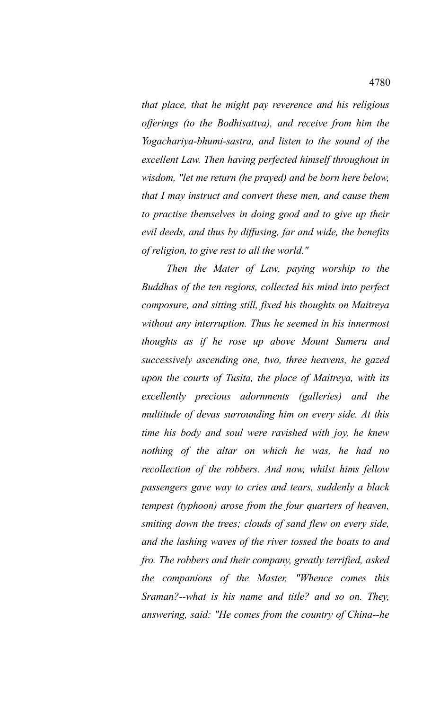*that place, that he might pay reverence and his religious offerings (to the Bodhisattva), and receive from him the Yogachariya-bhumi-sastra, and listen to the sound of the excellent Law. Then having perfected himself throughout in wisdom, "let me return (he prayed) and be born here below, that I may instruct and convert these men, and cause them to practise themselves in doing good and to give up their evil deeds, and thus by diffusing, far and wide, the benefits of religion, to give rest to all the world."*

*Then the Mater of Law, paying worship to the Buddhas of the ten regions, collected his mind into perfect composure, and sitting still, fixed his thoughts on Maitreya without any interruption. Thus he seemed in his innermost thoughts as if he rose up above Mount Sumeru and successively ascending one, two, three heavens, he gazed upon the courts of Tusita, the place of Maitreya, with its excellently precious adornments (galleries) and the multitude of devas surrounding him on every side. At this time his body and soul were ravished with joy, he knew nothing of the altar on which he was, he had no recollection of the robbers. And now, whilst hims fellow passengers gave way to cries and tears, suddenly a black tempest (typhoon) arose from the four quarters of heaven, smiting down the trees; clouds of sand flew on every side, and the lashing waves of the river tossed the boats to and fro. The robbers and their company, greatly terrified, asked the companions of the Master, "Whence comes this Sraman?--what is his name and title? and so on. They, answering, said: "He comes from the country of China--he*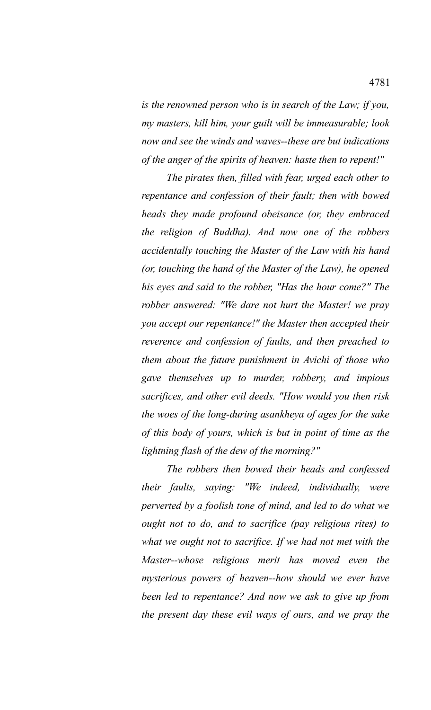*is the renowned person who is in search of the Law; if you, my masters, kill him, your guilt will be immeasurable; look now and see the winds and waves--these are but indications of the anger of the spirits of heaven: haste then to repent!"*

*The pirates then, filled with fear, urged each other to repentance and confession of their fault; then with bowed heads they made profound obeisance (or, they embraced the religion of Buddha). And now one of the robbers accidentally touching the Master of the Law with his hand (or, touching the hand of the Master of the Law), he opened his eyes and said to the robber, "Has the hour come?" The robber answered: "We dare not hurt the Master! we pray you accept our repentance!" the Master then accepted their reverence and confession of faults, and then preached to them about the future punishment in Avichi of those who gave themselves up to murder, robbery, and impious sacrifices, and other evil deeds. "How would you then risk the woes of the long-during asankheya of ages for the sake of this body of yours, which is but in point of time as the lightning flash of the dew of the morning?"*

*The robbers then bowed their heads and confessed their faults, saying: "We indeed, individually, were perverted by a foolish tone of mind, and led to do what we ought not to do, and to sacrifice (pay religious rites) to what we ought not to sacrifice. If we had not met with the Master--whose religious merit has moved even the mysterious powers of heaven--how should we ever have been led to repentance? And now we ask to give up from the present day these evil ways of ours, and we pray the*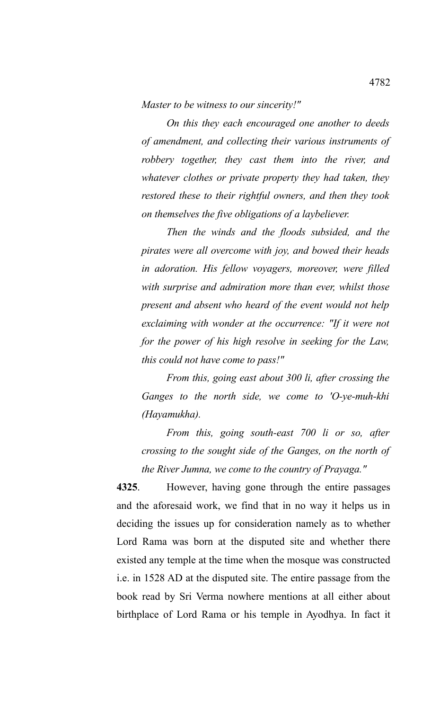*Master to be witness to our sincerity!"*

*On this they each encouraged one another to deeds of amendment, and collecting their various instruments of robbery together, they cast them into the river, and whatever clothes or private property they had taken, they restored these to their rightful owners, and then they took on themselves the five obligations of a laybeliever.* 

*Then the winds and the floods subsided, and the pirates were all overcome with joy, and bowed their heads in adoration. His fellow voyagers, moreover, were filled with surprise and admiration more than ever, whilst those present and absent who heard of the event would not help exclaiming with wonder at the occurrence: "If it were not for the power of his high resolve in seeking for the Law, this could not have come to pass!"*

*From this, going east about 300 li, after crossing the Ganges to the north side, we come to 'O-ye-muh-khi (Hayamukha).* 

*From this, going south-east 700 li or so, after crossing to the sought side of the Ganges, on the north of the River Jumna, we come to the country of Prayaga."*

**4325**. However, having gone through the entire passages and the aforesaid work, we find that in no way it helps us in deciding the issues up for consideration namely as to whether Lord Rama was born at the disputed site and whether there existed any temple at the time when the mosque was constructed i.e. in 1528 AD at the disputed site. The entire passage from the book read by Sri Verma nowhere mentions at all either about birthplace of Lord Rama or his temple in Ayodhya. In fact it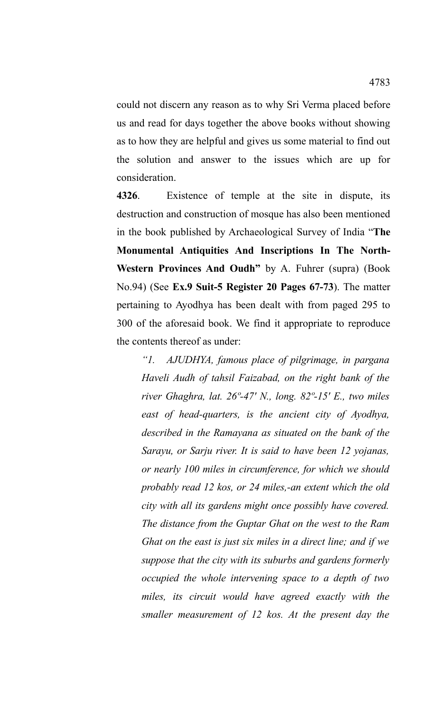could not discern any reason as to why Sri Verma placed before us and read for days together the above books without showing as to how they are helpful and gives us some material to find out the solution and answer to the issues which are up for consideration.

**4326**. Existence of temple at the site in dispute, its destruction and construction of mosque has also been mentioned in the book published by Archaeological Survey of India "**The Monumental Antiquities And Inscriptions In The North-Western Provinces And Oudh"** by A. Fuhrer (supra) (Book No.94) (See **Ex.9 Suit-5 Register 20 Pages 67-73**). The matter pertaining to Ayodhya has been dealt with from paged 295 to 300 of the aforesaid book. We find it appropriate to reproduce the contents thereof as under:

*"1. AJUDHYA, famous place of pilgrimage, in pargana Haveli Audh of tahsil Faizabad, on the right bank of the river Ghaghra, lat. 26º-47' N., long. 82º-15' E., two miles east of head-quarters, is the ancient city of Ayodhya, described in the Ramayana as situated on the bank of the Sarayu, or Sarju river. It is said to have been 12 yojanas, or nearly 100 miles in circumference, for which we should probably read 12 kos, or 24 miles,-an extent which the old city with all its gardens might once possibly have covered. The distance from the Guptar Ghat on the west to the Ram Ghat on the east is just six miles in a direct line; and if we suppose that the city with its suburbs and gardens formerly occupied the whole intervening space to a depth of two miles, its circuit would have agreed exactly with the smaller measurement of 12 kos. At the present day the*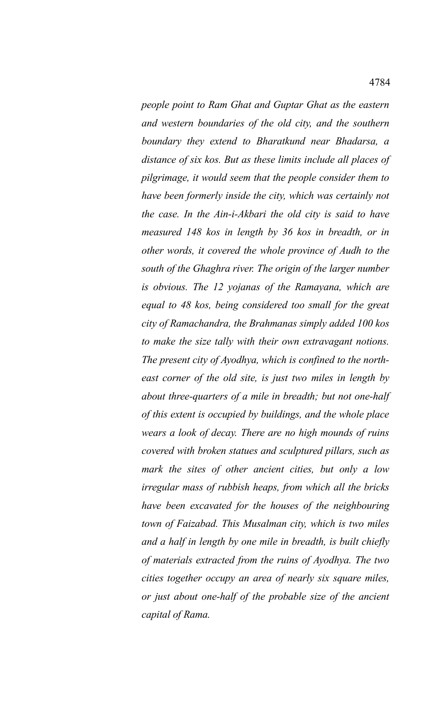*people point to Ram Ghat and Guptar Ghat as the eastern and western boundaries of the old city, and the southern boundary they extend to Bharatkund near Bhadarsa, a distance of six kos. But as these limits include all places of pilgrimage, it would seem that the people consider them to have been formerly inside the city, which was certainly not the case. In the Ain-i-Akbari the old city is said to have measured 148 kos in length by 36 kos in breadth, or in other words, it covered the whole province of Audh to the south of the Ghaghra river. The origin of the larger number is obvious. The 12 yojanas of the Ramayana, which are equal to 48 kos, being considered too small for the great city of Ramachandra, the Brahmanas simply added 100 kos to make the size tally with their own extravagant notions. The present city of Ayodhya, which is confined to the northeast corner of the old site, is just two miles in length by about three-quarters of a mile in breadth; but not one-half of this extent is occupied by buildings, and the whole place wears a look of decay. There are no high mounds of ruins covered with broken statues and sculptured pillars, such as mark the sites of other ancient cities, but only a low irregular mass of rubbish heaps, from which all the bricks have been excavated for the houses of the neighbouring town of Faizabad. This Musalman city, which is two miles and a half in length by one mile in breadth, is built chiefly of materials extracted from the ruins of Ayodhya. The two cities together occupy an area of nearly six square miles, or just about one-half of the probable size of the ancient capital of Rama.*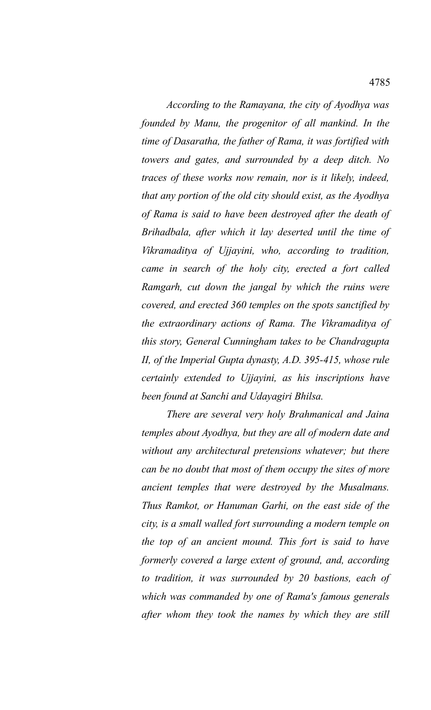*According to the Ramayana, the city of Ayodhya was founded by Manu, the progenitor of all mankind. In the time of Dasaratha, the father of Rama, it was fortified with towers and gates, and surrounded by a deep ditch. No traces of these works now remain, nor is it likely, indeed, that any portion of the old city should exist, as the Ayodhya of Rama is said to have been destroyed after the death of Brihadbala, after which it lay deserted until the time of Vikramaditya of Ujjayini, who, according to tradition, came in search of the holy city, erected a fort called Ramgarh, cut down the jangal by which the ruins were covered, and erected 360 temples on the spots sanctified by the extraordinary actions of Rama. The Vikramaditya of this story, General Cunningham takes to be Chandragupta II, of the Imperial Gupta dynasty, A.D. 395-415, whose rule certainly extended to Ujjayini, as his inscriptions have been found at Sanchi and Udayagiri Bhilsa.*

*There are several very holy Brahmanical and Jaina temples about Ayodhya, but they are all of modern date and without any architectural pretensions whatever; but there can be no doubt that most of them occupy the sites of more ancient temples that were destroyed by the Musalmans. Thus Ramkot, or Hanuman Garhi, on the east side of the city, is a small walled fort surrounding a modern temple on the top of an ancient mound. This fort is said to have formerly covered a large extent of ground, and, according to tradition, it was surrounded by 20 bastions, each of which was commanded by one of Rama's famous generals after whom they took the names by which they are still*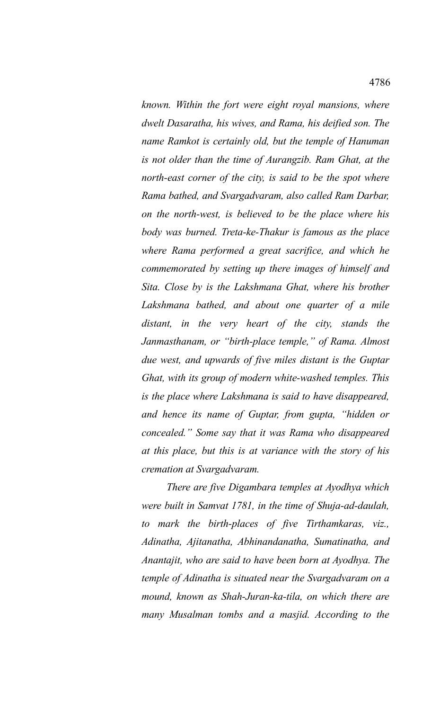*known. Within the fort were eight royal mansions, where dwelt Dasaratha, his wives, and Rama, his deified son. The name Ramkot is certainly old, but the temple of Hanuman is not older than the time of Aurangzib. Ram Ghat, at the north-east corner of the city, is said to be the spot where Rama bathed, and Svargadvaram, also called Ram Darbar, on the north-west, is believed to be the place where his body was burned. Treta-ke-Thakur is famous as the place where Rama performed a great sacrifice, and which he commemorated by setting up there images of himself and Sita. Close by is the Lakshmana Ghat, where his brother Lakshmana bathed, and about one quarter of a mile distant, in the very heart of the city, stands the Janmasthanam, or "birth-place temple," of Rama. Almost due west, and upwards of five miles distant is the Guptar Ghat, with its group of modern white-washed temples. This is the place where Lakshmana is said to have disappeared, and hence its name of Guptar, from gupta, "hidden or concealed." Some say that it was Rama who disappeared at this place, but this is at variance with the story of his cremation at Svargadvaram.*

*There are five Digambara temples at Ayodhya which were built in Samvat 1781, in the time of Shuja-ad-daulah, to mark the birth-places of five Tirthamkaras, viz., Adinatha, Ajitanatha, Abhinandanatha, Sumatinatha, and Anantajit, who are said to have been born at Ayodhya. The temple of Adinatha is situated near the Svargadvaram on a mound, known as Shah-Juran-ka-tila, on which there are many Musalman tombs and a masjid. According to the*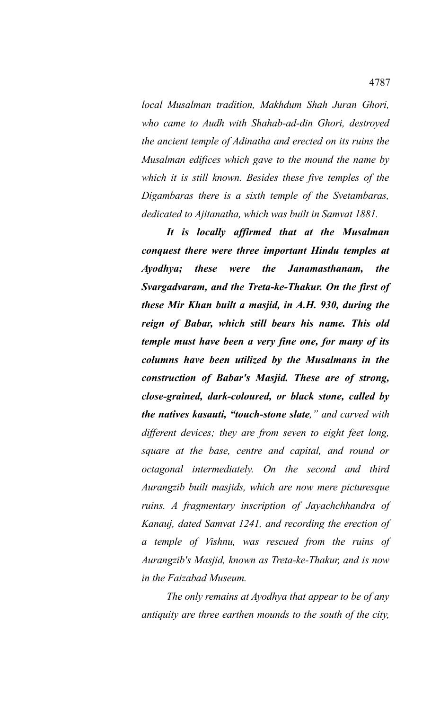*local Musalman tradition, Makhdum Shah Juran Ghori, who came to Audh with Shahab-ad-din Ghori, destroyed the ancient temple of Adinatha and erected on its ruins the Musalman edifices which gave to the mound the name by which it is still known. Besides these five temples of the Digambaras there is a sixth temple of the Svetambaras, dedicated to Ajitanatha, which was built in Samvat 1881.*

*It is locally affirmed that at the Musalman conquest there were three important Hindu temples at Ayodhya; these were the Janamasthanam, the Svargadvaram, and the Treta-ke-Thakur. On the first of these Mir Khan built a masjid, in A.H. 930, during the reign of Babar, which still bears his name. This old temple must have been a very fine one, for many of its columns have been utilized by the Musalmans in the construction of Babar's Masjid. These are of strong, close-grained, dark-coloured, or black stone, called by the natives kasauti, "touch-stone slate," and carved with different devices; they are from seven to eight feet long, square at the base, centre and capital, and round or octagonal intermediately. On the second and third Aurangzib built masjids, which are now mere picturesque ruins. A fragmentary inscription of Jayachchhandra of Kanauj, dated Samvat 1241, and recording the erection of a temple of Vishnu, was rescued from the ruins of Aurangzib's Masjid, known as Treta-ke-Thakur, and is now in the Faizabad Museum.*

*The only remains at Ayodhya that appear to be of any antiquity are three earthen mounds to the south of the city,*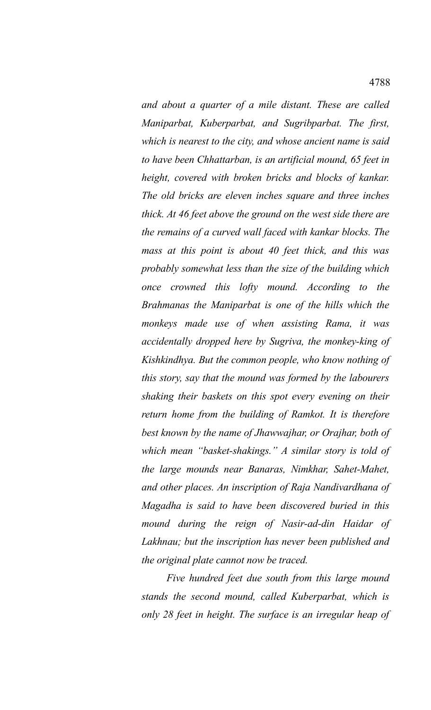*and about a quarter of a mile distant. These are called Maniparbat, Kuberparbat, and Sugribparbat. The first, which is nearest to the city, and whose ancient name is said to have been Chhattarban, is an artificial mound, 65 feet in height, covered with broken bricks and blocks of kankar. The old bricks are eleven inches square and three inches thick. At 46 feet above the ground on the west side there are the remains of a curved wall faced with kankar blocks. The mass at this point is about 40 feet thick, and this was probably somewhat less than the size of the building which once crowned this lofty mound. According to the Brahmanas the Maniparbat is one of the hills which the monkeys made use of when assisting Rama, it was accidentally dropped here by Sugriva, the monkey-king of Kishkindhya. But the common people, who know nothing of this story, say that the mound was formed by the labourers shaking their baskets on this spot every evening on their return home from the building of Ramkot. It is therefore best known by the name of Jhawwajhar, or Orajhar, both of which mean "basket-shakings." A similar story is told of the large mounds near Banaras, Nimkhar, Sahet-Mahet, and other places. An inscription of Raja Nandivardhana of Magadha is said to have been discovered buried in this mound during the reign of Nasir-ad-din Haidar of Lakhnau; but the inscription has never been published and the original plate cannot now be traced.*

*Five hundred feet due south from this large mound stands the second mound, called Kuberparbat, which is only 28 feet in height. The surface is an irregular heap of*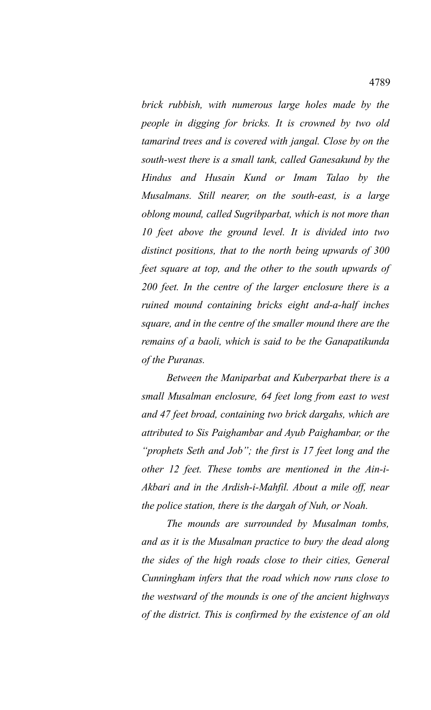*brick rubbish, with numerous large holes made by the people in digging for bricks. It is crowned by two old tamarind trees and is covered with jangal. Close by on the south-west there is a small tank, called Ganesakund by the Hindus and Husain Kund or Imam Talao by the Musalmans. Still nearer, on the south-east, is a large oblong mound, called Sugribparbat, which is not more than 10 feet above the ground level. It is divided into two distinct positions, that to the north being upwards of 300 feet square at top, and the other to the south upwards of 200 feet. In the centre of the larger enclosure there is a ruined mound containing bricks eight and-a-half inches square, and in the centre of the smaller mound there are the remains of a baoli, which is said to be the Ganapatikunda of the Puranas.* 

*Between the Maniparbat and Kuberparbat there is a small Musalman enclosure, 64 feet long from east to west and 47 feet broad, containing two brick dargahs, which are attributed to Sis Paighambar and Ayub Paighambar, or the "prophets Seth and Job"; the first is 17 feet long and the other 12 feet. These tombs are mentioned in the Ain-i-Akbari and in the Ardish-i-Mahfil. About a mile off, near the police station, there is the dargah of Nuh, or Noah.*

*The mounds are surrounded by Musalman tombs, and as it is the Musalman practice to bury the dead along the sides of the high roads close to their cities, General Cunningham infers that the road which now runs close to the westward of the mounds is one of the ancient highways of the district. This is confirmed by the existence of an old*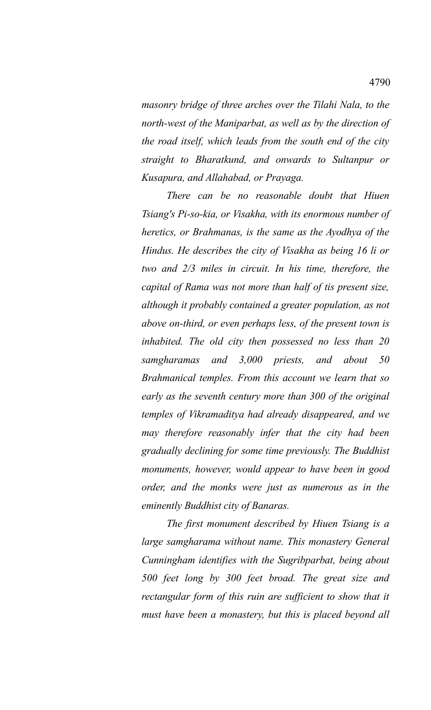*masonry bridge of three arches over the Tilahi Nala, to the north-west of the Maniparbat, as well as by the direction of the road itself, which leads from the south end of the city straight to Bharatkund, and onwards to Sultanpur or Kusapura, and Allahabad, or Prayaga.*

*There can be no reasonable doubt that Hiuen Tsiang's Pi-so-kia, or Visakha, with its enormous number of heretics, or Brahmanas, is the same as the Ayodhya of the Hindus. He describes the city of Visakha as being 16 li or two and 2/3 miles in circuit. In his time, therefore, the capital of Rama was not more than half of tis present size, although it probably contained a greater population, as not above on-third, or even perhaps less, of the present town is inhabited. The old city then possessed no less than 20 samgharamas and 3,000 priests, and about 50 Brahmanical temples. From this account we learn that so early as the seventh century more than 300 of the original temples of Vikramaditya had already disappeared, and we may therefore reasonably infer that the city had been gradually declining for some time previously. The Buddhist monuments, however, would appear to have been in good order, and the monks were just as numerous as in the eminently Buddhist city of Banaras.*

*The first monument described by Hiuen Tsiang is a large samgharama without name. This monastery General Cunningham identifies with the Sugribparbat, being about 500 feet long by 300 feet broad. The great size and rectangular form of this ruin are sufficient to show that it must have been a monastery, but this is placed beyond all*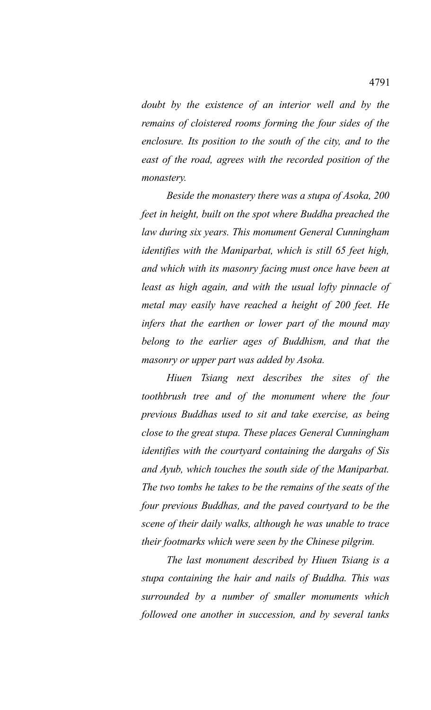*doubt by the existence of an interior well and by the remains of cloistered rooms forming the four sides of the enclosure. Its position to the south of the city, and to the east of the road, agrees with the recorded position of the monastery.*

*Beside the monastery there was a stupa of Asoka, 200 feet in height, built on the spot where Buddha preached the law during six years. This monument General Cunningham identifies with the Maniparbat, which is still 65 feet high, and which with its masonry facing must once have been at least as high again, and with the usual lofty pinnacle of metal may easily have reached a height of 200 feet. He infers that the earthen or lower part of the mound may belong to the earlier ages of Buddhism, and that the masonry or upper part was added by Asoka.*

*Hiuen Tsiang next describes the sites of the toothbrush tree and of the monument where the four previous Buddhas used to sit and take exercise, as being close to the great stupa. These places General Cunningham identifies with the courtyard containing the dargahs of Sis and Ayub, which touches the south side of the Maniparbat. The two tombs he takes to be the remains of the seats of the four previous Buddhas, and the paved courtyard to be the scene of their daily walks, although he was unable to trace their footmarks which were seen by the Chinese pilgrim.*

*The last monument described by Hiuen Tsiang is a stupa containing the hair and nails of Buddha. This was surrounded by a number of smaller monuments which followed one another in succession, and by several tanks*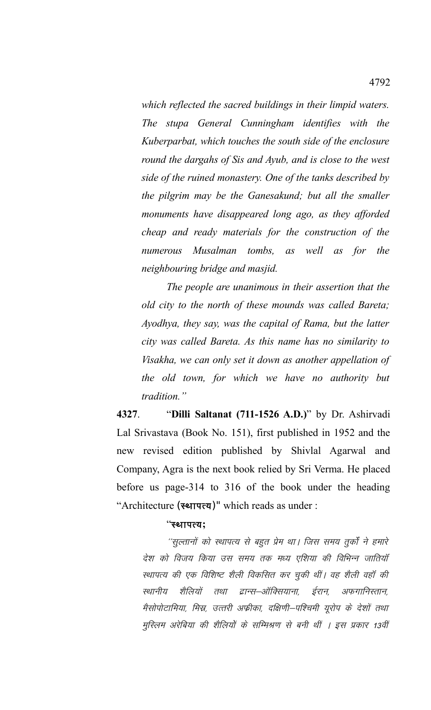*which reflected the sacred buildings in their limpid waters. The stupa General Cunningham identifies with the Kuberparbat, which touches the south side of the enclosure round the dargahs of Sis and Ayub, and is close to the west side of the ruined monastery. One of the tanks described by the pilgrim may be the Ganesakund; but all the smaller monuments have disappeared long ago, as they afforded cheap and ready materials for the construction of the numerous Musalman tombs, as well as for the neighbouring bridge and masjid.*

*The people are unanimous in their assertion that the old city to the north of these mounds was called Bareta; Ayodhya, they say, was the capital of Rama, but the latter city was called Bareta. As this name has no similarity to Visakha, we can only set it down as another appellation of the old town, for which we have no authority but tradition."*

**4327**. "**Dilli Saltanat (711-1526 A.D.)**" by Dr. Ashirvadi Lal Srivastava (Book No. 151), first published in 1952 and the new revised edition published by Shivlal Agarwal and Company, Agra is the next book relied by Sri Verma. He placed before us page-314 to 316 of the book under the heading "Architecture ( $\sqrt{\text{Peri}\pi}$ )" which reads as under :

## "LFkkiR;**;**

''सुल्तानों को स्थापत्य से बहुत प्रेम था। जिस समय तुर्कों ने हमारे देश को विजय किया उस समय तक मध्य एशिया की विभिन्न जातियाँ स्थापत्य की एक विशिष्ट शैली विकसित कर चुकी थीं। वह शैली वहाँ की स्थानीय शैलियों तथा द्वान्स–ऑक्सियाना, ईरान, अफगानिस्तान, मैसोपोटामिया, मिस्र, उत्तरी अफ्रीका, दक्षिणी–पश्चिमी यूरोप के देशों तथा मुस्लिम अरेबिया की शैलियों के सम्मिश्रण से बनी थीं । इस प्रकार 13वीं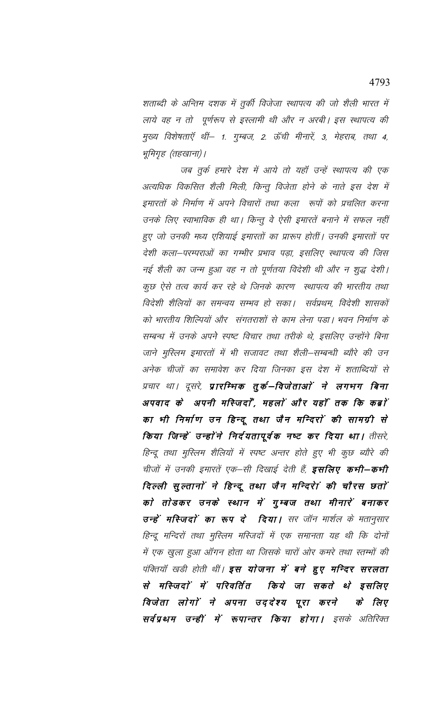शताब्दी के अन्तिम दशक में तुर्की विजेजा स्थापत्य की जो शैली भारत में लाये वह न तो पूर्णरूप से इस्लामी थी और न अरबी। इस स्थापत्य की मुख्य विशेषताएँ थीं– 1. गुम्बज, 2. ऊँची मीनारें, 3, मेहराब, तथा 4, भूमिगृह (तहखाना)।

जब तुर्क हमारे देश में आये तो यहाँ उन्हें स्थापत्य की एक अत्यधिक विकसित शैली मिली, किन्तु विजेता होने के नाते इस देश में इमारतों के निर्माण में अपने विचारों तथा कला रूपों को प्रचलित करना उनके लिए स्वाभाविक ही था। किन्तु वे ऐसी इमारतें बनाने में सफल नहीं हुए जो उनकी मध्य एशियाई इमारतों का प्रारूप होतीं। उनकी इमारतों पर देशी कला–परम्पराओं का गम्भीर प्रभाव पड़ा, इसलिए स्थापत्य की जिस नई शैली का जन्म हुआ वह न तो पूर्णतया विदेशी थी और न शुद्ध देशी। कुछ ऐसे तत्व कार्य कर रहे थे जिनके कारण स्थापत्य की भारतीय तथा विदेशी शैलियों का समन्वय सम्भव हो सका। सर्वप्रथम, विदेशी शासकों को भारतीय शिल्पियों और संगतराशों से काम लेना पड़ा। भवन निर्माण के सम्बन्ध में उनके अपने स्पष्ट विचार तथा तरीके थे, इसलिए उन्होंने बिना जाने मुस्लिम इमारतों में भी सजावट तथा शैली–सम्बन्धी ब्यौरे की उन अनेक चीजों का समावेश कर दिया जिनका इस देश में शताब्दियों से प्रचार था। दूसरे, **प्रारम्भिक तुर्क—विजेताओं ने लगभग बिना** अपवाद के अपनी मस्जिदाँ, महलाें और यहाँ तक कि कब्राें का भी निर्माण उन हिन्दू तथा जैन मन्दिरों की सामग्री से किया जिन्हें उन्होंने निर्दयतापूर्वक नष्ट कर दिया था। तीसरे, हिन्दू तथा मुस्लिम शैलियों में स्पष्ट अन्तर होते हुए भी कुछ ब्यौरे की चीजों में उनकी इमारतें एक–सी दिखाई देती हैं, **इसलिए कभी–कभी** दिल्ली सुल्तानों ने हिन्दू तथा जैन मन्दिरों की चौरस छतों को तोडकर उनके स्थान में गुम्बज तथा मीनारें बनाकर उन्हें मस्जिदाें का रूप दे दिया। सर जॉन मार्शल के मतानुसार हिन्दू मन्दिरों तथा मुस्लिम मस्जिदों में एक समानता यह थी कि दोनों में एक खुला हुआ ऑगन होता था जिसके चारों ओर कमरे तथा स्तम्भों की पंक्तियॉ खडी होती थीं। इस योजना में बने हुए मन्दिर सरलता किये जा सकते थे इसलिए से मस्जिदों में परिवर्तित विजेता लोगों ने अपना उददेश्य पूरा करने क्रे लिए सर्वप्रथम उन्हीं में रूपान्तर किया होगा। इसके अतिरिक्त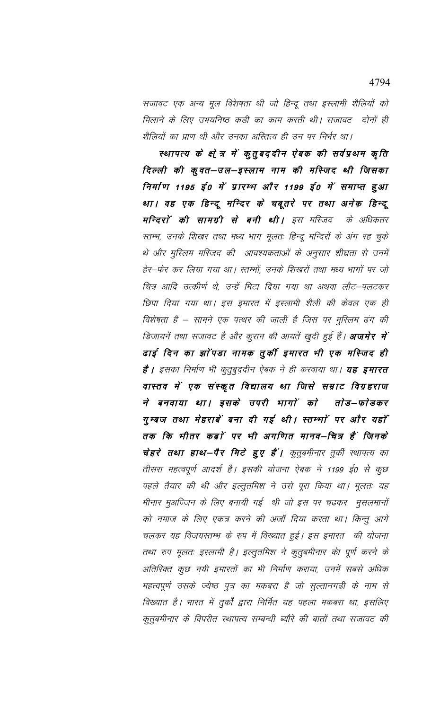सजावट एक अन्य मूल विशेषता थी जो हिन्दू तथा इस्लामी शैलियों को मिलाने के लिए उभयनिष्ठ कडी का काम करती थी। सजावट दोनों ही शैलियों का प्राण थी और उनका अस्तित्व ही उन पर निर्भर था।

स्थापत्य के क्ष्ट्रेत्र में कुतुबददीन ऐबक की सर्वप्रथम कृति दिल्ली की कुवत–उल–इस्लाम नाम की मस्जिद थी जिसका निर्माण 1195 ई0 में प्रारम्भ और 1199 ई0 में समाप्त हुआ था। वह एक हिन्दू मन्दिर के चबूतरे पर तथा अनेक हिन्दू **मन्दिरों की सामग्री से बनी थी।** इस मस्जिद के अधिकतर स्तम्भ, उनके शिखर तथा मध्य भाग मूलतः हिन्दू मन्दिरों के अंग रह चुके थे और मुस्लिम मस्जिद की आवश्यकताओं के अनुसार शीघ्रता से उनमें हेर—फेर कर लिया गया था। स्तम्भों, उनके शिखरों तथा मध्य भागों पर जो चित्र आदि उत्कीर्ण थे, उन्हें मिटा दिया गया था अथवा लौट–पलटकर छिपा दिया गया था। इस इमारत में इस्लामी शैली की केवल एक ही विशेषता है – सामने एक पत्थर की जाली है जिस पर मुस्लिम ढंग की डिजायनें तथा सजावट है और कुरान की आयतें खुदी हुई हैं। **अजमेर में** ढाई दिन का झोंपडा नामक तुर्की इमारत भी एक मस्जिद ही **है ।** इसका निर्माण भी कुतुबुद़दीन ऐबक ने ही करवाया था। **यह इमारत** वास्तव में एक संस्कृत विद्यालय था जिसे सम्राट विग्रहराज ने बनवाया था। इसके उपरी भागों को तोड–फोडकर गुम्बज तथा मेहराबें बना दी गई थी। स्तम्भां पर और यहाँ तक कि भीतर कब्रों पर भी अगणित मानव–चित्र हैं जिनके चेहरे तथा हाथ—पैर मिटे हुए हैं। कुतुबमीनार तुर्की स्थापत्य का तीसरा महत्वपूर्ण आदर्श है। इसकी योजना ऐबक ने 1199 ई0 से कुछ पहले तैयार की थी और इल्तुतमिश ने उसे पूरा किया था। मूलतः यह मीनार मुअज्जिन के लिए बनायी गई थी जो इस पर चढकर मुसलमानों को नमाज के लिए एकत्र करने की अजॉ दिया करता था। किन्तु आगे चलकर यह विजयस्तम्भ के रुप में विख्यात हुई। इस इमारत की योजना तथा रुप मूलतः इस्लामी है। इल्तुतमिश ने कुतुबमीनार को पूर्ण करने के अतिरिक्त कुछ नयी इमारतों का भी निर्माण कराया, उनमें सबसे अधिक महत्वपूर्ण उसके ज्येष्ठ पुत्र का मकबरा है जो सुल्तानगढी के नाम से विख्यात है। भारत में तुर्कों द्वारा निर्मित यह पहला मकबरा था, इसलिए कुतुबमीनार के विपरीत स्थापत्य सम्बन्धी ब्यौरे की बातों तथा सजावट की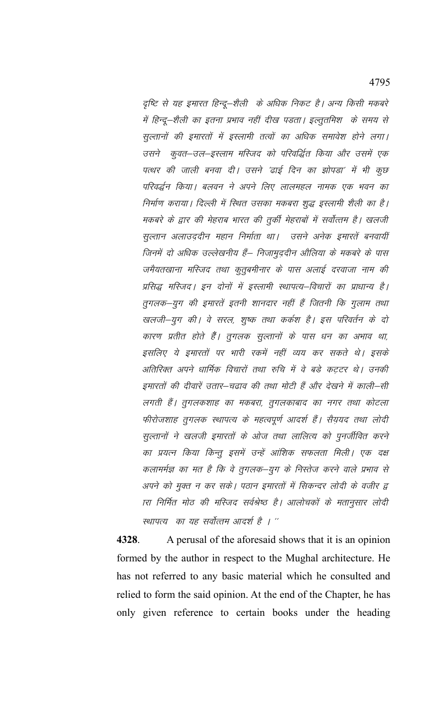दृष्टि से यह इमारत हिन्दू–शैली के अधिक निकट है। अन्य किसी मकबरे में हिन्दू–शैली का इतना प्रभाव नहीं दीख पडता। इल्तुतमिश के समय से सुल्तानों की इमारतों में इस्लामी तत्वों का अधिक समावेश होने लगा। उसने कुवत–उल–इस्लाम मस्जिद को परिवर्द्धित किया और उसमें एक पत्थर की जाली बनवा दी। उसने 'ढाई दिन का झोपडा' में भी कुछ परिवर्द्धन किया। बलवन ने अपने लिए लालमहल नामक एक भवन का निर्माण कराया। दिल्ली में स्थित उसका मकबरा शुद्ध इस्लामी शैली का है। मकबरे के द्वार की मेहराब भारत की तुर्की मेहराबों में सर्वोत्तम है। खलजी सुल्तान अलाउददीन महान निर्माता था। उसने अनेक इमारतें बनवायीं जिनमें दो अधिक उल्लेखनीय हैं– निजामुद़दीन औलिया के मकबरे के पास जमैयतखाना मस्जिद तथा कुतुबमीनार के पास अलाई दरवाजा नाम की प्रसिद्ध मस्जिद। इन दोनों में इस्लामी स्थापत्य–विचारों का प्राधान्य है। तुगलक-युग की इमारतें इतनी शानदार नहीं हैं जितनी कि गुलाम तथा खलजी–यूग की। वे सरल, शुष्क तथा कर्कश है। इस परिवर्तन के दो कारण प्रतीत होते हैं। तुगलक सुल्तानों के पास धन का अभाव था, इसलिए ये इमारतों पर भारी रकमें नहीं व्यय कर सकते थे। इसके अतिरिक्त अपने धार्मिक विचारों तथा रुचि में वे बड़े कटटर थे। उनकी इमारतों की दीवारें उतार–चढाव की तथा मोटी हैं और देखने में काली–सी लगती हैं। तुगलकशाह का मकबरा, तुगलकाबाद का नगर तथा कोटला फीरोजशाह तुगलक स्थापत्य के महत्वपूर्ण आदर्श हैं। सैय़यद तथा लोदी सुल्तानों ने खलजी इमारतों के ओज तथा लालित्य को पुनर्जीवित करने का प्रयत्न किया किन्तू इसमें उन्हें आंशिक सफलता मिली। एक दक्ष कलामर्मज्ञ का मत है कि वे तुगलक—युग के निस्तेज करने वाले प्रभाव से अपने को मुक्त न कर सके। पठान इमारतों में सिकन्दर लोदी के वजीर द्व ारा निर्मित मोठ की मस्जिद सर्वश्रेष्ठ है। आलोचकों के मतानुसार लोदी स्थापत्य का यह सर्वोत्तम आदर्श है । ''

4328. A perusal of the aforesaid shows that it is an opinion formed by the author in respect to the Mughal architecture. He has not referred to any basic material which he consulted and relied to form the said opinion. At the end of the Chapter, he has only given reference to certain books under the heading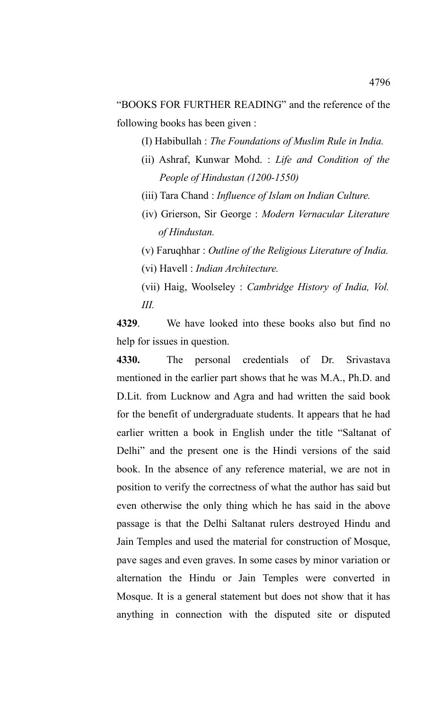"BOOKS FOR FURTHER READING" and the reference of the following books has been given :

- (I) Habibullah : *The Foundations of Muslim Rule in India.*
- (ii) Ashraf, Kunwar Mohd. : *Life and Condition of the People of Hindustan (1200-1550)*
- (iii) Tara Chand : *Influence of Islam on Indian Culture.*
- (iv) Grierson, Sir George : *Modern Vernacular Literature of Hindustan.*
- (v) Faruqhhar : *Outline of the Religious Literature of India.* (vi) Havell : *Indian Architecture.*
- (vii) Haig, Woolseley : *Cambridge History of India, Vol. III.*

**4329**. We have looked into these books also but find no help for issues in question.

**4330.** The personal credentials of Dr. Srivastava mentioned in the earlier part shows that he was M.A., Ph.D. and D.Lit. from Lucknow and Agra and had written the said book for the benefit of undergraduate students. It appears that he had earlier written a book in English under the title "Saltanat of Delhi" and the present one is the Hindi versions of the said book. In the absence of any reference material, we are not in position to verify the correctness of what the author has said but even otherwise the only thing which he has said in the above passage is that the Delhi Saltanat rulers destroyed Hindu and Jain Temples and used the material for construction of Mosque, pave sages and even graves. In some cases by minor variation or alternation the Hindu or Jain Temples were converted in Mosque. It is a general statement but does not show that it has anything in connection with the disputed site or disputed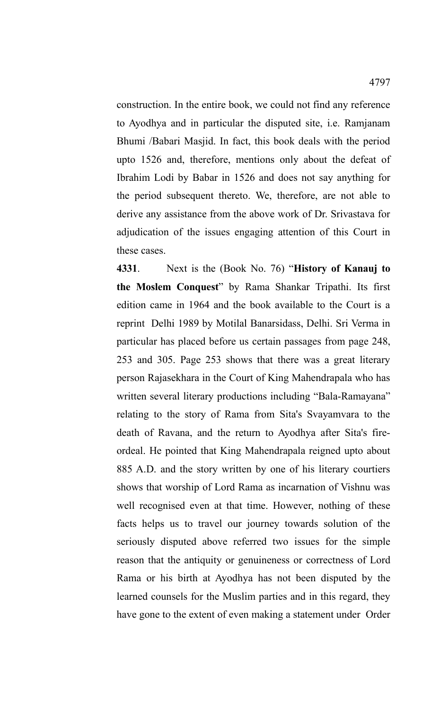construction. In the entire book, we could not find any reference to Ayodhya and in particular the disputed site, i.e. Ramjanam Bhumi /Babari Masjid. In fact, this book deals with the period upto 1526 and, therefore, mentions only about the defeat of Ibrahim Lodi by Babar in 1526 and does not say anything for the period subsequent thereto. We, therefore, are not able to derive any assistance from the above work of Dr. Srivastava for adjudication of the issues engaging attention of this Court in these cases.

**4331**. Next is the (Book No. 76) "**History of Kanauj to the Moslem Conquest**" by Rama Shankar Tripathi. Its first edition came in 1964 and the book available to the Court is a reprint Delhi 1989 by Motilal Banarsidass, Delhi. Sri Verma in particular has placed before us certain passages from page 248, 253 and 305. Page 253 shows that there was a great literary person Rajasekhara in the Court of King Mahendrapala who has written several literary productions including "Bala-Ramayana" relating to the story of Rama from Sita's Svayamvara to the death of Ravana, and the return to Ayodhya after Sita's fireordeal. He pointed that King Mahendrapala reigned upto about 885 A.D. and the story written by one of his literary courtiers shows that worship of Lord Rama as incarnation of Vishnu was well recognised even at that time. However, nothing of these facts helps us to travel our journey towards solution of the seriously disputed above referred two issues for the simple reason that the antiquity or genuineness or correctness of Lord Rama or his birth at Ayodhya has not been disputed by the learned counsels for the Muslim parties and in this regard, they have gone to the extent of even making a statement under Order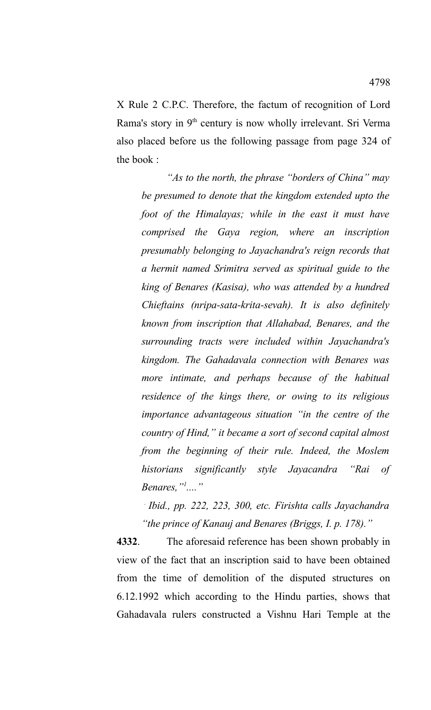X Rule 2 C.P.C. Therefore, the factum of recognition of Lord Rama's story in 9<sup>th</sup> century is now wholly irrelevant. Sri Verma also placed before us the following passage from page 324 of the book :

*"As to the north, the phrase "borders of China" may be presumed to denote that the kingdom extended upto the foot of the Himalayas; while in the east it must have comprised the Gaya region, where an inscription presumably belonging to Jayachandra's reign records that a hermit named Srimitra served as spiritual guide to the king of Benares (Kasisa), who was attended by a hundred Chieftains (nripa-sata-krita-sevah). It is also definitely known from inscription that Allahabad, Benares, and the surrounding tracts were included within Jayachandra's kingdom. The Gahadavala connection with Benares was more intimate, and perhaps because of the habitual residence of the kings there, or owing to its religious importance advantageous situation "in the centre of the country of Hind," it became a sort of second capital almost from the beginning of their rule. Indeed, the Moslem historians significantly style Jayacandra "Rai of Benares,"<sup>1</sup> ...."*

 *. Ibid., pp. 222, 223, 300, etc. Firishta calls Jayachandra "the prince of Kanauj and Benares (Briggs, I. p. 178)."*

**4332**. The aforesaid reference has been shown probably in view of the fact that an inscription said to have been obtained from the time of demolition of the disputed structures on 6.12.1992 which according to the Hindu parties, shows that Gahadavala rulers constructed a Vishnu Hari Temple at the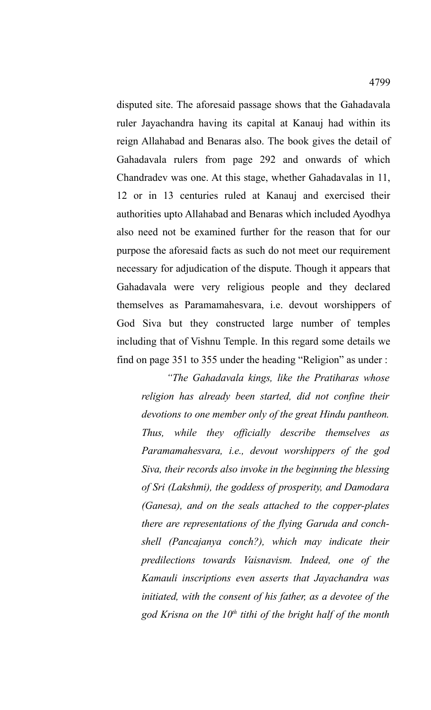4799

disputed site. The aforesaid passage shows that the Gahadavala ruler Jayachandra having its capital at Kanauj had within its reign Allahabad and Benaras also. The book gives the detail of Gahadavala rulers from page 292 and onwards of which Chandradev was one. At this stage, whether Gahadavalas in 11, 12 or in 13 centuries ruled at Kanauj and exercised their authorities upto Allahabad and Benaras which included Ayodhya also need not be examined further for the reason that for our purpose the aforesaid facts as such do not meet our requirement necessary for adjudication of the dispute. Though it appears that Gahadavala were very religious people and they declared themselves as Paramamahesvara, i.e. devout worshippers of God Siva but they constructed large number of temples including that of Vishnu Temple. In this regard some details we find on page 351 to 355 under the heading "Religion" as under :

*"The Gahadavala kings, like the Pratiharas whose religion has already been started, did not confine their devotions to one member only of the great Hindu pantheon. Thus, while they officially describe themselves as Paramamahesvara, i.e., devout worshippers of the god Siva, their records also invoke in the beginning the blessing of Sri (Lakshmi), the goddess of prosperity, and Damodara (Ganesa), and on the seals attached to the copper-plates there are representations of the flying Garuda and conchshell (Pancajanya conch?), which may indicate their predilections towards Vaisnavism. Indeed, one of the Kamauli inscriptions even asserts that Jayachandra was initiated, with the consent of his father, as a devotee of the god Krisna on the 10th tithi of the bright half of the month*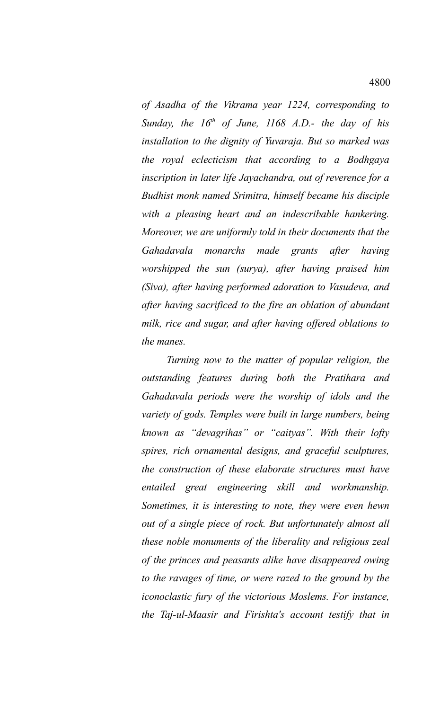*of Asadha of the Vikrama year 1224, corresponding to Sunday, the 16th of June, 1168 A.D.- the day of his installation to the dignity of Yuvaraja. But so marked was the royal eclecticism that according to a Bodhgaya inscription in later life Jayachandra, out of reverence for a Budhist monk named Srimitra, himself became his disciple with a pleasing heart and an indescribable hankering. Moreover, we are uniformly told in their documents that the Gahadavala monarchs made grants after having worshipped the sun (surya), after having praised him (Siva), after having performed adoration to Vasudeva, and after having sacrificed to the fire an oblation of abundant milk, rice and sugar, and after having offered oblations to the manes.*

*Turning now to the matter of popular religion, the outstanding features during both the Pratihara and Gahadavala periods were the worship of idols and the variety of gods. Temples were built in large numbers, being known as "devagrihas" or "caityas". With their lofty spires, rich ornamental designs, and graceful sculptures, the construction of these elaborate structures must have entailed great engineering skill and workmanship. Sometimes, it is interesting to note, they were even hewn out of a single piece of rock. But unfortunately almost all these noble monuments of the liberality and religious zeal of the princes and peasants alike have disappeared owing to the ravages of time, or were razed to the ground by the iconoclastic fury of the victorious Moslems. For instance, the Taj-ul-Maasir and Firishta's account testify that in*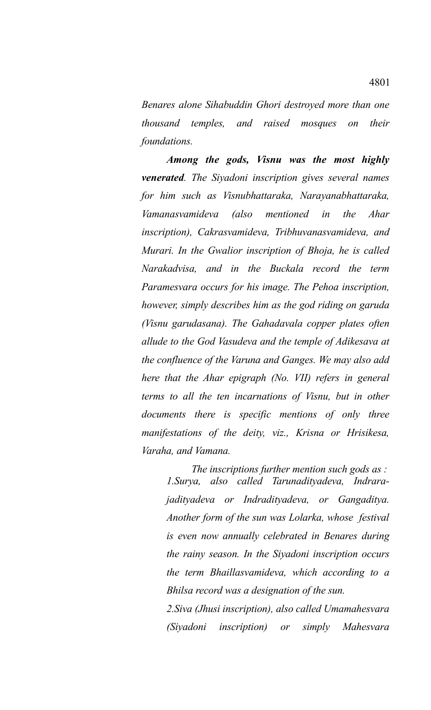*Benares alone Sihabuddin Ghori destroyed more than one thousand temples, and raised mosques on their foundations.* 

*Among the gods, Visnu was the most highly venerated. The Siyadoni inscription gives several names for him such as Visnubhattaraka, Narayanabhattaraka, Vamanasvamideva (also mentioned in the Ahar inscription), Cakrasvamideva, Tribhuvanasvamideva, and Murari. In the Gwalior inscription of Bhoja, he is called Narakadvisa, and in the Buckala record the term Paramesvara occurs for his image. The Pehoa inscription, however, simply describes him as the god riding on garuda (Visnu garudasana). The Gahadavala copper plates often allude to the God Vasudeva and the temple of Adikesava at the confluence of the Varuna and Ganges. We may also add here that the Ahar epigraph (No. VII) refers in general terms to all the ten incarnations of Visnu, but in other documents there is specific mentions of only three manifestations of the deity, viz., Krisna or Hrisikesa, Varaha, and Vamana.* 

*The inscriptions further mention such gods as : 1.Surya, also called Tarunadityadeva, Indrarajadityadeva or Indradityadeva, or Gangaditya. Another form of the sun was Lolarka, whose festival is even now annually celebrated in Benares during the rainy season. In the Siyadoni inscription occurs the term Bhaillasvamideva, which according to a Bhilsa record was a designation of the sun.* 

*2.Siva (Jhusi inscription), also called Umamahesvara (Siyadoni inscription) or simply Mahesvara*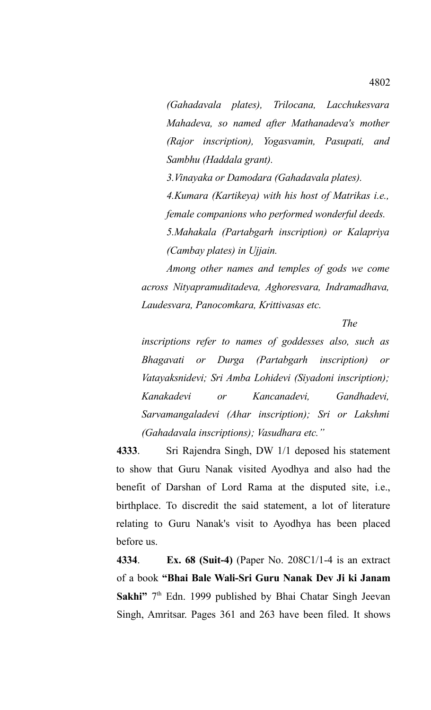*(Gahadavala plates), Trilocana, Lacchukesvara Mahadeva, so named after Mathanadeva's mother (Rajor inscription), Yogasvamin, Pasupati, and Sambhu (Haddala grant).*

*3.Vinayaka or Damodara (Gahadavala plates). 4.Kumara (Kartikeya) with his host of Matrikas i.e.,*

*5.Mahakala (Partabgarh inscription) or Kalapriya (Cambay plates) in Ujjain.* 

*female companions who performed wonderful deeds.* 

*Among other names and temples of gods we come across Nityapramuditadeva, Aghoresvara, Indramadhava, Laudesvara, Panocomkara, Krittivasas etc.* 

*The*

*inscriptions refer to names of goddesses also, such as Bhagavati or Durga (Partabgarh inscription) or Vatayaksnidevi; Sri Amba Lohidevi (Siyadoni inscription); Kanakadevi or Kancanadevi, Gandhadevi, Sarvamangaladevi (Ahar inscription); Sri or Lakshmi (Gahadavala inscriptions); Vasudhara etc."*

**4333**. Sri Rajendra Singh, DW 1/1 deposed his statement to show that Guru Nanak visited Ayodhya and also had the benefit of Darshan of Lord Rama at the disputed site, i.e., birthplace. To discredit the said statement, a lot of literature relating to Guru Nanak's visit to Ayodhya has been placed before us.

**4334**. **Ex. 68 (Suit-4)** (Paper No. 208C1/1-4 is an extract of a book **"Bhai Bale Wali-Sri Guru Nanak Dev Ji ki Janam** Sakhi" 7<sup>th</sup> Edn. 1999 published by Bhai Chatar Singh Jeevan Singh, Amritsar. Pages 361 and 263 have been filed. It shows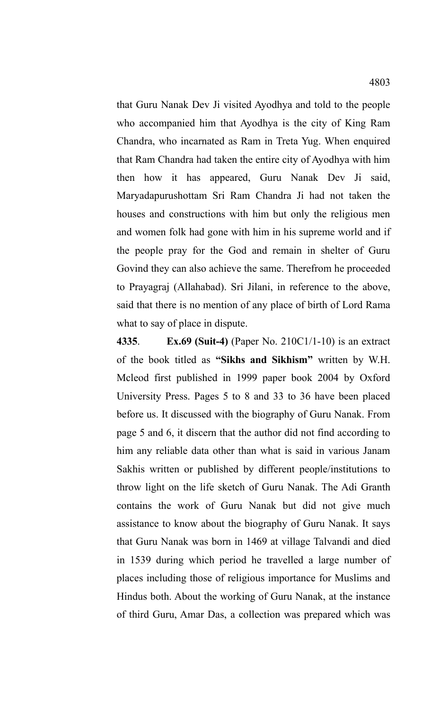that Guru Nanak Dev Ji visited Ayodhya and told to the people who accompanied him that Ayodhya is the city of King Ram Chandra, who incarnated as Ram in Treta Yug. When enquired that Ram Chandra had taken the entire city of Ayodhya with him then how it has appeared, Guru Nanak Dev Ji said, Maryadapurushottam Sri Ram Chandra Ji had not taken the houses and constructions with him but only the religious men and women folk had gone with him in his supreme world and if the people pray for the God and remain in shelter of Guru Govind they can also achieve the same. Therefrom he proceeded to Prayagraj (Allahabad). Sri Jilani, in reference to the above, said that there is no mention of any place of birth of Lord Rama what to say of place in dispute.

**4335**. **Ex.69 (Suit-4)** (Paper No. 210C1/1-10) is an extract of the book titled as **"Sikhs and Sikhism"** written by W.H. Mcleod first published in 1999 paper book 2004 by Oxford University Press. Pages 5 to 8 and 33 to 36 have been placed before us. It discussed with the biography of Guru Nanak. From page 5 and 6, it discern that the author did not find according to him any reliable data other than what is said in various Janam Sakhis written or published by different people/institutions to throw light on the life sketch of Guru Nanak. The Adi Granth contains the work of Guru Nanak but did not give much assistance to know about the biography of Guru Nanak. It says that Guru Nanak was born in 1469 at village Talvandi and died in 1539 during which period he travelled a large number of places including those of religious importance for Muslims and Hindus both. About the working of Guru Nanak, at the instance of third Guru, Amar Das, a collection was prepared which was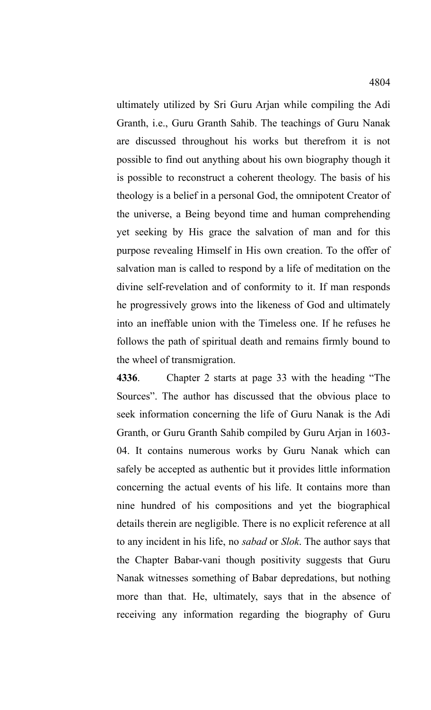ultimately utilized by Sri Guru Arjan while compiling the Adi Granth, i.e., Guru Granth Sahib. The teachings of Guru Nanak are discussed throughout his works but therefrom it is not possible to find out anything about his own biography though it is possible to reconstruct a coherent theology. The basis of his theology is a belief in a personal God, the omnipotent Creator of the universe, a Being beyond time and human comprehending yet seeking by His grace the salvation of man and for this purpose revealing Himself in His own creation. To the offer of salvation man is called to respond by a life of meditation on the divine self-revelation and of conformity to it. If man responds he progressively grows into the likeness of God and ultimately into an ineffable union with the Timeless one. If he refuses he follows the path of spiritual death and remains firmly bound to the wheel of transmigration.

**4336**. Chapter 2 starts at page 33 with the heading "The Sources". The author has discussed that the obvious place to seek information concerning the life of Guru Nanak is the Adi Granth, or Guru Granth Sahib compiled by Guru Arjan in 1603- 04. It contains numerous works by Guru Nanak which can safely be accepted as authentic but it provides little information concerning the actual events of his life. It contains more than nine hundred of his compositions and yet the biographical details therein are negligible. There is no explicit reference at all to any incident in his life, no *sabad* or *Slok*. The author says that the Chapter Babar-vani though positivity suggests that Guru Nanak witnesses something of Babar depredations, but nothing more than that. He, ultimately, says that in the absence of receiving any information regarding the biography of Guru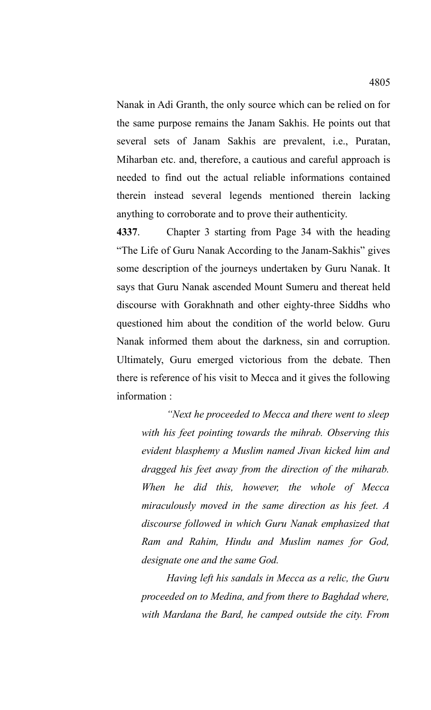Nanak in Adi Granth, the only source which can be relied on for the same purpose remains the Janam Sakhis. He points out that several sets of Janam Sakhis are prevalent, i.e., Puratan, Miharban etc. and, therefore, a cautious and careful approach is needed to find out the actual reliable informations contained therein instead several legends mentioned therein lacking anything to corroborate and to prove their authenticity.

**4337**. Chapter 3 starting from Page 34 with the heading "The Life of Guru Nanak According to the Janam-Sakhis" gives some description of the journeys undertaken by Guru Nanak. It says that Guru Nanak ascended Mount Sumeru and thereat held discourse with Gorakhnath and other eighty-three Siddhs who questioned him about the condition of the world below. Guru Nanak informed them about the darkness, sin and corruption. Ultimately, Guru emerged victorious from the debate. Then there is reference of his visit to Mecca and it gives the following information :

*"Next he proceeded to Mecca and there went to sleep with his feet pointing towards the mihrab. Observing this evident blasphemy a Muslim named Jivan kicked him and dragged his feet away from the direction of the miharab. When he did this, however, the whole of Mecca miraculously moved in the same direction as his feet. A discourse followed in which Guru Nanak emphasized that Ram and Rahim, Hindu and Muslim names for God, designate one and the same God.*

*Having left his sandals in Mecca as a relic, the Guru proceeded on to Medina, and from there to Baghdad where, with Mardana the Bard, he camped outside the city. From*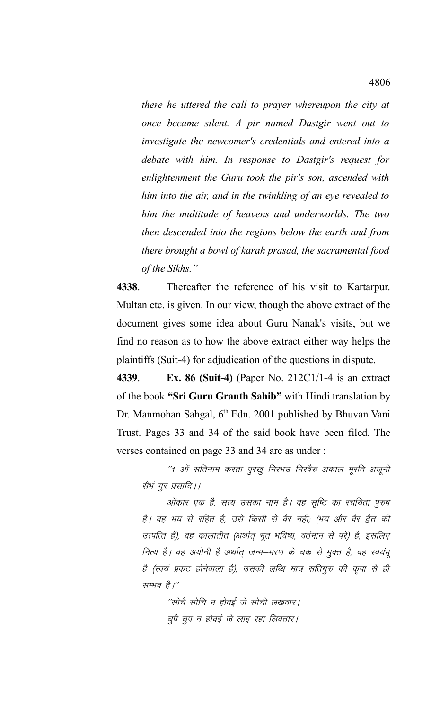*there he uttered the call to prayer whereupon the city at once became silent. A pir named Dastgir went out to investigate the newcomer's credentials and entered into a debate with him. In response to Dastgir's request for enlightenment the Guru took the pir's son, ascended with him into the air, and in the twinkling of an eye revealed to him the multitude of heavens and underworlds. The two then descended into the regions below the earth and from there brought a bowl of karah prasad, the sacramental food of the Sikhs."*

**4338**. Thereafter the reference of his visit to Kartarpur. Multan etc. is given. In our view, though the above extract of the document gives some idea about Guru Nanak's visits, but we find no reason as to how the above extract either way helps the plaintiffs (Suit-4) for adjudication of the questions in dispute.

**4339**. **Ex. 86 (Suit-4)** (Paper No. 212C1/1-4 is an extract of the book **"Sri Guru Granth Sahib"** with Hindi translation by Dr. Manmohan Sahgal, 6<sup>th</sup> Edn. 2001 published by Bhuvan Vani Trust. Pages 33 and 34 of the said book have been filed. The verses contained on page 33 and 34 are as under :

"1 ओं सतिनाम करता पुरखु निरभउ निरवैरु अकाल मूरति अजूनी सेभं गुर प्रसादि।।

ओंकार एक है, सत्य उसका नाम है। वह सृष्टि का रचयिता पुरुष है। वह भय से रहित है, उसे किसी से वैर नही; (भय और वैर द्वैत की उत्पत्ति हैं), वह कालातीत (अर्थात् भूत भविष्य, वर्तमान से परे) है, इसलिए नित्य है। वह अयोनी है अर्थात् जन्म–मरण के चक्र से मुक्त है, वह स्वयंभू है (स्वयं प्रकट होनेवाला है), उसकी लब्धि मात्र सतिगुरु की कृपा से ही सम्भव है।''

''सोचै सोचि न होवई जे सोची लखवार। चुपै चुप न होवई जे लाइ रहा लिवतार।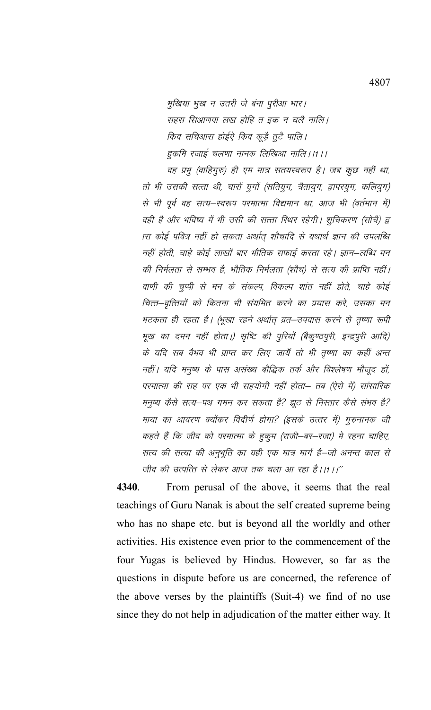भूखिया भूख न उतरी जे बंना पूरीआ भार। सहस सिआणपा लख होहि त इक न चलै नालि। किंव सचिआरा होईऐ किंव कूड़ें तूटै पालि। हुकमि रजाई चलणा नानक लिखिआ नालि।।1।।

वह प्रभु (वाहिगुरु) ही एम मात्र सतयस्वरूप है। जब कुछ नहीं था, तो भी उसकी सत्ता थी, चारों युगों (सतियुग, त्रैतायुग, द्वापरयुग, कलियुग) से भी पूर्व वह सत्य–स्वरूप परमात्मा विद्यमान था, आज भी (वर्तमान में) वही है और भविष्य में भी उसी की सत्ता स्थिर रहेगी। शुचिकरण (सोचै) द्व ारा कोई पवित्र नहीं हो सकता अर्थात शौचादि से यथार्थ ज्ञान की उपलब्धि नहीं होती, चाहे कोई लाखों बार भौतिक सफाई करता रहे। ज्ञान–लब्धि मन की निर्मलता से सम्भव है, भौतिक निर्मलता (शौच) से सत्य की प्राप्ति नहीं। वाणी की चुप्पी से मन के संकल्प, विकल्प शांत नहीं होते, चाहे कोई चित्त—वृत्तियों को कितना भी संयमित करने का प्रयास करे, उसका मन भटकता ही रहता है। (भूखा रहने अर्थात् व्रत—उपवास करने से तृष्णा रूपी भूख का दमन नहीं होता।) सृष्टि की पुरियों (बैकुण्ठपुरी, इन्द्रपुरी आदि) के यदि सब वैभव भी प्राप्त कर लिए जायँ तो भी तृष्णा का कहीं अन्त नहीं। यदि मनुष्य के पास असंख्य बौद्धिक तर्क और विश्लेषण मौजूद हों, परमात्मा की राह पर एक भी सहयोगी नहीं होता— तब (ऐसे में) सांसारिक मनुष्य कैसे सत्य–पथ गमन कर सकता है? झूठ से निस्तार कैसे संभव है? माया का आवरण क्योंकर विदीर्ण होगा? (इसके उत्तर में) गुरुनानक जी कहते हैं कि जीव को परमात्मा के हुकुम (राजी–बर–रजा) मे रहना चाहिए, सत्य की सत्या की अनुभूति का यही एक मात्र मार्ग है–जो अनन्त काल से जीव की उत्पत्ति से लेकर आज तक चला आ रहा है।।1।।''

From perusal of the above, it seems that the real 4340. teachings of Guru Nanak is about the self created supreme being who has no shape etc. but is beyond all the worldly and other activities. His existence even prior to the commencement of the four Yugas is believed by Hindus. However, so far as the questions in dispute before us are concerned, the reference of the above verses by the plaintiffs (Suit-4) we find of no use since they do not help in adjudication of the matter either way. It

4807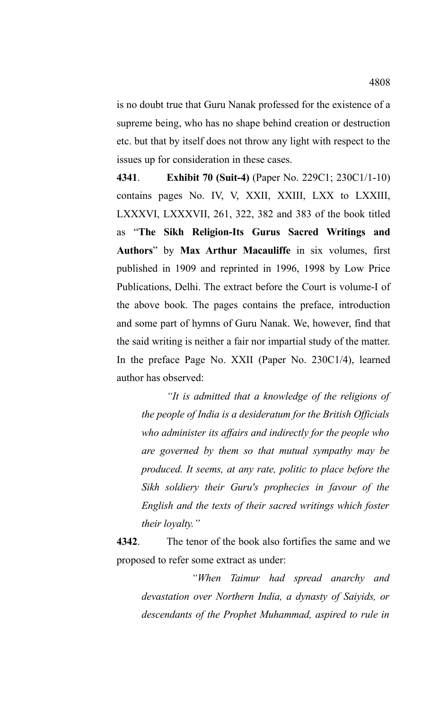is no doubt true that Guru Nanak professed for the existence of a supreme being, who has no shape behind creation or destruction etc. but that by itself does not throw any light with respect to the issues up for consideration in these cases.

**4341**. **Exhibit 70 (Suit-4)** (Paper No. 229C1; 230C1/1-10) contains pages No. IV, V, XXII, XXIII, LXX to LXXIII, LXXXVI, LXXXVII, 261, 322, 382 and 383 of the book titled as "**The Sikh Religion-Its Gurus Sacred Writings and Authors**" by **Max Arthur Macauliffe** in six volumes, first published in 1909 and reprinted in 1996, 1998 by Low Price Publications, Delhi. The extract before the Court is volume-I of the above book. The pages contains the preface, introduction and some part of hymns of Guru Nanak. We, however, find that the said writing is neither a fair nor impartial study of the matter. In the preface Page No. XXII (Paper No. 230C1/4), learned author has observed:

*"It is admitted that a knowledge of the religions of the people of India is a desideratum for the British Officials who administer its affairs and indirectly for the people who are governed by them so that mutual sympathy may be produced. It seems, at any rate, politic to place before the Sikh soldiery their Guru's prophecies in favour of the English and the texts of their sacred writings which foster their loyalty."*

**4342**. The tenor of the book also fortifies the same and we proposed to refer some extract as under:

*"When Taimur had spread anarchy and devastation over Northern India, a dynasty of Saiyids, or descendants of the Prophet Muhammad, aspired to rule in*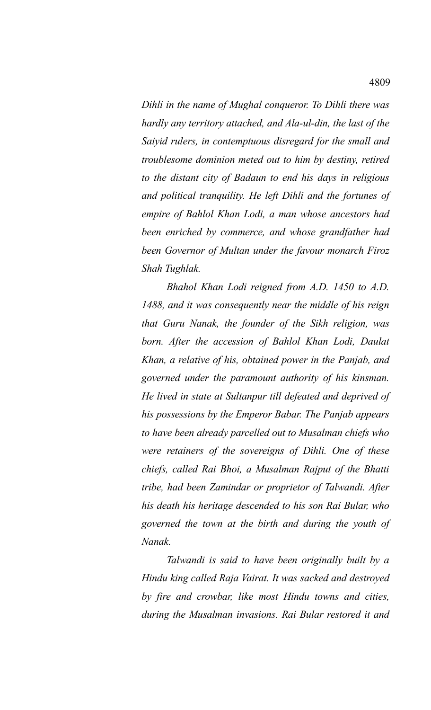*Dihli in the name of Mughal conqueror. To Dihli there was hardly any territory attached, and Ala-ul-din, the last of the Saiyid rulers, in contemptuous disregard for the small and troublesome dominion meted out to him by destiny, retired to the distant city of Badaun to end his days in religious and political tranquility. He left Dihli and the fortunes of empire of Bahlol Khan Lodi, a man whose ancestors had been enriched by commerce, and whose grandfather had been Governor of Multan under the favour monarch Firoz Shah Tughlak.* 

*Bhahol Khan Lodi reigned from A.D. 1450 to A.D. 1488, and it was consequently near the middle of his reign that Guru Nanak, the founder of the Sikh religion, was born. After the accession of Bahlol Khan Lodi, Daulat Khan, a relative of his, obtained power in the Panjab, and governed under the paramount authority of his kinsman. He lived in state at Sultanpur till defeated and deprived of his possessions by the Emperor Babar. The Panjab appears to have been already parcelled out to Musalman chiefs who were retainers of the sovereigns of Dihli. One of these chiefs, called Rai Bhoi, a Musalman Rajput of the Bhatti tribe, had been Zamindar or proprietor of Talwandi. After his death his heritage descended to his son Rai Bular, who governed the town at the birth and during the youth of Nanak.* 

*Talwandi is said to have been originally built by a Hindu king called Raja Vairat. It was sacked and destroyed by fire and crowbar, like most Hindu towns and cities, during the Musalman invasions. Rai Bular restored it and*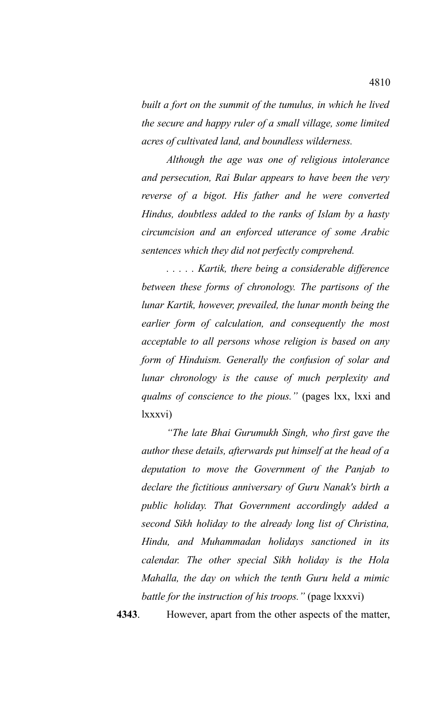*built a fort on the summit of the tumulus, in which he lived the secure and happy ruler of a small village, some limited acres of cultivated land, and boundless wilderness.* 

*Although the age was one of religious intolerance and persecution, Rai Bular appears to have been the very reverse of a bigot. His father and he were converted Hindus, doubtless added to the ranks of Islam by a hasty circumcision and an enforced utterance of some Arabic sentences which they did not perfectly comprehend.* 

*. . . . . Kartik, there being a considerable difference between these forms of chronology. The partisons of the lunar Kartik, however, prevailed, the lunar month being the earlier form of calculation, and consequently the most acceptable to all persons whose religion is based on any form of Hinduism. Generally the confusion of solar and lunar chronology is the cause of much perplexity and qualms of conscience to the pious."* (pages lxx, lxxi and lxxxvi)

*"The late Bhai Gurumukh Singh, who first gave the author these details, afterwards put himself at the head of a deputation to move the Government of the Panjab to declare the fictitious anniversary of Guru Nanak's birth a public holiday. That Government accordingly added a second Sikh holiday to the already long list of Christina, Hindu, and Muhammadan holidays sanctioned in its calendar. The other special Sikh holiday is the Hola Mahalla, the day on which the tenth Guru held a mimic battle for the instruction of his troops."* (page lxxxvi)

**4343**. However, apart from the other aspects of the matter,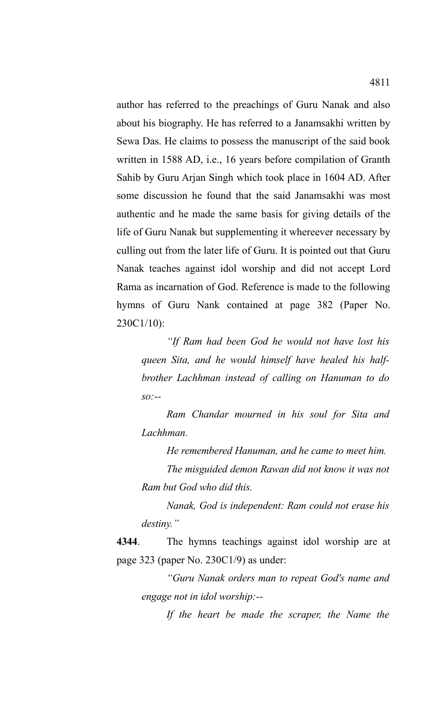author has referred to the preachings of Guru Nanak and also about his biography. He has referred to a Janamsakhi written by Sewa Das. He claims to possess the manuscript of the said book written in 1588 AD, i.e., 16 years before compilation of Granth Sahib by Guru Arjan Singh which took place in 1604 AD. After some discussion he found that the said Janamsakhi was most authentic and he made the same basis for giving details of the life of Guru Nanak but supplementing it whereever necessary by culling out from the later life of Guru. It is pointed out that Guru Nanak teaches against idol worship and did not accept Lord Rama as incarnation of God. Reference is made to the following hymns of Guru Nank contained at page 382 (Paper No. 230C1/10):

*"If Ram had been God he would not have lost his queen Sita, and he would himself have healed his halfbrother Lachhman instead of calling on Hanuman to do so:--*

*Ram Chandar mourned in his soul for Sita and Lachhman.* 

*He remembered Hanuman, and he came to meet him.* 

*The misguided demon Rawan did not know it was not Ram but God who did this.* 

*Nanak, God is independent: Ram could not erase his destiny."*

**4344**. The hymns teachings against idol worship are at page 323 (paper No. 230C1/9) as under:

*"Guru Nanak orders man to repeat God's name and engage not in idol worship:--*

*If the heart be made the scraper, the Name the*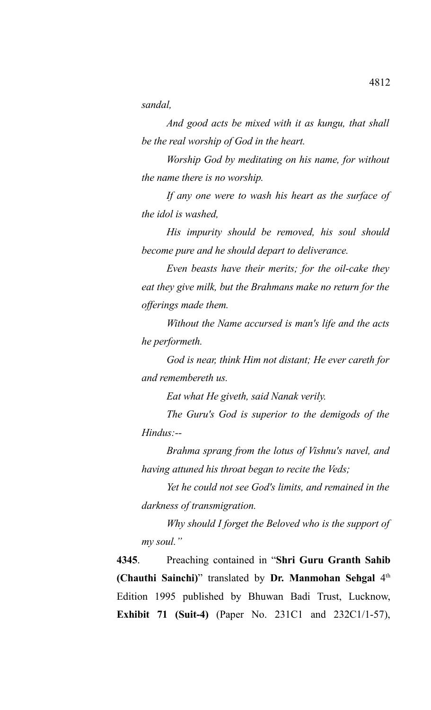*sandal,*

*And good acts be mixed with it as kungu, that shall be the real worship of God in the heart.*

*Worship God by meditating on his name, for without the name there is no worship.*

*If any one were to wash his heart as the surface of the idol is washed,* 

*His impurity should be removed, his soul should become pure and he should depart to deliverance.* 

*Even beasts have their merits; for the oil-cake they eat they give milk, but the Brahmans make no return for the offerings made them.*

*Without the Name accursed is man's life and the acts he performeth.* 

*God is near, think Him not distant; He ever careth for and remembereth us.* 

*Eat what He giveth, said Nanak verily.* 

*The Guru's God is superior to the demigods of the Hindus:--*

*Brahma sprang from the lotus of Vishnu's navel, and having attuned his throat began to recite the Veds;*

*Yet he could not see God's limits, and remained in the darkness of transmigration.* 

*Why should I forget the Beloved who is the support of my soul."*

**4345**. Preaching contained in "**Shri Guru Granth Sahib (Chauthi Sainchi)**" translated by Dr. Manmohan Sehgal 4<sup>th</sup> Edition 1995 published by Bhuwan Badi Trust, Lucknow, **Exhibit 71 (Suit-4)** (Paper No. 231C1 and 232C1/1-57),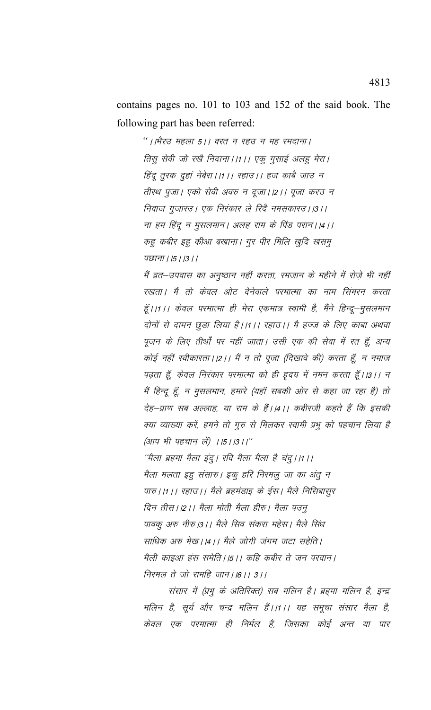contains pages no. 101 to 103 and 152 of the said book. The following part has been referred:

"।।भैरउ महला 5।। वरत न रहउ न मह रमदाना। तिसु सेवी जो रखै निदाना।।1।। एकु गुसाई अलहु मेरा। हिंदू तुरक दुहां नेबेरा।।1।। रहाउ।। हज काबै जाउ न तीरथ पुजा। एको सेवी अवरु न दूजा।।2।। पूजा करउ न निवाज गुजारउ। एक निरंकार ले रिदै नमसकारउ।।३।। ना हम हिंदू न मुसलमान। अलह राम के पिंड परान।।4।। कहु कबीर इहु कीआ बखाना। गुर पीर मिलि खुदि खसमु पछाना । ।5 । ।3 । ।

मैं व्रत—उपवास का अनुष्ठान नहीं करता, रमजान के महीने में रोजे भी नहीं रखता । मैं तो केवल ओट देनेवाले परमात्मा का नाम सिंमरन करता हूँ।।1।। केवल परमात्मा ही मेरा एकमात्र स्वामी है, मैंने हिन्दू–मुसलमान दोनों से दामन छूडा लिया है।।1।। रहाउ।। मै हज्ज के लिए काबा अथवा पूजन के लिए तीर्थों पर नहीं जाता। उसी एक की सेवा में रत हूँ, अन्य कोई नहीं स्वीकारता।।2।। मैं न तो पूजा (दिखावे की) करता हूँ, न नमाज पढ़ता हूँ, केवल निरंकार परमात्मा को ही हृदय में नमन करता हूँ।।3।। न मैं हिन्दू हूँ, न मुसलमान, हमारे (यहाँ सबकी ओर से कहा जा रहा है) तो देह—प्राण सब अल्लाह, या राम के हैं।।4।। कबीरजी कहते हैं कि इसकी क्या व्याख्या करें, हमने तो गुरु से मिलकर स्वामी प्रभु को पहचान लिया है (आप भी पहचान लें) । 15 | 13 | 1"

''मैला ब्रहमा मैला इंदु। रवि मैला मैला है चंदु।।1।। मैला मलता इहु संसारु। इकु हरि निरमलु जा का अंतु न पारु।।1।। रहाउ।। मैले ब्रहमंडाइ के ईस। मैले निसिबासूर दिन तीस।।2।। मैला मोती मैला हीरु। मैला पउन् पावकु अरु नीरु |3 | | मैले सिव संकरा महेस | मैले सिंध साधिक अरु भेख । |4 | | मैले जोगी जंगम जटा सहेति | मैली काइआ हंस समेति । ।5 । । कहि कबीर ते जन परवान । निरमल ते जो रामहि जान।।६।। ३।।

संसार में (प्रभु के अतिरिक्त) सब मलिन है। ब्रहमा मलिन है, इन्द्र मलिन है, सूर्य और चन्द्र मलिन हैं।।1।। यह समूचा संसार मैला है, केवल एक परमात्मा ही निर्मल है, जिसका कोई अन्त या पार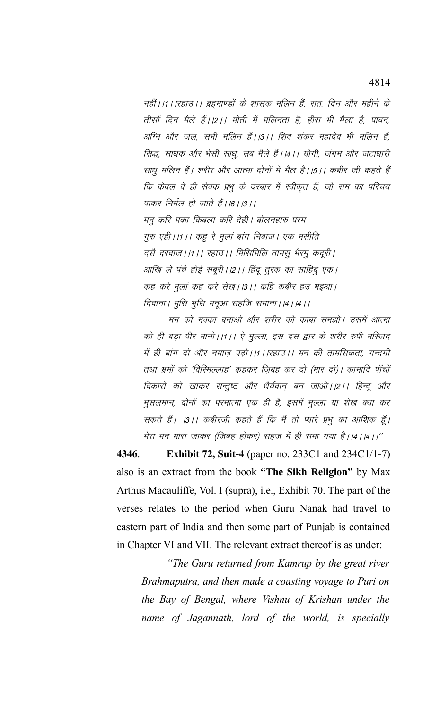नहीं।।1।।रहाउ।। ब्रहमाण्डों के शासक मलिन हैं, रात, दिन और महीने के तीसों दिन मैले हैं।।2।। मोती में मलिनता है, हीरा भी मैला है, पावन, अग्नि और जल, सभी मलिन हैं।।3।। शिव शंकर महादेव भी मलिन हैं, सिद्ध, साधक और भेसी साधु, सब मैले हैं।।4।। योगी, जंगम और जटाधारी साधु मलिन हैं। शरीर और आत्मा दोनों में मैल है।।5।। कबीर जी कहते हैं कि केवल वे ही सेवक प्रभु के दरबार में स्वीकृत हैं, जो राम का परिचय पाकर निर्मल हो जाते हैं।।6।।3।। मन् करि मका किबला करि देही। बोलनहारु परम गुरु एही।।1।। कह रे मुलां बांग निबाज। एक मसीति दसै दरवाज । । । । । रहाउ । । मिसिमिलि तामसु भैरमु कदूरी । आखि ले पंचै होई सबूरी। 12।। हिंदू तुरक का साहिबु एक। कह करे मुलां कह करे सेख। 13।। कहि कबीर हउ भइआ।

दिवाना । मुसि भूसि मनूआ सहजि समाना । ।4 । ।4 । ।

मन को मक्का बनाओ और शरीर को काबा समझो। उसमें आत्मा को ही बड़ा पीर मानो।।1।। ऐ मुल्ला, इस दस द्वार के शरीर रुपी मस्जिद में ही बांग दो और नमाज पढो।।1।।रहाउ।। मन की तामसिकता, गन्दगी तथा भ्रमों को 'विस्मिल्लाह' कहकर ज़िबह कर दो (मार दो)। कामादि पाँचों विकारों को खाकर सन्तुष्ट और धैर्यवान् बन जाओ।।2।। हिन्दू और मुसलमान, दोनों का परमात्मा एक ही है, इसमें मुल्ला या शेख क्या कर सकते हैं। 1311 कबीरजी कहते हैं कि मैं तो प्यारे प्रभु का आशिक हूँ। मेरा मन मारा जाकर (जिबह होकर) सहज में ही समा गया है।।4।।4।।''

4346. **Exhibit 72, Suit-4** (paper no. 233C1 and  $234C1/1-7$ ) also is an extract from the book "The Sikh Religion" by Max Arthus Macauliffe, Vol. I (supra), i.e., Exhibit 70. The part of the verses relates to the period when Guru Nanak had travel to eastern part of India and then some part of Punjab is contained in Chapter VI and VII. The relevant extract thereof is as under:

"The Guru returned from Kamrup by the great river" Brahmaputra, and then made a coasting voyage to Puri on the Bay of Bengal, where Vishnu of Krishan under the name of Jagannath, lord of the world, is specially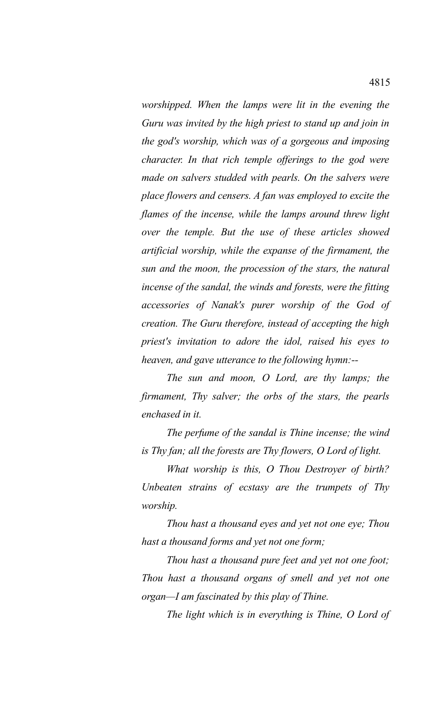*worshipped. When the lamps were lit in the evening the Guru was invited by the high priest to stand up and join in the god's worship, which was of a gorgeous and imposing character. In that rich temple offerings to the god were made on salvers studded with pearls. On the salvers were place flowers and censers. A fan was employed to excite the flames of the incense, while the lamps around threw light over the temple. But the use of these articles showed artificial worship, while the expanse of the firmament, the sun and the moon, the procession of the stars, the natural incense of the sandal, the winds and forests, were the fitting accessories of Nanak's purer worship of the God of creation. The Guru therefore, instead of accepting the high priest's invitation to adore the idol, raised his eyes to heaven, and gave utterance to the following hymn:--*

*The sun and moon, O Lord, are thy lamps; the firmament, Thy salver; the orbs of the stars, the pearls enchased in it.*

*The perfume of the sandal is Thine incense; the wind is Thy fan; all the forests are Thy flowers, O Lord of light.* 

*What worship is this, O Thou Destroyer of birth? Unbeaten strains of ecstasy are the trumpets of Thy worship.* 

*Thou hast a thousand eyes and yet not one eye; Thou hast a thousand forms and yet not one form;*

*Thou hast a thousand pure feet and yet not one foot; Thou hast a thousand organs of smell and yet not one organ—I am fascinated by this play of Thine.*

*The light which is in everything is Thine, O Lord of*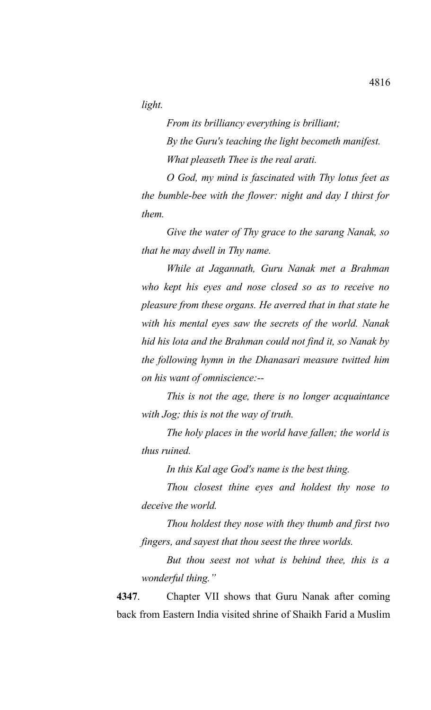*light.* 

*From its brilliancy everything is brilliant; By the Guru's teaching the light becometh manifest. What pleaseth Thee is the real arati.* 

*O God, my mind is fascinated with Thy lotus feet as the bumble-bee with the flower: night and day I thirst for them.* 

*Give the water of Thy grace to the sarang Nanak, so that he may dwell in Thy name.* 

*While at Jagannath, Guru Nanak met a Brahman who kept his eyes and nose closed so as to receive no pleasure from these organs. He averred that in that state he with his mental eyes saw the secrets of the world. Nanak hid his lota and the Brahman could not find it, so Nanak by the following hymn in the Dhanasari measure twitted him on his want of omniscience:--*

*This is not the age, there is no longer acquaintance with Jog; this is not the way of truth.*

*The holy places in the world have fallen; the world is thus ruined.*

*In this Kal age God's name is the best thing.*

*Thou closest thine eyes and holdest thy nose to deceive the world.* 

*Thou holdest they nose with they thumb and first two fingers, and sayest that thou seest the three worlds.* 

*But thou seest not what is behind thee, this is a wonderful thing."*

**4347**. Chapter VII shows that Guru Nanak after coming back from Eastern India visited shrine of Shaikh Farid a Muslim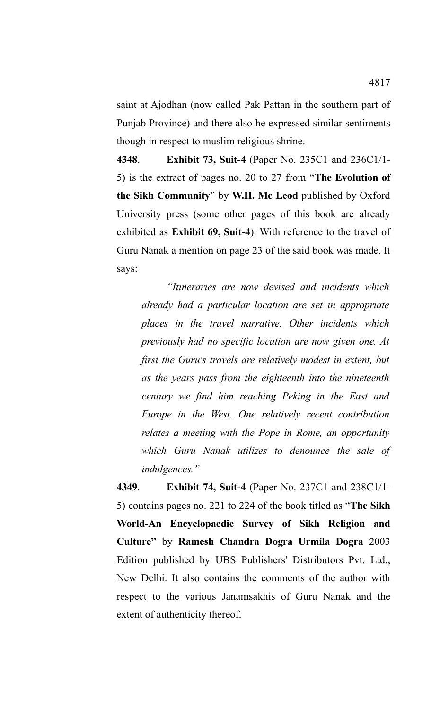saint at Ajodhan (now called Pak Pattan in the southern part of Punjab Province) and there also he expressed similar sentiments though in respect to muslim religious shrine.

**4348**. **Exhibit 73, Suit-4** (Paper No. 235C1 and 236C1/1- 5) is the extract of pages no. 20 to 27 from "**The Evolution of the Sikh Community**" by **W.H. Mc Leod** published by Oxford University press (some other pages of this book are already exhibited as **Exhibit 69, Suit-4**). With reference to the travel of Guru Nanak a mention on page 23 of the said book was made. It says:

*"Itineraries are now devised and incidents which already had a particular location are set in appropriate places in the travel narrative. Other incidents which previously had no specific location are now given one. At first the Guru's travels are relatively modest in extent, but as the years pass from the eighteenth into the nineteenth century we find him reaching Peking in the East and Europe in the West. One relatively recent contribution relates a meeting with the Pope in Rome, an opportunity which Guru Nanak utilizes to denounce the sale of indulgences."*

**4349**. **Exhibit 74, Suit-4** (Paper No. 237C1 and 238C1/1- 5) contains pages no. 221 to 224 of the book titled as "**The Sikh World-An Encyclopaedic Survey of Sikh Religion and Culture"** by **Ramesh Chandra Dogra Urmila Dogra** 2003 Edition published by UBS Publishers' Distributors Pvt. Ltd., New Delhi. It also contains the comments of the author with respect to the various Janamsakhis of Guru Nanak and the extent of authenticity thereof.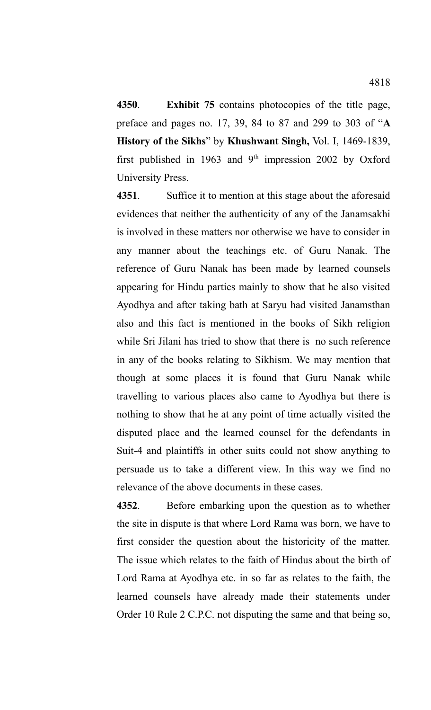**4350**. **Exhibit 75** contains photocopies of the title page, preface and pages no. 17, 39, 84 to 87 and 299 to 303 of "**A History of the Sikhs**" by **Khushwant Singh,** Vol. I, 1469-1839, first published in 1963 and  $9<sup>th</sup>$  impression 2002 by Oxford University Press.

**4351**. Suffice it to mention at this stage about the aforesaid evidences that neither the authenticity of any of the Janamsakhi is involved in these matters nor otherwise we have to consider in any manner about the teachings etc. of Guru Nanak. The reference of Guru Nanak has been made by learned counsels appearing for Hindu parties mainly to show that he also visited Ayodhya and after taking bath at Saryu had visited Janamsthan also and this fact is mentioned in the books of Sikh religion while Sri Jilani has tried to show that there is no such reference in any of the books relating to Sikhism. We may mention that though at some places it is found that Guru Nanak while travelling to various places also came to Ayodhya but there is nothing to show that he at any point of time actually visited the disputed place and the learned counsel for the defendants in Suit-4 and plaintiffs in other suits could not show anything to persuade us to take a different view. In this way we find no relevance of the above documents in these cases.

**4352**. Before embarking upon the question as to whether the site in dispute is that where Lord Rama was born, we have to first consider the question about the historicity of the matter. The issue which relates to the faith of Hindus about the birth of Lord Rama at Ayodhya etc. in so far as relates to the faith, the learned counsels have already made their statements under Order 10 Rule 2 C.P.C. not disputing the same and that being so,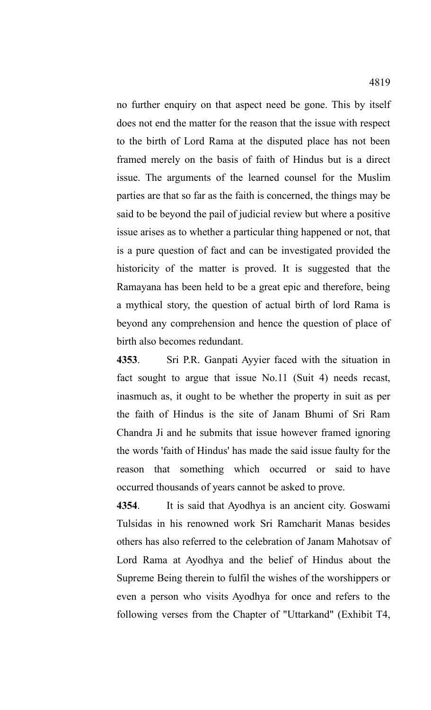no further enquiry on that aspect need be gone. This by itself does not end the matter for the reason that the issue with respect to the birth of Lord Rama at the disputed place has not been framed merely on the basis of faith of Hindus but is a direct issue. The arguments of the learned counsel for the Muslim parties are that so far as the faith is concerned, the things may be said to be beyond the pail of judicial review but where a positive issue arises as to whether a particular thing happened or not, that is a pure question of fact and can be investigated provided the historicity of the matter is proved. It is suggested that the Ramayana has been held to be a great epic and therefore, being a mythical story, the question of actual birth of lord Rama is beyond any comprehension and hence the question of place of birth also becomes redundant.

**4353**. Sri P.R. Ganpati Ayyier faced with the situation in fact sought to argue that issue No.11 (Suit 4) needs recast, inasmuch as, it ought to be whether the property in suit as per the faith of Hindus is the site of Janam Bhumi of Sri Ram Chandra Ji and he submits that issue however framed ignoring the words 'faith of Hindus' has made the said issue faulty for the reason that something which occurred or said to have occurred thousands of years cannot be asked to prove.

**4354**. It is said that Ayodhya is an ancient city. Goswami Tulsidas in his renowned work Sri Ramcharit Manas besides others has also referred to the celebration of Janam Mahotsav of Lord Rama at Ayodhya and the belief of Hindus about the Supreme Being therein to fulfil the wishes of the worshippers or even a person who visits Ayodhya for once and refers to the following verses from the Chapter of "Uttarkand" (Exhibit T4,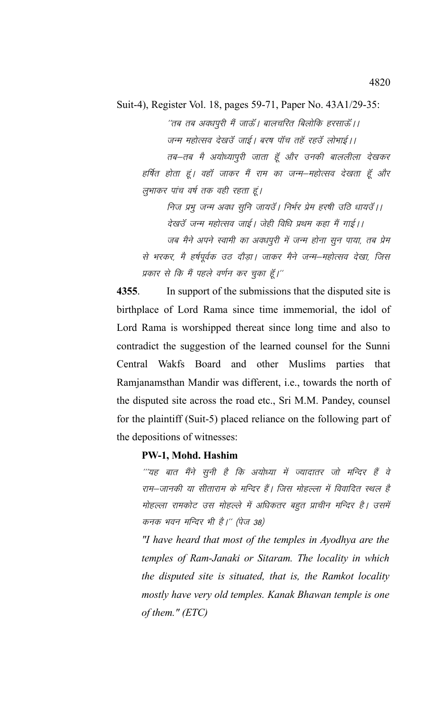Suit-4), Register Vol. 18, pages 59-71, Paper No. 43A1/29-35:

"तब तब अवधपुरी मैं जाऊँ। बालचरित बिलोकि हरसाऊँ।। जन्म महोत्सव देखउँ जाई। बरष पाँच तहँ रहउँ लोभाई।। तब–तब मै अयोध्यापुरी जाता हूँ और उनकी बाललीला देखकर हर्षित होता हूं। वहाँ जाकर मैं राम का जन्म–महोत्सव देखता हूँ और लुभाकर पांच वर्ष तक वही रहता हूं।

निज प्रभु जन्म अवध सुनि जायउँ | निर्भर प्रेम हरषी उठि धायउँ || देखउँ जन्म महोत्सव जाई। जेही विधि प्रथम कहा मैं गाई।।

जब मैने अपने स्वामी का अवधपुरी में जन्म होना सून पाया, तब प्रेम से भरकर, मै हर्षपूर्वक उठ दौड़ा। जाकर मैने जन्म–महोत्सव देखा, जिस प्रकार से कि मैं पहले वर्णन कर चुका हूँ।''

**4355**. In support of the submissions that the disputed site is birthplace of Lord Rama since time immemorial, the idol of Lord Rama is worshipped thereat since long time and also to contradict the suggestion of the learned counsel for the Sunni Central Wakfs Board and other Muslims parties that Ramjanamsthan Mandir was different, i.e., towards the north of the disputed site across the road etc., Sri M.M. Pandey, counsel for the plaintiff (Suit-5) placed reliance on the following part of the depositions of witnesses:

## **PW-1, Mohd. Hashim**

'''यह बात मैंने सूनी है कि अयोध्या में ज्यादातर जो मन्दिर हैं वे राम–जानकी या सीताराम के मन्दिर हैं। जिस मोहल्ला में विवादित स्थल है मोहल्ला रामकोट उस मोहल्ले में अधिकतर बहुत प्राचीन मन्दिर है। उसमें कनक भवन मन्दिर भी है।'' (पेज 38)

*"I have heard that most of the temples in Ayodhya are the temples of Ram-Janaki or Sitaram. The locality in which the disputed site is situated, that is, the Ramkot locality mostly have very old temples. Kanak Bhawan temple is one of them." (ETC)*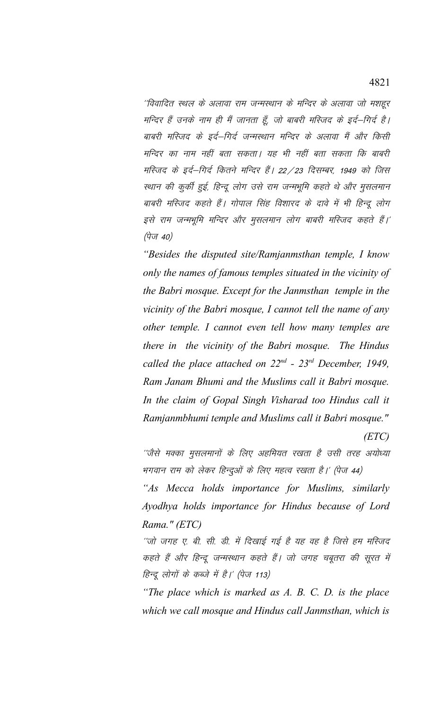''विवादित स्थल के अलावा राम जन्मस्थान के मन्दिर के अलावा जो मशहूर मन्दिर हैं उनके नाम ही मैं जानता हूँ, जो बाबरी मस्जिद के इर्द-गिर्द है। बाबरी मस्जिद के इर्द–गिर्द जन्मस्थान मन्दिर के अलावा मैं और किसी मन्दिर का नाम नहीं बता सकता। यह भी नहीं बता सकता कि बाबरी मस्जिद के इर्द–गिर्द कितने मन्दिर हैं। 22 / 23 दिसम्बर, 1949 को जिस स्थान की कुर्की हुई, हिन्दू लोग उसे राम जन्मभूमि कहते थे और मुसलमान बाबरी मस्जिद कहते हैं। गोपाल सिंह विशारद के दावे में भी हिन्दू लोग इसे राम जन्मभूमि मन्दिर और मुसलमान लोग बाबरी मस्जिद कहते हैं।' (पेज 40)

*"Besides the disputed site/Ramjanmsthan temple, I know only the names of famous temples situated in the vicinity of the Babri mosque. Except for the Janmsthan temple in the vicinity of the Babri mosque, I cannot tell the name of any other temple. I cannot even tell how many temples are there in the vicinity of the Babri mosque. The Hindus called the place attached on 22nd - 23rd December, 1949, Ram Janam Bhumi and the Muslims call it Babri mosque. In the claim of Gopal Singh Visharad too Hindus call it Ramjanmbhumi temple and Muslims call it Babri mosque." (ETC)*

''जैसे मक्का मुसलमानों के लिए अहमियत रखता है उसी तरह अयोध्या भगवान राम को लेकर हिन्दुओं के लिए महत्व रखता है।' (पेज 44)

*"As Mecca holds importance for Muslims, similarly Ayodhya holds importance for Hindus because of Lord Rama." (ETC)*

''जो जगह ए. बी. सी. डी. में दिखाई गई है यह वह है जिसे हम मस्जिद कहते हैं और हिन्दू जन्मस्थान कहते हैं। जो जगह चबूतरा की सूरत में हिन्दू लोगों के कब्जे में है।' (पेज 113)

*"The place which is marked as A. B. C. D. is the place which we call mosque and Hindus call Janmsthan, which is*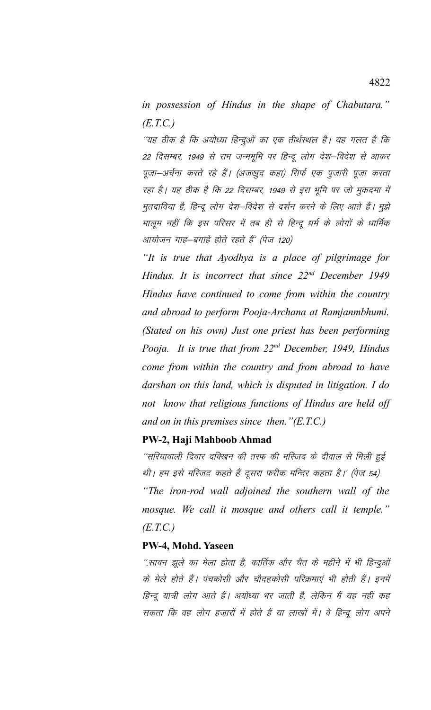*in possession of Hindus in the shape of Chabutara." (E.T.C.)*

''यह ठीक है कि अयोध्या हिन्दुओं का एक तीर्थस्थल है। यह गलत है कि 22 दिसम्बर, 1949 से राम जन्मभूमि पर हिन्दू लोग देश—विदेश से आकर पूजा–अर्चना करते रहे हैं। (अजखुद कहा) सिर्फ एक पुजारी पूजा करता रहा है। यह ठीक है कि 22 दिसम्बर, 1949 से इस भूमि पर जो मुकदमा में मुतदाविया है, हिन्दू लोग देश–विदेश से दर्शन करने के लिए आते हैं। मुझे मालूम नहीं कि इस परिसर में तब ही से हिन्दू धर्म के लोगों के धार्मिक आयोजन गाह-बगाहे होते रहते हैं' (पेज 120)

*"It is true that Ayodhya is a place of pilgrimage for Hindus. It is incorrect that since 22nd December 1949 Hindus have continued to come from within the country and abroad to perform Pooja-Archana at Ramjanmbhumi. (Stated on his own) Just one priest has been performing Pooja. It is true that from 22nd December, 1949, Hindus come from within the country and from abroad to have darshan on this land, which is disputed in litigation. I do not know that religious functions of Hindus are held off and on in this premises since then."(E.T.C.)*

## **PW-2, Haji Mahboob Ahmad**

''सरियावाली दिवार दक्खिन की तरफ की मस्जिद के दीवाल से मिली हुई थी। हम इसे मस्जिद कहते हैं दूसरा फरीक मन्दिर कहता है।' (पेज 54) *"The iron-rod wall adjoined the southern wall of the mosque. We call it mosque and others call it temple." (E.T.C.)*

## **PW-4, Mohd. Yaseen**

^^:सावन झूले का मेला होता है, कार्तिक और चैत के महीने में भी हिन्दुओं के मेले होते हैं। पंचकोसी और चौदहकोसी परिक्रमाएं भी होती हैं। इनमें हिन्दू यात्री लोग आते हैं। अयोध्या भर जाती है, लेकिन मैं यह नहीं कह सकता कि वह लोग हज़ारों में होते हैं या लाखों में। वे हिन्दू लोग अपने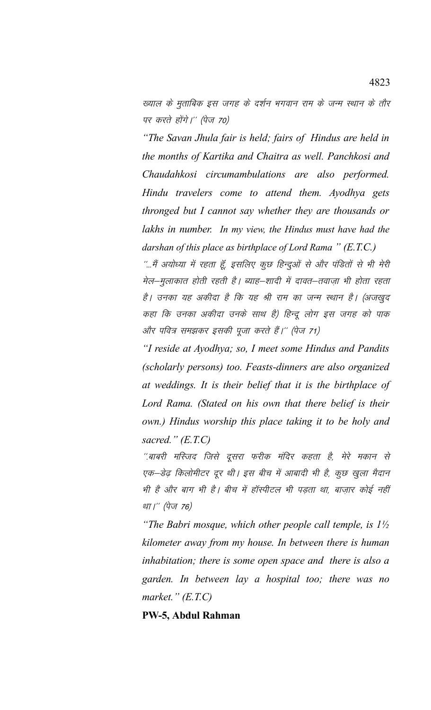ख्याल के मुताबिक इस जगह के दर्शन भगवान राम के जन्म स्थान के तौर पर करते होंगे।" (पेज 70)

"The Savan Jhula fair is held; fairs of Hindus are held in the months of Kartika and Chaitra as well. Panchkosi and Chaudahkosi circumambulations are also performed. Hindu travelers come to attend them. Ayodhya gets thronged but I cannot say whether they are thousands or lakhs in number. In my view, the Hindus must have had the darshan of this place as birthplace of Lord Rama " $(E.T.C.)$ 

''...मैं अयोध्या में रहता हूँ, इसलिए कुछ हिन्दुओं से और पंडितों से भी मेरी मेल–मुलाकात होती रहती है। ब्याह–शादी में दावत–तवाजा भी होता रहता है। उनका यह अकीदा है कि यह श्री राम का जन्म स्थान है। (अजखुद कहा कि उनका अकीदा उनके साथ है) हिन्दू लोग इस जगह को पाक और पवित्र समझकर इसकी पूजा करते हैं।'' (पेज 71)

"I reside at Ayodhya; so, I meet some Hindus and Pandits (scholarly persons) too. Feasts-dinners are also organized at weddings. It is their belief that it is the birthplace of Lord Rama. (Stated on his own that there belief is their own.) Hindus worship this place taking it to be holy and sacred."  $(E.T.C)$ 

"बाबरी मस्जिद जिसे दूसरा फरीक मंदिर कहता है, मेरे मकान से एक-डेढ़ किलोमीटर दूर थी। इस बीच में आबादी भी है, कुछ खुला मैदान भी है और बाग भी है। बीच में हॉस्पीटल भी पड़ता था, बाज़ार कोई नहीं था।'' (पेज 76)

"The Babri mosque, which other people call temple, is  $1\frac{1}{2}$ kilometer away from my house. In between there is human inhabitation; there is some open space and there is also a garden. In between lay a hospital too; there was no market."  $(E.T.C)$ 

**PW-5, Abdul Rahman**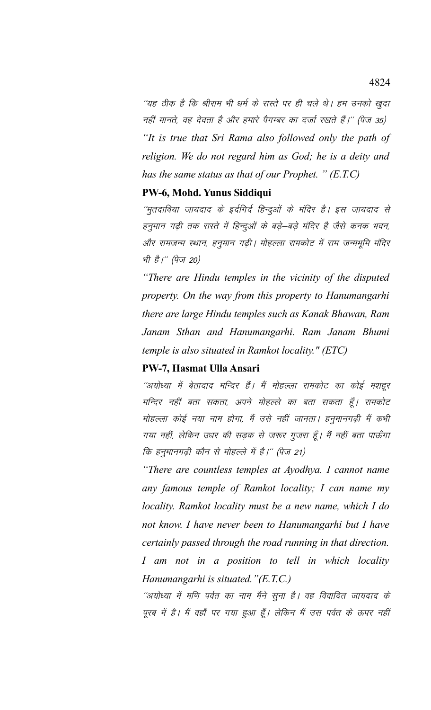''यह ठीक है कि श्रीराम भी धर्म के रास्ते पर ही चले थे। हम उनको खुदा नहीं मानते, वह देवता है और हमारे पैगम्बर का दर्जा रखते हैं।'' (पेज 35) "It is true that Sri Rama also followed only the path of religion. We do not regard him as God; he is a deity and has the same status as that of our Prophet. "  $(E.T.C)$ 

# PW-6, Mohd. Yunus Siddiqui

''मुतदाविया जायदाद के इर्दगिर्द हिन्दुओं के मंदिर है। इस जायदाद से हनुमान गढ़ी तक रास्ते में हिन्दुओं के बड़े–बड़े मंदिर है जैसे कनक भवन, और रामजन्म स्थान, हनुमान गढ़ी। मोहल्ला रामकोट में राम जन्मभूमि मंदिर भी है।'' (पेज 20)

"There are Hindu temples in the vicinity of the disputed property. On the way from this property to Hanumangarhi there are large Hindu temples such as Kanak Bhawan, Ram Janam Sthan and Hanumangarhi. Ram Janam Bhumi temple is also situated in Ramkot locality." (ETC)

# PW-7, Hasmat Ulla Ansari

''अयोध्या में बेतादाद मन्दिर हैं। मैं मोहल्ला रामकोट का कोई मशहूर मन्दिर नहीं बता सकता, अपने मोहल्ले का बता सकता हूँ। रामकोट मोहल्ला कोई नया नाम होगा, मैं उसे नहीं जानता। हनुमानगढ़ी मैं कभी गया नहीं, लेकिन उधर की सड़क से जरूर गुजरा हूँ। मैं नहीं बता पाऊँगा कि हनुमानगढ़ी कौन से मोहल्ले में है।'' (पेज 21)

"There are countless temples at Ayodhya. I cannot name any famous temple of Ramkot locality; I can name my locality. Ramkot locality must be a new name, which I do not know. I have never been to Hanumangarhi but I have certainly passed through the road running in that direction. I am not in a position to tell in which locality Hanumangarhi is situated." $(E.T.C.)$ 

''अयोध्या में मणि पर्वत का नाम मैंने सूना है। वह विवादित जायदाद के पूरब में है। मैं वहाँ पर गया हुआ हूँ। लेकिन मैं उस पर्वत के ऊपर नहीं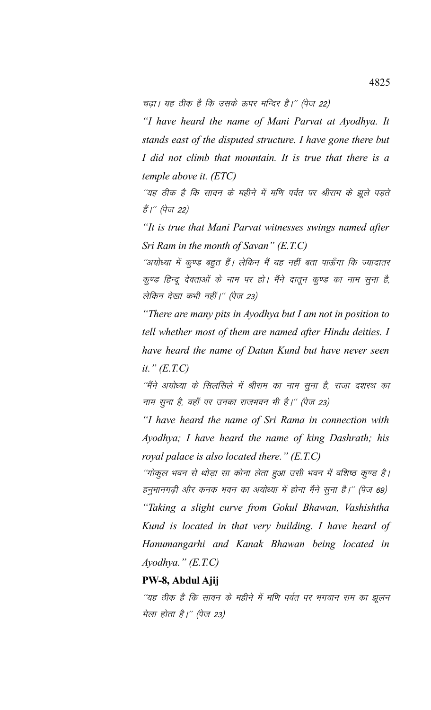चढा। यह ठीक है कि उसके ऊपर मन्दिर है।'' (पेज 22)

*"I have heard the name of Mani Parvat at Ayodhya. It stands east of the disputed structure. I have gone there but I did not climb that mountain. It is true that there is a temple above it. (ETC)*

''यह ठीक है कि सावन के महीने में मणि पर्वत पर श्रीराम के झूले पड़ते हैं।'' (पेज 22)

*"It is true that Mani Parvat witnesses swings named after Sri Ram in the month of Savan" (E.T.C)*

''अयोध्या में कूण्ड बहुत हैं । लेकिन मैं यह नहीं बता पाऊँगा कि ज्यादातर कुण्ड हिन्दू देवताओं के नाम पर हो। मैंने दातून कुण्ड का नाम सूना है, लेकिन देखा कभी नहीं।" (पेज 23)

*"There are many pits in Ayodhya but I am not in position to tell whether most of them are named after Hindu deities. I have heard the name of Datun Kund but have never seen it." (E.T.C)*

''मैंने अयोध्या के सिलसिले में श्रीराम का नाम सुना है, राजा दशरथ का नाम सूना है, वहाँ पर उनका राजभवन भी है।'' (पेज 23)

*"I have heard the name of Sri Rama in connection with Ayodhya; I have heard the name of king Dashrath; his royal palace is also located there." (E.T.C)*

''गोकुल भवन से थोड़ा सा कोना लेता हुआ उसी भवन में वशिष्ठ कुण्ड है। हनुमानगढ़ी और कनक भवन का अयोध्या में होना मैंने सूना है।'' (पेज 69) *"Taking a slight curve from Gokul Bhawan, Vashishtha Kund is located in that very building. I have heard of Hanumangarhi and Kanak Bhawan being located in Ayodhya." (E.T.C)*

### **PW-8, Abdul Ajij**

''यह ठीक है कि सावन के महीने में मणि पर्वत पर भगवान राम का झूलन मेला होता है।'' (पेज 23)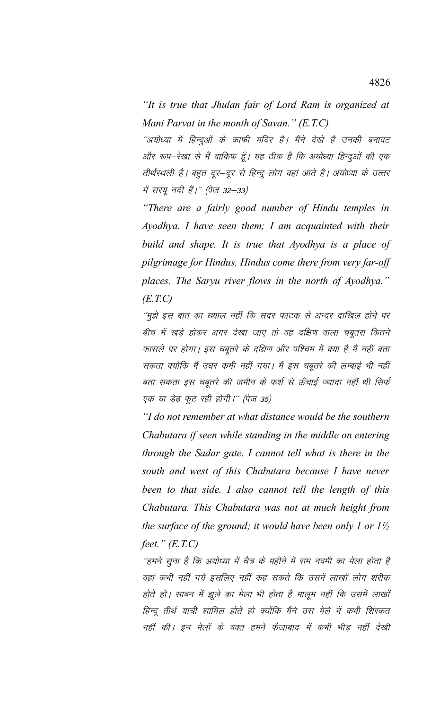"It is true that Jhulan fair of Lord Ram is organized at Mani Parvat in the month of Savan."  $(E.T.C)$ 

''अयोध्या में हिन्दुओं के काफी मंदिर है। मैंने देखे है उनकी बनावट और रूप–रेखा से मैं वाकिफ हूँ। यह ठीक है कि अयोध्या हिन्दुओं की एक तीर्थस्थली है। बहुत दूर-दूर से हिन्दू लोग वहां आते है। अयोध्या के उत्तर में सरयू नदी हैं।" (पेज 32-33)

"There are a fairly good number of Hindu temples in Ayodhya. I have seen them; I am acquainted with their build and shape. It is true that Ayodhya is a place of pilgrimage for Hindus. Hindus come there from very far-off places. The Saryu river flows in the north of Ayodhya."  $(E.T.C)$ 

''मुझे इस बात का ख्याल नहीं कि सदर फाटक से अन्दर दाखिल होने पर बीच में खड़े होकर अगर देखा जाए तो वह दक्षिण वाला चबूतरा कितने फासले पर होगा। इस चबूतरे के दक्षिण और पश्चिम में क्या है मैं नहीं बता सकता क्योंकि मैं उधर कभी नहीं गया। मैं इस चबूतरे की लम्बाई भी नहीं बता सकता इस चबूतरे की जमीन के फर्श से ऊँचाई ज्यादा नहीं थी सिर्फ एक या डेढ़ फूट रही होगी।" (पेज 35)

"I do not remember at what distance would be the southern Chabutara if seen while standing in the middle on entering through the Sadar gate. I cannot tell what is there in the south and west of this Chabutara because I have never been to that side. I also cannot tell the length of this Chabutara. This Chabutara was not at much height from the surface of the ground; it would have been only 1 or  $1\frac{1}{2}$ feet."  $(E.T.C)$ 

''हमने सुना है कि अयोध्या में चैत्र के महीने में राम नवमी का मेला होता है वहां कभी नहीं गये इसलिए नहीं कह सकते कि उसमें लाखों लोग शरीक होते हो। सावन में झूले का मेला भी होता है मालूम नहीं कि उसमें लाखों हिन्दू तीर्थ यात्री शामिल होते हो क्योंकि मैंने उस मेले में कभी शिरकत नहीं की। इन मेलों के वक्त हमने फैजाबाद में कभी भीड़ नहीं देखी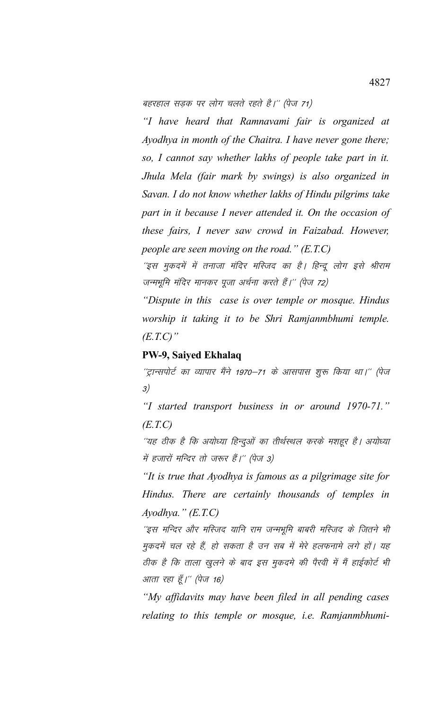बहरहाल सडक पर लोग चलते रहते है।'' (पेज 71)

*"I have heard that Ramnavami fair is organized at Ayodhya in month of the Chaitra. I have never gone there; so, I cannot say whether lakhs of people take part in it. Jhula Mela (fair mark by swings) is also organized in Savan. I do not know whether lakhs of Hindu pilgrims take part in it because I never attended it. On the occasion of these fairs, I never saw crowd in Faizabad. However, people are seen moving on the road." (E.T.C)*

´´इस मुकदमें में तनाजा मंदिर मस्जिद का है। हिन्दू लोग इसे श्रीराम जन्मभूमि मंदिर मानकर पूजा अर्चना करते हैं।'' (पेज 72)

*"Dispute in this case is over temple or mosque. Hindus worship it taking it to be Shri Ramjanmbhumi temple. (E.T.C)"*

### **PW-9, Saiyed Ekhalaq**

''ट्रान्सपोर्ट का व्यापार मैंने 1970—71 के आसपास शुरू किया था।'' (पेज 3½

*"I started transport business in or around 1970-71." (E.T.C)*

''यह ठीक है कि अयोध्या हिन्दुओं का तीर्थस्थल करके मशहूर है। अयोध्या में हजारों मन्दिर तो जरूर हैं।'' (पेज 3)

*"It is true that Ayodhya is famous as a pilgrimage site for Hindus. There are certainly thousands of temples in Ayodhya." (E.T.C)*

''इस मन्दिर और मस्जिद यानि राम जन्मभूमि बाबरी मस्जिद के जितने भी मुकदमें चल रहे हैं, हो सकता है उन सब में मेरे हलफनामे लगे हों। यह ठीक है कि ताला खुलने के बाद इस मुकदमे की पैरवी में मैं हाईकोर्ट भी आता रहा हूँ।'' (पेज 16)

*"My affidavits may have been filed in all pending cases relating to this temple or mosque, i.e. Ramjanmbhumi-*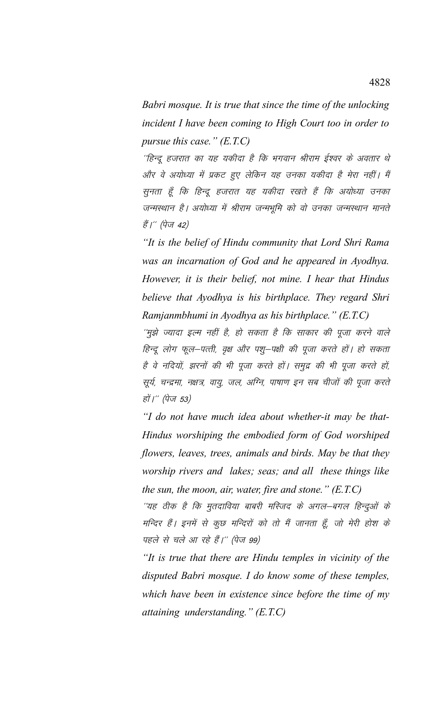Babri mosque. It is true that since the time of the unlocking incident I have been coming to High Court too in order to pursue this case."  $(E.T.C)$ 

''हिन्दू हजरात का यह यकीदा है कि भगवान श्रीराम ईश्वर के अवतार थे और वे अयोध्या में प्रकट हुए लेकिन यह उनका यकीदा है मेरा नहीं। मैं सुनता हूँ कि हिन्दू हजरात यह यकीदा रखते हैं कि अयोध्या उनका जन्मस्थान है। अयोध्या में श्रीराम जन्मभूमि को वो उनका जन्मस्थान मानते हैं।" (पेज 42)

"It is the belief of Hindu community that Lord Shri Rama was an incarnation of God and he appeared in Ayodhya. However, it is their belief, not mine. I hear that Hindus believe that Ayodhya is his birthplace. They regard Shri Ramjanmbhumi in Ayodhya as his birthplace." (E.T.C)

''मुझे ज्यादा इल्म नहीं है, हो सकता है कि साकार की पूजा करने वाले हिन्दू लोग फूल–पत्ती, वृक्ष और पशू–पक्षी की पूजा करते हों। हो सकता है वे नदियों, झरनों की भी पूजा करते हों। समुद्र की भी पूजा करते हों, सूर्य, चन्द्रमा, नक्षत्र, वायु, जल, अग्नि, पाषाण इन सब चीजों की पूजा करते हों।" (पेज 53)

"I do not have much idea about whether-it may be that-Hindus worshiping the embodied form of God worshiped flowers, leaves, trees, animals and birds. May be that they worship rivers and lakes; seas; and all these things like the sun, the moon, air, water, fire and stone."  $(E.T.C)$ 

''यह ठीक है कि मुतदाविया बाबरी मस्जिद के अगल–बगल हिन्दुओं के मन्दिर हैं। इनमें से कुछ मन्दिरों को तो मैं जानता हूँ, जो मेरी होश के पहले से चले आ रहे हैं।'' (पेज 99)

"It is true that there are Hindu temples in vicinity of the disputed Babri mosque. I do know some of these temples, which have been in existence since before the time of my attaining understanding."  $(E.T.C)$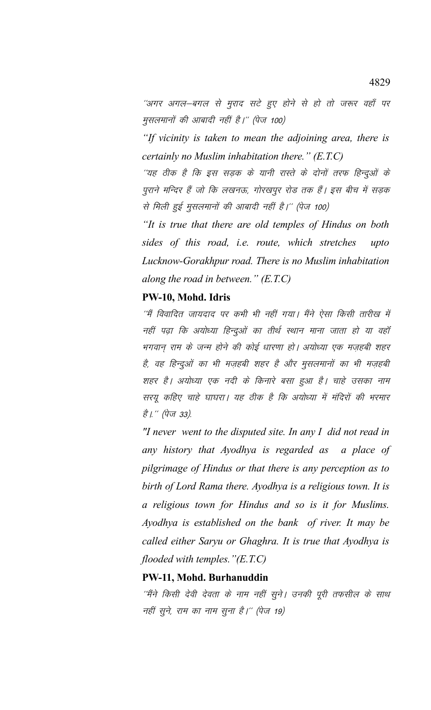''अगर अगल–बगल से मुराद सटे हुए होने से हो तो जरूर वहाँ पर मुसलमानों की आबादी नहीं है।'' (पेज 100)

"If vicinity is taken to mean the adjoining area, there is certainly no Muslim inhabitation there."  $(E.T.C)$ 

''यह ठीक है कि इस सडक के यानी रास्ते के दोनों तरफ हिन्दुओं के पुराने मन्दिर हैं जो कि लखनऊ, गोरखपुर रोड तक हैं। इस बीच में सड़क से मिली हुई मुसलमानों की आबादी नहीं है।" (पेज 100)

"It is true that there are old temples of Hindus on both sides of this road, i.e. route, which stretches  $\mu p$ to Lucknow-Gorakhpur road. There is no Muslim inhabitation along the road in between."  $(E.T.C)$ 

### PW-10, Mohd. Idris

''मैं विवादित जायदाद पर कभी भी नहीं गया। मैंने ऐसा किसी तारीख में नहीं पढा कि अयोध्या हिन्दुओं का तीर्थ स्थान माना जाता हो या वहाँ भगवान् राम के जन्म होने की कोई धारणा हो। अयोध्या एक मज़हबी शहर है, वह हिन्दुओं का भी मज़हबी शहर है और मुसलमानों का भी मज़हबी शहर है। अयोध्या एक नदी के किनारे बसा हुआ है। चाहे उसका नाम सरयू कहिए चाहे घाघरा। यह ठीक है कि अयोध्या में मंदिरों की भरमार है। " (पेज 33).

"I never went to the disputed site. In any I did not read in any history that Ayodhya is regarded as a place of pilgrimage of Hindus or that there is any perception as to birth of Lord Rama there. Ayodhya is a religious town. It is a religious town for Hindus and so is it for Muslims. Ayodhya is established on the bank of river. It may be called either Saryu or Ghaghra. It is true that Ayodhya is flooded with temples. " $(E.T.C)$ 

### PW-11, Mohd. Burhanuddin

''मैंने किसी देवी देवता के नाम नहीं सूने। उनकी पूरी तफसील के साथ नहीं सूने, राम का नाम सूना है।'' (पेज 19)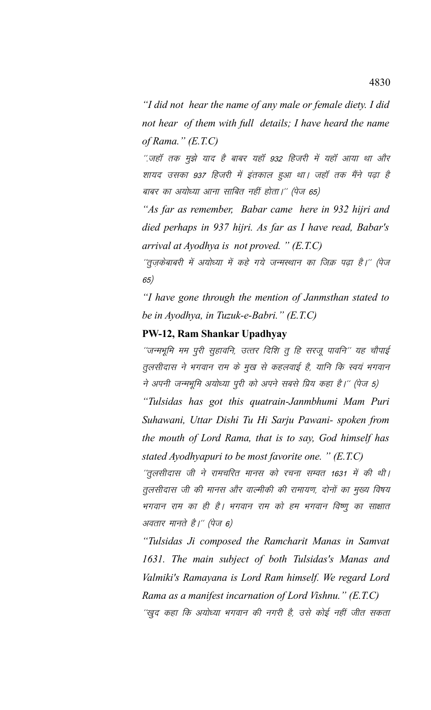*"I did not hear the name of any male or female diety. I did not hear of them with full details; I have heard the name of Rama." (E.T.C)*

´´.जहॉ तक मुझे याद है बाबर यहॉ 932 हिजरी में यहॉ आया था और शायद उसका 937 हिजरी में इंतकाल हुआ था। जहाँ तक मैंने पढ़ा है बाबर का अयोध्या आना साबित नहीं होता।'' (पेज 65)

*"As far as remember, Babar came here in 932 hijri and died perhaps in 937 hijri. As far as I have read, Babar's arrival at Ayodhya is not proved. " (E.T.C)*

''तूज़केबाबरी में अयोध्या में कहे गये जन्मस्थान का जिक्र पढ़ा है।'' (पेज 65)

*"I have gone through the mention of Janmsthan stated to be in Ayodhya, in Tuzuk-e-Babri." (E.T.C)*

# **PW-12, Ram Shankar Upadhyay**

''जन्मभूमि मम पुरी सुहावनि, उत्तर दिशि तु हि सरजू पावनि'' यह चौपाई तूलसीदास ने भगवान राम के मुख से कहलवाई है, यानि कि स्वयं भगवान ने अपनी जन्मभूमि अयोध्या पुरी को अपने सबसे प्रिय कहा है।'' (पेज 5)

*"Tulsidas has got this quatrain-Janmbhumi Mam Puri Suhawani, Uttar Dishi Tu Hi Sarju Pawani- spoken from the mouth of Lord Rama, that is to say, God himself has stated Ayodhyapuri to be most favorite one. " (E.T.C)*

"तूलसीदास जी ने रामचरित मानस को रचना सम्वत 1631 में की थी। तूलसीदास जी की मानस और वाल्मीकी की रामायण, दोनों का मुख्य विषय भगवान राम का ही है। भगवान राम को हम भगवान विष्णु का साक्षात अवतार मानते है।'' (पेज 6)

*"Tulsidas Ji composed the Ramcharit Manas in Samvat 1631. The main subject of both Tulsidas's Manas and Valmiki's Ramayana is Lord Ram himself. We regard Lord Rama as a manifest incarnation of Lord Vishnu." (E.T.C)* "खुद कहा कि अयोध्या भगवान की नगरी है, उसे कोई नहीं जीत सकता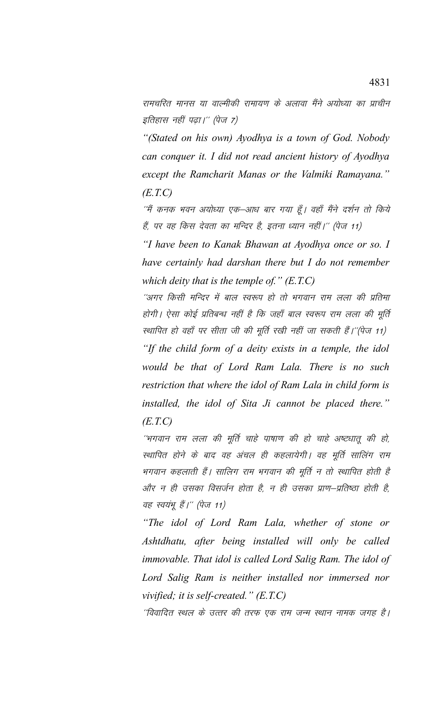रामचरित मानस या वाल्मीकी रामायण के अलावा मैंने अयोध्या का प्राचीन इतिहास नहीं पढ़ा।'' (पेज 7)

"(Stated on his own) Ayodhya is a town of God. Nobody can conquer it. I did not read ancient history of Ayodhya except the Ramcharit Manas or the Valmiki Ramayana."  $(E.T.C)$ 

"मैं कनक भवन अयोध्या एक–आध बार गया हूँ। वहाँ मैंने दर्शन तो किये हैं, पर वह किस देवता का मन्दिर है, इतना ध्यान नहीं।'' (पेज 11)

"I have been to Kanak Bhawan at Ayodhya once or so. I have certainly had darshan there but I do not remember which deity that is the temple of."  $(E.T.C)$ 

''अगर किसी मन्दिर में बाल स्वरूप हो तो भगवान राम लला की प्रतिमा होगी। ऐसा कोई प्रतिबन्ध नहीं है कि जहाँ बाल स्वरूप राम लला की मूर्ति स्थापित हो वहाँ पर सीता जी की मूर्ति रखी नहीं जा सकती हैं।''(पेज 11) "If the child form of a deity exists in a temple, the idol would be that of Lord Ram Lala. There is no such restriction that where the idol of Ram Lala in child form is installed, the idol of Sita Ji cannot be placed there."  $(E.T.C)$ 

''भगवान राम लला की मूर्ति चाहे पाषाण की हो चाहे अष्टधातू की हो, स्थापित होने के बाद वह अंचल ही कहलायेगी। वह मूर्ति सालिंग राम भगवान कहलाती हैं। सालिग राम भगवान की मूर्ति न तो स्थापित होती है और न ही उसका विसर्जन होता है, न ही उसका प्राण–प्रतिष्ठा होती है, वह स्वयंभू हैं।'' (पेज 11)

"The idol of Lord Ram Lala, whether of stone or Ashtdhatu, after being installed will only be called immovable. That idol is called Lord Salig Ram. The idol of Lord Salig Ram is neither installed nor immersed nor *vivified; it is self-created.*"  $(E.T.C)$ 

''विवादित स्थल के उत्तर की तरफ एक राम जन्म स्थान नामक जगह है।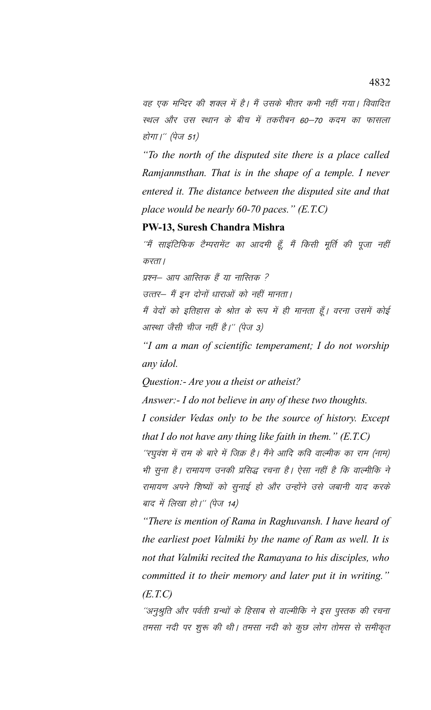वह एक मन्दिर की शक्ल में है। मैं उसके भीतर कभी नहीं गया। विवादित स्थल और उस स्थान के बीच में तकरीबन 60–70 कदम का फासला होगा।" (पेज 51)

"To the north of the disputed site there is a place called Ramjanmsthan. That is in the shape of a temple. I never entered it. The distance between the disputed site and that place would be nearly 60-70 paces."  $(E.T.C)$ 

### **PW-13. Suresh Chandra Mishra**

''मैं साइंटिफिक टैम्परामेंट का आदमी हूँ, मैं किसी मूर्ति की पूजा नहीं करता ।

प्रश्न– आप आस्तिक हैं या नास्तिक ?

उत्तर– मैं इन दोनों धाराओं को नहीं मानता।

मैं वेदों को इतिहास के श्रोत के रूप में ही मानता हूँ। वरना उसमें कोई आस्था जैसी चीज नहीं है।" (पेज 3)

"I am a man of scientific temperament; I do not worship any idol.

Question:- Are you a theist or atheist?

Answer:- I do not believe in any of these two thoughts.

I consider Vedas only to be the source of history. Except that I do not have any thing like faith in them."  $(E.T.C)$ 

''रघुवंश में राम के बारे में जिक्र है। मैंने आदि कवि वाल्मीक का राम (नाम) भी सूना है। रामायण उनकी प्रसिद्ध रचना है। ऐसा नहीं है कि वाल्मीकि ने रामायण अपने शिष्यों को सुनाई हो और उन्होंने उसे जबानी याद करके बाद में लिखा हो।'' (पेज 14)

"There is mention of Rama in Raghuvansh. I have heard of the earliest poet Valmiki by the name of Ram as well. It is not that Valmiki recited the Ramayana to his disciples, who committed it to their memory and later put it in writing."  $(E.T.C)$ 

''अनुश्रुति और पर्वती ग्रन्थों के हिसाब से वाल्मीकि ने इस पुस्तक की रचना तमसा नदी पर शुरू की थी। तमसा नदी को कुछ लोग तोमस से समीकृत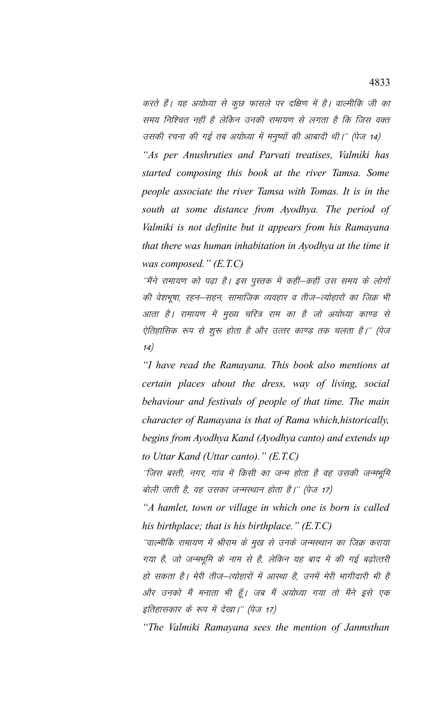करते हैं। यह अयोध्या से कुछ फासले पर दक्षिण में है। वाल्मीकि जी का समय निश्चित नहीं है लेकिन उनकी रामायण से लगता है कि जिस वक्त उसकी रचना की गई तब अयोध्या में मनुष्यों की आबादी थी।'' (पेज 14)

"As per Anushruties and Parvati treatises, Valmiki has started composing this book at the river Tamsa. Some people associate the river Tamsa with Tomas. It is in the south at some distance from Ayodhya. The period of Valmiki is not definite but it appears from his Ramayana that there was human inhabitation in Ayodhya at the time it was composed."  $(E.T.C)$ 

''मैंने रामायण को पढा है। इस पुस्तक में कहीं—कहीं उस समय के लोगों की वेशभूषा, रहन—सहन, सामाजिक व्यवहार व तीज—त्योहारों का जिक्र भी आता है। रामायण में मुख्य चरित्र राम का है जो अयोध्या काण्ड से ऐतिहासिक रूप से शुरू होता है और उत्तर काण्ड तक चलता है।'' (पेज  $(14)$ 

"I have read the Ramayana. This book also mentions at certain places about the dress, way of living, social behaviour and festivals of people of that time. The main character of Ramayana is that of Rama which, historically, begins from Ayodhya Kand (Ayodhya canto) and extends up to Uttar Kand (Uttar canto)."  $(E.T.C)$ 

''जिस बस्ती, नगर, गांव में किसी का जन्म होता है वह उसकी जन्मभूमि बोली जाती है, वह उसका जन्मस्थान होता है।" (पेज 17)

"A hamlet, town or village in which one is born is called his birthplace; that is his birthplace."  $(E.T.C)$ 

''वाल्मीकि रामायण में श्रीराम के मुख से उनके जन्मस्थान का जिक्र कराया गया है, जो जन्मभूमि के नाम से है, लेकिन यह बाद में की गई बढ़ोत्तरी हो सकता है। मेरी तीज—त्योहारों में आस्था है, उनमें मेरी भागीदारी भी है और उनको मैं मनाता भी हूँ। जब मैं अयोध्या गया तो मैंने इसे एक इतिहासकार के रूप में देखा।" (पेज 17)

"The Valmiki Ramayana sees the mention of Janmsthan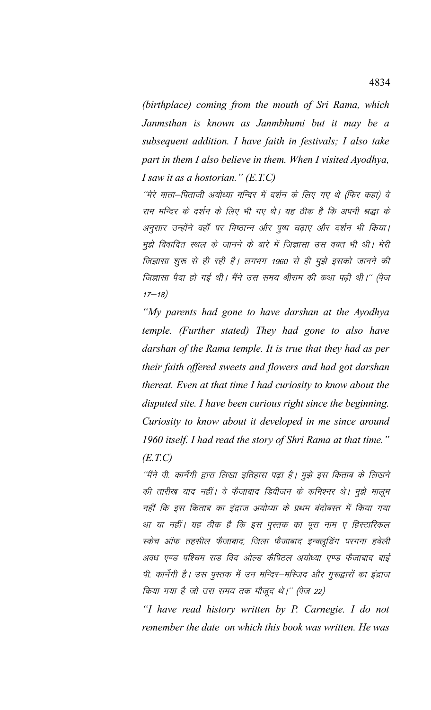(birthplace) coming from the mouth of Sri Rama, which Janmsthan is known as Janmbhumi but it may be a subsequent addition. I have faith in festivals; I also take part in them I also believe in them. When I visited Ayodhya, I saw it as a hostorian."  $(E.T.C)$ 

''मेरे माता—पिताजी अयोध्या मन्दिर में दर्शन के लिए गए थे (फिर कहा) वे राम मन्दिर के दर्शन के लिए भी गए थे। यह ठीक है कि अपनी श्रद्धा के अनुसार उन्होंने वहाँ पर मिष्ठान्न और पुष्प चढ़ाए और दर्शन भी किया। मुझे विवादित स्थल के जानने के बारे में जिज्ञासा उस वक्त भी थी। मेरी जिज्ञासा शुरू से ही रही है। लगभग 1960 से ही मुझे इसको जानने की जिज्ञासा पैदा हो गई थी। मैंने उस समय श्रीराम की कथा पढ़ी थी।'' (पेज  $17 - 18$ 

"My parents had gone to have darshan at the Ayodhya temple. (Further stated) They had gone to also have darshan of the Rama temple. It is true that they had as per their faith offered sweets and flowers and had got darshan thereat. Even at that time I had curiosity to know about the disputed site. I have been curious right since the beginning. Curiosity to know about it developed in me since around 1960 itself. I had read the story of Shri Rama at that time."  $(E.T.C)$ 

''मैंने पी. कार्नेगी द्वारा लिखा इतिहास पढ़ा है। मुझे इस किताब के लिखने की तारीख याद नहीं। वे फैजाबाद डिवीजन के कमिश्नर थे। मुझे मालूम नहीं कि इस किताब का इंद्राज अयोध्या के प्रथम बंदोबस्त में किया गया था या नहीं। यह ठीक है कि इस पुस्तक का पूरा नाम ए हिस्टारिकल स्केच ऑफ तहसील फैजाबाद, जिला फैजाबाद इन्क्लुडिंग परगना हवेली अवध एण्ड पश्चिम राड विद ओल्ड कैपिटल अयोध्या एण्ड फैजाबाद बाई पी. कार्नेगी है। उस पुस्तक में उन मन्दिर–मस्जिद और गुरूद्वारों का इंद्राज किया गया है जो उस समय तक मौजूद थे।'' (पेज 22)

"I have read history written by P. Carnegie. I do not remember the date on which this book was written. He was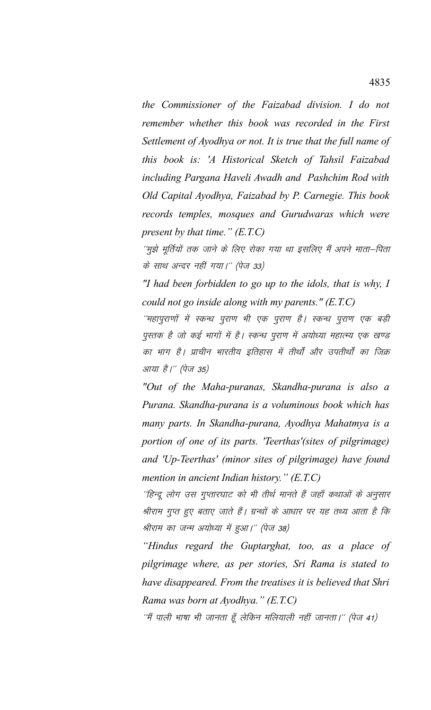*the Commissioner of the Faizabad division. I do not remember whether this book was recorded in the First Settlement of Ayodhya or not. It is true that the full name of this book is: 'A Historical Sketch of Tahsil Faizabad including Pargana Haveli Awadh and Pashchim Rod with Old Capital Ayodhya, Faizabad by P. Carnegie. This book records temples, mosques and Gurudwaras which were present by that time." (E.T.C)*

''मुझे मूर्तियों तक जाने के लिए रोका गया था इसलिए मैं अपने माता–पिता के साथ अन्दर नहीं गया।'' (पेज 33)

*"I had been forbidden to go up to the idols, that is why, I could not go inside along with my parents." (E.T.C)*

''महापुराणों में स्कन्ध पुराण भी एक पुराण है। स्कन्ध पुराण एक बड़ी पुस्तक है जो कई भागों में है। स्कन्ध पुराण में अयोध्या महात्म्य एक खण्ड का भाग है। प्राचीन भारतीय इतिहास में तीर्थों और उपतीर्थों का जिक्र आया है।'' (पेज 35)

*"Out of the Maha-puranas, Skandha-purana is also a Purana. Skandha-purana is a voluminous book which has many parts. In Skandha-purana, Ayodhya Mahatmya is a portion of one of its parts. 'Teerthas'(sites of pilgrimage) and 'Up-Teerthas' (minor sites of pilgrimage) have found mention in ancient Indian history." (E.T.C)*

^हिन्दू लोग उस गुप्तारघाट को भी तीर्थ मानते हैं जहाँ कथाओं के अनुसार श्रीराम गुप्त हुए बताए जाते हैं। ग्रन्थों के आधार पर यह तथ्य आता है कि श्रीराम का जन्म अयोध्या में हुआ।'' (पेज 38)

*"Hindus regard the Guptarghat, too, as a place of pilgrimage where, as per stories, Sri Rama is stated to have disappeared. From the treatises it is believed that Shri Rama was born at Ayodhya." (E.T.C)*

''मैं पाली भाषा भी जानता हूँ लेकिन मलियाली नहीं जानता।'' (पेज 41)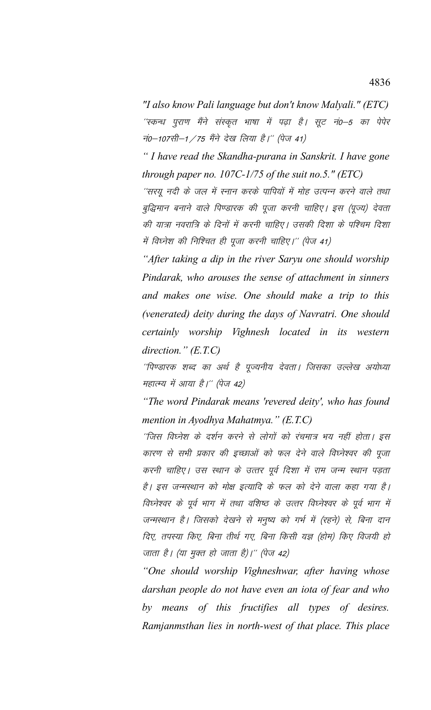*"I also know Pali language but don't know Malyali." (ETC)* ''स्कन्ध पुराण मैंने संस्कृत भाषा में पढ़ा है। सूट नं0–5 का पेपेर  $\vec{\tau}$ 0-107सी-1/75 मैंने देख लिया है।'' (पेज 41)

*" I have read the Skandha-purana in Sanskrit. I have gone through paper no. 107C-1/75 of the suit no.5." (ETC)*

''सरयू नदी के जल में स्नान करके पापियों में मोह उत्पन्न करने वाले तथा बुद्धिमान बनाने वाले पिण्डारक की पूजा करनी चाहिए। इस (पूज्य) देवता की यात्रा नवरात्रि के दिनों में करनी चाहिए। उसकी दिशा के पश्चिम दिशा में विघ्नेश की निश्चित ही पूजा करनी चाहिए।'' (पेज 41)

*"After taking a dip in the river Saryu one should worship Pindarak, who arouses the sense of attachment in sinners and makes one wise. One should make a trip to this (venerated) deity during the days of Navratri. One should certainly worship Vighnesh located in its western direction." (E.T.C)*

''पिण्डारक शब्द का अर्थ है पूज्यनीय देवता। जिसका उल्लेख अयोध्या महात्म्य में आया है।'' (पेज 42)

*"The word Pindarak means 'revered deity', who has found mention in Ayodhya Mahatmya." (E.T.C)*

''जिस विघ्नेश के दर्शन करने से लोगों को रंचमात्र भय नहीं होता। इस कारण से सभी प्रकार की इच्छाओं को फल देने वाले विघ्नेश्वर की पूजा करनी चाहिए। उस स्थान के उत्तर पूर्व दिशा में राम जन्म स्थान पड़ता है। इस जन्मस्थान को मोक्ष इत्यादि के फल को देने वाला कहा गया है। विघ्नेश्वर के पूर्व भाग में तथा वशिष्ठ के उत्तर विघ्नेश्वर के पूर्व भाग में जन्मस्थान है। जिसको देखने से मनुष्य को गर्भ में (रहने) से, बिना दान दिए, तपस्या किए, बिना तीर्थ गए, बिना किसी यज्ञ (होम) किए विजयी हो जाता है। (या मुक्त हो जाता है)।" (पेज 42)

*"One should worship Vighneshwar, after having whose darshan people do not have even an iota of fear and who by means of this fructifies all types of desires. Ramjanmsthan lies in north-west of that place. This place*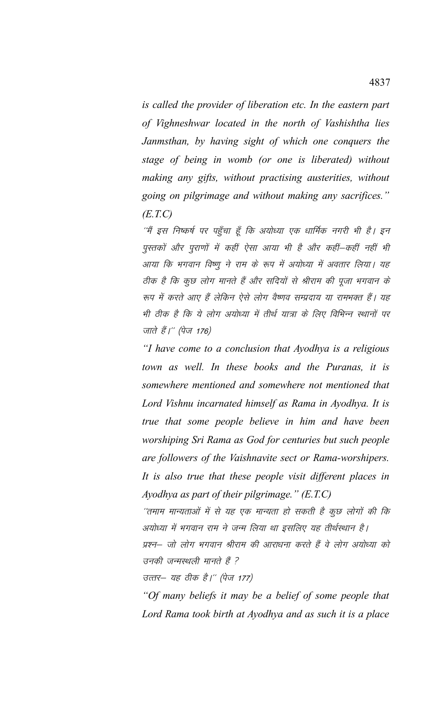is called the provider of liberation etc. In the eastern part of Vighneshwar located in the north of Vashishtha lies Janmsthan, by having sight of which one conquers the stage of being in womb (or one is liberated) without making any gifts, without practising austerities, without going on pilgrimage and without making any sacrifices."  $(E.T.C)$ 

''मैं इस निष्कर्ष पर पहुँचा हूँ कि अयोध्या एक धार्मिक नगरी भी है। इन पुस्तकों और पुराणों में कहीं ऐसा आया भी है और कहीं-कहीं नहीं भी आया कि भगवान विष्णू ने राम के रूप में अयोध्या में अवतार लिया। यह ठीक है कि कुछ लोग मानते हैं और सदियों से श्रीराम की पूजा भगवान के रूप में करते आए हैं लेकिन ऐसे लोग वैष्णव सम्प्रदाय या रामभक्त हैं। यह भी ठीक है कि ये लोग अयोध्या में तीर्थ यात्रा के लिए विभिन्न स्थानों पर जाते हैं।'' (पेज 176)

"I have come to a conclusion that Ayodhya is a religious town as well. In these books and the Puranas, it is somewhere mentioned and somewhere not mentioned that Lord Vishnu incarnated himself as Rama in Ayodhya. It is true that some people believe in him and have been worshiping Sri Rama as God for centuries but such people are followers of the Vaishnavite sect or Rama-worshipers. It is also true that these people visit different places in Ayodhya as part of their pilgrimage."  $(E.T.C)$ 

''तमाम मान्यताओं में से यह एक मान्यता हो सकती है कुछ लोगों की कि अयोध्या में भगवान राम ने जन्म लिया था इसलिए यह तीर्थस्थान है। प्रश्न– जो लोग भगवान श्रीराम की आराधना करते हैं वे लोग अयोध्या को उनकी जन्मस्थली मानते हैं ?

उत्तर– यह ठीक है।'' (पेज 177)

"Of many beliefs it may be a belief of some people that Lord Rama took birth at Ayodhya and as such it is a place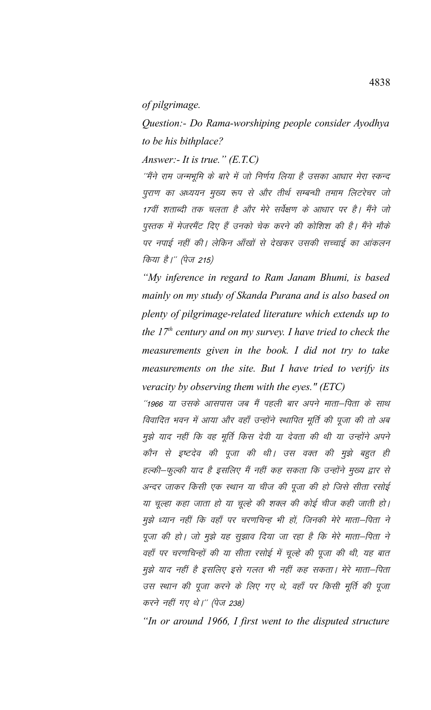# of pilgrimage.

Question:- Do Rama-worshiping people consider Ayodhya to be his bithplace?

Answer:- It is true."  $(E.T.C)$ 

''मैंने राम जन्मभूमि के बारे में जो निर्णय लिया है उसका आधार मेरा स्कन्द पुराण का अध्ययन मुख्य रूप से और तीर्थ सम्बन्धी तमाम लिटरेचर जो 17वीं शताब्दी तक चलता है और मेरे सर्वेक्षण के आधार पर है। मैंने जो पुस्तक में मेजरमैंट दिए हैं उनको चेक करने की कोशिश की है। मैंने मौके पर नपाई नहीं की। लेकिन आँखों से देखकर उसकी सच्चाई का आंकलन किया है।'' (पेज 215)

"My inference in regard to Ram Janam Bhumi, is based mainly on my study of Skanda Purana and is also based on plenty of pilgrimage-related literature which extends up to the  $17<sup>th</sup>$  century and on my survey. I have tried to check the measurements given in the book. I did not try to take measurements on the site. But I have tried to verify its veracity by observing them with the eyes."  $(ETC)$ 

''1966 या उसके आसपास जब मैं पहली बार अपने माता–पिता के साथ विवादित भवन में आया और वहाँ उन्होंने स्थापित मूर्ति की पूजा की तो अब मुझे याद नहीं कि वह मूर्ति किस देवी या देवता की थी या उन्होंने अपने कौन से इष्टदेव की पूजा की थी। उस वक्त की मुझे बहुत ही हल्की–फूल्की याद है इसलिए मैं नहीं कह सकता कि उन्होंने मुख्य द्वार से अन्दर जाकर किसी एक स्थान या चीज की पूजा की हो जिसे सीता रसोई या चुल्हा कहा जाता हो या चुल्हे की शक्ल की कोई चीज कही जाती हो। मुझे ध्यान नहीं कि वहाँ पर चरणचिन्ह भी हों, जिनकी मेरे माता–पिता ने पूजा की हो। जो मुझे यह सूझाव दिया जा रहा है कि मेरे माता–पिता ने वहाँ पर चरणचिन्हों की या सीता रसोई में चूल्हे की पूजा की थी, यह बात मुझे याद नहीं है इसलिए इसे गलत भी नहीं कह सकता। मेरे माता-पिता उस स्थान की पूजा करने के लिए गए थे, वहाँ पर किसी मूर्ति की पूजा करने नहीं गए थे।'' (पेज 238)

"In or around 1966, I first went to the disputed structure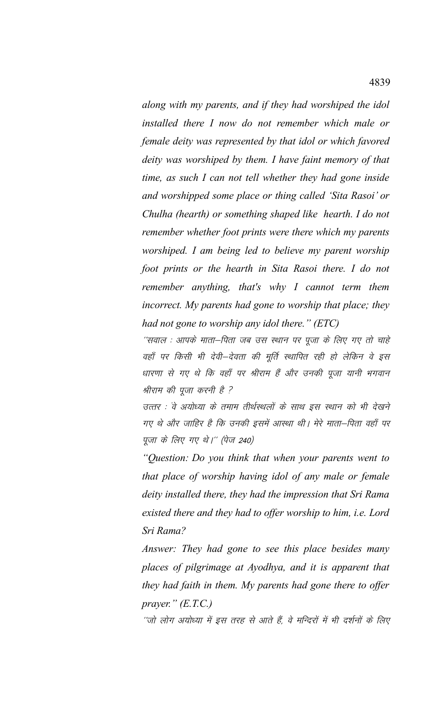*along with my parents, and if they had worshiped the idol installed there I now do not remember which male or female deity was represented by that idol or which favored deity was worshiped by them. I have faint memory of that time, as such I can not tell whether they had gone inside and worshipped some place or thing called 'Sita Rasoi' or Chulha (hearth) or something shaped like hearth. I do not remember whether foot prints were there which my parents worshiped. I am being led to believe my parent worship foot prints or the hearth in Sita Rasoi there. I do not remember anything, that's why I cannot term them incorrect. My parents had gone to worship that place; they had not gone to worship any idol there." (ETC)*

''सवाल : आपके माता—पिता जब उस स्थान पर पूजा के लिए गए तो चाहे वहाँ पर किसी भी देवी–देवता की मूर्ति स्थापित रही हो लेकिन वे इस धारणा से गए थे कि वहाँ पर श्रीराम हैं और उनकी पूजा यानी भगवान श्रीराम की पूजा करनी है ?

उत्तर : वे अयोध्या के तमाम तीर्थस्थलों के साथ इस स्थान को भी देखने गए थे और जाहिर है कि उनकी इसमें आस्था थी। मेरे माता–पिता वहाँ पर पूजा के लिए गए थे।'' (पेज 240)

*"Question: Do you think that when your parents went to that place of worship having idol of any male or female deity installed there, they had the impression that Sri Rama existed there and they had to offer worship to him, i.e. Lord Sri Rama?*

*Answer: They had gone to see this place besides many places of pilgrimage at Ayodhya, and it is apparent that they had faith in them. My parents had gone there to offer prayer." (E.T.C.)*

''जो लोग अयोध्या में इस तरह से आते हैं, वे मन्दिरों में भी दर्शनों के लिए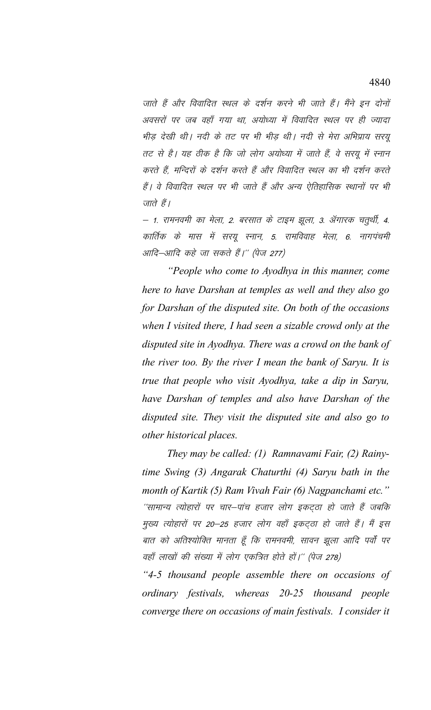जाते हैं और विवादित स्थल के दर्शन करने भी जाते हैं। मैंने इन दोनों अवसरों पर जब वहाँ गया था, अयोध्या में विवादित स्थल पर ही ज्यादा भीड़ देखी थी। नदी के तट पर भी भीड़ थी। नदी से मेरा अभिप्राय सरयू तट से है। यह ठीक है कि जो लोग अयोध्या में जाते हैं, वे सरयू में स्नान करते हैं, मन्दिरों के दर्शन करते हैं और विवादित स्थल का भी दर्शन करते हैं। वे विवादित स्थल पर भी जाते हैं और अन्य ऐतिहासिक स्थानों पर भी जाते हैं।

– 1. रामनवमी का मेला, 2. बरसात के टाइम झूला, 3. ॲगारक चतुर्थी, 4. कार्तिक के मास में सरयू स्नान, 5. रामविवाह मेला, 6. नागपंचमी आदि–आदि कहे जा सकते हैं।'' (पेज 277)

"People who come to Ayodhya in this manner, come here to have Darshan at temples as well and they also go for Darshan of the disputed site. On both of the occasions when I visited there, I had seen a sizable crowd only at the disputed site in Ayodhya. There was a crowd on the bank of the river too. By the river I mean the bank of Saryu. It is true that people who visit Ayodhya, take a dip in Saryu, have Darshan of temples and also have Darshan of the disputed site. They visit the disputed site and also go to other historical places.

They may be called: (1) Ramnavami Fair, (2) Rainytime Swing (3) Angarak Chaturthi (4) Saryu bath in the month of Kartik (5) Ram Vivah Fair (6) Nagpanchami etc." ''सामान्य त्योहारों पर चार–पांच हजार लोग इकट्ठा हो जाते हैं जबकि मुख्य त्योहारों पर 20–25 हजार लोग वहाँ इकट्ठा हो जाते हैं। मैं इस बात को अतिश्योक्ति मानता हूँ कि रामनवमी, सावन झूला आदि पर्वों पर वहाँ लाखों की संख्या में लोग एकत्रित होते हों।'' (पेज 278)

"4-5 thousand people assemble there on occasions of ordinary festivals, whereas 20-25 thousand people converge there on occasions of main festivals. I consider it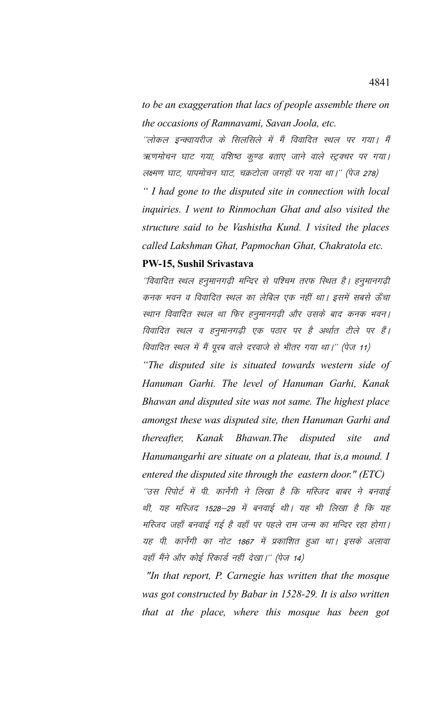*to be an exaggeration that lacs of people assemble there on the occasions of Ramnavami, Savan Joola, etc.* 

''लोकल इन्क्वायरीज के सिलसिले में मैं विवादित स्थल पर गया। मैं ऋणमोचन घाट गया, वशिष्ठ कुण्ड बताए जाने वाले स्ट्रक्चर पर गया। लक्ष्मण घाट, पापमोचन घाट, चक्रटोला जगहों पर गया था।" (पेज 278) *" I had gone to the disputed site in connection with local inquiries. I went to Rinmochan Ghat and also visited the structure said to be Vashistha Kund. I visited the places called Lakshman Ghat, Papmochan Ghat, Chakratola etc.* 

#### **PW-15, Sushil Srivastava**

"विवादित स्थल हनुमानगढी मन्दिर से पश्चिम तरफ स्थित है। हनुमानगढी कनक भवन व विवादित स्थल का लेबिल एक नहीं था। इसमें सबसे ऊँचा स्थान विवादित स्थल था फिर हनुमानगढी और उसके बाद कनक भवन। विवादित स्थल व हनुमानगढी एक पठार पर है अर्थात टीले पर हैं। विवादित स्थल में मैं पूरब वाले दरवाजे से भीतर गया था।'' (पेज 11) *"The disputed site is situated towards western side of Hanuman Garhi. The level of Hanuman Garhi, Kanak Bhawan and disputed site was not same. The highest place amongst these was disputed site, then Hanuman Garhi and thereafter, Kanak Bhawan.The disputed site and Hanumangarhi are situate on a plateau, that is,a mound. I entered the disputed site through the eastern door." (ETC)* ''उस रिपोर्ट में पी. कार्नेगी ने लिखा है कि मस्जिद बाबर ने बनवाई थी, यह मस्जिद 1528–29 में बनवाई थी। यह भी लिखा है कि यह मस्जिद जहाँ बनवाई गई है वहाँ पर पहले राम जन्म का मन्दिर रहा होगा। यह पी. कार्नेगी का नोट 1867 में प्रकाशित हुआ था। इसके अलावा वहाँ मैंने और कोई रिकार्ड नहीं देखा।'' (पेज 14)

 *"In that report, P. Carnegie has written that the mosque was got constructed by Babar in 1528-29. It is also written that at the place, where this mosque has been got*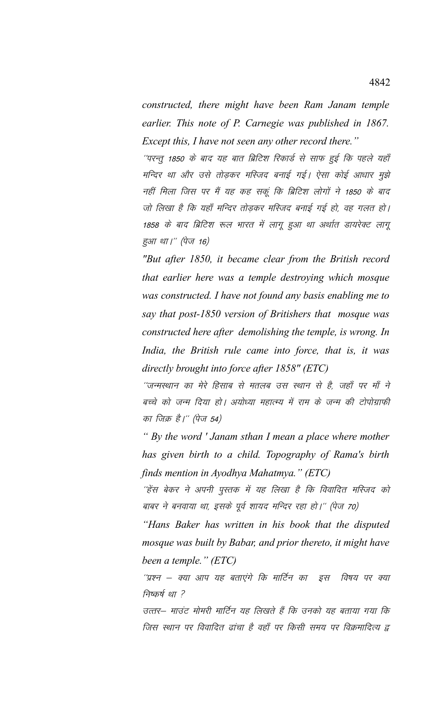*constructed, there might have been Ram Janam temple earlier. This note of P. Carnegie was published in 1867. Except this, I have not seen any other record there."* 

''परन्तु 1850 के बाद यह बात ब्रिटिश रिकार्ड से साफ हुई कि पहले यहाँ मन्दिर था और उसे तोड़कर मस्जिद बनाई गई। ऐसा कोई आधार मुझे नहीं मिला जिस पर मैं यह कह सकूं कि ब्रिटिश लोगों ने 1850 के बाद जो लिखा है कि यहाँ मन्दिर तोड़कर मस्जिद बनाई गई हो, वह गलत हो। 1858 के बाद ब्रिटिश रूल भारत में लागू हुआ था अर्थात डायरेक्ट लागू हुआ था*।'' (पेज 16)* 

*"But after 1850, it became clear from the British record that earlier here was a temple destroying which mosque was constructed. I have not found any basis enabling me to say that post-1850 version of Britishers that mosque was constructed here after demolishing the temple, is wrong. In India, the British rule came into force, that is, it was directly brought into force after 1858" (ETC)*

´´जन्मस्थान का मेरे हिसाब से मतलब उस स्थान से है, जहाँ पर माँ ने बच्चे को जन्म दिया हो। अयोध्या महात्म्य में राम के जन्म की टोपोग्राफी का जिक्र है।'' (पेज 54)

*" By the word ' Janam sthan I mean a place where mother has given birth to a child. Topography of Rama's birth finds mention in Ayodhya Mahatmya." (ETC)*

''हेंस बेकर ने अपनी पुस्तक में यह लिखा है कि विवादित मस्जिद को बाबर ने बनवाया था, इसके पूर्व शायद मन्दिर रहा हो।'' (पेज 70)

*"Hans Baker has written in his book that the disputed mosque was built by Babar, and prior thereto, it might have been a temple." (ETC)* 

''प्रश्न – क्या आप यह बताएंगे कि मार्टिन का इस विषय पर क्या निष्कर्ष था ?

उत्तर– माउंट मोमरी मार्टिन यह लिखते हैं कि उनको यह बताया गया कि जिस स्थान पर विवादित ढांचा है वहाँ पर किसी समय पर विक्रमादित्य द्व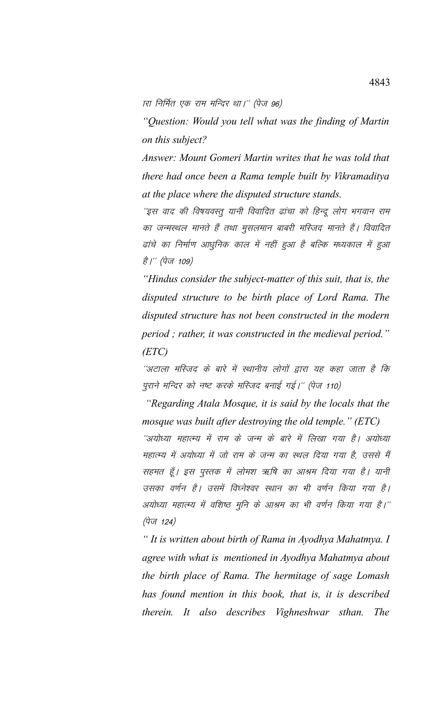ारा निर्मित एक राम मन्दिर था।'' (पेज 96)

"Ouestion: Would you tell what was the finding of Martin on this subject?

Answer: Mount Gomeri Martin writes that he was told that there had once been a Rama temple built by Vikramaditya at the place where the disputed structure stands.

''इस वाद की विषयवस्तू यानी विवादित ढांचा को हिन्दू लोग भगवान राम का जन्मस्थल मानते हैं तथा मुसलमान बाबरी मस्जिद मानते हैं। विवादित ढांचे का निर्माण आधुनिक काल में नहीं हुआ है बल्कि मध्यकाल में हुआ है।" (पेज 109)

"Hindus consider the subject-matter of this suit, that is, the disputed structure to be birth place of Lord Rama. The disputed structure has not been constructed in the modern period; rather, it was constructed in the medieval period."  $ETC$ 

''अटाला मस्जिद के बारे में स्थानीय लोगों द्वारा यह कहा जाता है कि पुराने मन्दिर को नष्ट करके मस्जिद बनाई गई।'' (पेज 110)

"Regarding Atala Mosque, it is said by the locals that the mosque was built after destroving the old temple." (ETC)

''अयोध्या महात्म्य में राम के जन्म के बारे में लिखा गया है। अयोध्या महात्म्य में अयोध्या में जो राम के जन्म का स्थल दिया गया है, उससे मैं सहमत हूँ। इस पुस्तक में लोमश ऋषि का आश्रम दिया गया है। यानी उसका वर्णन है। उसमें विघ्नेश्वर स्थान का भी वर्णन किया गया है। अयोध्या महात्म्य में वशिष्ठ मुनि के आश्रम का भी वर्णन किया गया है।'' पिज 124)

" It is written about birth of Rama in Ayodhya Mahatmya. I agree with what is mentioned in Ayodhya Mahatmya about the birth place of Rama. The hermitage of sage Lomash has found mention in this book, that is, it is described therein. It also describes Vighneshwar sthan. *The*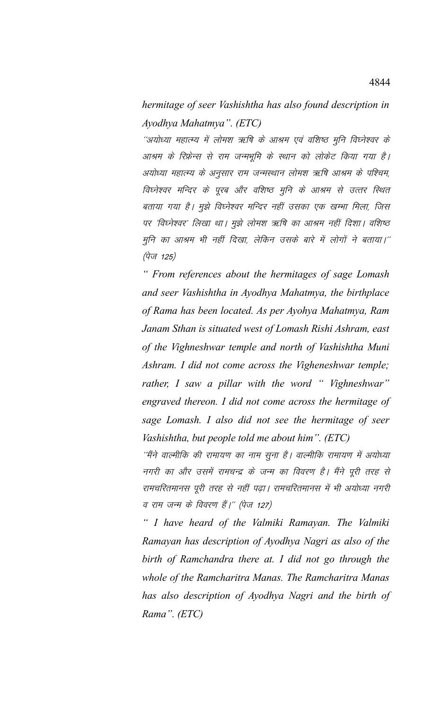*hermitage of seer Vashishtha has also found description in Ayodhya Mahatmya". (ETC)*

''अयोध्या महात्म्य में लोमश ऋषि के आश्रम एवं वशिष्ठ मुनि विघ्नेश्वर के आश्रम के रिफ्रेन्स से राम जन्मभूमि के स्थान को लोकेट किया गया है। अयोध्या महात्म्य के अनुसार राम जन्मस्थान लोमश ऋषि आश्रम के पश्चिम, विघ्नेश्वर मन्दिर के पूरब और वशिष्ठ मुनि के आश्रम से उत्तर स्थित बताया गया है। मुझे विघ्नेश्वर मन्दिर नहीं उसका एक खम्भा मिला, जिस पर 'विघ्नेश्वर' लिखा था। मुझे लोमश ऋषि का आश्रम नहीं दिशा। वशिष्ठ मुनि का आश्रम भी नहीं दिखा, लेकिन उसके बारे में लोगों ने बताया।''  $(\vec{q}_{\vec{v}}$  125)

*" From references about the hermitages of sage Lomash and seer Vashishtha in Ayodhya Mahatmya, the birthplace of Rama has been located. As per Ayohya Mahatmya, Ram Janam Sthan is situated west of Lomash Rishi Ashram, east of the Vighneshwar temple and north of Vashishtha Muni Ashram. I did not come across the Vigheneshwar temple; rather, I saw a pillar with the word " Vighneshwar" engraved thereon. I did not come across the hermitage of sage Lomash. I also did not see the hermitage of seer Vashishtha, but people told me about him". (ETC)*

''मैंने वाल्मीकि की रामायण का नाम सुना है। वाल्मीकि रामायण में अयोध्या नगरी का और उसमें रामचन्द्र के जन्म का विवरण है। मैंने पूरी तरह से रामचरितमानस पूरी तरह से नहीं पढ़ा। रामचरितमानस में भी अयोध्या नगरी व राम जन्म के विवरण हैं।'' (पेज 127)

*" I have heard of the Valmiki Ramayan. The Valmiki Ramayan has description of Ayodhya Nagri as also of the birth of Ramchandra there at. I did not go through the whole of the Ramcharitra Manas. The Ramcharitra Manas has also description of Ayodhya Nagri and the birth of Rama". (ETC)*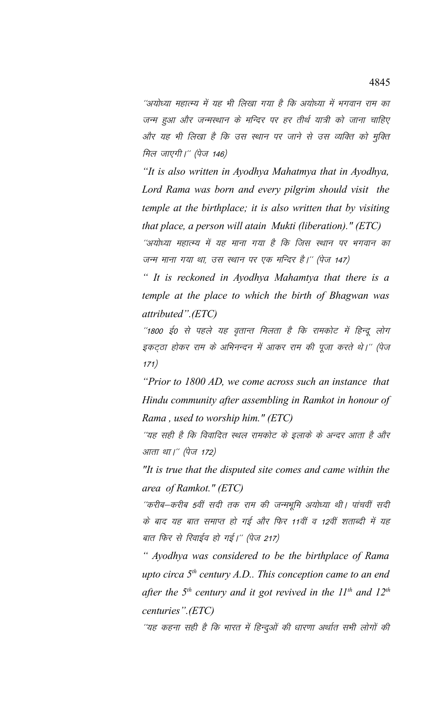''अयोध्या महात्म्य में यह भी लिखा गया है कि अयोध्या में भगवान राम का जन्म हुआ और जन्मस्थान के मन्दिर पर हर तीर्थ यात्री को जाना चाहिए और यह भी लिखा है कि उस स्थान पर जाने से उस व्यक्ति को मुक्ति मिल जाएगी।'' (पेज 146)

*"It is also written in Ayodhya Mahatmya that in Ayodhya, Lord Rama was born and every pilgrim should visit the temple at the birthplace; it is also written that by visiting that place, a person will atain Mukti (liberation)." (ETC)*

''अयोध्या महात्म्य में यह माना गया है कि जिस स्थान पर भगवान का जन्म माना गया था, उस स्थान पर एक मन्दिर है।'' (पेज 147)

*" It is reckoned in Ayodhya Mahamtya that there is a temple at the place to which the birth of Bhagwan was attributed".(ETC)* 

''1800 ई0 से पहले यह वृतान्त मिलता है कि रामकोट में हिन्दू लोग इकट्ठा होकर राम के अभिनन्दन में आकर राम की पूजा करते थे।'' (पेज 171½

*"Prior to 1800 AD, we come across such an instance that Hindu community after assembling in Ramkot in honour of Rama , used to worship him." (ETC)*

''यह सही है कि विवादित स्थल रामकोट के इलाके के अन्दर आता है और आता था।'' (पेज 172)

*"It is true that the disputed site comes and came within the area of Ramkot." (ETC)* 

''करीब-करीब 5वीं सदी तक राम की जन्मभूमि अयोध्या थी। पांचवीं सदी के बाद यह बात समाप्त हो गई और फिर 11वीं व 12वीं शताब्दी में यह बात फिर से रिवाईव हो गई।'' (पेज 217)

*" Ayodhya was considered to be the birthplace of Rama upto circa 5th century A.D.. This conception came to an end after the 5th century and it got revived in the 11th and 12th centuries".(ETC)* 

''यह कहना सही है कि भारत में हिन्दुओं की धारणा अर्थात सभी लोगों की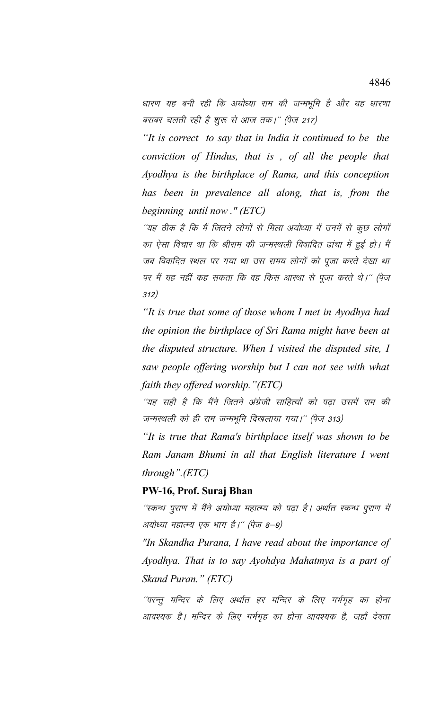धारण यह बनी रही कि अयोध्या राम की जन्मभूमि है और यह धारणा बराबर चलती रही है शुरू से आज तक।'' (पेज 217)

*"It is correct to say that in India it continued to be the conviction of Hindus, that is , of all the people that Ayodhya is the birthplace of Rama, and this conception has been in prevalence all along, that is, from the beginning until now ." (ETC)*

''यह ठीक है कि मैं जितने लोगों से मिला अयोध्या में उनमें से कुछ लोगों का ऐसा विचार था कि श्रीराम की जन्मस्थली विवादित ढांचा में हुई हो। मैं जब विवादित स्थल पर गया था उस समय लोगों को पूजा करते देखा था पर मैं यह नहीं कह सकता कि वह किस आस्था से पूजा करते थे।'' (पेज 312½

*"It is true that some of those whom I met in Ayodhya had the opinion the birthplace of Sri Rama might have been at the disputed structure. When I visited the disputed site, I saw people offering worship but I can not see with what faith they offered worship."(ETC)*

´´यह सही है कि मैंने जितने अंग्रेजी साहित्यों को पढा उसमें राम की जन्मस्थली को ही राम जन्मभूमि दिखलाया गया।" (पेज 313)

*"It is true that Rama's birthplace itself was shown to be Ram Janam Bhumi in all that English literature I went through".(ETC)*

# **PW-16, Prof. Suraj Bhan**

''स्कन्ध पुराण में मैंने अयोध्या महात्म्य को पढा है। अर्थात स्कन्ध पुराण में अयोध्या महात्म्य एक भाग है।'' (पेज 8–9)

*"In Skandha Purana, I have read about the importance of Ayodhya. That is to say Ayohdya Mahatmya is a part of Skand Puran." (ETC)*

"परन्तु मन्दिर के लिए अर्थात हर मन्दिर के लिए गर्भगृह का होना आवश्यक है। मन्दिर के लिए गर्भगृह का होना आवश्यक है, जहाँ देवता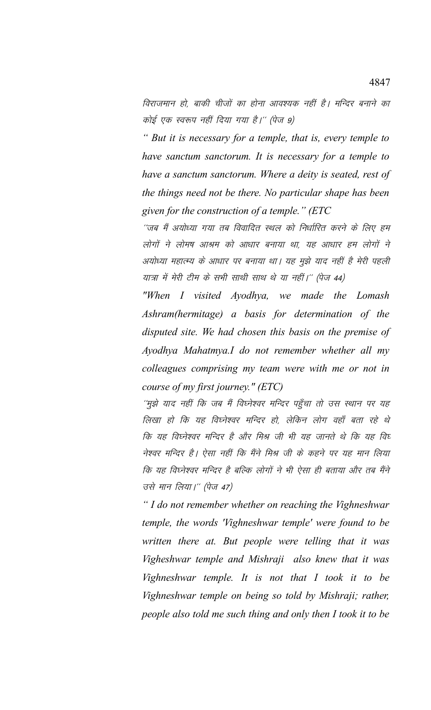विराजमान हो, बाकी चीजों का होना आवश्यक नहीं है। मन्दिर बनाने का कोई एक स्वरूप नहीं दिया गया है।" (पेज 9)

" But it is necessary for a temple, that is, every temple to have sanctum sanctorum. It is necessary for a temple to have a sanctum sanctorum. Where a deity is seated, rest of the things need not be there. No particular shape has been given for the construction of a temple." (ETC

''जब मैं अयोध्या गया तब विवादित स्थल को निर्धारित करने के लिए हम लोगों ने लोमष आश्रम को आधार बनाया था, यह आधार हम लोगों ने अयोध्या महात्म्य के आधार पर बनाया था। यह मुझे याद नहीं है मेरी पहली यात्रा में मेरी टीम के सभी साथी साथ थे या नहीं।'' (पेज 44)

"When I visited Ayodhya, we made the Lomash Ashram(hermitage) a basis for determination of the disputed site. We had chosen this basis on the premise of Ayodhya Mahatmya.I do not remember whether all my colleagues comprising my team were with me or not in course of my first journey." (ETC)

''मुझे याद नहीं कि जब मैं विघ्नेश्वर मन्दिर पहुँचा तो उस स्थान पर यह लिखा हो कि यह विघ्नेश्वर मन्दिर हो, लेकिन लोग वहाँ बता रहे थे कि यह विघ्नेश्वर मन्दिर है और मिश्र जी भी यह जानते थे कि यह विघ नेश्वर मन्दिर है। ऐसा नहीं कि मैंने मिश्र जी के कहने पर यह मान लिया कि यह विघ्नेश्वर मन्दिर है बल्कि लोगों ने भी ऐसा ही बताया और तब मैंने उसे मान लिया।" (पेज 47)

"I do not remember whether on reaching the Vighneshwar temple, the words 'Vighneshwar temple' were found to be written there at. But people were telling that it was Vigheshwar temple and Mishraji also knew that it was Vighneshwar temple. It is not that I took it to be Vighneshwar temple on being so told by Mishraji; rather, people also told me such thing and only then I took it to be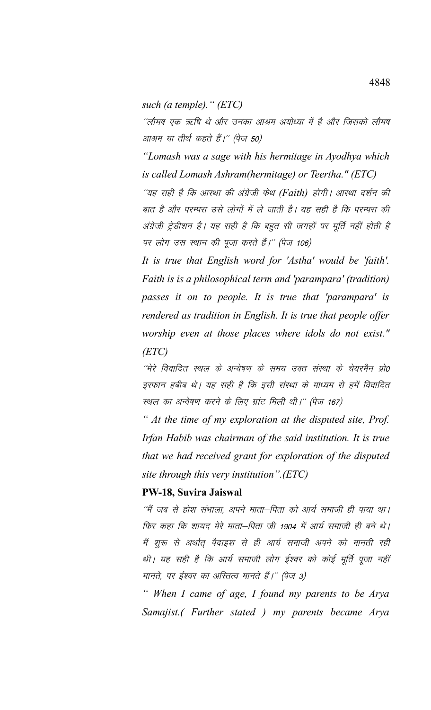*such (a temple)." (ETC)*

''लौमष एक ऋषि थे और उनका आश्रम अयोध्या में है और जिसको लौमष आश्रम या तीर्थ कहते हैं।'' (पेज 50)

*"Lomash was a sage with his hermitage in Ayodhya which is called Lomash Ashram(hermitage) or Teertha." (ETC)*

''यह सही है कि आस्था की अंग्रेजी फेथ (Faith) होगी। आस्था दर्शन की बात है और परम्परा उसे लोगों में ले जाती है। यह सही है कि परम्परा की अंग्रेजी ट्रेडीशन है। यह सही है कि बहुत सी जगहों पर मूर्ति नहीं होती है पर लोग उस स्थान की पूजा करते हैं।'' (पेज 106)

*It is true that English word for 'Astha' would be 'faith'. Faith is is a philosophical term and 'parampara' (tradition) passes it on to people. It is true that 'parampara' is rendered as tradition in English. It is true that people offer worship even at those places where idols do not exist." (ETC)*

''मेरे विवादित स्थल के अन्वेषण के समय उक्त संस्था के चेयरमैन प्रो0 इरफान हबीब थे। यह सही है कि इसी संस्था के माध्यम से हमें विवादित स्थल का अन्वेषण करने के लिए ग्रांट मिली थी।" (पेज 167)

*" At the time of my exploration at the disputed site, Prof. Irfan Habib was chairman of the said institution. It is true that we had received grant for exploration of the disputed site through this very institution".(ETC)* 

### **PW-18, Suvira Jaiswal**

''मैं जब से होश संभाला, अपने माता–पिता को आर्य समाजी ही पाया था। फिर कहा कि शायद मेरे माता–पिता जी 1904 में आर्य समाजी ही बने थे। मैं शुरू से अर्थात् पैदाइश से ही आर्य समाजी अपने को मानती रही थी। यह सही है कि आर्य समाजी लोग ईश्वर को कोई मूर्ति पूजा नहीं मानते, पर ईश्वर का अस्तित्व मानते हैं।'' (पेज 3)

*" When I came of age, I found my parents to be Arya Samajist.( Further stated ) my parents became Arya*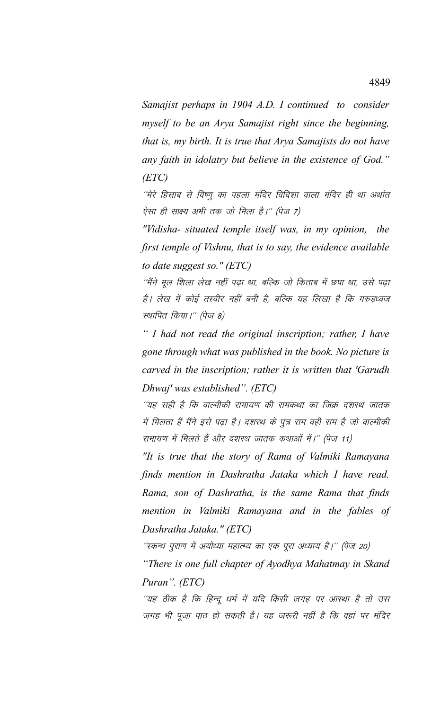*Samajist perhaps in 1904 A.D. I continued to consider myself to be an Arya Samajist right since the beginning, that is, my birth. It is true that Arya Samajists do not have any faith in idolatry but believe in the existence of God." (ETC)*

''मेरे हिसाब से विष्णु का पहला मंदिर विदिशा वाला मंदिर ही था अर्थात ऐसा ही साक्ष्य अभी तक जो मिला है।'' (पेज 7)

*"Vidisha- situated temple itself was, in my opinion, the first temple of Vishnu, that is to say, the evidence available to date suggest so." (ETC)* 

''मैंने मूल शिला लेख नहीं पढ़ा था, बल्कि जो किताब में छपा था, उसे पढ़ा है। लेख में कोई तस्वीर नहीं बनी है, बल्कि यह लिखा है कि गरुड़ध्वज स्थापित किया।'' (पेज 8)

*" I had not read the original inscription; rather, I have gone through what was published in the book. No picture is carved in the inscription; rather it is written that 'Garudh Dhwaj' was established". (ETC)*

''यह सही है कि वाल्मीकी रामायण की रामकथा का जिक्र दशरथ जातक में मिलता हैं मैंने इसे पढ़ा है। दशरथ के पुत्र राम वही राम है जो वाल्मीकी रामायण में मिलते हैं और दशरथ जातक कथाओं में।'' (पेज 11)

*"It is true that the story of Rama of Valmiki Ramayana finds mention in Dashratha Jataka which I have read. Rama, son of Dashratha, is the same Rama that finds mention in Valmiki Ramayana and in the fables of Dashratha Jataka." (ETC)*

"स्कन्ध पुराण में अयोध्या महात्म्य का एक पूरा अध्याय है।'' (पेज 20)

*"There is one full chapter of Ayodhya Mahatmay in Skand Puran". (ETC)*

''यह ठीक है कि हिन्दू धर्म में यदि किसी जगह पर आस्था है तो उस जगह भी पूजा पाठ हो सकती है। यह जरूरी नहीं है कि वहां पर मंदिर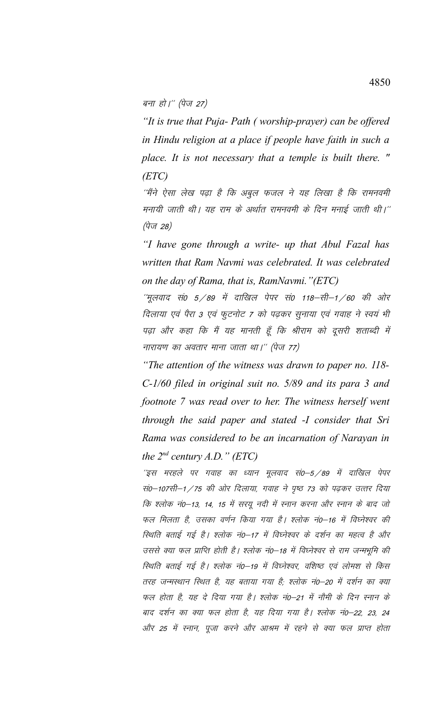बना हो।" (पेज 27)

*"It is true that Puja- Path ( worship-prayer) can be offered in Hindu religion at a place if people have faith in such a place. It is not necessary that a temple is built there. " (ETC)*

''मैंने ऐसा लेख पढ़ा है कि अबुल फजल ने यह लिखा है कि रामनवमी मनायी जाती थी। यह राम के अर्थात रामनवमी के दिन मनाई जाती थी।'' (पेज 28)

*"I have gone through a write- up that Abul Fazal has written that Ram Navmi was celebrated. It was celebrated on the day of Rama, that is, RamNavmi."(ETC)*

 $^{\prime\prime}$ मूलवाद सं0 5/89 में दाखिल पेपर सं0 118—सी—1/60 की ओर दिलाया एवं पैरा 3 एवं फुटनोट 7 को पढ़कर सुनाया एवं गवाह ने स्वयं भी पढा और कहा कि मैं यह मानती हैं कि श्रीराम को दुसरी शताब्दी में नारायण का अवतार माना जाता था।" (पेज 77)

*"The attention of the witness was drawn to paper no. 118- C-1/60 filed in original suit no. 5/89 and its para 3 and footnote 7 was read over to her. The witness herself went through the said paper and stated -I consider that Sri Rama was considered to be an incarnation of Narayan in the*  $2^{nd}$  *century A.D.*" *(ETC)* 

 $^{\prime\prime}$ इस मरहले पर गवाह का ध्यान मृलवाद सं0—5 $\diagup$ 89 में दाखिल पेपर सं0–107सी–1/75 की ओर दिलाया, गवाह ने पृष्ठ 73 को पढ़कर उत्तर दिया कि श्लोक नं0–13, 14, 15 में सरयू नदी में स्नान करना और स्नान के बाद जो फल मिलता है, उसका वर्णन किया गया है। श्लोक नं0–16 में विघ्नेश्वर की रिथति बताई गई है। श्लोक नं0–17 में विघ्नेश्वर के दर्शन का महत्व है और उससे क्या फल प्राप्ति होती है। श्लोक नं0–18 में विघ्नेश्वर से राम जन्मभूमि की रिथति बताई गई है। श्लोक नं0–19 में विघ्नेश्वर, वशिष्ठ एवं लोमश से किस तरह जन्मस्थान स्थित है, यह बताया गया है; श्लोक नं0–20 में दर्शन का क्या फल होता है, यह दे दिया गया है। श्लोक नं0–21 में नौमी के दिन स्नान के बाद दर्शन का क्या फल होता है, यह दिया गया है। श्लोक नं0–22, 23, 24 और 25 में स्नान, पूजा करने और आश्रम में रहने से क्या फल प्राप्त होता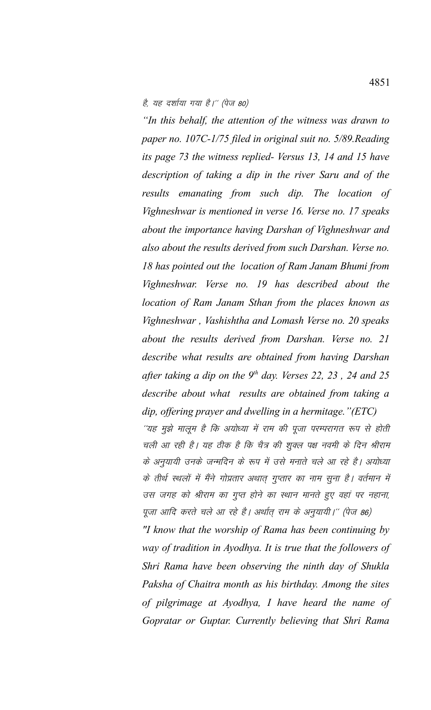है, यह दर्शाया गया है।" (पेज 80)

"In this behalf, the attention of the witness was drawn to paper no. 107C-1/75 filed in original suit no. 5/89. Reading its page 73 the witness replied- Versus 13, 14 and 15 have description of taking a dip in the river Saru and of the results emanating from such dip. The location of Vighneshwar is mentioned in verse 16. Verse no. 17 speaks about the importance having Darshan of Vighneshwar and also about the results derived from such Darshan. Verse no. 18 has pointed out the location of Ram Janam Bhumi from Vighneshwar. Verse no. 19 has described about the location of Ram Janam Sthan from the places known as Vighneshwar, Vashishtha and Lomash Verse no. 20 speaks about the results derived from Darshan. Verse no. 21 describe what results are obtained from having Darshan after taking a dip on the  $9<sup>th</sup>$  day. Verses 22, 23, 24 and 25 describe about what results are obtained from taking a dip, offering prayer and dwelling in a hermitage.  $"$ (ETC)

''यह मुझे मालूम है कि अयोध्या में राम की पूजा परम्परागत रूप से होती चली आ रही है। यह ठीक है कि चैत्र की शुक्ल पक्ष नवमी के दिन श्रीराम के अनुयायी उनके जन्मदिन के रूप में उसे मनाते चले आ रहे है। अयोध्या के तीर्थ स्थलों में मैंने गोप्रतार अथात् गुप्तार का नाम सुना है। वर्तमान में उस जगह को श्रीराम का गुप्त होने का स्थान मानते हुए वहां पर नहाना, पूजा आदि करते चले आ रहे है। अर्थात् राम के अनुयायी।'' (पेज 86)

"I know that the worship of Rama has been continuing by way of tradition in Ayodhya. It is true that the followers of Shri Rama have been observing the ninth day of Shukla Paksha of Chaitra month as his birthday. Among the sites of pilgrimage at Ayodhya, I have heard the name of Gopratar or Guptar. Currently believing that Shri Rama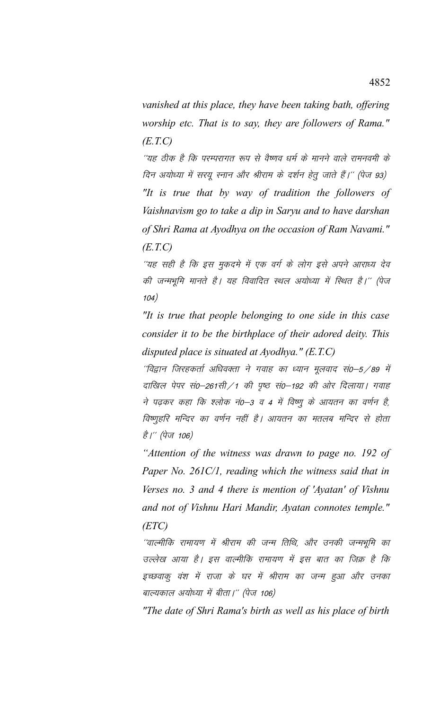vanished at this place, they have been taking bath, offering worship etc. That is to say, they are followers of Rama."  $(E.T.C)$ 

''यह ठीक है कि परम्परागत रूप से वैष्णव धर्म के मानने वाले रामनवमी के दिन अयोध्या में सरयू स्नान और श्रीराम के दर्शन हेतू जाते हैं।'' (पेज 93) "It is true that by way of tradition the followers of Vaishnavism go to take a dip in Saryu and to have darshan of Shri Rama at Ayodhya on the occasion of Ram Navami."  $(E.T.C)$ 

''यह सही है कि इस मुकदमे में एक वर्ग के लोग इसे अपने आराध्य देव की जन्मभूमि मानते है। यह विवादित स्थल अयोध्या में स्थित है।'' (पेज  $104)$ 

"It is true that people belonging to one side in this case consider it to be the birthplace of their adored deity. This disputed place is situated at  $A$ yodhya."  $(E.T.C)$ 

''विद्वान जिरहकर्ता अधिवक्ता ने गवाह का ध्यान मुलवाद सं0–5 / 89 में दाखिल पेपर सं0-261सी/1 की पृष्ठ सं0-192 की ओर दिलाया। गवाह ने पढ़कर कहा कि श्लोक नं0-3 व 4 में विष्णू के आयतन का वर्णन है, विष्णुहरि मन्दिर का वर्णन नहीं है। आयतन का मतलब मन्दिर से होता है।'' (पेज 106)

"Attention of the witness was drawn to page no. 192 of Paper No. 261C/1, reading which the witness said that in Verses no. 3 and 4 there is mention of 'Ayatan' of Vishnu and not of Vishnu Hari Mandir, Ayatan connotes temple."  $(ETC)$ 

''वाल्मीकि रामायण में श्रीराम की जन्म तिथि, और उनकी जन्मभूमि का उल्लेख आया है। इस वाल्मीकि रामायण में इस बात का जिक्र है कि इच्छवाकू वंश में राजा के घर में श्रीराम का जन्म हुआ और उनका बाल्यकाल अयोध्या में बीता।'' (पेज 106)

"The date of Shri Rama's birth as well as his place of birth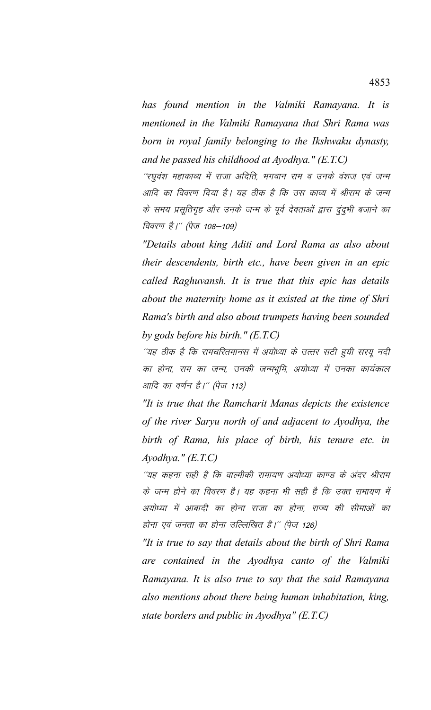*has found mention in the Valmiki Ramayana. It is mentioned in the Valmiki Ramayana that Shri Rama was born in royal family belonging to the Ikshwaku dynasty, and he passed his childhood at Ayodhya." (E.T.C)*

''रघुवंश महाकाव्य में राजा अदिति, भगवान राम व उनके वंशज एवं जन्म आदि का विवरण दिया है। यह ठीक है कि उस काव्य में श्रीराम के जन्म के समय प्रसूतिगृह और उनके जन्म के पूर्व देवताओं द्वारा दुंदुभी बजाने का विवरण है।" (पेज 108–109)

*"Details about king Aditi and Lord Rama as also about their descendents, birth etc., have been given in an epic called Raghuvansh. It is true that this epic has details about the maternity home as it existed at the time of Shri Rama's birth and also about trumpets having been sounded by gods before his birth." (E.T.C)*

''यह ठीक है कि रामचरितमानस में अयोध्या के उत्तर सटी हुयी सरयू नदी का होना, राम का जन्म, उनकी जन्मभूमि, अयोध्या में उनका कार्यकाल आदि का वर्णन है।" (पेज 113)

*"It is true that the Ramcharit Manas depicts the existence of the river Saryu north of and adjacent to Ayodhya, the birth of Rama, his place of birth, his tenure etc. in Ayodhya." (E.T.C)*

''यह कहना सही है कि वाल्मीकी रामायण अयोध्या काण्ड के अंदर श्रीराम के जन्म होने का विवरण है। यह कहना भी सही है कि उक्त रामायण में अयोध्या में आबादी का होना राजा का होना, राज्य की सीमाओं का होना एवं जनता का होना उल्लिखित है।'' (पेज 126)

*"It is true to say that details about the birth of Shri Rama are contained in the Ayodhya canto of the Valmiki Ramayana. It is also true to say that the said Ramayana also mentions about there being human inhabitation, king, state borders and public in Ayodhya" (E.T.C)*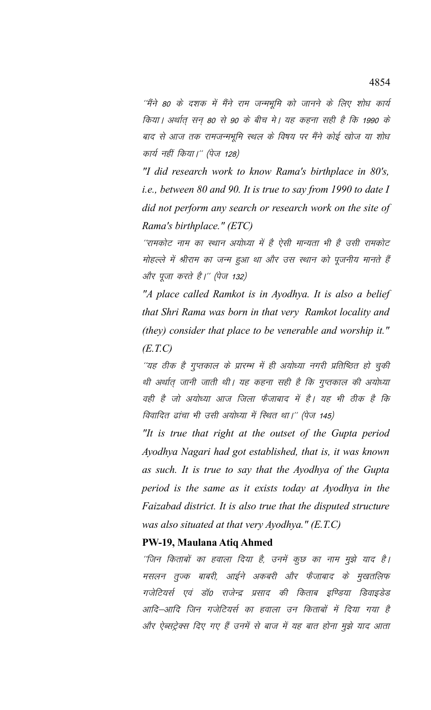''मैंने 80 के दशक में मैंने राम जन्मभूमि को जानने के लिए शोध कार्य किया। अर्थात् सन् 80 से 90 के बीच मे। यह कहना सही है कि 1990 के बाद से आज तक रामजन्मभूमि स्थल के विषय पर मैंने कोई खोज या शोध कार्य नहीं किया।'' (पेज 128)

"I did research work to know Rama's birthplace in 80's, i.e., between 80 and 90. It is true to say from 1990 to date I did not perform any search or research work on the site of Rama's birthplace." (ETC)

''रामकोट नाम का स्थान अयोध्या में है ऐसी मान्यता भी है उसी रामकोट मोहल्ले में श्रीराम का जन्म हुआ था और उस स्थान को पूजनीय मानते हैं और पूजा करते है।'' (पेज 132)

"A place called Ramkot is in Ayodhya. It is also a belief that Shri Rama was born in that very Ramkot locality and (they) consider that place to be venerable and worship it."  $(E.T.C)$ 

''यह ठीक है गुप्तकाल के प्रारम्भ में ही अयोध्या नगरी प्रतिष्ठित हो चुकी थी अर्थात् जानी जाती थी। यह कहना सही है कि गुप्तकाल की अयोध्या वही है जो अयोध्या आज जिला फैजाबाद में है। यह भी ठीक है कि विवादित ढांचा भी उसी अयोध्या में स्थित था।" (पेज 145)

"It is true that right at the outset of the Gupta period Ayodhya Nagari had got established, that is, it was known as such. It is true to say that the Ayodhya of the Gupta period is the same as it exists today at Ayodhya in the Faizabad district. It is also true that the disputed structure was also situated at that very Ayodhya." (E.T.C)

# PW-19, Maulana Atiq Ahmed

''जिन किताबों का हवाला दिया है, उनमें कुछ का नाम मुझे याद है। मसलन तुज्क बाबरी, आईने अकबरी और फैजाबाद के मुखतलिफ गजेटियर्स एवं डॉ0 राजेन्द्र प्रसाद की किताब इण्डिया डिवाइडेड आदि–आदि जिन गजेटियर्स का हवाला उन किताबों में दिया गया है और ऐब्सट्रेक्स दिए गए हैं उनमें से बाज में यह बात होना मुझे याद आता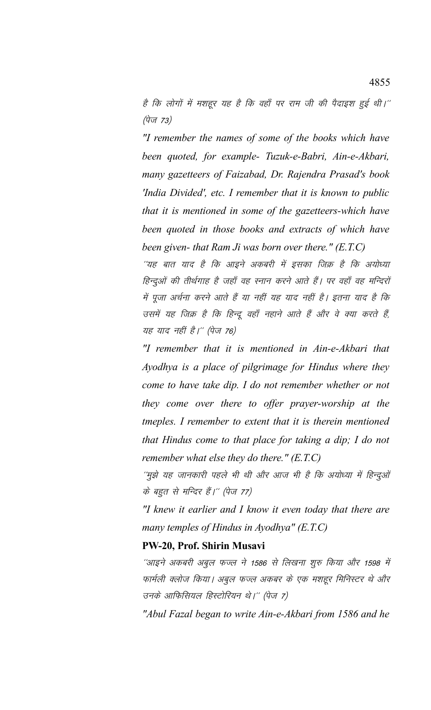है कि लोगों में मशहूर यह है कि वहाँ पर राम जी की पैदाइश हुई थी।''  $(\dot{q}\bar{q}$  73)

*"I remember the names of some of the books which have been quoted, for example- Tuzuk-e-Babri, Ain-e-Akbari, many gazetteers of Faizabad, Dr. Rajendra Prasad's book 'India Divided', etc. I remember that it is known to public that it is mentioned in some of the gazetteers-which have been quoted in those books and extracts of which have been given- that Ram Ji was born over there." (E.T.C)*

''यह बात याद है कि आइने अकबरी में इसका जिक्र है कि अयोध्या हिन्दुओं की तीर्थगाह है जहाँ वह स्नान करने आते हैं। पर वहाँ वह मन्दिरों में पूजा अर्चना करने आते हैं या नहीं यह याद नहीं है। इतना याद है कि उसमें यह जिक्र है कि हिन्दू वहाँ नहाने आते हैं और वे क्या करते हैं, यह याद नहीं है।" (पेज 76)

*"I remember that it is mentioned in Ain-e-Akbari that Ayodhya is a place of pilgrimage for Hindus where they come to have take dip. I do not remember whether or not they come over there to offer prayer-worship at the tmeples. I remember to extent that it is therein mentioned that Hindus come to that place for taking a dip; I do not remember what else they do there." (E.T.C)*

''मुझे यह जानकारी पहले भी थी और आज भी है कि अयोध्या में हिन्दुओं के बहुत से मन्दिर हैं।'' (पेज 77)

*"I knew it earlier and I know it even today that there are many temples of Hindus in Ayodhya" (E.T.C)*

### **PW-20, Prof. Shirin Musavi**

''आइने अकबरी अबुल फज्ल ने 1586 से लिखना शुरु किया और 1598 में फार्मली क्लोज किया। अबूल फज्ल अकबर के एक मशहूर मिनिस्टर थे और उनके आफिसियल हिस्टोरियन थे।" (पेज 7)

*"Abul Fazal began to write Ain-e-Akbari from 1586 and he*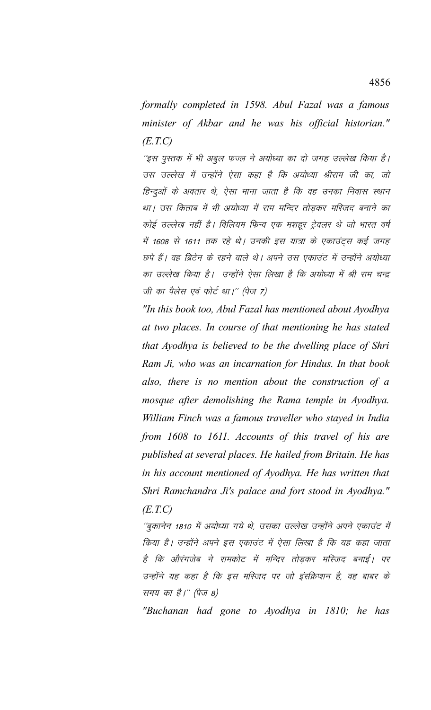*formally completed in 1598. Abul Fazal was a famous minister of Akbar and he was his official historian." (E.T.C)*

"इस पुस्तक में भी अबुल फज्ल ने अयोध्या का दो जगह उल्लेख किया है। उस उल्लेख में उन्होंने ऐसा कहा है कि अयोध्या श्रीराम जी का, जो हिन्दुओं के अवतार थे, ऐसा माना जाता है कि वह उनका निवास स्थान था। उस किताब में भी अयोध्या में राम मन्दिर तोडकर मस्जिद बनाने का कोई उल्लेख नहीं है। विलियम फिन्व एक मशहूर ट्रेवलर थे जो भारत वर्ष में 1608 से 1611 तक रहे थे। उनकी इस यात्रा के एकाउंटस कई जगह छपे हैं। वह ब्रिटेन के रहने वाले थे। अपने उस एकाउंट में उन्होंने अयोध्या का उल्लेख किया है। उन्होंने ऐसा लिखा है कि अयोध्या में श्री राम चन्द्र जी का पैलेस एवं फोर्ट था।" (पेज 7)

*"In this book too, Abul Fazal has mentioned about Ayodhya at two places. In course of that mentioning he has stated that Ayodhya is believed to be the dwelling place of Shri Ram Ji, who was an incarnation for Hindus. In that book also, there is no mention about the construction of a mosque after demolishing the Rama temple in Ayodhya. William Finch was a famous traveller who stayed in India from 1608 to 1611. Accounts of this travel of his are published at several places. He hailed from Britain. He has in his account mentioned of Ayodhya. He has written that Shri Ramchandra Ji's palace and fort stood in Ayodhya." (E.T.C)*

''बुकानेन 1810 में अयोध्या गये थे, उसका उल्लेख उन्होंने अपने एकाउंट में किया है। उन्होंने अपने इस एकाउंट में ऐसा लिखा है कि यह कहा जाता है कि ओरंगजेब ने रामकोट में मन्दिर तोड़कर मस्जिद बनाई। पर उन्होंने यह कहा है कि इस मस्जिद पर जो इंसक्रिप्शन है, वह बाबर के समय का है।'' (पेज 8)

*"Buchanan had gone to Ayodhya in 1810; he has*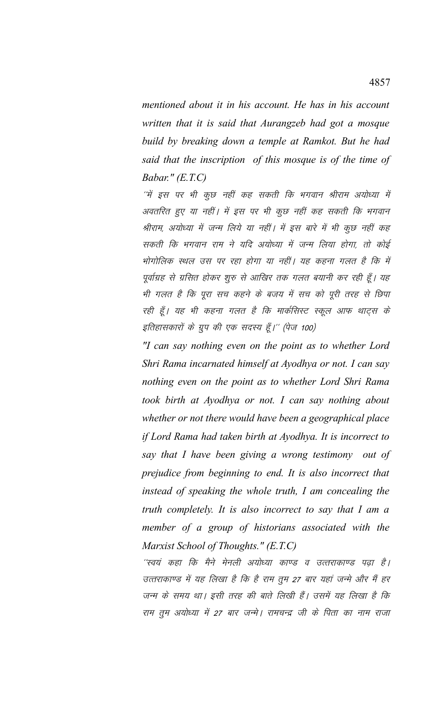*mentioned about it in his account. He has in his account written that it is said that Aurangzeb had got a mosque build by breaking down a temple at Ramkot. But he had said that the inscription of this mosque is of the time of Babar." (E.T.C)*

''में इस पर भी कुछ नहीं कह सकती कि भगवान श्रीराम अयोध्या में अवतरित हुए या नहीं। में इस पर भी कुछ नहीं कह सकती कि भगवान श्रीराम, अयोध्या में जन्म लिये या नहीं। में इस बारे में भी कुछ नहीं कह सकती कि भगवान राम ने यदि अयोध्या में जन्म लिया होगा, तो कोई भोगोलिक स्थल उस पर रहा होगा या नहीं। यह कहना गलत है कि में पूर्वाग्रह से ग्रसित होकर शुरु से आखिर तक गलत बयानी कर रही हूँ। यह भी गलत है कि पूरा सच कहने के बजय में सच को पूरी तरह से छिपा रही हूँ। यह भी कहना गलत है कि मार्कसिस्ट स्कूल आफ थाट्स के इतिहासकारों के ग्रुप की एक सदस्य हूँ।'' (पेज 100)

*"I can say nothing even on the point as to whether Lord Shri Rama incarnated himself at Ayodhya or not. I can say nothing even on the point as to whether Lord Shri Rama took birth at Ayodhya or not. I can say nothing about whether or not there would have been a geographical place if Lord Rama had taken birth at Ayodhya. It is incorrect to say that I have been giving a wrong testimony out of prejudice from beginning to end. It is also incorrect that instead of speaking the whole truth, I am concealing the truth completely. It is also incorrect to say that I am a member of a group of historians associated with the Marxist School of Thoughts." (E.T.C)*

"स्वयं कहा कि मैने मेनली अयोध्या काण्ड व उत्तराकाण्ड पढा है। उत्तराकाण्ड में यह लिखा है कि है राम तुम 27 बार यहां जन्मे और मैं हर जन्म के समय था। इसी तरह की बाते लिखी हैं। उसमें यह लिखा है कि राम तुम अयोध्या में 27 बार जन्मे। रामचन्द्र जी के पिता का नाम राजा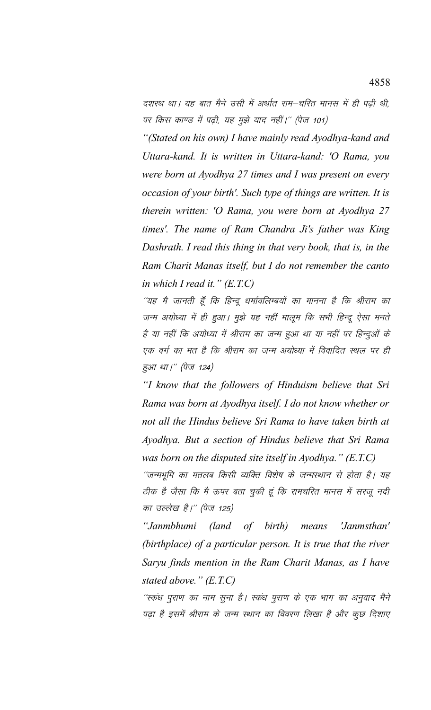दशरथ था। यह बात मैने उसी में अर्थात राम–चरित मानस में ही पढी थी, पर किस काण्ड में पढ़ी, यह मुझे याद नहीं।" (पेज 101)

*"(Stated on his own) I have mainly read Ayodhya-kand and Uttara-kand. It is written in Uttara-kand: 'O Rama, you were born at Ayodhya 27 times and I was present on every occasion of your birth'. Such type of things are written. It is therein written: 'O Rama, you were born at Ayodhya 27 times'. The name of Ram Chandra Ji's father was King Dashrath. I read this thing in that very book, that is, in the Ram Charit Manas itself, but I do not remember the canto in which I read it." (E.T.C)*

''यह मै जानती हूँ कि हिन्दू धर्मावलिम्बयों का मानना है कि श्रीराम का जन्म अयोध्या में ही हुआ। मुझे यह नहीं मालूम कि सभी हिन्दू ऐसा मनते है या नहीं कि अयोध्या में श्रीराम का जन्म हुआ था या नहीं पर हिन्दुओं के एक वर्ग का मत है कि श्रीराम का जन्म अयोध्या में विवादित स्थल पर ही हुआ था।" (पेज 124)

*"I know that the followers of Hinduism believe that Sri Rama was born at Ayodhya itself. I do not know whether or not all the Hindus believe Sri Rama to have taken birth at Ayodhya. But a section of Hindus believe that Sri Rama was born on the disputed site itself in Ayodhya." (E.T.C)*

''जन्मभूमि का मतलब किसी व्यक्ति विशेष के जन्मस्थान से होता है। यह ठीक है जैसा कि मै ऊपर बता चुकी हूं कि रामचरित मानस में सरजू नदी का उल्लेख है।'' (पेज 125)

*"Janmbhumi (land of birth) means 'Janmsthan' (birthplace) of a particular person. It is true that the river Saryu finds mention in the Ram Charit Manas, as I have stated above." (E.T.C)*

''स्कंध पुराण का नाम सुना है। स्कंध पुराण के एक भाग का अनुवाद मैने पढ़ा है इसमें श्रीराम के जन्म स्थान का विवरण लिखा है और कुछ दिशाए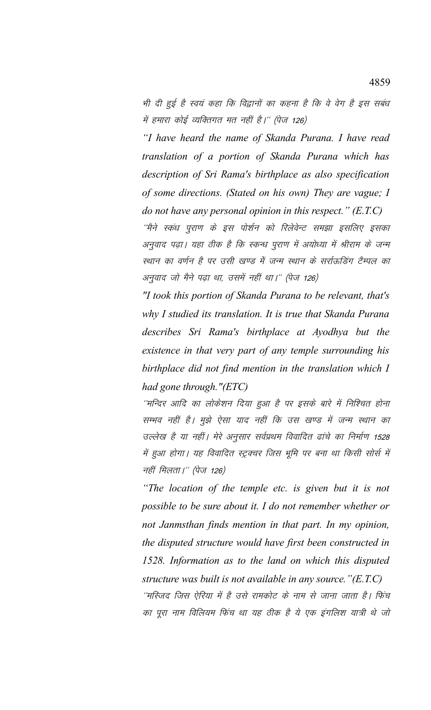भी दी हुई है स्वयं कहा कि विद्वानों का कहना है कि वे वेग है इस सबंध में हमारा कोई व्यक्तिगत मत नहीं है।'' (पेज 126)

"I have heard the name of Skanda Purana. I have read translation of a portion of Skanda Purana which has description of Sri Rama's birthplace as also specification of some directions. (Stated on his own) They are vague; I do not have any personal opinion in this respect."  $(E.T.C)$ 

''मैने स्कंध पुराण के इस पोर्शन को रिलेवेन्ट समझा इसलिए इसका अनुवाद पढ़ा। यहा ठीक है कि स्कन्ध पुराण में अयोध्या में श्रीराम के जन्म स्थान का वर्णन है पर उसी खण्ड में जन्म स्थान के सर्राऊडिंग टैम्पल का अनुवाद जो मैने पढ़ा था, उसमें नहीं था।" (पेज 126)

"I took this portion of Skanda Purana to be relevant, that's why I studied its translation. It is true that Skanda Purana describes Sri Rama's birthplace at Ayodhya but the existence in that very part of any temple surrounding his birthplace did not find mention in the translation which I had gone through." $(ETC)$ 

''मन्दिर आदि का लोकेशन दिया हुआ है पर इसके बारे में निश्चित होना सम्भव नहीं है। मुझे ऐसा याद नहीं कि उस खण्ड में जन्म स्थान का उल्लेख है या नहीं। मेरे अनुसार सर्वप्रथम विवादित ढांचे का निर्माण 1528 में हुआ होगा। यह विवादित स्ट्रक्चर जिस भूमि पर बना था किसी सोर्स में नहीं मिलता।" (पेज 126)

"The location of the temple etc. is given but it is not possible to be sure about it. I do not remember whether or not Janmsthan finds mention in that part. In my opinion, the disputed structure would have first been constructed in 1528. Information as to the land on which this disputed structure was built is not available in any source." $(E.T.C)$ ''मस्जिद जिस ऐरिया में है उसे रामकोट के नाम से जाना जाता है। फिंच का पूरा नाम विलियम फिंच था यह ठीक है ये एक इंगलिश यात्री थे जो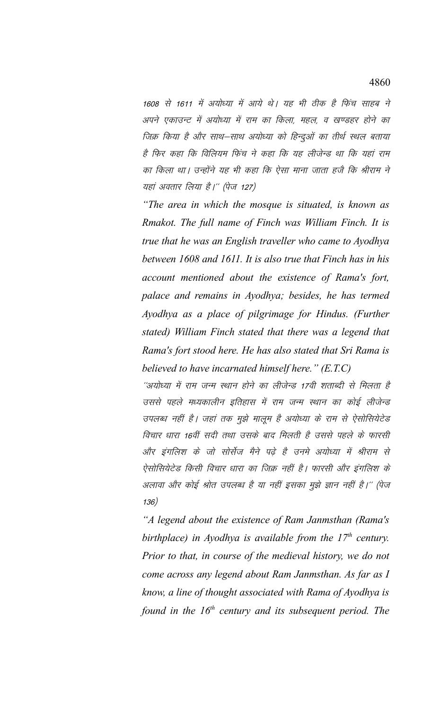1608 से 1611 में अयोध्या में आये थे। यह भी ठीक है फिंच साहब ने अपने एकाउन्ट में अयोध्या में राम का किला, महल, व खण्डहर होने का जिक्र किया है और साथ–साथ अयोध्या को हिन्दुओं का तीर्थ स्थल बताया है फिर कहा कि विलियम फिंच ने कहा कि यह लीजेन्ड था कि यहां राम का किला था। उन्होंने यह भी कहा कि ऐसा माना जाता हजै कि श्रीराम ने यहां अवतार लिया है।" (पेज 127)

"The area in which the mosque is situated, is known as Rmakot. The full name of Finch was William Finch. It is true that he was an English traveller who came to Ayodhya between 1608 and 1611. It is also true that Finch has in his account mentioned about the existence of Rama's fort, palace and remains in Ayodhya; besides, he has termed Ayodhya as a place of pilgrimage for Hindus. (Further stated) William Finch stated that there was a legend that Rama's fort stood here. He has also stated that Sri Rama is believed to have incarnated himself here."  $(E.T.C)$ 

''अयोध्या में राम जन्म स्थान होने का लीजेन्ड 17वी शताब्दी से मिलता है उससे पहले मध्यकालीन इतिहास में राम जन्म स्थान का कोई लीजेन्ड उपलब्ध नहीं है। जहां तक मुझे मालूम है अयोध्या के राम से ऐसोसियेटेड विचार धारा 16वीं सदी तथा उसके बाद मिलती है उससे पहले के फारसी और इंगलिश के जो सोर्सेज मैने पढ़े है उनमे अयोध्या में श्रीराम से ऐसोसियेटेड किसी विचार धारा का जिक्र नहीं है। फारसी और इंगलिश के अलावा और कोई श्रोत उपलब्ध है या नहीं इसका मुझे ज्ञान नहीं है।'' (पेज  $(136)$ 

"A legend about the existence of Ram Janmsthan (Rama's birthplace) in Ayodhya is available from the  $17<sup>th</sup>$  century. Prior to that, in course of the medieval history, we do not come across any legend about Ram Janmsthan. As far as I know, a line of thought associated with Rama of Ayodhya is found in the  $16<sup>th</sup>$  century and its subsequent period. The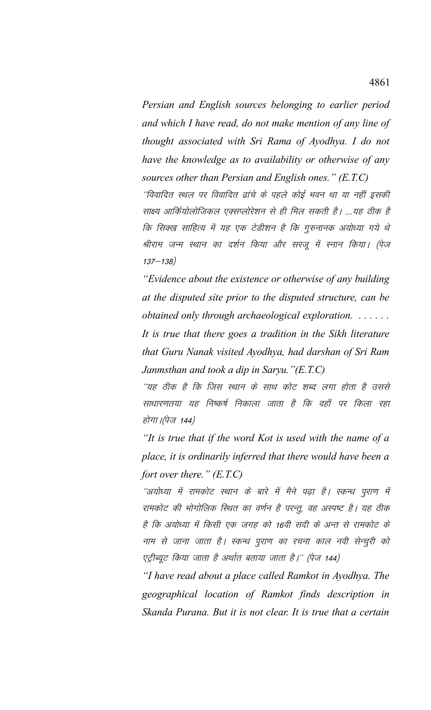Persian and English sources belonging to earlier period and which I have read, do not make mention of any line of thought associated with Sri Rama of Ayodhya. I do not have the knowledge as to availability or otherwise of any sources other than Persian and English ones." (E.T.C)

''विवादित स्थल पर विवादित ढांचे के पहले कोई भवन था या नहीं इसकी साक्ष्य आर्कियोलोजिकल एक्सप्लोरेशन से ही मिल सकती है। ....यह ठीक है कि सिक्ख साहित्य में यह एक टेडीशन है कि गुरुनानक अयोध्या गये थे श्रीराम जन्म स्थान का दर्शन किया और सरजू में स्नान किया। (पेज  $137 - 138$ 

"Evidence about the existence or otherwise of any building" at the disputed site prior to the disputed structure, can be obtained only through archaeological exploration.  $\dots \dots$ It is true that there goes a tradition in the Sikh literature that Guru Nanak visited Ayodhya, had darshan of Sri Ram Janmsthan and took a dip in Saryu."(E.T.C)

''यह ठीक है कि जिस स्थान के साथ कोट शब्द लगा होता है उससे साधारणतया यह निष्कर्ष निकाला जाता है कि वहाँ पर किला रहा होगा।(पेज 144)

"It is true that if the word Kot is used with the name of a place, it is ordinarily inferred that there would have been a fort over there."  $(E.T.C)$ 

''अयोध्या में रामकोट स्थान के बारे में मैने पढ़ा है। स्कन्ध पुराण में रामकोट की भोगोलिक स्थित का वर्णन है परन्तू, वह अस्पष्ट है। यह ठीक है कि अयोध्या में किसी एक जगह को 16वी सदी के अन्त से रामकोट के नाम से जाना जाता है। स्कन्ध पुराण का रचना काल नवी सेन्चुरी को एट्रीब्यूट किया जाता है अर्थात बताया जाता है।'' (पेज 144)

"I have read about a place called Ramkot in Ayodhya. The geographical location of Ramkot finds description in Skanda Purana. But it is not clear. It is true that a certain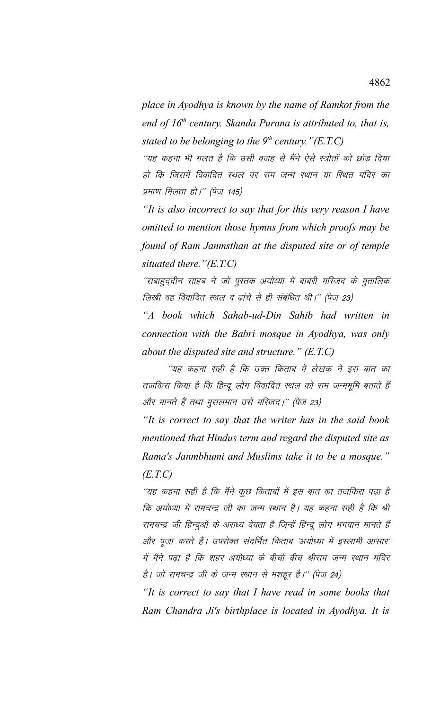*place in Ayodhya is known by the name of Ramkot from the end of 16th century. Skanda Purana is attributed to, that is, stated to be belonging to the 9th century."(E.T.C)*

^'यह कहना भी गलत है कि उसी वजह से मैंने ऐसे स्त्रोतों को छोड दिया हो कि जिसमें विवादित स्थल पर राम जन्म स्थान या स्थित मंदिर का प्रमाण मिलता हो।" (पेज 145)

*"It is also incorrect to say that for this very reason I have omitted to mention those hymns from which proofs may be found of Ram Janmsthan at the disputed site or of temple situated there."(E.T.C)*

''सबाहृददीन साहब ने जो पुस्तक अयोध्या में बाबरी मस्जिद के मुतालिक लिखी वह विवादित स्थल व ढांचे से ही संबंधित थी।'' (पेज 23)

*"A book which Sahab-ud-Din Sahib had written in connection with the Babri mosque in Ayodhya, was only about the disputed site and structure." (E.T.C)*

''यह कहना सही है कि उक्त किताब में लेखक ने इस बात का तजकिरा किया है कि हिन्दू लोग विवादित स्थल को राम जन्मभूमि बताते हैं और मानते हैं तथा मुसलमान उसे मस्जिद।'' (पेज 23)

*"It is correct to say that the writer has in the said book mentioned that Hindus term and regard the disputed site as Rama's Janmbhumi and Muslims take it to be a mosque." (E.T.C)*

''यह कहना सही है कि मैंने कुछ किताबों में इस बात का तजकिरा पढ़ा है कि अयोध्या में रामचन्द्र जी का जन्म स्थान है। यह कहना सही है कि श्री रामचन्द्र जी हिन्दुओं के अराध्य देवता है जिन्हें हिन्दू लोग भगवान मानते हैं और पूजा करते हैं। उपरोक्त संदर्भित किताब 'अयोध्या में इस्लामी आसार' में मैंने पढ़ा है कि शहर अयोध्या के बीचों बीच श्रीराम जन्म स्थान मंदिर है। जो रामचन्द्र जी के जन्म स्थान से मशहूर है।'' (पेज 24)

*"It is correct to say that I have read in some books that Ram Chandra Ji's birthplace is located in Ayodhya. It is*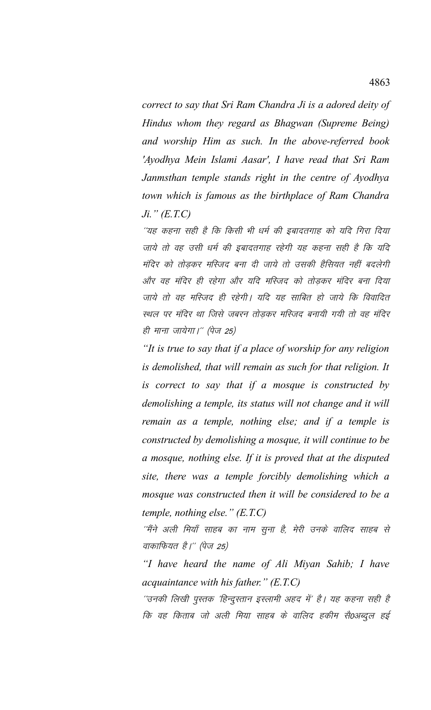*correct to say that Sri Ram Chandra Ji is a adored deity of Hindus whom they regard as Bhagwan (Supreme Being) and worship Him as such. In the above-referred book 'Ayodhya Mein Islami Aasar', I have read that Sri Ram Janmsthan temple stands right in the centre of Ayodhya town which is famous as the birthplace of Ram Chandra Ji." (E.T.C)*

''यह कहना सही है कि किसी भी धर्म की इबादतगाह को यदि गिरा दिया जाये तो वह उसी धर्म की इबादतगाह रहेगी यह कहना सही है कि यदि मंदिर को तोडकर मस्जिद बना दी जाये तो उसकी हैसियत नहीं बदलेगी ओर वह मंदिर ही रहेगा और यदि मस्जिद को तोड़कर मंदिर बना दिया जाये तो वह मस्जिद ही रहेगी। यदि यह साबित हो जाये कि विवादित स्थल पर मंदिर था जिसे जबरन तोडकर मस्जिद बनायी गयी तो वह मंदिर ही माना जायेगा।" (पेज 25)

*"It is true to say that if a place of worship for any religion is demolished, that will remain as such for that religion. It is correct to say that if a mosque is constructed by demolishing a temple, its status will not change and it will remain as a temple, nothing else; and if a temple is constructed by demolishing a mosque, it will continue to be a mosque, nothing else. If it is proved that at the disputed site, there was a temple forcibly demolishing which a mosque was constructed then it will be considered to be a temple, nothing else." (E.T.C)*

´´मैंने अली मियाँ साहब का नाम सूना है, मेरी उनके वालिद साहब से वाकाफियत है।'' (पेज 25)

*"I have heard the name of Ali Miyan Sahib; I have acquaintance with his father." (E.T.C)*

''उनकी लिखी पुस्तक 'हिन्दुस्तान इस्लामी अहद में' है। यह कहना सही है कि वह किताब जो अली मिया साहब के वालिद हकीम सै0अब्दुल हई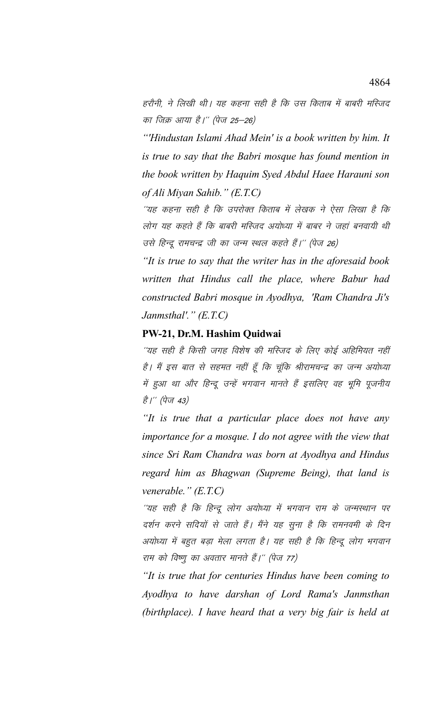हरौनी, ने लिखी थी। यह कहना सही है कि उस किताब में बाबरी मस्जिद का जिक्र आया है।'' (पेज 25–26)

*"'Hindustan Islami Ahad Mein' is a book written by him. It is true to say that the Babri mosque has found mention in the book written by Haquim Syed Abdul Haee Harauni son of Ali Miyan Sahib." (E.T.C)*

''यह कहना सही है कि उपरोक्त किताब में लेखक ने ऐसा लिखा है कि लोग यह कहते हैं कि बाबरी मस्जिद अयोध्या में बाबर ने जहां बनवायी थी उसे हिन्दू रामचन्द्र जी का जन्म स्थल कहते हैं।'' (पेज 26)

*"It is true to say that the writer has in the aforesaid book written that Hindus call the place, where Babur had constructed Babri mosque in Ayodhya, 'Ram Chandra Ji's Janmsthal'." (E.T.C)*

## **PW-21, Dr.M. Hashim Quidwai**

''यह सही है किसी जगह विशेष की मस्जिद के लिए कोई अहिमियत नहीं है। मैं इस बात से सहमत नहीं हूँ कि चूंकि श्रीरामचन्द्र का जन्म अयोध्या में हुआ था और हिन्दू उन्हें भगवान मानते हैं इसलिए वह भूमि पूजनीय है।'' (पेज 43)

*"It is true that a particular place does not have any importance for a mosque. I do not agree with the view that since Sri Ram Chandra was born at Ayodhya and Hindus regard him as Bhagwan (Supreme Being), that land is venerable." (E.T.C)*

''यह सही है कि हिन्दू लोग अयोध्या में भगवान राम के जन्मस्थान पर दर्शन करने सदियों से जाते हैं। मैंने यह सूना है कि रामनवमी के दिन अयोध्या में बहुत बड़ा मेला लगता है। यह सही है कि हिन्दू लोग भगवान राम को विष्णू का अवतार मानते हैं।'' (पेज 77)

*"It is true that for centuries Hindus have been coming to Ayodhya to have darshan of Lord Rama's Janmsthan (birthplace). I have heard that a very big fair is held at*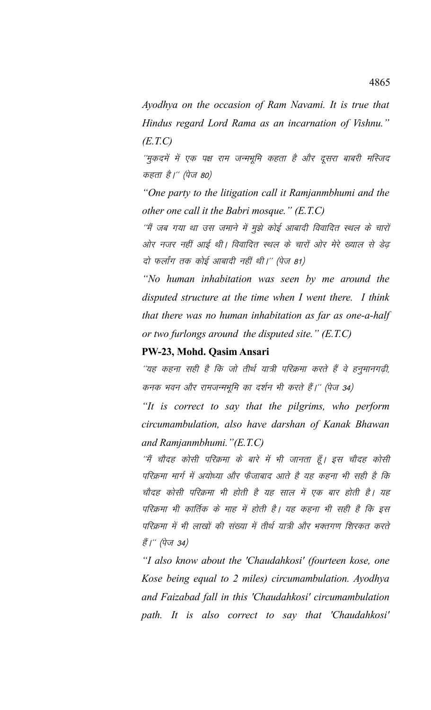Ayodhya on the occasion of Ram Navami. It is true that Hindus regard Lord Rama as an incarnation of Vishnu."  $(E.T.C)$ 

''मुकदमें में एक पक्ष राम जन्मभूमि कहता है और दूसरा बाबरी मस्जिद कहता है।'' (पेज 80)

"One party to the litigation call it Ramjanmbhumi and the other one call it the Babri mosque."  $(E.T.C)$ 

''मैं जब गया था उस जमाने में मुझे कोई आबादी विवादित स्थल के चारों ओर नजर नहीं आई थी। विवादित स्थल के चारों ओर मेरे ख्याल से डेढ दो फर्लांग तक कोई आबादी नहीं थी।" (पेज 81)

"No human inhabitation was seen by me around the disputed structure at the time when I went there. I think that there was no human inhabitation as far as one-a-half or two furlongs around the disputed site."  $(E.T.C)$ 

#### PW-23, Mohd. Qasim Ansari

''यह कहना सही है कि जो तीर्थ यात्री परिक्रमा करते हैं वे हनुमानगढ़ी, कनक भवन और रामजन्मभूमि का दर्शन भी करते हैं।'' (पेज 34)

"It is correct to say that the pilgrims, who perform circumambulation, also have darshan of Kanak Bhawan and Ramjanmbhumi." $(E.T.C)$ 

''मैं चौदह कोसी परिक्रमा के बारे में भी जानता हूँ। इस चौदह कोसी परिक्रमा मार्ग में अयोध्या और फैजाबाद आते है यह कहना भी सही है कि चौदह कोसी परिक्रमा भी होती है यह साल में एक बार होती है। यह परिक्रमा भी कार्तिक के माह में होती है। यह कहना भी सही है कि इस परिक्रमा में भी लाखों की संख्या में तीर्थ यात्री और भक्तगण शिरकत करते हैं।'' (पेज 34)

"I also know about the 'Chaudahkosi' (fourteen kose, one Kose being equal to 2 miles) circumambulation. Ayodhya and Faizabad fall in this 'Chaudahkosi' circumambulation path. It is also correct to say that 'Chaudahkosi'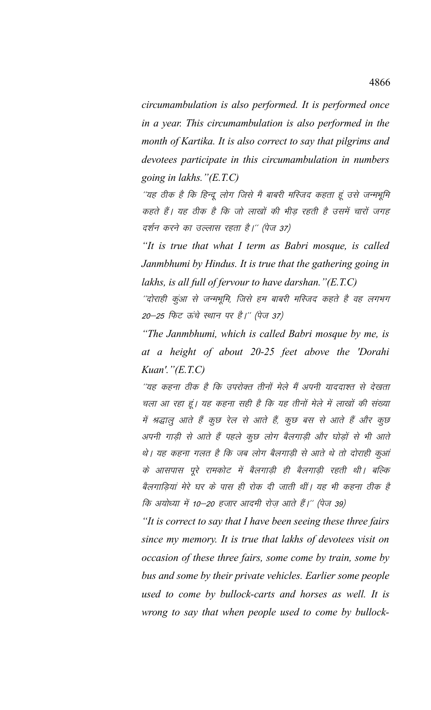*circumambulation is also performed. It is performed once in a year. This circumambulation is also performed in the month of Kartika. It is also correct to say that pilgrims and devotees participate in this circumambulation in numbers going in lakhs."(E.T.C)*

''यह ठीक है कि हिन्दू लोग जिसे मै बाबरी मस्जिद कहता हूं उसे जन्मभूमि कहते हैं। यह ठीक है कि जो लाखों की भीड रहती है उसमें चारों जगह दर्शन करने का उल्लास रहता है।'' (पेज 37)

*"It is true that what I term as Babri mosque, is called Janmbhumi by Hindus. It is true that the gathering going in lakhs, is all full of fervour to have darshan."(E.T.C)*

''दोराही कूंआ से जन्मभूमि, जिसे हम बाबरी मस्जिद कहते है वह लगभग 20-25 फिट ऊंचे स्थान पर है।" (पेज 37)

*"The Janmbhumi, which is called Babri mosque by me, is at a height of about 20-25 feet above the 'Dorahi Kuan'."(E.T.C)*

''यह कहना ठीक है कि उपरोक्त तीनों मेले मैं अपनी याददाश्त से देखता चला आ रहा हूं। यह कहना सही है कि यह तीनों मेले में लाखों की संख्या में श्रद्धालु आते हैं कुछ रेल से आते हैं, कुछ बस से आते हैं और कुछ अपनी गाड़ी से आते हैं पहले कुछ लोग बैलगाड़ी और घोड़ों से भी आते थे। यह कहना गलत है कि जब लोग बैलगाड़ी से आते थे तो दोराही कूआं के आसपास पूरे रामकोट में बैलगाड़ी ही बैलगाड़ी रहती थी। बल्कि बैलगाडियां मेरे घर के पास ही रोक दी जाती थीं। यह भी कहना ठीक है कि अयोध्या में 10–20 हजार आदमी रोज़ आते हैं।'' (पेज 39)

*"It is correct to say that I have been seeing these three fairs since my memory. It is true that lakhs of devotees visit on occasion of these three fairs, some come by train, some by bus and some by their private vehicles. Earlier some people used to come by bullock-carts and horses as well. It is wrong to say that when people used to come by bullock-*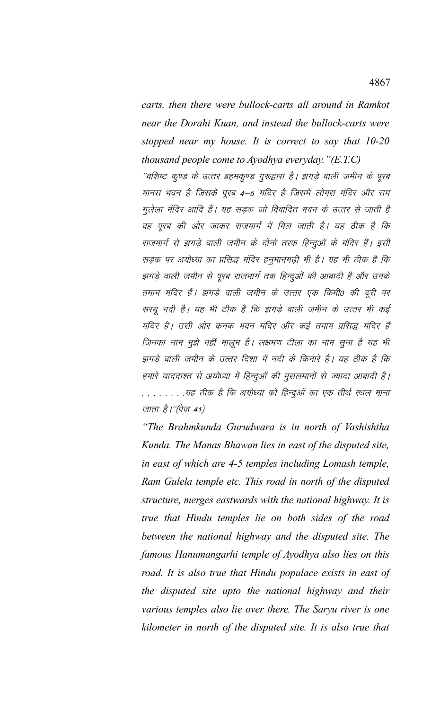carts, then there were bullock-carts all around in Ramkot near the Dorahi Kuan, and instead the bullock-carts were stopped near my house. It is correct to say that  $10-20$ thousand people come to Ayodhya everyday." $(E.T.C)$ 

''वशिष्ट कुण्ड के उत्तर ब्रहमकुण्ड गुरूद्वारा है। झगड़े वाली जमीन के पूरब मानस भवन है जिसके पूरब 4–5 मंदिर है जिसमें लोमस मंदिर और राम गुलेला मंदिर आदि हैं। यह सड़क जो विवादित भवन के उत्तर से जाती है वह पूरब की ओर जाकर राजमार्ग में मिल जाती है। यह ठीक है कि राजमार्ग से झगड़े वाली जमीन के दोनो तरफ हिन्दुओं के मंदिर हैं। इसी सड़क पर अयोध्या का प्रसिद्ध मंदिर हनुमानगढ़ी भी है। यह भी ठीक है कि झगड़े वाली जमीन से पुरब राजमार्ग तक हिन्दुओं की आबादी है और उनके तमाम मंदिर हैं। झगड़े वाली जमीन के उत्तर एक किमी0 की दूरी पर सरयू नदी है। यह भी ठीक है कि झगड़े वाली जमीन के उत्तर भी कई मंदिर है। उसी ओर कनक भवन मंदिर और कई तमाम प्रसिद्ध मंदिर हैं जिनका नाम मुझे नहीं मालूम है। लक्षमण टीला का नाम सूना है यह भी झगड़े वाली जमीन के उत्तर दिशा में नदी के किनारे है। यह ठीक है कि हमारे याददाश्त से अयोध्या में हिन्दुओं की मुसलमानों से ज्यादा आबादी है। . . . . . . . .यह ठीक है कि अयोध्या को हिन्दुओं का एक तीर्थ स्थल माना जाता है।''(पेज 41)

"The Brahmkunda Gurudwara is in north of Vashishtha Kunda. The Manas Bhawan lies in east of the disputed site, in east of which are 4-5 temples including Lomash temple, Ram Gulela temple etc. This road in north of the disputed structure, merges eastwards with the national highway. It is true that Hindu temples lie on both sides of the road between the national highway and the disputed site. The famous Hanumangarhi temple of Ayodhya also lies on this road. It is also true that Hindu populace exists in east of the disputed site upto the national highway and their various temples also lie over there. The Saryu river is one kilometer in north of the disputed site. It is also true that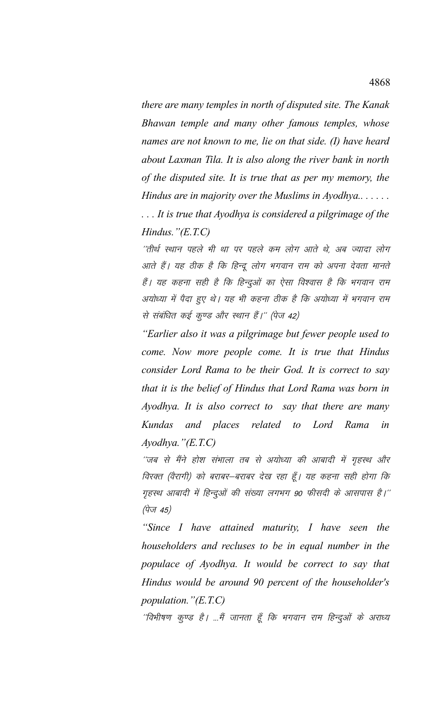there are many temples in north of disputed site. The Kanak Bhawan temple and many other famous temples, whose names are not known to me, lie on that side. (I) have heard about Laxman Tila. It is also along the river bank in north of the disputed site. It is true that as per my memory, the Hindus are in majority over the Muslims in Ayodhya.......

... It is true that Ayodhya is considered a pilgrimage of the Hindus." $(E.T.C)$ 

''तीर्थ स्थान पहले भी था पर पहले कम लोग आते थे, अब ज्यादा लोग आते हैं। यह ठीक है कि हिन्दू लोग भगवान राम को अपना देवता मानते हैं। यह कहना सही है कि हिन्दुओं का ऐसा विश्वास है कि भगवान राम अयोध्या में पैदा हुए थे। यह भी कहना ठीक है कि अयोध्या में भगवान राम से संबंधित कई कुण्ड और स्थान हैं।'' (पेज 42)

"Earlier also it was a pilgrimage but fewer people used to come. Now more people come. It is true that Hindus consider Lord Rama to be their God. It is correct to say that it is the belief of Hindus that Lord Rama was born in Ayodhya. It is also correct to say that there are many Kundas and places related to Lord Rama  $in$  $Ayodhya.$ " $(E.T.C)$ 

''जब से मैंने होश संभाला तब से अयोध्या की आबादी में गृहस्थ और विरक्त (वैरागी) को बराबर–बराबर देख रहा हूँ। यह कहना सही होगा कि गृहस्थ आबादी में हिन्दुओं की संख्या लगभग 90 फीसदी के आसपास है।'' (पेज 45)

"Since I have attained maturity, I have seen the householders and recluses to be in equal number in the populace of Ayodhya. It would be correct to say that Hindus would be around 90 percent of the householder's population." $(E.T.C)$ 

'विभीषण कुण्ड है। ...मैं जानता हूँ कि भगवान राम हिन्दुओं के अराध्य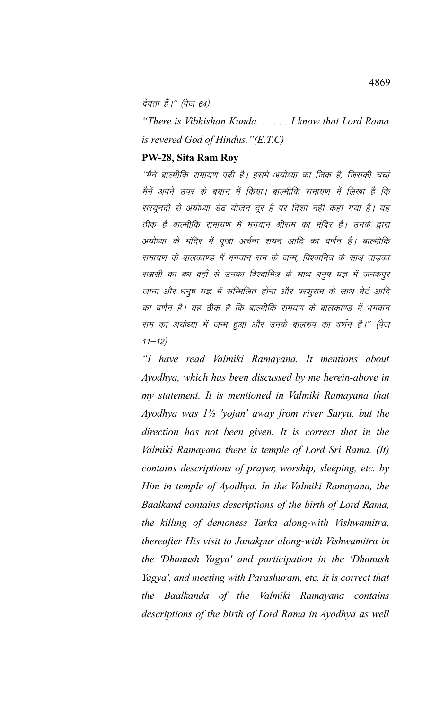देवता हैं।'' (पेज 64)

"There is Vibhishan Kunda...... I know that Lord Rama" is revered God of Hindus." $(E.T.C)$ 

#### PW-28, Sita Ram Rov

''मैने बाल्मीकि रामायण पढी है। इसमे अयोध्या का जिक्र है, जिसकी चर्चा मैनें अपने उपर के बयान में किया। बाल्मीकि रामायण में लिखा है कि सरयूनदी से अयोध्या डेढ योजन दूर है पर दिशा नही कहा गया है। यह ठीक है बाल्मीकि रामायण में भगवान श्रीराम का मंदिर है। उनके द्वारा अयोध्या के मंदिर में पूजा अर्चना शयन आदि का वर्णन है। बाल्मीकि रामायण के बालकाण्ड में भगवान राम के जन्म, विश्वामित्र के साथ ताड़का राक्षसी का बध वहाँ से उनका विश्वामित्र के साथ धनुष यज्ञ में जनकपुर जाना और धनुष यज्ञ में सम्मिलित होना और परशुराम के साथ भेट आदि का वर्णन है। यह ठीक है कि बाल्मीकि रामयण के बालकाण्ड में भगवान राम का अयोध्या में जन्म हुआ और उनके बालरुप का वर्णन है।'' (पेज  $11 - 12)$ 

"I have read Valmiki Ramayana. It mentions about Ayodhya, which has been discussed by me herein-above in my statement. It is mentioned in Valmiki Ramayana that Ayodhya was  $1\frac{1}{2}$  'yojan' away from river Saryu, but the direction has not been given. It is correct that in the Valmiki Ramayana there is temple of Lord Sri Rama. (It) contains descriptions of prayer, worship, sleeping, etc. by Him in temple of Ayodhya. In the Valmiki Ramayana, the Baalkand contains descriptions of the birth of Lord Rama, the killing of demoness Tarka along-with Vishwamitra, thereafter His visit to Janakpur along-with Vishwamitra in the 'Dhanush Yagya' and participation in the 'Dhanush Yagya', and meeting with Parashuram, etc. It is correct that the Baalkanda of the Valmiki Ramayana contains descriptions of the birth of Lord Rama in Ayodhya as well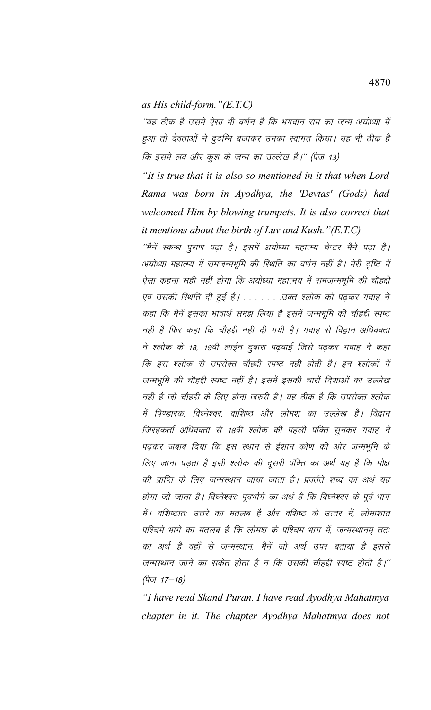as His child-form." $(E.T.C)$ 

''यह ठीक है उसमे ऐसा भी वर्णन है कि भगवान राम का जन्म अयोध्या में हुआ तो देवताओं ने दुदम्भि बजाकर उनका स्वागत किया। यह भी ठीक है कि इसमे लव और कुश के जन्म का उल्लेख है।'' (पेज 13)

"It is true that it is also so mentioned in it that when Lord Rama was born in Ayodhya, the 'Devtas' (Gods) had welcomed Him by blowing trumpets. It is also correct that it mentions about the birth of Luv and Kush." $(E.T.C)$ 

''मैनें स्कन्ध पुराण पढ़ा है। इसमें अयोध्या महात्म्य चेप्टर मैने पढ़ा है। अयोध्या महात्म्य में रामजन्मभूमि की रिथति का वर्णन नहीं है। मेरी दृष्टि में ऐसा कहना सही नहीं होगा कि अयोध्या महात्मय में रामजन्मभूमि की चौहद्दी एवं उसकी स्थिति दी हुई है। . . . . . . उक्त श्लोक को पढ़कर गवाह ने कहा कि मैनें इसका भावार्थ समझ लिया है इसमें जन्मभूमि की चौहद्दी स्पष्ट नही है फिर कहा कि चौहद्दी नही दी गयी है। गवाह से विद्वान अधिवक्ता ने श्लोक के 18, 19वी लाईन दुबारा पढ़वाई जिसे पढ़कर गवाह ने कहा कि इस श्लोक से उपरोक्त चौहद्दी स्पष्ट नही होती है। इन श्लोकों में जन्मभूमि की चौहद्दी स्पष्ट नहीं है। इसमें इसकी चारों दिशाओं का उल्लेख नही है जो चौहद्दी के लिए होना जरुरी है। यह ठीक है कि उपरोक्त श्लोक में पिण्डारक, विघ्नेश्वर, वाशिष्ठ और लोमश का उल्लेख है। विद्वान जिरहकर्ता अधिवक्ता से 18वीं श्लोक की पहली पंक्ति सूनकर गवाह ने पढ़कर जबाब दिया कि इस स्थान से ईशान कोण की ओर जन्मभूमि के लिए जाना पडता है इसी श्लोक की दुसरी पंक्ति का अर्थ यह है कि मोक्ष की प्राप्ति के लिए जन्मस्थान जाया जाता है। प्रवर्तते शब्द का अर्थ यह होगा जो जाता है। विघ्नेश्वरः पूवर्भागे का अर्थ है कि विघ्नेश्वर के पूर्व भाग में। वशिष्ठातः उत्तरे का मतलब है और वशिष्ठ के उत्तर में, लोमाशात पश्चिमे भागे का मतलब है कि लोमश के पश्चिम भाग में, जन्मस्थानम् ततः का अर्थ है वहाँ से जन्मस्थान, मैनें जो अर्थ उपर बताया है इससे जन्मस्थान जाने का सकेंत होता है न कि उसकी चौहद्दी स्पष्ट होती है।'' *(पेज 17–18)* 

"I have read Skand Puran. I have read Ayodhya Mahatmya chapter in it. The chapter Ayodhya Mahatmya does not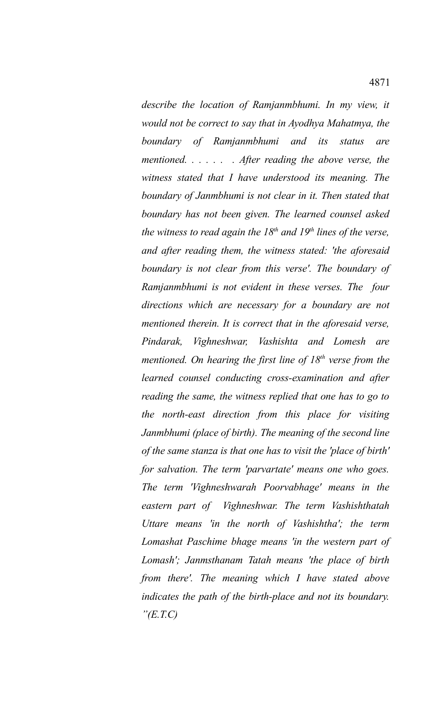*describe the location of Ramjanmbhumi. In my view, it would not be correct to say that in Ayodhya Mahatmya, the boundary of Ramjanmbhumi and its status are mentioned. . . . . . . After reading the above verse, the witness stated that I have understood its meaning. The boundary of Janmbhumi is not clear in it. Then stated that boundary has not been given. The learned counsel asked the witness to read again the 18th and 19th lines of the verse, and after reading them, the witness stated: 'the aforesaid boundary is not clear from this verse'. The boundary of Ramjanmbhumi is not evident in these verses. The four directions which are necessary for a boundary are not mentioned therein. It is correct that in the aforesaid verse, Pindarak, Vighneshwar, Vashishta and Lomesh are mentioned. On hearing the first line of 18th verse from the learned counsel conducting cross-examination and after reading the same, the witness replied that one has to go to the north-east direction from this place for visiting Janmbhumi (place of birth). The meaning of the second line of the same stanza is that one has to visit the 'place of birth' for salvation. The term 'parvartate' means one who goes. The term 'Vighneshwarah Poorvabhage' means in the eastern part of Vighneshwar. The term Vashishthatah Uttare means 'in the north of Vashishtha'; the term Lomashat Paschime bhage means 'in the western part of Lomash'; Janmsthanam Tatah means 'the place of birth from there'. The meaning which I have stated above indicates the path of the birth-place and not its boundary. "(E.T.C)*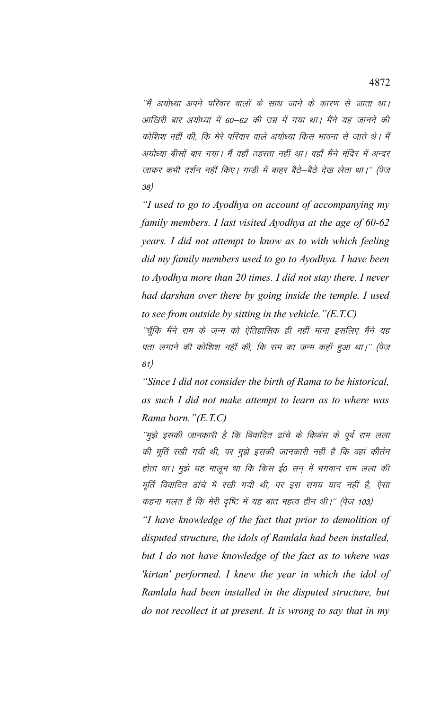$^{\prime\prime}$ मैं अयोध्या अपने परिवार वालों के साथ जाने के कारण से जाता था। आखिरी बार अयोध्या में 60–62 की उम्र में गया था। मैंने यह जानने की कोशिश नहीं की, कि मेरे परिवार वाले अयोध्या किस भावना से जाते थे। मैं अयोध्या बीसों बार गया। मैं वहाँ ठहरता नहीं था। वहाँ मैंने मंदिर में अन्दर जाकर कभी दर्शन नहीं किए। गाडी में बाहर बैठे–बैठे देख लेता था।'' (पेज 38½

*"I used to go to Ayodhya on account of accompanying my family members. I last visited Ayodhya at the age of 60-62 years. I did not attempt to know as to with which feeling did my family members used to go to Ayodhya. I have been to Ayodhya more than 20 times. I did not stay there. I never had darshan over there by going inside the temple. I used to see from outside by sitting in the vehicle."(E.T.C)*

''चॅंकि मैंने राम के जन्म को ऐतिहासिक ही नहीं माना इसलिए मैंने यह पता लगाने की कोशिश नहीं की, कि राम का जन्म कहाँ हुआ था।'' (पेज 61)

*"Since I did not consider the birth of Rama to be historical, as such I did not make attempt to learn as to where was Rama born."(E.T.C)*

''मुझे इसकी जानकारी है कि विवादित ढांचे के विध्वंस के पूर्व राम लला की मूर्ति रखी गयी थी, पर मुझे इसकी जानकारी नहीं है कि वहां कीर्तन होता था। मुझे यह मालूम था कि किस ई0 सन् में भगवान राम लला की मूर्ति विवादित ढांचे में रखी गयी थी, पर इस समय याद नहीं है, ऐसा कहना गलत है कि मेरी दृष्टि में यह बात महत्व हीन थी।'' (पेज 103)

*"I have knowledge of the fact that prior to demolition of disputed structure, the idols of Ramlala had been installed, but I do not have knowledge of the fact as to where was 'kirtan' performed. I knew the year in which the idol of Ramlala had been installed in the disputed structure, but do not recollect it at present. It is wrong to say that in my*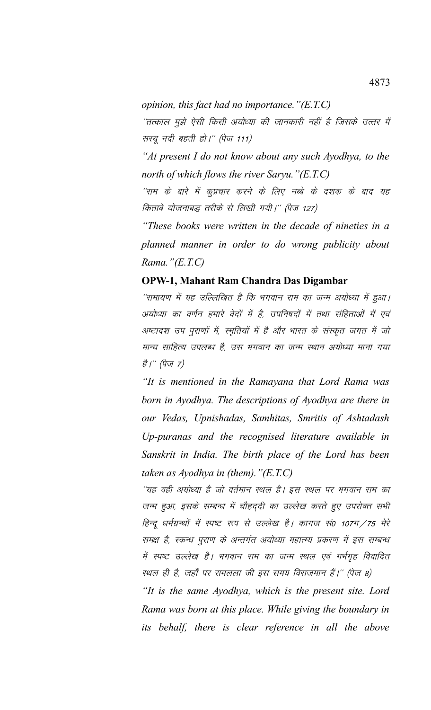opinion, this fact had no importance." $(E.T.C)$ ''तत्काल मुझे ऐसी किसी अयोध्या की जानकारी नहीं है जिसके उत्तर में सरयू नदी बहती हो।" (पेज 111)

"At present I do not know about any such Ayodhya, to the north of which flows the river Saryu." $(E.T.C)$ 

''राम के बारे में कुप्रचार करने के लिए नब्बे के दशक के बाद यह किताबे योजनाबद्ध तरीके से लिखी गयी।'' (पेज 127)

"These books were written in the decade of nineties in a planned manner in order to do wrong publicity about Rama. " $(E.T.C)$ 

## **OPW-1, Mahant Ram Chandra Das Digambar**

''रामायण में यह उल्लिखित है कि भगवान राम का जन्म अयोध्या में हुआ। अयोध्या का वर्णन हमारे वेदों में है, उपनिषदों में तथा संहिताओं में एवं अष्टादश उप पुराणों में, स्मृतियों में है और भारत के संस्कृत जगत में जो मान्य साहित्य उपलब्ध है, उस भगवान का जन्म स्थान अयोध्या माना गया है।'' (पेज 7)

"It is mentioned in the Ramayana that Lord Rama was born in Ayodhya. The descriptions of Ayodhya are there in our Vedas, Upnishadas, Samhitas, Smritis of Ashtadash Up-puranas and the recognised literature available in Sanskrit in India. The birth place of the Lord has been taken as Ayodhya in (them). " $(E.T.C)$ 

''यह वही अयोध्या है जो वर्तमान स्थल है। इस स्थल पर भगवान राम का जन्म हुआ, इसके सम्बन्ध में चौहददी का उल्लेख करते हुए उपरोक्त सभी हिन्द धर्मग्रन्थों में स्पष्ट रूप से उल्लेख है। कागज सं0 107ग/75 मेरे समक्ष है, स्कन्ध पुराण के अन्तर्गत अयोध्या महात्म्य प्रकरण में इस सम्बन्ध में स्पष्ट उल्लेख है। भगवान राम का जन्म स्थल एवं गर्भगृह विवादित स्थल ही है, जहाँ पर रामलला जी इस समय विराजमान हैं।'' (पेज 8)

"It is the same Ayodhya, which is the present site. Lord Rama was born at this place. While giving the boundary in its behalf, there is clear reference in all the above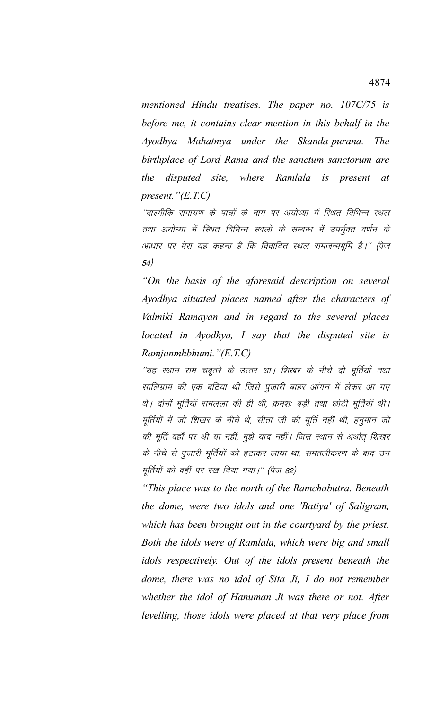*mentioned Hindu treatises. The paper no. 107C/75 is before me, it contains clear mention in this behalf in the Ayodhya Mahatmya under the Skanda-purana. The birthplace of Lord Rama and the sanctum sanctorum are the disputed site, where Ramlala is present at present."(E.T.C)*

''वाल्मीकि रामायण के पात्रों के नाम पर अयोध्या में स्थित विभिन्न स्थल तथा अयोध्या में स्थित विभिन्न स्थलों के सम्बन्ध में उपर्युक्त वर्णन के आधार पर मेरा यह कहना है कि विवादित स्थल रामजन्मभूमि है।'' (पेज 54½

*"On the basis of the aforesaid description on several Ayodhya situated places named after the characters of Valmiki Ramayan and in regard to the several places located in Ayodhya, I say that the disputed site is Ramjanmhbhumi."(E.T.C)*

''यह स्थान राम चबुतरे के उत्तर था। शिखर के नीचे दो मुर्तियाँ तथा सालिग्राम की एक बटिया थी जिसे पुजारी बाहर आंगन में लेकर आ गए थे। दोनों मूर्तियाँ रामलला की ही थी, क्रमशः बड़ी तथा छोटी मूर्तियाँ थी। मूर्तियों में जो शिखर के नीचे थे, सीता जी की मूर्ति नहीं थी, हनुमान जी की मूर्ति वहाँ पर थी या नहीं, मुझे याद नहीं। जिस स्थान से अर्थात् शिखर के नीचे से पूजारी मूर्तियों को हटाकर लाया था, समतलीकरण के बाद उन मूर्तियों को वहीं पर रख दिया गया।'' (पेज 82)

*"This place was to the north of the Ramchabutra. Beneath the dome, were two idols and one 'Batiya' of Saligram, which has been brought out in the courtyard by the priest. Both the idols were of Ramlala, which were big and small idols respectively. Out of the idols present beneath the dome, there was no idol of Sita Ji, I do not remember whether the idol of Hanuman Ji was there or not. After levelling, those idols were placed at that very place from*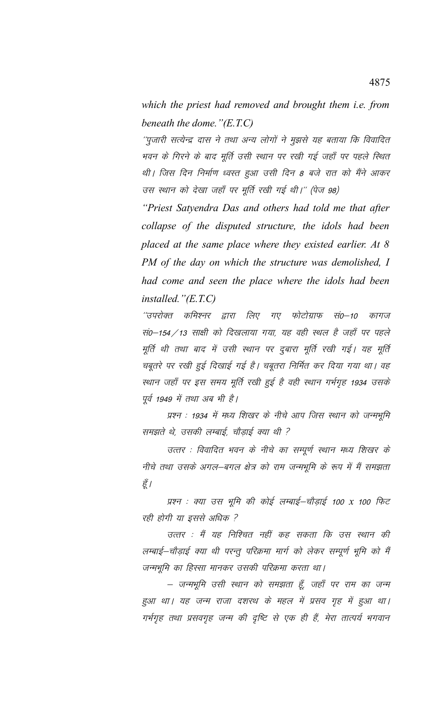which the priest had removed and brought them *i.e.* from beneath the dome." $(E.T.C)$ 

''पूजारी सत्येन्द्र दास ने तथा अन्य लोगों ने मुझसे यह बताया कि विवादित भवन के गिरने के बाद मूर्ति उसी स्थान पर रखी गई जहाँ पर पहले स्थित थी। जिस दिन निर्माण ध्वस्त हुआ उसी दिन 8 बजे रात को मैंने आकर उस स्थान को देखा जहाँ पर मूर्ति रखी गई थी।" (पेज 98)

"Priest Satyendra Das and others had told me that after collapse of the disputed structure, the idols had been placed at the same place where they existed earlier. At  $8$ PM of the day on which the structure was demolished, I had come and seen the place where the idols had been installed." $(E.T.C)$ 

''उपरोक्त कमिश्नर द्वारा लिए गए फोटोग्राफ सं0—10 कागज सं0-154 / 13 साक्षी को दिखलाया गया, यह वही स्थल है जहाँ पर पहले मूर्ति थी तथा बाद में उसी स्थान पर दुबारा मूर्ति रखी गई। यह मूर्ति चबूतरे पर रखी हुई दिखाई गई है। चबूतरा निर्मित कर दिया गया था। वह स्थान जहाँ पर इस समय मूर्ति रखी हुई है वही स्थान गर्भगृह 1934 उसके पूर्व 1949 में तथा अब भी है।

प्रश्न : 1934 में मध्य शिखर के नीचे आप जिस स्थान को जन्मभूमि समझते थे, उसकी लम्बाई, चौड़ाई क्या थी ?

उत्तर : विवादित भवन के नीचे का सम्पूर्ण स्थान मध्य शिखर के नीचे तथा उसके अगल–बगल क्षेत्र को राम जन्मभूमि के रूप में मैं समझता हूँ /

प्रश्न : क्या उस भूमि की कोई लम्बाई-चौड़ाई 100 x 100 फिट रही होगी या इससे अधिक ?

उत्तर : मैं यह निश्चित नहीं कह सकता कि उस स्थान की लम्बाई–चौड़ाई क्या थी परन्तु परिक्रमा मार्ग को लेकर सम्पूर्ण भूमि को मैं जन्मभूमि का हिस्सा मानकर उसकी परिक्रमा करता था।

– जन्मभूमि उसी स्थान को समझता हूँ, जहाँ पर राम का जन्म हुआ था। यह जन्म राजा दशरथ के महल में प्रसव गृह में हुआ था। गर्भगृह तथा प्रसवगृह जन्म की दृष्टि से एक ही हैं, मेरा तात्पर्य भगवान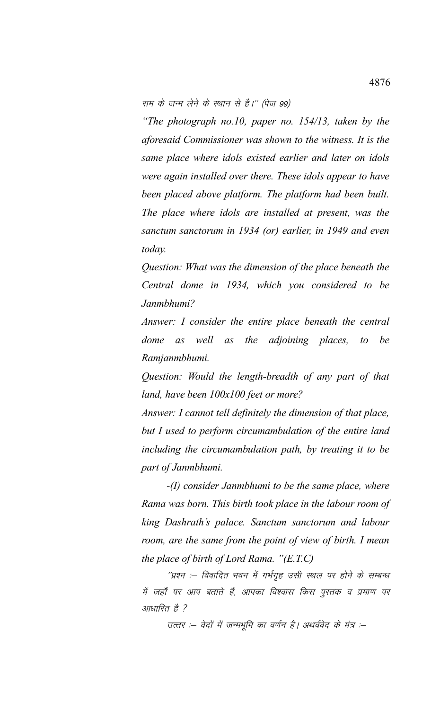राम के जन्म लेने के स्थान से है।'' (पेज 99)

"The photograph no.10, paper no.  $154/13$ , taken by the aforesaid Commissioner was shown to the witness. It is the same place where idols existed earlier and later on idols were again installed over there. These idols appear to have been placed above platform. The platform had been built. The place where idols are installed at present, was the sanctum sanctorum in 1934 (or) earlier, in 1949 and even today.

Question: What was the dimension of the place beneath the Central dome in 1934, which you considered to be Janmbhumi?

Answer: I consider the entire place beneath the central dome as well *the adjoining places,* as  $to$ be Ramjanmbhumi.

Question: Would the length-breadth of any part of that land, have been  $100x100$  feet or more?

Answer: I cannot tell definitely the dimension of that place, but I used to perform circumambulation of the entire land including the circumambulation path, by treating it to be part of Janmbhumi.

 $-(I)$  consider Janmbhumi to be the same place, where Rama was born. This birth took place in the labour room of king Dashrath's palace. Sanctum sanctorum and labour room, are the same from the point of view of birth. I mean the place of birth of Lord Rama. " $(E.T.C)$ 

''प्रश्न :-- विवादित भवन में गर्भगृह उसी स्थल पर होने के सम्बन्ध में जहाँ पर आप बताते हैं, आपका विश्वास किस पुस्तक व प्रमाण पर आधारित है ?

उत्तर :- वेदों में जन्मभूमि का वर्णन है। अथर्ववेद के मंत्र :-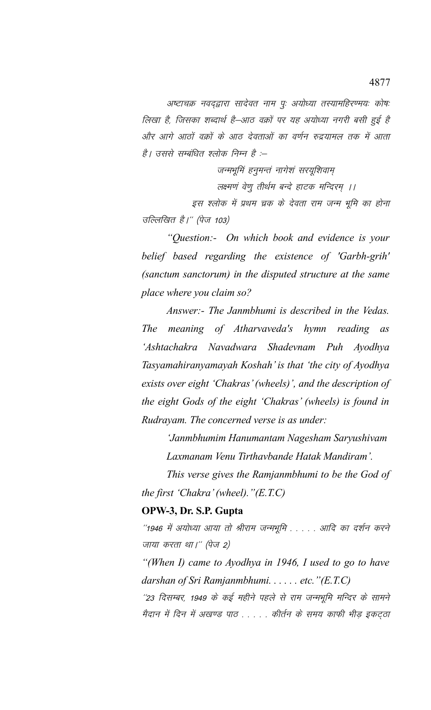अष्टाचक्र नवदद्वारा सादेवत नाम पः अयोध्या तस्यामहिरण्मयः कोषः लिखा है, जिसका शब्दार्थ है–आठ वक्रों पर यह अयोध्या नगरी बसी हुई है और आगे आठों वक्रों के आठ देवताओं का वर्णन रुद्रयामल तक में आता है। उससे सम्बंधित श्लोक निम्न है :--

जन्मभूमिं हनुमन्तं नागेशं सरयूशिवाम्

लक्ष्मणं वेणु तीर्थम बन्दे हाटक मन्दिरम् ।।

इस श्लोक में प्रथम च्रक के देवता राम जन्म भूमि का होना उल्लिखित है।" (पेज 103)

"Question:- On which book and evidence is your belief based regarding the existence of 'Garbh-grih' (sanctum sanctorum) in the disputed structure at the same place where you claim so?

Answer:- The Janmbhumi is described in the Vedas. The meaning of Atharvaveda's hymn reading as 'Ashtachakra Navadwara Shadevnam Puh Ayodhya Tasyamahiranyamayah Koshah' is that 'the city of Ayodhya exists over eight 'Chakras' (wheels)', and the description of the eight Gods of the eight 'Chakras' (wheels) is found in Rudrayam. The concerned verse is as under:

'Janmbhumim Hanumantam Nagesham Saryushivam Laxmanam Venu Tirthaybande Hatak Mandiram'.

This verse gives the Ramjanmbhumi to be the God of the first 'Chakra' (wheel). " $(E.T.C)$ 

OPW-3, Dr. S.P. Gupta

"1946 में अयोध्या आया तो श्रीराम जन्मभूमि . . . . . आदि का दर्शन करने जाया करता था।'' (पेज 2)

"(When I) came to Ayodhya in 1946, I used to go to have darshan of Sri Ramjanmbhumi...... etc." $(E.T.C)$ 

''23 दिसम्बर, 1949 के कई महीने पहले से राम जन्मभूमि मन्दिर के सामने मैदान में दिन में अखण्ड पाठ . . . . . कीर्तन के समय काफी भीड़ इकट्ठा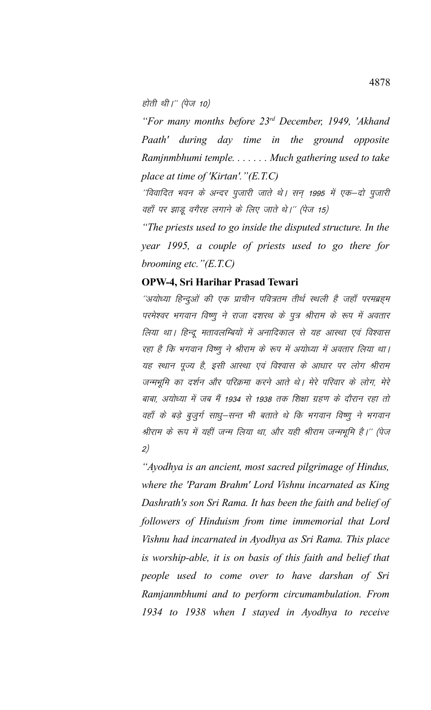होती थी।'' (पेज 10)

"For many months before 23<sup>rd</sup> December, 1949, 'Akhand Paath' during day time in the ground opposite Ramjnmbhumi temple.......Much gathering used to take place at time of 'Kirtan'. " $(E.T.C)$ 

''विवादित भवन के अन्दर पुजारी जाते थे। सन् 1995 में एक–दो पुजारी वहाँ पर झाडू वगैरह लगाने के लिए जाते थे।'' (पेज 15)

"The priests used to go inside the disputed structure. In the year 1995, a couple of priests used to go there for brooming etc.  $"(E.T.C)$ 

### **OPW-4, Sri Harihar Prasad Tewari**

''अयोध्या हिन्दुओं की एक प्राचीन पवित्रतम तीर्थ स्थली है जहाँ परमब्रहम परमेश्वर भगवान विष्णू ने राजा दशरथ के पुत्र श्रीराम के रूप में अवतार लिया था। हिन्दू मतावलम्बियों में अनादिकाल से यह आस्था एवं विश्वास रहा है कि भगवान विष्णु ने श्रीराम के रूप में अयोध्या में अवतार लिया था। यह स्थान पूज्य है, इसी आस्था एवं विश्वास के आधार पर लोग श्रीराम जन्मभूमि का दर्शन और परिक्रमा करने आते थे। मेरे परिवार के लोग, मेरे बाबा, अयोध्या में जब मैं 1934 से 1938 तक शिक्षा ग्रहण के दौरान रहा तो वहाँ के बड़े बुजुर्ग साधु–सन्त भी बताते थे कि भगवान विष्णु ने भगवान श्रीराम के रूप में यहीं जन्म लिया था, और यही श्रीराम जन्मभूमि है।'' (पेज  $2)$ 

"Ayodhya is an ancient, most sacred pilgrimage of Hindus, where the 'Param Brahm' Lord Vishnu incarnated as King Dashrath's son Sri Rama. It has been the faith and belief of followers of Hinduism from time immemorial that Lord Vishnu had incarnated in Ayodhya as Sri Rama. This place is worship-able, it is on basis of this faith and belief that people used to come over to have darshan of Sri Ramjanmbhumi and to perform circumambulation. From 1934 to 1938 when I stayed in Ayodhya to receive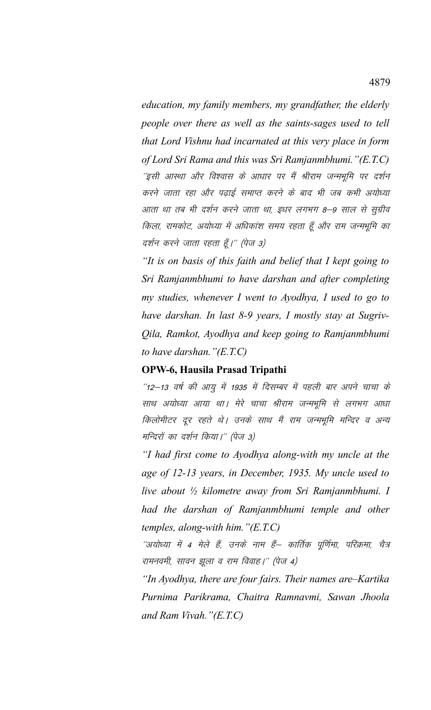*education, my family members, my grandfather, the elderly people over there as well as the saints-sages used to tell that Lord Vishnu had incarnated at this very place in form of Lord Sri Rama and this was Sri Ramjanmbhumi."(E.T.C)* ''इसी आस्था और विश्वास के आधार पर मैं श्रीराम जन्मभूमि पर दर्शन करने जाता रहा और पढ़ाई समाप्त करने के बाद भी जब कभी अयोध्या आता था तब भी दर्शन करने जाता था, इधर लगभग 8–9 साल से सुग्रीव किला, रामकोट, अयोध्या में अधिकांश समय रहता हूँ और राम जन्मभूमि का दर्शन करने जाता रहता हूँ।'' (पेज 3)

*"It is on basis of this faith and belief that I kept going to Sri Ramjanmbhumi to have darshan and after completing my studies, whenever I went to Ayodhya, I used to go to have darshan. In last 8-9 years, I mostly stay at Sugriv-Qila, Ramkot, Ayodhya and keep going to Ramjanmbhumi to have darshan."(E.T.C)*

## **OPW-6, Hausila Prasad Tripathi**

 $^{\prime\prime}$ 12—13 वर्ष की आयु में 1935 में दिसम्बर में पहली बार अपने चाचा के साथ अयोध्या आया था। मेरे चाचा श्रीराम जन्मभूमि से लगभग आधा किलोमीटर दूर रहते थे। उनके साथ मैं राम जन्मभूमि मन्दिर व अन्य मन्दिरों का दर्शन किया।'' (पेज 3)

*"I had first come to Ayodhya along-with my uncle at the age of 12-13 years, in December, 1935. My uncle used to live about ½ kilometre away from Sri Ramjanmbhumi. I had the darshan of Ramjanmbhumi temple and other temples, along-with him."(E.T.C)*

''अयोध्या में 4 मेले हैं, उनके नाम हैं— कार्तिक पूर्णिमा, परिक्रमा, चैत्र रामनवमी, सावन झूला व राम विवाह।'' (पेज 4)

*"In Ayodhya, there are four fairs. Their names are–Kartika Purnima Parikrama, Chaitra Ramnavmi, Sawan Jhoola and Ram Vivah."(E.T.C)*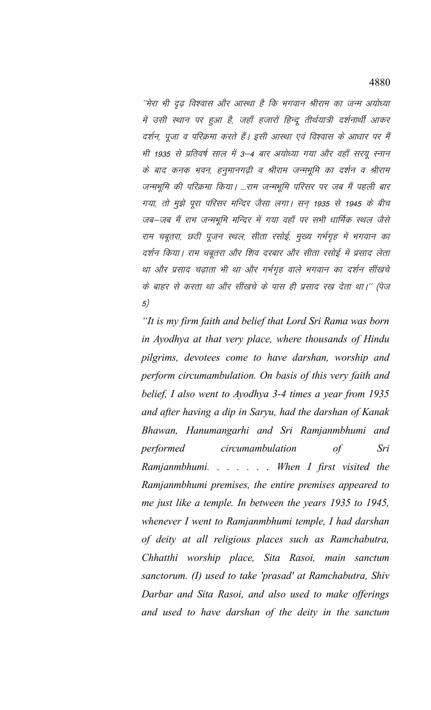''मेरा भी दृढ़ विश्वास और आस्था है कि भगवान श्रीराम का जन्म अयोध्या में उसी स्थान पर हुआ है, जहाँ हजारों हिन्दू तीर्थयात्री दर्शनार्थी आकर दर्शन, पूजा व परिक्रमा करते हैं। इसी आस्था एवं विश्वास के आधार पर मैं भी 1935 से प्रतिवर्ष साल में 3–4 बार अयोध्या गया और वहाँ सरयू स्नान के बाद कनक भवन, हनुमानगढ़ी व श्रीराम जन्मभूमि का दर्शन व श्रीराम जन्मभूमि की परिक्रमा किया। ...राम जन्मभूमि परिसर पर जब मैं पहली बार गया, तो मुझे पूरा परिसर मन्दिर जैसा लगा। सन् 1935 से 1945 के बीच जब-जब मैं राम जन्मभूमि मन्दिर में गया वहाँ पर सभी धार्मिक स्थल जैसे राम चबूतरा, छठी पूजन स्थल, सीता रसोई, मुख्य गर्भगृह में भगवान का दर्शन किया। राम चबूतरा और शिव दरबार और सीता रसोई में प्रसाद लेता था और प्रसाद चढाता भी था और गर्भगृह वाले भगवान का दर्शन सींखचे के बाहर से करता था और सींखचे के पास ही प्रसाद रख देता था।'' (पेज  $5)$ 

"It is my firm faith and belief that Lord Sri Rama was born in Ayodhya at that very place, where thousands of Hindu pilgrims, devotees come to have darshan, worship and perform circumambulation. On basis of this very faith and belief, I also went to Ayodhya 3-4 times a year from 1935 and after having a dip in Saryu, had the darshan of Kanak Bhawan, Hanumangarhi and Sri Ramjanmbhumi and circumambulation  $of$ performed Sri Ramjanmbhumi.......When I first visited the Ramjanmbhumi premises, the entire premises appeared to me just like a temple. In between the years 1935 to 1945, whenever I went to Ramjanmbhumi temple, I had darshan of deity at all religious places such as Ramchabutra, Chhatthi worship place, Sita Rasoi, main sanctum sanctorum. (I) used to take 'prasad' at Ramchabutra, Shiv Darbar and Sita Rasoi, and also used to make offerings and used to have darshan of the deity in the sanctum

### 4880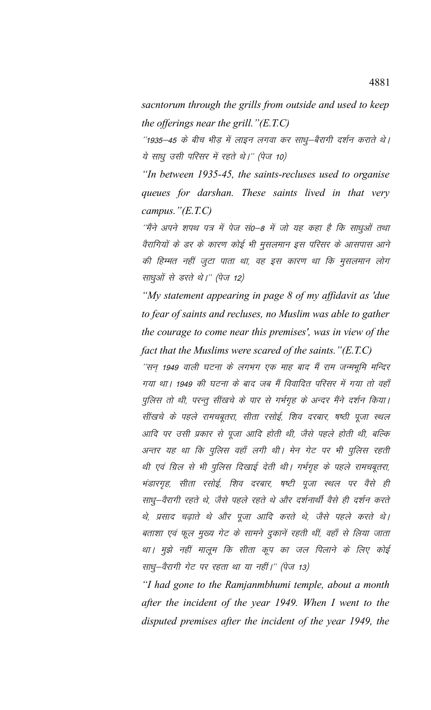sacntorum through the grills from outside and used to keep the offerings near the grill. " $(E.T.C)$ 

"1935—45 के बीच भीड़ में लाइन लगवा कर साधू—बैरागी दर्शन कराते थे। ये साधु उसी परिसर में रहते थे।'' (पेज 10)

"In between 1935-45, the saints-recluses used to organise" queues for darshan. These saints lived in that very campus.  $"(E.T.C)$ 

''मैंने अपने शपथ पत्र में पेज सं0–8 में जो यह कहा है कि साधुओं तथा वैरागियों के डर के कारण कोई भी मुसलमान इस परिसर के आसपास आने की हिम्मत नहीं जूटा पाता था, वह इस कारण था कि मुसलमान लोग साधुओं से डरते थे।" (पेज 12)

"My statement appearing in page 8 of my affidavit as 'due to fear of saints and recluses, no Muslim was able to gather the courage to come near this premises', was in view of the fact that the Muslims were scared of the saints." $(E.T.C)$ 

''सन 1949 वाली घटना के लगभग एक माह बाद मैं राम जन्मभूमि मन्दिर गया था। 1949 की घटना के बाद जब मैं विवादित परिसर में गया तो वहाँ पुलिस तो थी, परन्तु सींखचे के पार से गर्भगृह के अन्दर मैंने दर्शन किया। सींखचे के पहले रामचबूतरा, सीता रसोई, शिव दरबार, षष्ठी पूजा स्थल आदि पर उसी प्रकार से पूजा आदि होती थी, जैसे पहले होती थी, बल्कि अन्तर यह था कि पुलिस वहाँ लगी थी। मेन गेट पर भी पुलिस रहती थी एवं ग्रिल से भी पुलिस दिखाई देती थी। गर्भगृह के पहले रामचबूतरा, भंडारगृह, सीता रसोई, शिव दरबार, षष्टी पूजा स्थल पर वैसे ही साधु-वैरागी रहते थे, जैसे पहले रहते थे और दर्शनार्थी वैसे ही दर्शन करते थे, प्रसाद चढ़ाते थे और पूजा आदि करते थे, जैसे पहले करते थे। बताशा एवं फूल मुख्य गेट के सामने दुकानें रहती थीं, वहाँ से लिया जाता था। मुझे नहीं मालूम कि सीता कूप का जल पिलाने के लिए कोई साधू-वैरागी गेट पर रहता था या नहीं।" (पेज 13)

"I had gone to the Ramjanmbhumi temple, about a month after the incident of the year 1949. When I went to the disputed premises after the incident of the year 1949, the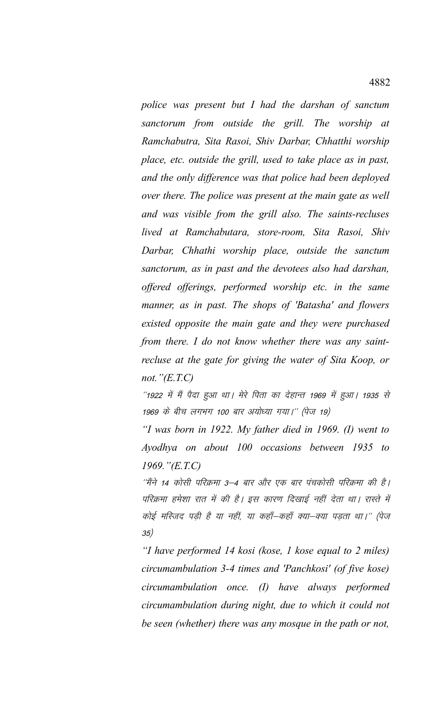*police was present but I had the darshan of sanctum sanctorum from outside the grill. The worship at Ramchabutra, Sita Rasoi, Shiv Darbar, Chhatthi worship place, etc. outside the grill, used to take place as in past, and the only difference was that police had been deployed over there. The police was present at the main gate as well and was visible from the grill also. The saints-recluses lived at Ramchabutara, store-room, Sita Rasoi, Shiv Darbar, Chhathi worship place, outside the sanctum sanctorum, as in past and the devotees also had darshan, offered offerings, performed worship etc. in the same manner, as in past. The shops of 'Batasha' and flowers existed opposite the main gate and they were purchased from there. I do not know whether there was any saintrecluse at the gate for giving the water of Sita Koop, or not."(E.T.C)*

''1922 में मैं पैदा हुआ था। मेरे पिता का देहान्त 1969 में हुआ। 1935 से 1969 के बीच लगभग 100 बार अयोध्या गया।" (पेज 19)

*"I was born in 1922. My father died in 1969. (I) went to Ayodhya on about 100 occasions between 1935 to 1969."(E.T.C)*

^^#ने 14 कोसी परिक्रमा 3–4 बार और एक बार पंचकोसी परिक्रमा की है। परिक्रमा हमेशा रात में की है। इस कारण दिखाई नहीं देता था। रास्ते में कोई मस्जिद पडी है या नहीं, या कहाँ–कहाँ क्या–क्या पडता था।'' (पेज 35½

*"I have performed 14 kosi (kose, 1 kose equal to 2 miles) circumambulation 3-4 times and 'Panchkosi' (of five kose) circumambulation once. (I) have always performed circumambulation during night, due to which it could not be seen (whether) there was any mosque in the path or not,*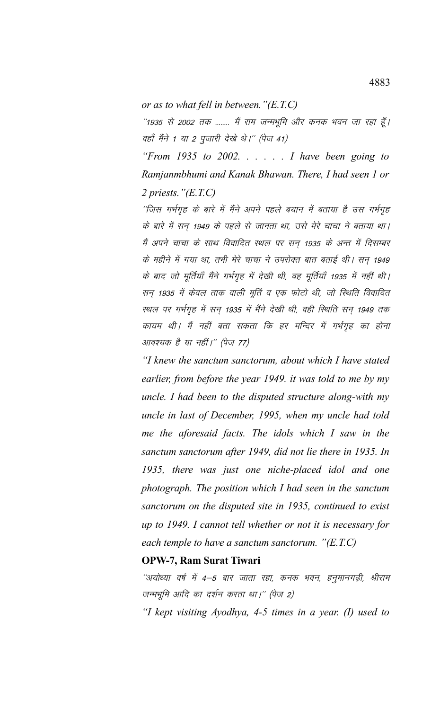or as to what fell in between." $(E.T.C)$ 

''1935 से 2002 तक ........ मैं राम जन्मभूमि और कनक भवन जा रहा हूँ। वहाँ मैंने 1 या 2 पुजारी देखे थे।'' (पेज 41)

"From 1935 to 2002.  $\ldots$  . I have been going to Ramjanmbhumi and Kanak Bhawan. There, I had seen 1 or 2 priests." $(E.T.C)$ 

''जिस गर्भगृह के बारे में मैंने अपने पहले बयान में बताया है उस गर्भगृह के बारे में सन 1949 के पहले से जानता था, उसे मेरे चाचा ने बताया था। मैं अपने चाचा के साथ विवादित स्थल पर सन् 1935 के अन्त में दिसम्बर के महीने में गया था, तभी मेरे चाचा ने उपरोक्त बात बताई थी। सन 1949 के बाद जो मूर्तियाँ मैंने गर्भगृह में देखी थी, वह मूर्तियाँ 1935 में नहीं थी। सन् 1935 में केवल ताक वाली मूर्ति व एक फोटो थी, जो स्थिति विवादित स्थल पर गर्भगृह में सन् 1935 में मैंने देखी थी, वही स्थिति सन् 1949 तक कायम थी। मैं नहीं बता सकता कि हर मन्दिर में गर्भगृह का होना आवश्यक है या नहीं।'' (पेज 77)

"I knew the sanctum sanctorum, about which I have stated earlier, from before the year 1949. it was told to me by my uncle. I had been to the disputed structure along-with my uncle in last of December, 1995, when my uncle had told me the aforesaid facts. The idols which I saw in the sanctum sanctorum after 1949, did not lie there in 1935. In 1935, there was just one niche-placed idol and one photograph. The position which I had seen in the sanctum sanctorum on the disputed site in 1935, continued to exist up to 1949. I cannot tell whether or not it is necessary for each temple to have a sanctum sanctorum. " $(E.T.C)$ 

#### **OPW-7. Ram Surat Tiwari**

''अयोध्या वर्ष में 4–5 बार जाता रहा, कनक भवन, हनुमानगढ़ी, श्रीराम जन्मभूमि आदि का दर्शन करता था।" (पेज 2)

"I kept visiting Ayodhya, 4-5 times in a year. (I) used to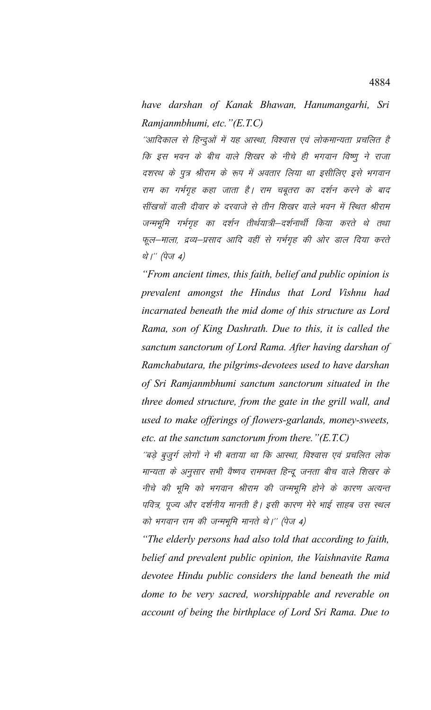*have darshan of Kanak Bhawan, Hanumangarhi, Sri Ramjanmbhumi, etc."(E.T.C)*

''आदिकाल से हिन्दुओं में यह आस्था, विश्वास एवं लोकमान्यता प्रचलित है कि इस भवन के बीच वाले शिखर के नीचे ही भगवान विष्णू ने राजा दशरथ के पुत्र श्रीराम के रूप में अवतार लिया था इसीलिए इसे भगवान राम का गर्भगृह कहा जाता है। राम चबूतरा का दर्शन करने के बाद सींखचों वाली दीवार के दरवाजे से तीन शिखर वाले भवन में स्थित श्रीराम जन्मभूमि गर्भगृह का दर्शन तीर्थयात्री–दर्शनार्थी किया करते थे तथा फूल–माला, द्रव्य–प्रसाद आदि वहीं से गर्भगृह की ओर डाल दिया करते थे।'' (पेज 4)

*"From ancient times, this faith, belief and public opinion is prevalent amongst the Hindus that Lord Vishnu had incarnated beneath the mid dome of this structure as Lord Rama, son of King Dashrath. Due to this, it is called the sanctum sanctorum of Lord Rama. After having darshan of Ramchabutara, the pilgrims-devotees used to have darshan of Sri Ramjanmbhumi sanctum sanctorum situated in the three domed structure, from the gate in the grill wall, and used to make offerings of flowers-garlands, money-sweets, etc. at the sanctum sanctorum from there."(E.T.C)*

''बड़े बुजुर्ग लोगों ने भी बताया था कि आस्था, विश्वास एवं प्रचलित लोक मान्यता के अनुसार सभी वैष्णव रामभक्त हिन्दू जनता बीच वाले शिखर के नीचे की भूमि को भगवान श्रीराम की जन्मभूमि होने के कारण अत्यन्त पवित्र, पूज्य और दर्शनीय मानती है। इसी कारण मेरे भाई साहब उस स्थल को भगवान राम की जन्मभूमि मानते थे।" (पेज 4)

*"The elderly persons had also told that according to faith, belief and prevalent public opinion, the Vaishnavite Rama devotee Hindu public considers the land beneath the mid dome to be very sacred, worshippable and reverable on account of being the birthplace of Lord Sri Rama. Due to*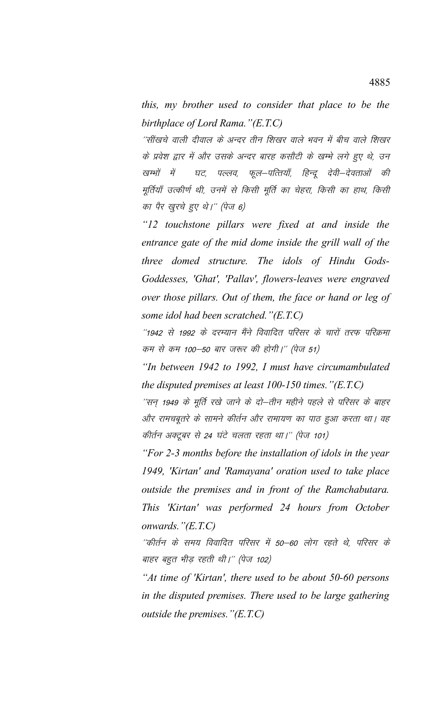*this, my brother used to consider that place to be the birthplace of Lord Rama."(E.T.C)*

''सींखचे वाली दीवाल के अन्दर तीन शिखर वाले भवन में बीच वाले शिखर के प्रवेश द्वार में और उसके अन्दर बारह कसौटी के खम्भे लगे हुए थे, उन खम्भों में घट, पल्लव, फूल–पत्तियाँ, हिन्दू देवी–देवताओं की मूर्तियाँ उत्कीर्ण थी, उनमें से किसी मूर्ति का चेहरा, किसी का हाथ, किसी का पैर खुरचे हुए थे।'' (पेज 6)

*"12 touchstone pillars were fixed at and inside the entrance gate of the mid dome inside the grill wall of the three domed structure. The idols of Hindu Gods-Goddesses, 'Ghat', 'Pallav', flowers-leaves were engraved over those pillars. Out of them, the face or hand or leg of some idol had been scratched."(E.T.C)*

''1942 से 1992 के दरम्यान मैंने विवादित परिसर के चारों तरफ परिक्रमा कम से कम 100–50 बार जरूर की होगी।'' (पेज 51)

*"In between 1942 to 1992, I must have circumambulated the disputed premises at least 100-150 times."(E.T.C)*

''सन् 1949 के मूर्ति रखे जाने के दो–तीन महीने पहले से परिसर के बाहर और रामचबूतरे के सामने कीर्तन और रामायण का पाठ हुआ करता था। वह कीर्तन अक्टूबर से 24 घंटे चलता रहता था।" (पेज 101)

*"For 2-3 months before the installation of idols in the year 1949, 'Kirtan' and 'Ramayana' oration used to take place outside the premises and in front of the Ramchabutara. This 'Kirtan' was performed 24 hours from October onwards."(E.T.C)*

''कीर्तन के समय विवादित परिसर में 50–60 लोग रहते थे, परिसर के बाहर बहुत भीड़ रहती थी।'' (पेज 102)

*"At time of 'Kirtan', there used to be about 50-60 persons in the disputed premises. There used to be large gathering outside the premises."(E.T.C)*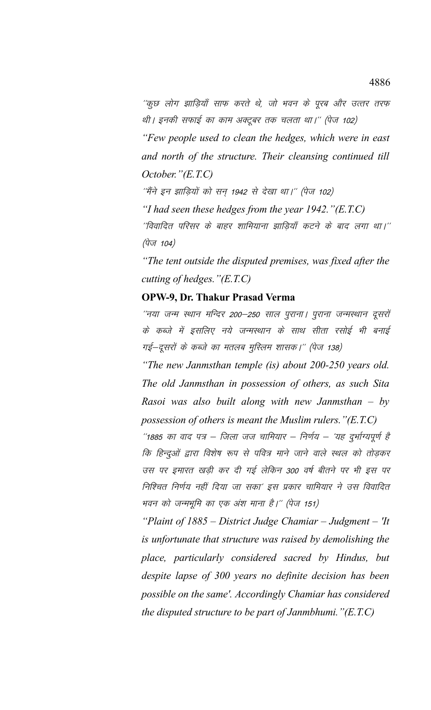''कुछ लोग झाडियाँ साफ करते थे, जो भवन के पुरब और उत्तर तरफ थी। इनकी सफाई का काम अक्टूबर तक चलता था।'' (पेज 102) "Few people used to clean the hedges, which were in east and north of the structure. Their cleansing continued till October."(E.T.C) ''मैंने इन झाड़ियों को सन् 1942 से देखा था।'' (पेज 102) "I had seen these hedges from the year  $1942$ ."(E.T.C) ''विवादित परिसर के बाहर शामियाना झाड़ियाँ कटने के बाद लगा था।''

 $(\dot{\vec{q}}\vec{v}$  104) "The tent outside the disputed premises, was fixed after the

cutting of hedges. " $(E.T.C)$ 

## **OPW-9, Dr. Thakur Prasad Verma**

"नया जन्म स्थान मन्दिर 200–250 साल पुराना। पुराना जन्मस्थान दूसरों के कब्जे में इसलिए नये जन्मस्थान के साथ सीता रसोई भी बनाई गई-दूसरों के कब्जे का मतलब मुस्लिम शासक।'' (पेज 138)

"The new Janmsthan temple (is) about 200-250 years old. The old Janmsthan in possession of others, as such Sita Rasoi was also built along with new Janmsthan  $-$  by possession of others is meant the Muslim rulers." $(E.T.C)$ 

"1885 का वाद पत्र – जिला जज चामियार – निर्णय – 'यह दुर्भाग्यपूर्ण है कि हिन्दुओं द्वारा विशेष रूप से पवित्र माने जाने वाले स्थल को तोड़कर उस पर इमारत खड़ी कर दी गई लेकिन 300 वर्ष बीतने पर भी इस पर निश्चित निर्णय नहीं दिया जा सका' इस प्रकार चामियार ने उस विवादित भवन को जन्मभूमि का एक अंश माना है।'' (पेज 151)

"Plaint of  $1885$  – District Judge Chamiar – Judgment – 'It' is unfortunate that structure was raised by demolishing the place, particularly considered sacred by Hindus, but despite lapse of 300 years no definite decision has been possible on the same'. Accordingly Chamiar has considered the disputed structure to be part of Janmbhumi." $(E.T.C)$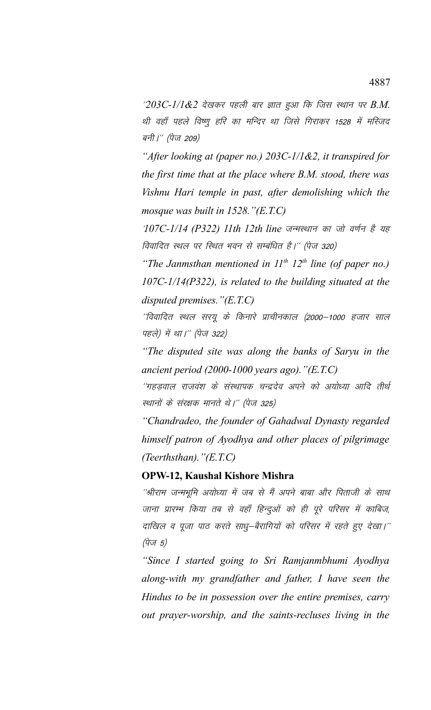$1203C$ -1/1&2 देखकर पहली बार ज्ञात हुआ कि जिस स्थान पर B.M. थी वहाँ पहले विष्णु हरि का मन्दिर था जिसे गिराकर 1528 में मस्जिद बनी।'' (पेज 209)

"After looking at (paper no.)  $203C-1/1&2$ , it transpired for the first time that at the place where B.M. stood, there was Vishnu Hari temple in past, after demolishing which the mosque was built in 1528. " $(E.T.C)$ 

107C-1/14 (P322) 11th 12th line जन्मस्थान का जो वर्णन है यह विवादित स्थल पर स्थित भवन से सम्बंधित है।'' (पेज 320)

"The Janmsthan mentioned in  $11^{th}$   $12^{th}$  line (of paper no.)  $107C$ - $1/14(P322)$ , is related to the building situated at the disputed premises." $(E.T.C)$ 

''विवादित स्थल सरयू के किनारे प्राचीनकाल (2000–1000 हजार साल पहले) में था।" (पेज 322)

"The disputed site was along the banks of Saryu in the ancient period (2000-1000 years ago). " $(E.T.C)$ 

''गहडवाल राजवंश के संस्थापक चन्द्रदेव अपने को अयोध्या आदि तीर्थ स्थानों के संरक्षक मानते थे।'' (पेज 325)

"Chandradeo, the founder of Gahadwal Dynasty regarded himself patron of Ayodhya and other places of pilgrimage (Teerthsthan)." $(E.T.C)$ 

#### **OPW-12, Kaushal Kishore Mishra**

''श्रीराम जन्मभूमि अयोध्या में जब से मैं अपने बाबा और पिताजी के साथ जाना प्रारम्भ किया तब से वहाँ हिन्दुओं को ही पूरे परिसर में काबिज, दाखिल व पूजा पाठ करते साधु–बैरागियों को परिसर में रहते हुए देखा।'' (पेज 5)

"Since I started going to Sri Ramjanmbhumi Ayodhya along-with my grandfather and father, I have seen the Hindus to be in possession over the entire premises, carry out prayer-worship, and the saints-recluses living in the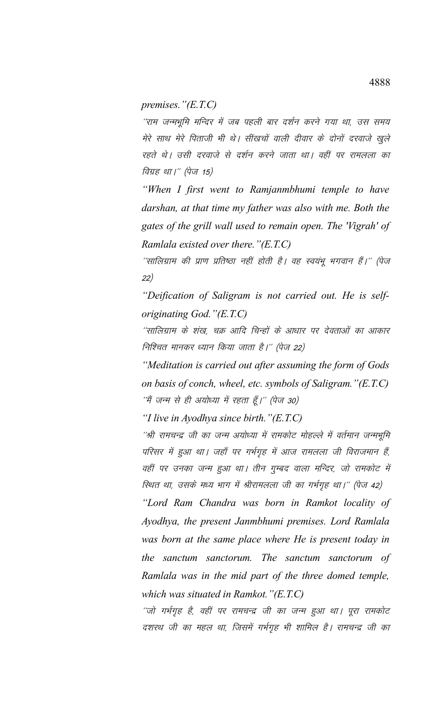premises." $(E.T.C)$ 

''राम जन्मभूमि मन्दिर में जब पहली बार दर्शन करने गया था, उस समय मेरे साथ मेरे पिताजी भी थे। सींखचों वाली दीवार के दोनों दरवाजे खुले रहते थे। उसी दरवाजे से दर्शन करने जाता था। वहीं पर रामलला का विग्रह था।" (पेज 15)

"When I first went to Ramjanmbhumi temple to have darshan, at that time my father was also with me. Both the gates of the grill wall used to remain open. The 'Vigrah' of Ramlala existed over there." $(E.T.C)$ 

''सालिग्राम की प्राण प्रतिष्ठा नहीं होती है। वह स्वयंभू भगवान हैं।'' (पेज  $(22)$ 

"Deification of Saligram is not carried out. He is selforiginating  $God.'$  $(E.T.C)$ 

''सालिग्राम के शंख, चक्र आदि चिन्हों के आधार पर देवताओं का आकार निश्चित मानकर ध्यान किया जाता है।'' (पेज 22)

"Meditation is carried out after assuming the form of Gods on basis of conch, wheel, etc. symbols of Saligram."(E.T.C) ''मैं जन्म से ही अयोध्या में रहता हूँ।'' (पेज 30)

"I live in Ayodhya since birth." $(E.T.C)$ 

''श्री रामचन्द्र जी का जन्म अयोध्या में रामकोट मोहल्ले में वर्तमान जन्मभूमि परिसर में हुआ था। जहाँ पर गर्भगृह में आज रामलला जी विराजमान हैं, वहीं पर उनका जन्म हुआ था। तीन गुम्बद वाला मन्दिर, जो रामकोट में रिथत था, उसके मध्य भाग में श्रीरामलला जी का गर्भगृह था।'' (पेज 42)

"Lord Ram Chandra was born in Ramkot locality of Ayodhya, the present Janmbhumi premises. Lord Ramlala was born at the same place where He is present today in the sanctum sanctorum. The sanctum sanctorum of Ramlala was in the mid part of the three domed temple, which was situated in Ramkot." $(E.T.C)$ 

''जो गर्भगृह है, वहीं पर रामचन्द्र जी का जन्म हुआ था। पूरा रामकोट दशरथ जी का महल था, जिसमें गर्भगृह भी शामिल है। रामचन्द्र जी का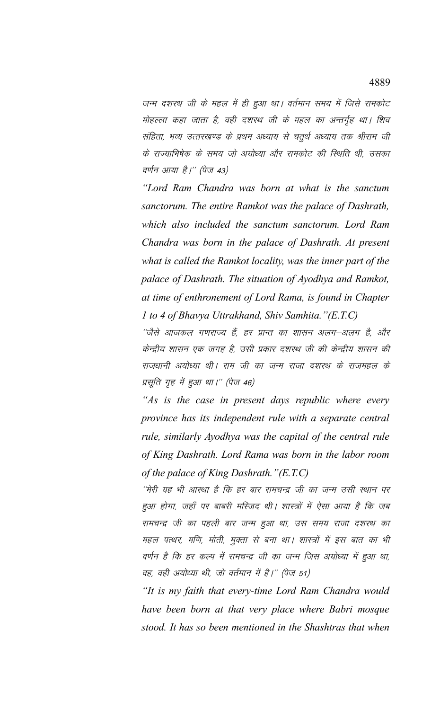जन्म दशरथ जी के महल में ही हुआ था। वर्तमान समय में जिसे रामकोट मोहल्ला कहा जाता है, वही दशरथ जी के महल का अन्तर्गृह था। शिव संहिता, भव्य उत्तरखण्ड के प्रथम अध्याय से चतुर्थ अध्याय तक श्रीराम जी के राज्याभिषेक के समय जो अयोध्या और रामकोट की स्थिति थी, उसका वर्णन आया है।'' (पेज 43)

*"Lord Ram Chandra was born at what is the sanctum sanctorum. The entire Ramkot was the palace of Dashrath, which also included the sanctum sanctorum. Lord Ram Chandra was born in the palace of Dashrath. At present what is called the Ramkot locality, was the inner part of the palace of Dashrath. The situation of Ayodhya and Ramkot, at time of enthronement of Lord Rama, is found in Chapter 1 to 4 of Bhavya Uttrakhand, Shiv Samhita."(E.T.C)*

''जैसे आजकल गणराज्य हैं, हर प्रान्त का शासन अलग—अलग है, और केन्द्रीय शासन एक जगह है, उसी प्रकार दशरथ जी की केन्द्रीय शासन की राजधानी अयोध्या थी। राम जी का जन्म राजा दशरथ के राजमहल के प्रसूति गृह में हुआ था।'' (पेज 46)

*"As is the case in present days republic where every province has its independent rule with a separate central rule, similarly Ayodhya was the capital of the central rule of King Dashrath. Lord Rama was born in the labor room of the palace of King Dashrath."(E.T.C)*

''मेरी यह भी आस्था है कि हर बार रामचन्द्र जी का जन्म उसी स्थान पर हुआ होगा, जहाँ पर बाबरी मस्जिद थी। शास्त्रों में ऐसा आया है कि जब रामचन्द्र जी का पहली बार जन्म हुआ था, उस समय राजा दशरथ का महल पत्थर, मणि, मोती, मुक्ता से बना था। शास्त्रों में इस बात का भी वर्णन है कि हर कल्प में रामचन्द्र जी का जन्म जिस अयोध्या में हुआ था, वह, वही अयोध्या थी, जो वर्तमान में है।'' (पेज 51)

*"It is my faith that every-time Lord Ram Chandra would have been born at that very place where Babri mosque stood. It has so been mentioned in the Shashtras that when*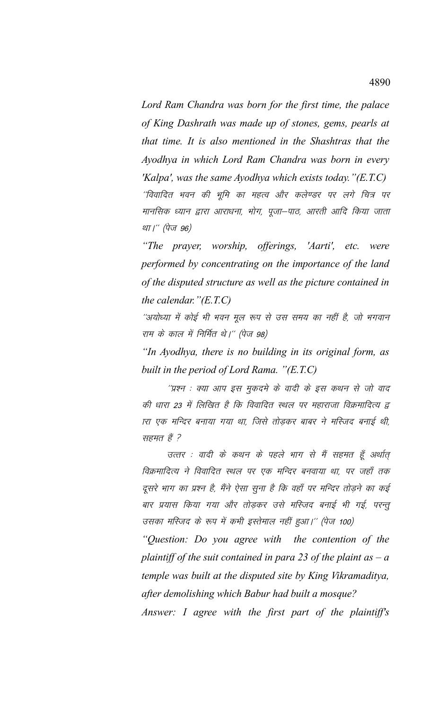*Lord Ram Chandra was born for the first time, the palace of King Dashrath was made up of stones, gems, pearls at that time. It is also mentioned in the Shashtras that the Ayodhya in which Lord Ram Chandra was born in every 'Kalpa', was the same Ayodhya which exists today."(E.T.C)* ''विवादित भवन की भूमि का महत्व और कलेण्डर पर लगे चित्र पर मानसिक ध्यान द्वारा आराधना, भोग, पूजा–पाठ, आरती आदि किया जाता था।'' (पेज 96)

*"The prayer, worship, offerings, 'Aarti', etc. were performed by concentrating on the importance of the land of the disputed structure as well as the picture contained in the calendar."(E.T.C)*

''अयोध्या में कोई भी भवन मूल रूप से उस समय का नहीं है, जो भगवान राम के काल में निर्मित थे।'' (पेज 98)

*"In Ayodhya, there is no building in its original form, as built in the period of Lord Rama. "(E.T.C)*

''प्रश्न : क्या आप इस मुकदमे के वादी के इस कथन से जो वाद की धारा 23 में लिखित है कि विवादित स्थल पर महाराजा विक्रमादित्य द्व ारा एक मन्दिर बनाया गया था, जिसे तोड़कर बाबर ने मस्जिद बनाई थी, सहमत हैं ?

उत्तर : वादी के कथन के पहले भाग से मैं सहमत हूँ अर्थात् विक्रमादित्य ने विवादित स्थल पर एक मन्दिर बनवाया था, पर जहाँ तक दुसरे भाग का प्रश्न है, मैंने ऐसा सुना है कि वहाँ पर मन्दिर तोड़ने का कई बार प्रयास किया गया और तोड़कर उसे मस्जिद बनाई भी गई, परन्तु उसका मस्जिद के रूप में कभी इस्तेमाल नहीं हुआ।'' (पेज 100)

*"Question: Do you agree with the contention of the plaintiff of the suit contained in para 23 of the plaint as – a temple was built at the disputed site by King Vikramaditya, after demolishing which Babur had built a mosque?*

*Answer: I agree with the first part of the plaintiff's*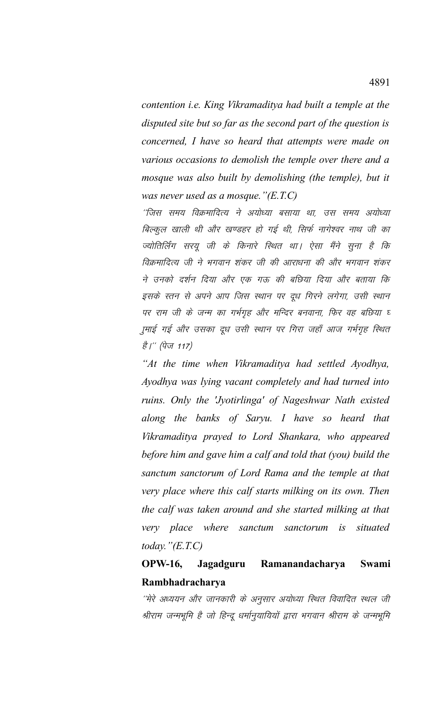*contention i.e. King Vikramaditya had built a temple at the disputed site but so far as the second part of the question is concerned, I have so heard that attempts were made on various occasions to demolish the temple over there and a mosque was also built by demolishing (the temple), but it was never used as a mosque."(E.T.C)*

 $^{\prime\prime}$ जिस समय विक्रमादित्य ने अयोध्या बसाया था, उस समय अयोध्या बिल्कूल खाली थी और खण्डहर हो गई थी, सिर्फ नागेश्वर नाथ जी का ज्योतिर्लिंग सरयू जी के किनारे स्थित था। ऐसा मैंने सुना है कि विक्रमादित्य जी ने भगवान शंकर जी की आराधना की और भगवान शंकर ने उनको दर्शन दिया और एक गऊ की बछिया दिया और बताया कि इसके स्तन से अपने आप जिस स्थान पर दुध गिरने लगेगा, उसी स्थान पर राम जी के जन्म का गर्भगृह और मन्दिर बनवाना, फिर वह बछिया घ ामाई गई और उसका दूध उसी स्थान पर गिरा जहाँ आज गर्भगृह स्थित है।'' (पेज 117)

*"At the time when Vikramaditya had settled Ayodhya, Ayodhya was lying vacant completely and had turned into ruins. Only the 'Jyotirlinga' of Nageshwar Nath existed along the banks of Saryu. I have so heard that Vikramaditya prayed to Lord Shankara, who appeared before him and gave him a calf and told that (you) build the sanctum sanctorum of Lord Rama and the temple at that very place where this calf starts milking on its own. Then the calf was taken around and she started milking at that very place where sanctum sanctorum is situated today."(E.T.C)*

# **OPW-16, Jagadguru Ramanandacharya Swami Rambhadracharya**

''मेरे अध्ययन और जानकारी के अनुसार अयोध्या रिथत विवादित स्थल जी श्रीराम जन्मभूमि है जो हिन्दू धर्मानुयायियों द्वारा भगवान श्रीराम के जन्मभूमि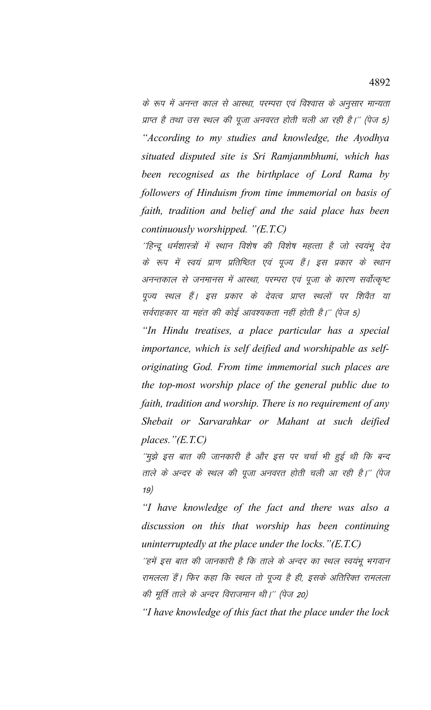के रूप में अनन्त काल से आस्था, परम्परा एवं विश्वास के अनुसार मान्यता प्राप्त है तथा उस स्थल की पूजा अनवरत होती चली आ रही है।'' (पेज 5) *"According to my studies and knowledge, the Ayodhya situated disputed site is Sri Ramjanmbhumi, which has been recognised as the birthplace of Lord Rama by followers of Hinduism from time immemorial on basis of faith, tradition and belief and the said place has been continuously worshipped. "(E.T.C)*

^हिन्दू धर्मशास्त्रों में स्थान विशेष की विशेष महत्ता है जो स्वयंभू देव के रूप में स्वयं प्राण प्रतिष्ठित एवं पूज्य हैं। इस प्रकार के स्थान अनन्तकाल से जनमानस में आस्था, परम्परा एवं पूजा के कारण सर्वोत्कृष्ट पूज्य स्थल हैं। इस प्रकार के देवत्व प्राप्त स्थलों पर शिवैत या सर्वराहकार या महंत की कोई आवश्यकता नहीं होती है।'' (पेज 5)

*"In Hindu treatises, a place particular has a special importance, which is self deified and worshipable as selforiginating God. From time immemorial such places are the top-most worship place of the general public due to faith, tradition and worship. There is no requirement of any Shebait or Sarvarahkar or Mahant at such deified places."(E.T.C)*

´'मुझे इस बात की जानकारी है और इस पर चर्चा भी हुई थी कि बन्द ताले के अन्दर के स्थल की पूजा अनवरत होती चली आ रही है।'' (पेज 19)

*"I have knowledge of the fact and there was also a discussion on this that worship has been continuing uninterruptedly at the place under the locks."(E.T.C)*

''हमें इस बात की जानकारी है कि ताले के अन्दर का स्थल स्वयंभ भगवान रामलला हैं। फिर कहा कि स्थल तो पूज्य है ही, इसके अतिरिक्त रामलला की मूर्ति ताले के अन्दर विराजमान थी।'' (पेज 20)

*"I have knowledge of this fact that the place under the lock*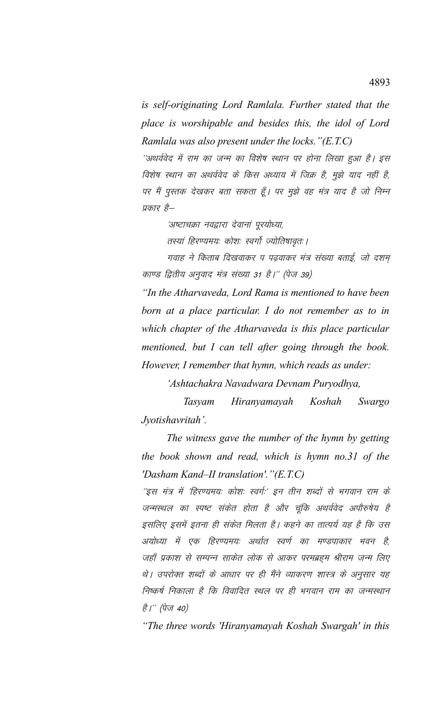*is self-originating Lord Ramlala. Further stated that the place is worshipable and besides this, the idol of Lord Ramlala was also present under the locks."(E.T.C)*

''अथर्ववेद में राम का जन्म का विशेष स्थान पर होना लिखा हुआ है। इस विशेष स्थान का अथर्ववेद के किस अध्याय में जिक्र है, मुझे याद नहीं है, पर मैं पुस्तक देखकर बता सकता हूँ। पर मुझे वह मंत्र याद है जो निम्न प्रकार है—

'अष्टाचक्रा नवद्वारा देवानां पुरयोध्या,

तस्यां हिरण्यमयः कोशः स्वर्गो ज्योतिषावृतः ।

गवाह ने किताब दिखवाकर प पढ़वाकर मंत्र संख्या बताई, जो दशम् काण्ड द्वितीय अनुवाद मंत्र संख्या 31 है।'' (पेज 39)

*"In the Atharvaveda, Lord Rama is mentioned to have been born at a place particular. I do not remember as to in which chapter of the Atharvaveda is this place particular mentioned, but I can tell after going through the book. However, I remember that hymn, which reads as under:*

*'Ashtachakra Navadwara Devnam Puryodhya,*

 *Tasyam Hiranyamayah Koshah Swargo Jyotishavritah'.*

*The witness gave the number of the hymn by getting the book shown and read, which is hymn no.31 of the 'Dasham Kand–II translation'."(E.T.C)*

'इस मंत्र में 'हिरण्यमयः कोशः स्वर्गः' इन तीन शब्दों से भगवान राम के जन्मस्थल का स्पष्ट संकेत होता है और चुंकि अथर्ववेद अपौरुषेय है इसलिए इसमें इतना ही संकेत मिलता है। कहने का तात्पर्य यह है कि उस अयोध्या में एक हिरण्यमयः अर्थात स्वर्ण का मण्डपाकार भवन है, जहाँ प्रकाश से सम्पन्न साकेत लोक से आकर परमब्रहम श्रीराम जन्म लिए थे। उपरोक्त शब्दों के आधार पर ही मैंने व्याकरण शास्त्र के अनुसार यह निष्कर्ष निकाला है कि विवादित स्थल पर ही भगवान राम का जन्मस्थान है।'' (पेज 40)

*"The three words 'Hiranyamayah Koshah Swargah' in this*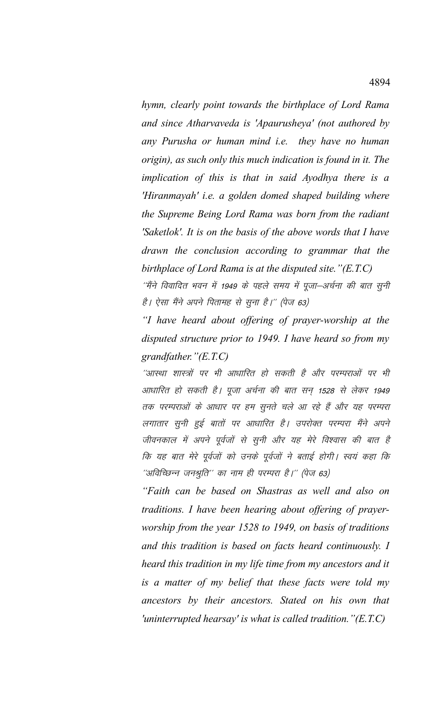hymn, clearly point towards the birthplace of Lord Rama and since Atharvaveda is 'Apaurusheya' (not authored by any Purusha or human mind *i.e.* they have no human origin), as such only this much indication is found in it. The implication of this is that in said Ayodhya there is a 'Hiranmayah' i.e. a golden domed shaped building where the Supreme Being Lord Rama was born from the radiant 'Saketlok'. It is on the basis of the above words that I have drawn the conclusion according to grammar that the birthplace of Lord Rama is at the disputed site." $(E.T.C)$ 

''मैंने विवादित भवन में 1949 के पहले समय में पूजा–अर्चना की बात सूनी है। ऐसा मैंने अपने पितामह से सूना है।'' (पेज 63)

"I have heard about offering of prayer-worship at the disputed structure prior to 1949. I have heard so from my grandfather." $(E.T.C)$ 

''आस्था शास्त्रों पर भी आधारित हो सकती है और परम्पराओं पर भी आधारित हो सकती है। पूजा अर्चना की बात सन् 1528 से लेकर 1949 तक परम्पराओं के आधार पर हम सूनते चले आ रहे हैं और यह परम्परा लगातार सुनी हुई बातों पर आधारित है। उपरोक्त परम्परा मैंने अपने जीवनकाल में अपने पूर्वजों से सुनी और यह मेरे विश्वास की बात है कि यह बात मेरे पूर्वजों को उनके पूर्वजों ने बताई होगी। स्वयं कहा कि ''अविच्छिन्न जनश्रुति'' का नाम ही परम्परा है।'' (पेज 63)

"Faith can be based on Shastras as well and also on traditions. I have been hearing about offering of prayerworship from the year 1528 to 1949, on basis of traditions and this tradition is based on facts heard continuously. I heard this tradition in my life time from my ancestors and it is a matter of my belief that these facts were told my ancestors by their ancestors. Stated on his own that 'uninterrupted hearsay' is what is called tradition." $(E.T.C)$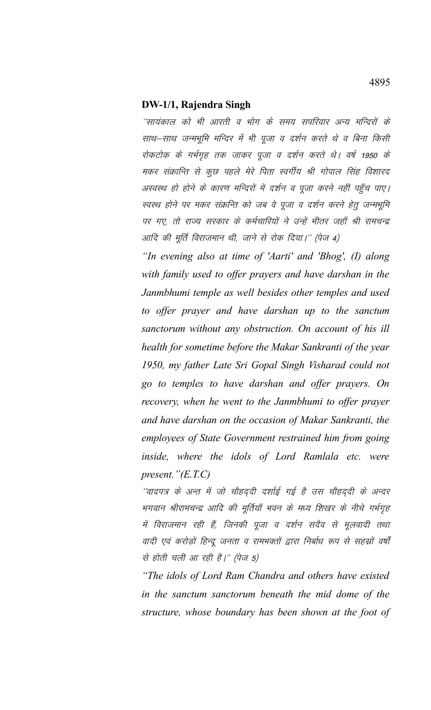#### **DW-1/1, Rajendra Singh**

''सायंकाल को भी आरती व भोग के समय सपरिवार अन्य मन्दिरों के साथ–साथ जन्मभूमि मन्दिर में भी पूजा व दर्शन करते थे व बिना किसी रोकटोक के गर्भगृह तक जाकर पूजा व दर्शन करते थे। वर्ष 1950 के मकर संक्रान्ति से कुछ पहले मेरे पिता स्वर्गीय श्री गोपाल सिंह विशारद अस्वस्थ हो होने के कारण मन्दिरों में दर्शन व पूजा करने नहीं पहुँच पाए। स्वस्थ होने पर मकर संक्रन्ति को जब वे पूजा व दर्शन करने हेतू जन्मभूमि पर गए, तो राज्य सरकार के कर्मचारियों ने उन्हें भीतर जहाँ श्री रामचन्द्र आदि की मूर्ति विराजमान थी, जाने से रोक दिया।'' (पेज 4)

*"In evening also at time of 'Aarti' and 'Bhog', (I) along with family used to offer prayers and have darshan in the Janmbhumi temple as well besides other temples and used to offer prayer and have darshan up to the sanctum sanctorum without any obstruction. On account of his ill health for sometime before the Makar Sankranti of the year 1950, my father Late Sri Gopal Singh Visharad could not go to temples to have darshan and offer prayers. On recovery, when he went to the Janmbhumi to offer prayer and have darshan on the occasion of Makar Sankranti, the employees of State Government restrained him from going inside, where the idols of Lord Ramlala etc. were present."(E.T.C)*

''वादपत्र के अन्त में जो चौहद्दी दर्शाई गई है उस चौहद्दी के अन्दर भगवान श्रीरामचन्द्र आदि की मूर्तियाँ भवन के मध्य शिखर के नीचे गर्भगृह में विराजमान रही हैं, जिनकी पूजा व दर्शन सदैव से मूलवादी तथा वादी एवं करोड़ों हिन्दू जनता व रामभक्तों द्वारा निर्बाध रूप से सहस्रों वर्षों से होती चली आ रही है।" (पेज 5)

*"The idols of Lord Ram Chandra and others have existed in the sanctum sanctorum beneath the mid dome of the structure, whose boundary has been shown at the foot of*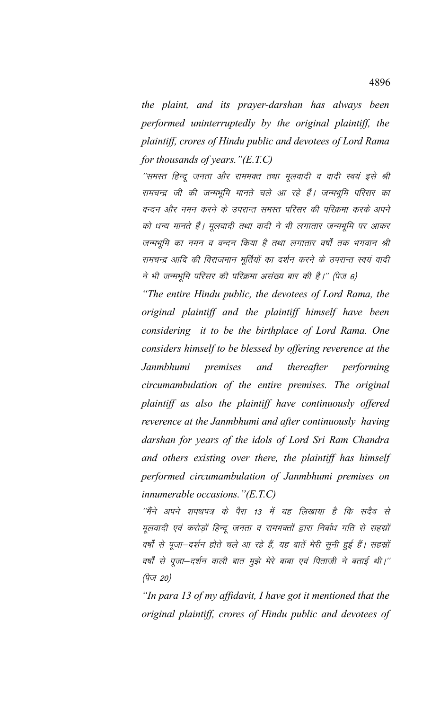*the plaint, and its prayer-darshan has always been performed uninterruptedly by the original plaintiff, the plaintiff, crores of Hindu public and devotees of Lord Rama for thousands of years."(E.T.C)*

''समस्त हिन्दू जनता और रामभक्त तथा मूलवादी व वादी स्वयं इसे श्री रामचन्द्र जी की जन्मभूमि मानते चले आ रहे हैं। जन्मभूमि परिसर का वन्दन और नमन करने के उपरान्त समस्त परिसर की परिक्रमा करके अपने को धन्य मानते हैं। मूलवादी तथा वादी ने भी लगातार जन्मभूमि पर आकर जन्मभूमि का नमन व वन्दन किया है तथा लगातार वर्षों तक भगवान श्री रामचन्द्र आदि की विराजमान मूर्तियों का दर्शन करने के उपरान्त स्वयं वादी ने भी जन्मभूमि परिसर की परिक्रमा असंख्य बार की है।'' (पेज 6)

*"The entire Hindu public, the devotees of Lord Rama, the original plaintiff and the plaintiff himself have been considering it to be the birthplace of Lord Rama. One considers himself to be blessed by offering reverence at the Janmbhumi premises and thereafter performing circumambulation of the entire premises. The original plaintiff as also the plaintiff have continuously offered reverence at the Janmbhumi and after continuously having darshan for years of the idols of Lord Sri Ram Chandra and others existing over there, the plaintiff has himself performed circumambulation of Janmbhumi premises on innumerable occasions."(E.T.C)*

''मैंने अपने शपथपत्र के पैरा 13 में यह लिखाया है कि सदैव से मूलवादी एवं करोड़ों हिन्दू जनता व रामभक्तों द्वारा निर्बाध गति से सहस्रों वर्षों से पूजा-दर्शन होते चले आ रहे हैं, यह बातें मेरी सूनी हुई हैं। सहस्रों वर्षों से पूजा-दर्शन वाली बात मुझे मेरे बाबा एवं पिताजी ने बताई थी।'' (पेज 20)

*"In para 13 of my affidavit, I have got it mentioned that the original plaintiff, crores of Hindu public and devotees of*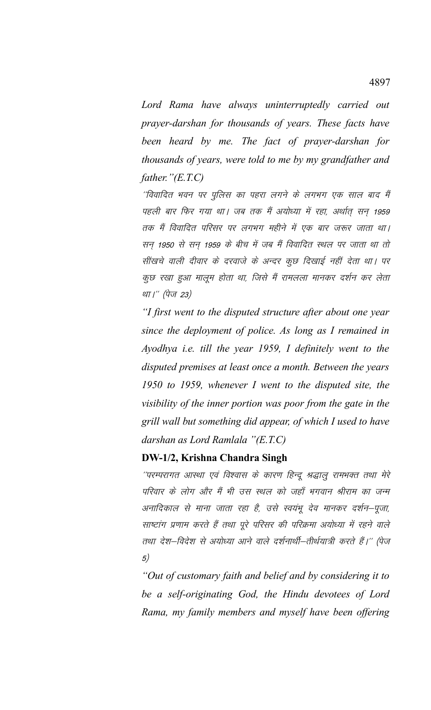*Lord Rama have always uninterruptedly carried out prayer-darshan for thousands of years. These facts have been heard by me. The fact of prayer-darshan for thousands of years, were told to me by my grandfather and father."(E.T.C)*

''विवादित भवन पर पुलिस का पहरा लगने के लगभग एक साल बाद मैं पहली बार फिर गया था। जब तक मैं अयोध्या में रहा, अर्थात सन 1959 तक मैं विवादित परिसर पर लगभग महीने में एक बार जरूर जाता था। सन 1950 से सन 1959 के बीच में जब मैं विवादित स्थल पर जाता था तो सींखचे वाली दीवार के दरवाजे के अन्दर कुछ दिखाई नहीं देता था। पर कुछ रखा हुआ मालूम होता था, जिसे मैं रामलला मानकर दर्शन कर लेता था।'' (पेज 23)

*"I first went to the disputed structure after about one year since the deployment of police. As long as I remained in Ayodhya i.e. till the year 1959, I definitely went to the disputed premises at least once a month. Between the years 1950 to 1959, whenever I went to the disputed site, the visibility of the inner portion was poor from the gate in the grill wall but something did appear, of which I used to have darshan as Lord Ramlala "(E.T.C)*

# **DW-1/2, Krishna Chandra Singh**

''परम्परागत आस्था एवं विश्वास के कारण हिन्दू श्रद्धालू रामभक्त तथा मेरे परिवार के लोग और मैं भी उस स्थल को जहाँ भगवान श्रीराम का जन्म अनादिकाल से माना जाता रहा है, उसे स्वयंभू देव मानकर दर्शन–पूजा, साष्टांग प्रणाम करते हैं तथा पूरे परिसर की परिक्रमा अयोध्या में रहने वाले तथा देश–विदेश से अयोध्या आने वाले दर्शनार्थी–तीर्थयात्री करते हैं।'' (पेज 5½

*"Out of customary faith and belief and by considering it to be a self-originating God, the Hindu devotees of Lord Rama, my family members and myself have been offering*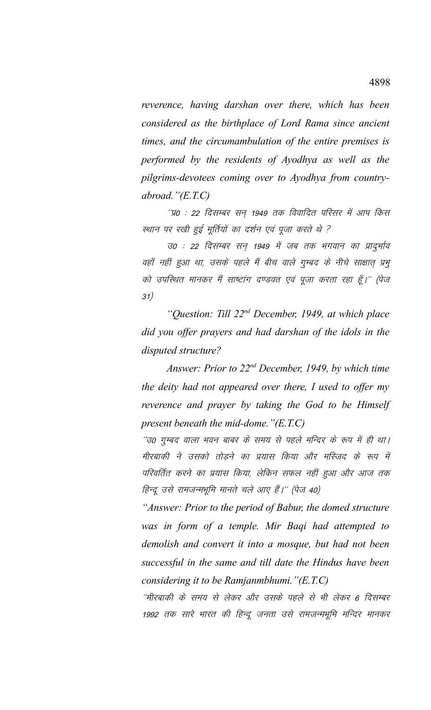*reverence, having darshan over there, which has been considered as the birthplace of Lord Rama since ancient times, and the circumambulation of the entire premises is performed by the residents of Ayodhya as well as the pilgrims-devotees coming over to Ayodhya from countryabroad."(E.T.C)*

''प्र0 : 22 दिसम्बर सन् 1949 तक विवादित परिसर में आप किस स्थान पर रखी हुई मूर्तियों का दर्शन एवं पूजा करते थे ?

उ० : 22 दिसम्बर सन् 1949 में जब तक भगवान का प्रादुर्भाव वहाँ नहीं हुआ था, उसके पहले मैं बीच वाले गुम्बद के नीचे साक्षात् प्रभु को उपस्थित मानकर मैं साष्टांग दण्डवत एवं पूजा करता रहा हूँ।'' (पेज 31½

*"Question: Till 22nd December, 1949, at which place did you offer prayers and had darshan of the idols in the disputed structure?*

*Answer: Prior to 22nd December, 1949, by which time the deity had not appeared over there, I used to offer my reverence and prayer by taking the God to be Himself present beneath the mid-dome."(E.T.C)*

''उ0 गुम्बद वाला भवन बाबर के समय से पहले मन्दिर के रूप में ही था। मीरबाकी ने उसको तोड़ने का प्रयास किया और मस्जिद के रूप में परिवर्तित करने का प्रयास किया, लेकिन सफल नहीं हुआ और आज तक हिन्दू उसे रामजन्मभूमि मानते चले आए हैं।'' (पेज 40)

*"Answer: Prior to the period of Babur, the domed structure was in form of a temple. Mir Baqi had attempted to demolish and convert it into a mosque, but had not been successful in the same and till date the Hindus have been considering it to be Ramjanmbhumi."(E.T.C)*

´´मीरबाकी के समय से लेकर और उसके पहले से भी लेकर 6 दिसम्बर 1992 तक सारे भारत की हिन्दू जनता उसे रामजन्मभूमि मन्दिर मानकर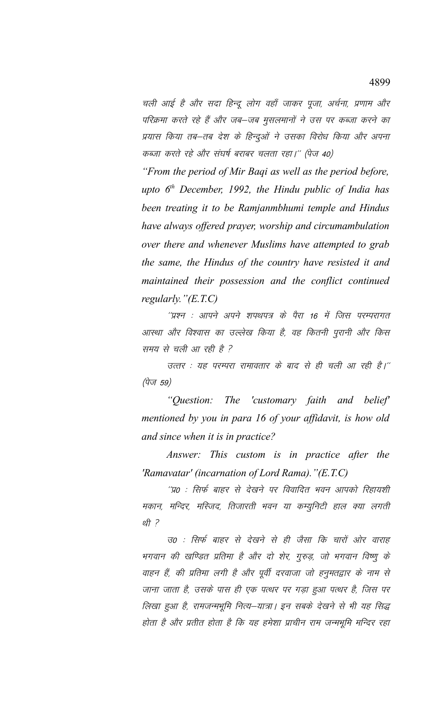चली आई है और सदा हिन्दू लोग वहाँ जाकर पूजा, अर्चना, प्रणाम और परिक्रमा करते रहे हैं और जब–जब मुसलमानों ने उस पर कब्जा करने का प्रयास किया तब–तब देश के हिन्दुओं ने उसका विरोध किया और अपना कब्जा करते रहे और संघर्ष बराबर चलता रहा।'' (पेज 40)

*"From the period of Mir Baqi as well as the period before, upto 6th December, 1992, the Hindu public of India has been treating it to be Ramjanmbhumi temple and Hindus have always offered prayer, worship and circumambulation over there and whenever Muslims have attempted to grab the same, the Hindus of the country have resisted it and maintained their possession and the conflict continued regularly."(E.T.C)*

''प्रश्न : आपने अपने शपथपत्र के पैरा 16 में जिस परम्परागत आस्था और विश्वास का उल्लेख किया है, वह कितनी पुरानी और किस समय से चली आ रही है ?

उत्तर : यह परम्परा रामावतार के बाद से ही चली आ रही है।'' (पेज 59)

*"Question: The 'customary faith and belief' mentioned by you in para 16 of your affidavit, is how old and since when it is in practice?*

*Answer: This custom is in practice after the 'Ramavatar' (incarnation of Lord Rama)."(E.T.C)*

"प्र0 : सिर्फ बाहर से देखने पर विवादित भवन आपको रिहायशी मकान, मन्दिर, मस्जिद, तिजारती भवन या कम्युनिटी हाल क्या लगती  $erf$   $\geq$ 

उ० : सिर्फ बाहर से देखने से ही जैसा कि चारों ओर वाराह भगवान की खण्डित प्रतिमा है और दो शेर, गुरुड़, जो भगवान विष्णु के वाहन हैं, की प्रतिमा लगी है और पूर्वी दरवाजा जो हनुमतद्वार के नाम से जाना जाता है, उसके पास ही एक पत्थर पर गड़ा हुआ पत्थर है, जिस पर लिखा हुआ है, रामजन्मभूमि नित्य—यात्रा। इन सबके देखने से भी यह सिद्ध होता है और प्रतीत होता है कि यह हमेशा प्राचीन राम जन्मभूमि मन्दिर रहा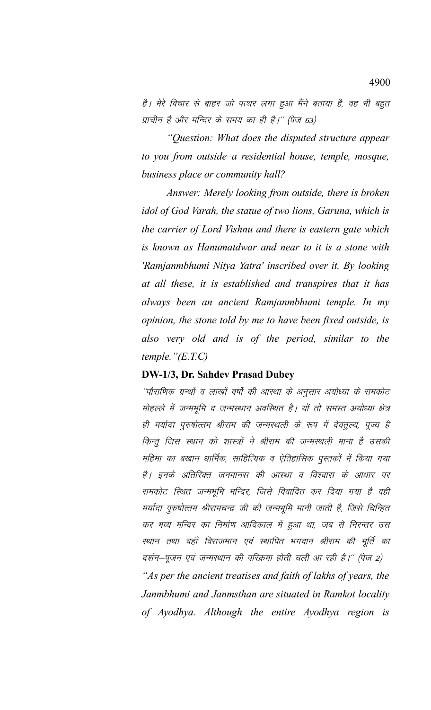है। मेरे विचार से बाहर जो पत्थर लगा हुआ मैंने बताया है, वह भी बहुत प्राचीन है और मन्दिर के समय का ही है।'' (पेज 63)

"Question: What does the disputed structure appear" to you from outside–a residential house, temple, mosque, business place or community hall?

Answer: Merely looking from outside, there is broken idol of God Varah, the statue of two lions, Garuna, which is the carrier of Lord Vishnu and there is eastern gate which is known as Hanumatdwar and near to it is a stone with 'Ramjanmbhumi Nitya Yatra' inscribed over it. By looking at all these, it is established and transpires that it has always been an ancient Ramjanmbhumi temple. In my opinion, the stone told by me to have been fixed outside, is also very old and is of the period, similar to the temple." $(E.T.C)$ 

### DW-1/3, Dr. Sahdev Prasad Dubey

''पौराणिक ग्रन्थों व लाखों वर्षों की आस्था के अनुसार अयोध्या के रामकोट मोहल्ले में जन्मभूमि व जन्मस्थान अवस्थित है। यों तो समस्त अयोध्या क्षेत्र ही मर्यादा पुरुषोत्तम श्रीराम की जन्मस्थली के रूप में देवतुल्य, पूज्य है किन्तू जिस स्थान को शास्त्रों ने श्रीराम की जन्मस्थली माना है उसकी महिमा का बखान धार्मिक, साहित्यिक व ऐतिहासिक पुस्तकों में किया गया है। इनके अतिरिक्त जनमानस की आस्था व विश्वास के आधार पर रामकोट स्थित जन्मभूमि मन्दिर, जिसे विवादित कर दिया गया है वही मर्यादा पुरुषोत्तम श्रीरामचन्द्र जी की जन्मभूमि मानी जाती है, जिसे चिन्हित कर भव्य मन्दिर का निर्माण आदिकाल में हुआ था, जब से निरन्तर उस स्थान तथा वहाँ विराजमान एवं स्थापित भगवान श्रीराम की मूर्ति का दर्शन-पूजन एवं जन्मस्थान की परिक्रमा होती चली आ रही है।'' (पेज 2) "As per the ancient treatises and faith of lakhs of years, the

Janmbhumi and Janmsthan are situated in Ramkot locality of Ayodhya. Although the entire Ayodhya region is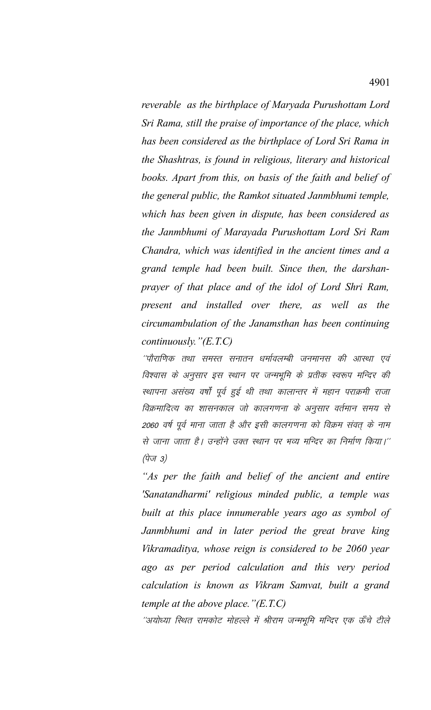reverable as the birthplace of Maryada Purushottam Lord Sri Rama, still the praise of importance of the place, which has been considered as the birthplace of Lord Sri Rama in the Shashtras, is found in religious, literary and historical books. Apart from this, on basis of the faith and belief of the general public, the Ramkot situated Janmbhumi temple, which has been given in dispute, has been considered as the Janmbhumi of Marayada Purushottam Lord Sri Ram Chandra, which was identified in the ancient times and a grand temple had been built. Since then, the darshanprayer of that place and of the idol of Lord Shri Ram, present and installed over there, as well as the circumambulation of the Janamsthan has been continuing continuously.  $" (E.T.C)$ 

''पौराणिक तथा समस्त सनातन धर्मावलम्बी जनमानस की आस्था एवं विश्वास के अनुसार इस स्थान पर जन्मभूमि के प्रतीक स्वरूप मन्दिर की स्थापना असंख्य वर्षों पूर्व हुई थी तथा कालान्तर में महान पराक्रमी राजा विक्रमादित्य का शासनकाल जो कालगणना के अनुसार वर्तमान समय से 2060 वर्ष पूर्व माना जाता है और इसी कालगणना को विक्रम संवत् के नाम से जाना जाता है। उन्होंने उक्त स्थान पर भव्य मन्दिर का निर्माण किया।'' (पेज 3)

"As per the faith and belief of the ancient and entire 'Sanatandharmi' religious minded public, a temple was built at this place innumerable years ago as symbol of Janmbhumi and in later period the great brave king Vikramaditya, whose reign is considered to be 2060 year ago as per period calculation and this very period calculation is known as Vikram Samvat, built a grand temple at the above place." $(E.T.C)$ 

''अयोध्या स्थित रामकोट मोहल्ले में श्रीराम जन्मभूमि मन्दिर एक ऊँचे टीले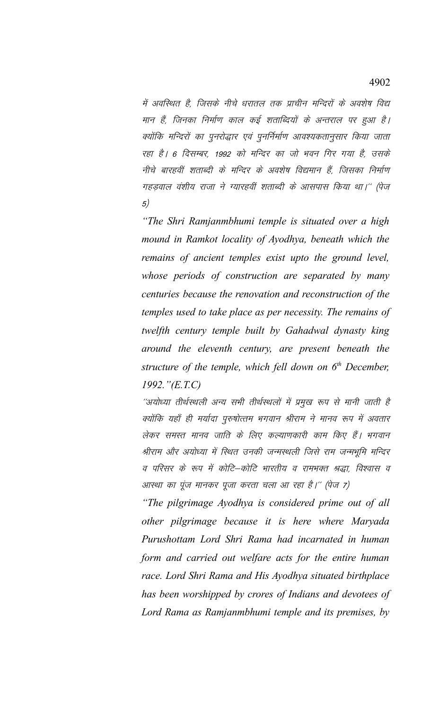में अवस्थित है, जिसके नीचे धरातल तक प्राचीन मन्दिरों के अवशेष विद्य मान हैं, जिनका निर्माण काल कई शताब्दियों के अन्तराल पर हुआ है। क्योंकि मन्दिरों का पुनरोद्धार एवं पुनर्निर्माण आवश्यकतानुसार किया जाता रहा है। 6 दिसम्बर, 1992 को मन्दिर का जो भवन गिर गया है, उसके नीचे बारहवीं शताब्दी के मन्दिर के अवशेष विद्यमान हैं, जिसका निर्माण गहड़वाल वंशीय राजा ने ग्यारहवीं शताब्दी के आसपास किया था।'' (पेज 5½

*"The Shri Ramjanmbhumi temple is situated over a high mound in Ramkot locality of Ayodhya, beneath which the remains of ancient temples exist upto the ground level, whose periods of construction are separated by many centuries because the renovation and reconstruction of the temples used to take place as per necessity. The remains of twelfth century temple built by Gahadwal dynasty king around the eleventh century, are present beneath the structure of the temple, which fell down on 6th December, 1992."(E.T.C)*

''अयोध्या तीर्थस्थली अन्य सभी तीर्थस्थलों में प्रमुख रूप से मानी जाती है क्योंकि यहाँ ही मर्यादा पुरुषोत्तम भगवान श्रीराम ने मानव रूप में अवतार लेकर समस्त मानव जाति के लिए कल्याणकारी काम किए हैं। भगवान श्रीराम और अयोध्या में स्थित उनकी जन्मस्थली जिसे राम जन्मभूमि मन्दिर व परिसर के रूप में कोटि–कोटि भारतीय व रामभक्त श्रद्धा, विश्वास व आस्था का पूंज मानकर पूजा करता चला आ रहा है।'' (पेज 7)

*"The pilgrimage Ayodhya is considered prime out of all other pilgrimage because it is here where Maryada Purushottam Lord Shri Rama had incarnated in human form and carried out welfare acts for the entire human race. Lord Shri Rama and His Ayodhya situated birthplace has been worshipped by crores of Indians and devotees of Lord Rama as Ramjanmbhumi temple and its premises, by*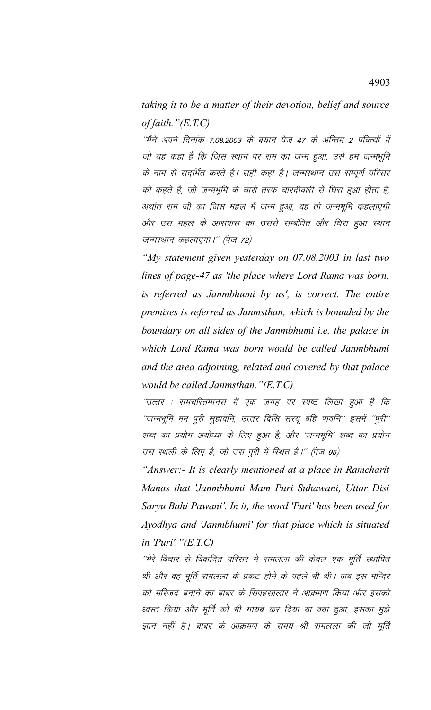*taking it to be a matter of their devotion, belief and source of faith."(E.T.C)*

''मैंने अपने दिनांक 7.08.2003 के बयान पेज 47 के अन्तिम 2 पंक्तियों में जो यह कहा है कि जिस स्थान पर राम का जन्म हुआ, उसे हम जन्मभूमि के नाम से संदर्भित करते हैं। सही कहा है। जन्मस्थान उस सम्पूर्ण परिसर को कहते हैं, जो जन्मभूमि के चारों तरफ चारदीवारी से घिरा हुआ होता है, अर्थात राम जी का जिस महल में जन्म हुआ, वह तो जन्मभूमि कहलाएगी और उस महल के आसपास का उससे सम्बंधित और घिरा हुआ स्थान जन्मस्थान कहलाएगा।'' (पेज 72)

*"My statement given yesterday on 07.08.2003 in last two lines of page-47 as 'the place where Lord Rama was born, is referred as Janmbhumi by us', is correct. The entire premises is referred as Janmsthan, which is bounded by the boundary on all sides of the Janmbhumi i.e. the palace in which Lord Rama was born would be called Janmbhumi and the area adjoining, related and covered by that palace would be called Janmsthan."(E.T.C)*

''उत्तर : रामचरितमानस में एक जगह पर स्पष्ट लिखा हुआ है कि  $^{\prime\prime}$ जन्मभूमि मम पूरी सूहावनि, उत्तर दिसि सरयू बहि पावनि $^{\prime\prime}$  इसमें  $^{\prime\prime}$ पूरी $^{\prime\prime}$ शब्द का प्रयोग अयोध्या के लिए हुआ है, और 'जन्मभूमि' शब्द का प्रयोग उस स्थली के लिए है, जो उस पुरी में स्थित है।'' (पेज 95)

*"Answer:- It is clearly mentioned at a place in Ramcharit Manas that 'Janmbhumi Mam Puri Suhawani, Uttar Disi Saryu Bahi Pawani'. In it, the word 'Puri' has been used for Ayodhya and 'Janmbhumi' for that place which is situated in 'Puri'."(E.T.C)*

''मेरे विचार से विवादित परिसर मे रामलला की केवल एक मूर्ति स्थापित थी और वह मूर्ति रामलला के प्रकट होने के पहले भी थी। जब इस मन्दिर को मस्जिद बनाने का बाबर के सिपहसालार ने आक्रमण किया और इसको ध्वस्त किया और मूर्ति को भी गायब कर दिया या क्या हुआ, इसका मुझे ज्ञान नहीं है। बाबर के आक्रमण के समय श्री रामलला की जो मूर्ति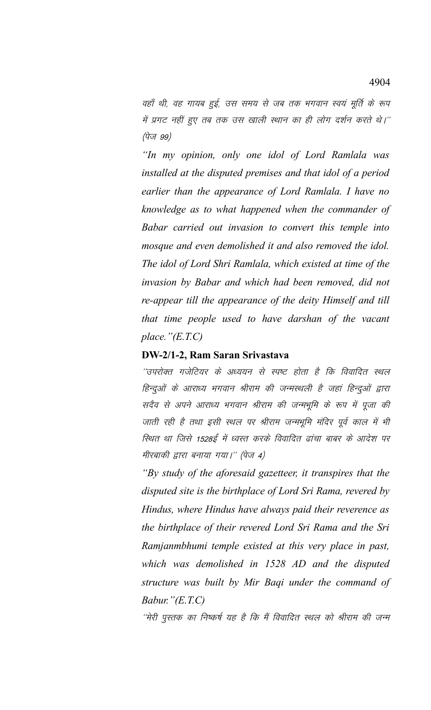वहाँ थी, वह गायब हुई, उस समय से जब तक भगवान स्वयं मूर्ति के रूप में प्रगट नहीं हुए तब तक उस खाली स्थान का ही लोग दर्शन करते थे।''  $(\dot{q}\bar{w}$  99)

*"In my opinion, only one idol of Lord Ramlala was installed at the disputed premises and that idol of a period earlier than the appearance of Lord Ramlala. I have no knowledge as to what happened when the commander of Babar carried out invasion to convert this temple into mosque and even demolished it and also removed the idol. The idol of Lord Shri Ramlala, which existed at time of the invasion by Babar and which had been removed, did not re-appear till the appearance of the deity Himself and till that time people used to have darshan of the vacant place."(E.T.C)*

### **DW-2/1-2, Ram Saran Srivastava**

"उपरोक्त गजेटियर के अध्ययन से स्पष्ट होता है कि विवादित स्थल हिन्दुओं के आराध्य भगवान श्रीराम की जन्मस्थली है जहां हिन्दुओं द्वारा सदैव से अपने आराध्य भगवान श्रीराम की जन्मभूमि के रूप में पूजा की जाती रही है तथा इसी स्थल पर श्रीराम जन्मभूमि मंदिर पूर्व काल में भी रिथत था जिसे 1528ई में ध्वस्त करके विवादित ढांचा बाबर के आदेश पर मीरबाकी द्वारा बनाया गया।'' (पेज 4)

*"By study of the aforesaid gazetteer, it transpires that the disputed site is the birthplace of Lord Sri Rama, revered by Hindus, where Hindus have always paid their reverence as the birthplace of their revered Lord Sri Rama and the Sri Ramjanmbhumi temple existed at this very place in past, which was demolished in 1528 AD and the disputed structure was built by Mir Baqi under the command of Babur."(E.T.C)*

''मेरी पुस्तक का निष्कर्ष यह है कि मैं विवादित स्थल को श्रीराम की जन्म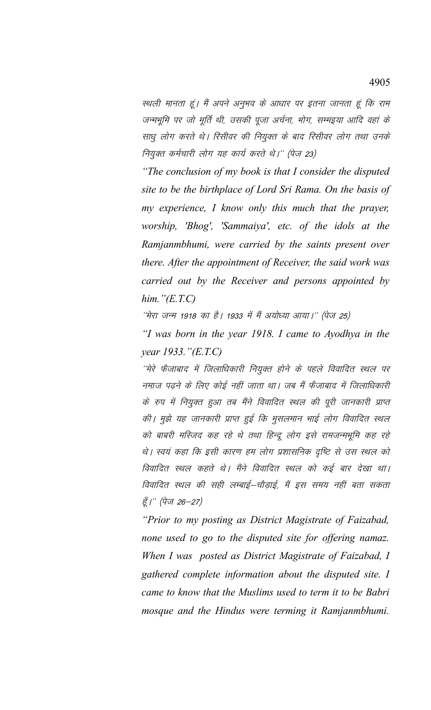स्थली मानता हूं। मैं अपने अनुभव के आधार पर इतना जानता हूं कि राम जन्मभूमि पर जो मूर्ति थी, उसकी पूजा अर्चना, भोग, सम्मइया आदि वहां के साधु लोग करते थे। रिसीवर की नियुक्त के बाद रिसीवर लोग तथा उनके नियुक्त कर्मचारी लोग यह कार्य करते थे।'' (पेज 23)

"The conclusion of my book is that I consider the disputed site to be the birthplace of Lord Sri Rama. On the basis of my experience, I know only this much that the prayer, worship, 'Bhog', 'Sammaiya', etc. of the idols at the Ramjanmbhumi, were carried by the saints present over there. After the appointment of Receiver, the said work was carried out by the Receiver and persons appointed by  $him.$ " $(E.T.C)$ 

''मेरा जन्म 1918 का है। 1933 में मैं अयोध्या आया।'' (पेज 25)

"I was born in the year 1918. I came to Ayodhya in the year 1933."(E.T.C)

''मेरे फैजाबाद में जिलाधिकारी नियुक्त होने के पहले विवादित स्थल पर नमाज पढने के लिए कोई नहीं जाता था। जब मैं फैजाबाद में जिलाधिकारी के रुप में नियुक्त हुआ तब मैंने विवादित स्थल की पूरी जानकारी प्राप्त की। मुझे यह जानकारी प्राप्त हुई कि मुसलमान भाई लोग विवादित स्थल को बाबरी मस्जिद कह रहे थे तथा हिन्दू लोग इसे रामजन्मभूमि कह रहे थे। स्वयं कहा कि इसी कारण हम लोग प्रशासनिक दृष्टि से उस स्थल को विवादित स्थल कहते थे। मैंने विवादित स्थल को कई बार देखा था। विवादित स्थल की सही लम्बाई–चौड़ाई, मैं इस समय नहीं बता सकता हूँ।" (पेज 26–27)

"Prior to my posting as District Magistrate of Faizabad, none used to go to the disputed site for offering namaz. When I was posted as District Magistrate of Faizabad, I gathered complete information about the disputed site. I came to know that the Muslims used to term it to be Babri mosque and the Hindus were terming it Ramjanmbhumi.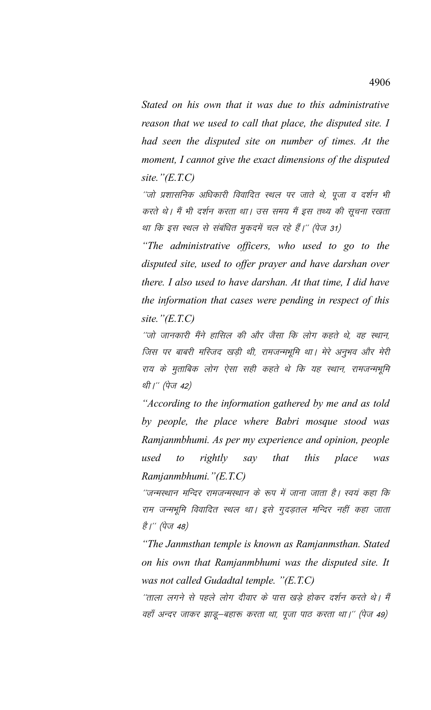*Stated on his own that it was due to this administrative reason that we used to call that place, the disputed site. I had seen the disputed site on number of times. At the moment, I cannot give the exact dimensions of the disputed site."(E.T.C)*

''जो प्रशासनिक अधिकारी विवादित स्थल पर जाते थे, पूजा व दर्शन भी करते थे। मैं भी दर्शन करता था। उस समय मैं इस तथ्य की सूचना रखता था कि इस स्थल से संबंधित मुकदमें चल रहे हैं।'' (पेज 31)

*"The administrative officers, who used to go to the disputed site, used to offer prayer and have darshan over there. I also used to have darshan. At that time, I did have the information that cases were pending in respect of this site."(E.T.C)*

''जो जानकारी मैंने हासिल की और जैसा कि लोग कहते थे, वह स्थान, जिस पर बाबरी मस्जिद खड़ी थी, रामजन्मभूमि था। मेरे अनुभव और मेरी राय के मुताबिक लोग ऐसा सही कहते थे कि यह स्थान, रामजन्मभूमि थी।'' (पेज 42)

*"According to the information gathered by me and as told by people, the place where Babri mosque stood was Ramjanmbhumi. As per my experience and opinion, people used to rightly say that this place was Ramjanmbhumi."(E.T.C)*

''जन्मस्थान मन्दिर रामजन्मस्थान के रूप में जाना जाता है। स्वयं कहा कि राम जन्मभूमि विवादित स्थल था। इसे गुदड़तल मन्दिर नहीं कहा जाता है।'' (पेज 48)

*"The Janmsthan temple is known as Ramjanmsthan. Stated on his own that Ramjanmbhumi was the disputed site. It was not called Gudadtal temple. "(E.T.C)*

''ताला लगने से पहले लोग दीवार के पास खड़े होकर दर्शन करते थे। मैं वहाँ अन्दर जाकर झाडू–बहारू करता था, पूजा पाठ करता था।'' (पेज 49)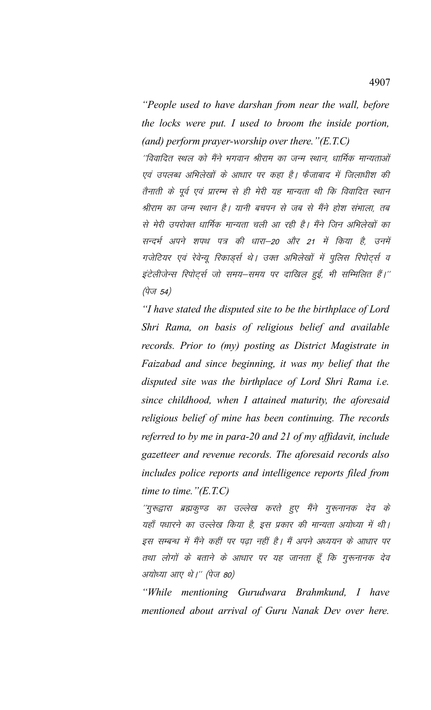*"People used to have darshan from near the wall, before the locks were put. I used to broom the inside portion, (and) perform prayer-worship over there."(E.T.C)*

^'विवादित स्थल को मैंने भगवान श्रीराम का जन्म स्थान, धार्मिक मान्यताओं एवं उपलब्ध अभिलेखों के आधार पर कहा है। फैजाबाद में जिलाधीश की तैनाती के पूर्व एवं प्रारम्भ से ही मेरी यह मान्यता थी कि विवादित स्थान श्रीराम का जन्म स्थान है। यानी बचपन से जब से मैंने होश संभाला, तब से मेरी उपरोक्त धार्मिक मान्यता चली आ रही है। मैंने जिन अभिलेखों का सन्दर्भ अपने शपथ पत्र की धारा–20 और 21 में किया है, उनमें गजेटियर एवं रेवेन्यू रिकार्ड्स थे। उक्त अभिलेखों में पुलिस रिपोर्ट्स व इंटेलीजेन्स रिपोर्ट्स जो समय–समय पर दाखिल हुई, भी सम्मिलित हैं।''  $(\vec{q}\bar{\mathsf{u}}\mathsf{f}$  54)

*"I have stated the disputed site to be the birthplace of Lord Shri Rama, on basis of religious belief and available records. Prior to (my) posting as District Magistrate in Faizabad and since beginning, it was my belief that the disputed site was the birthplace of Lord Shri Rama i.e. since childhood, when I attained maturity, the aforesaid religious belief of mine has been continuing. The records referred to by me in para-20 and 21 of my affidavit, include gazetteer and revenue records. The aforesaid records also includes police reports and intelligence reports filed from time to time."(E.T.C)*

''गुरूद्वारा ब्रह्मकण्ड का उल्लेख करते हुए मैंने गुरूनानक देव के यहाँ पधारने का उल्लेख किया है, इस प्रकार की मान्यता अयोध्या में थी। इस सम्बन्ध में मैंने कहीं पर पढा नहीं है। मैं अपने अध्ययन के आधार पर तथा लोगों के बताने के आधार पर यह जानता हूँ कि गुरूनानक देव अयोध्या आए थे।" (पेज 80)

*"While mentioning Gurudwara Brahmkund, I have mentioned about arrival of Guru Nanak Dev over here.*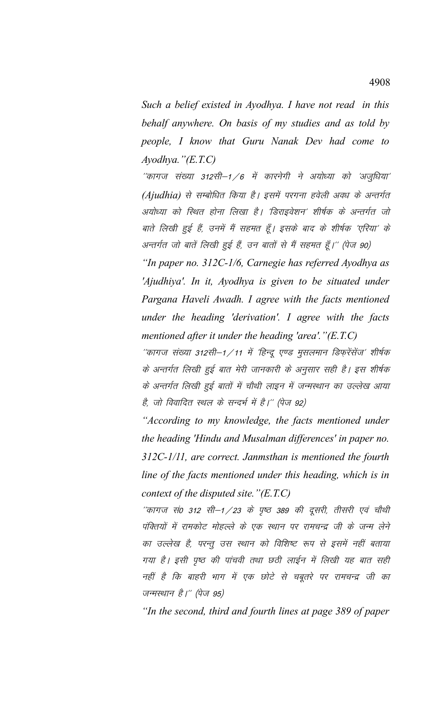Such a belief existed in Ayodhya. I have not read in this behalf anywhere. On basis of my studies and as told by people, I know that Guru Nanak Dev had come to  $Ayodhya.$ " $(E.T.C)$ 

"कागज संख्या 312सी–1/6 में कारनेगी ने अयोध्या को 'अजुधिया' (Ajudhia) से सम्बोधित किया है। इसमें परगना हवेली अवध के अन्तर्गत अयोध्या को स्थित होना लिखा है। 'डिराइवेशन' शीर्षक के अन्तर्गत जो बाते लिखी हुई हैं, उनमें मैं सहमत हूँ। इसके बाद के शीर्षक 'एरिया' के अन्तर्गत जो बातें लिखी हुई हैं, उन बातों से मैं सहमत हूँ।" (पेज 90)

"In paper no. 312C-1/6, Carnegie has referred Ayodhya as 'Ajudhiya'. In it, Ayodhya is given to be situated under Pargana Haveli Awadh. I agree with the facts mentioned under the heading 'derivation'. I agree with the facts mentioned after it under the heading 'area'. " $(E.T.C)$ 

"कागज संख्या 312सी–1 ⁄11 में 'हिन्दू एण्ड मुसलमान डिफ़रेंसेंज' शीर्षक के अन्तर्गत लिखी हुई बात मेरी जानकारी के अनुसार सही है। इस शीर्षक के अन्तर्गत लिखी हुई बातों में चौथी लाइन में जन्मस्थान का उल्लेख आया है, जो विवादित स्थल के सन्दर्भ में है।'' (पेज 92)

"According to my knowledge, the facts mentioned under the heading 'Hindu and Musalman differences' in paper no.  $312C$ - $1/11$ , are correct. Janmsthan is mentioned the fourth line of the facts mentioned under this heading, which is in context of the disputed site." $(E.T.C)$ 

"कागज सं0 312 सी–1 / 23 के पृष्ठ 389 की दूसरी, तीसरी एवं चौथी पंक्तियों में रामकोट मोहल्ले के एक स्थान पर रामचन्द्र जी के जन्म लेने का उल्लेख है, परन्तू उस स्थान को विशिष्ट रूप से इसमें नहीं बताया गया है। इसी पृष्ठ की पांचवी तथा छठी लाईन में लिखी यह बात सही नहीं है कि बाहरी भाग में एक छोटे से चबूतरे पर रामचन्द्र जी का जन्मस्थान है।" (पेज 95)

"In the second, third and fourth lines at page 389 of paper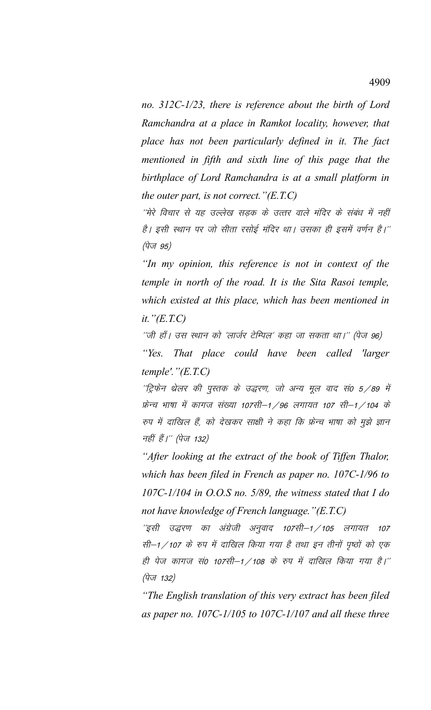*no. 312C-1/23, there is reference about the birth of Lord Ramchandra at a place in Ramkot locality, however, that place has not been particularly defined in it. The fact mentioned in fifth and sixth line of this page that the birthplace of Lord Ramchandra is at a small platform in the outer part, is not correct."(E.T.C)*

''मेरे विचार से यह उल्लेख सडक के उत्तर वाले मंदिर के संबंध में नहीं है। इसी स्थान पर जो सीता रसोई मंदिर था। उसका ही इसमें वर्णन है।'' (पेज  $95)$ 

*"In my opinion, this reference is not in context of the temple in north of the road. It is the Sita Rasoi temple, which existed at this place, which has been mentioned in it."(E.T.C)*

''जी हाँ | उस स्थान को 'लार्जर टेम्पिल' कहा जा सकता था |'' (पेज 96)

*"Yes. That place could have been called 'larger temple'."(E.T.C)*

 $^{\prime\prime}$ ट्रिफेन थ्रेलर की पुस्तक के उद्धरण, जो अन्य मूल वाद सं0 5/89 में फ्रेन्च भाषा में कागज संख्या 107सी–1 ⁄ 96 लगायत 107 सी–1 ⁄ 104 के रुप में दाखिल हैं, को देखकर साक्षी ने कहा कि फ्रेन्च भाषा को मुझे ज्ञान नहीं हैं।" (पेज 132)

*"After looking at the extract of the book of Tiffen Thalor, which has been filed in French as paper no. 107C-1/96 to 107C-1/104 in O.O.S no. 5/89, the witness stated that I do not have knowledge of French language."(E.T.C)*

 $^{\prime\prime}$ इसी उद्धरण का अंग्रेजी अनुवाद 107सी—1 $\diagup$ 105 लगायत 107 सी $-1$ /107 के रुप में दाखिल किया गया है तथा इन तीनों पृष्ठों को एक ही पेज कागज सं0 107सी–1 / 108 के रुप में दाखिल किया गया है।'' (पेज 132)

*"The English translation of this very extract has been filed as paper no. 107C-1/105 to 107C-1/107 and all these three*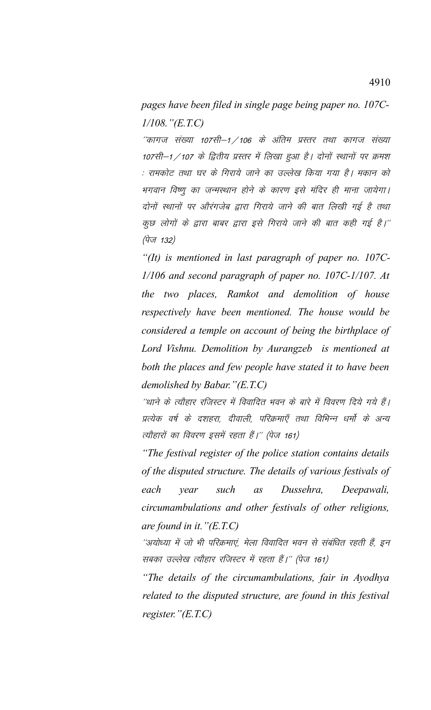*pages have been filed in single page being paper no. 107C-1/108."(E.T.C)*

 $^{\prime\prime}$ कागज संख्या 107सी $-$ 1 $\angle$ 106 के अंतिम प्रस्तर तथा कागज संख्या 107सी–1/107 के द्वितीय प्रस्तर में लिखा हुआ है। दोनों स्थानों पर क्रमश : रामकोट तथा घर के गिराये जाने का उल्लेख किया गया है। मकान को भगवान विष्णू का जन्मस्थान होने के कारण इसे मंदिर ही माना जायेगा। दोनों स्थानों पर औरंगजेब द्वारा गिराये जाने की बात लिखी गई है तथा कुछ लोगों के द्वारा बाबर द्वारा इसे गिराये जाने की बात कही गई है।''  $(\vec{q}_{\sqrt{132}})$ 

*"(It) is mentioned in last paragraph of paper no. 107C-1/106 and second paragraph of paper no. 107C-1/107. At the two places, Ramkot and demolition of house respectively have been mentioned. The house would be considered a temple on account of being the birthplace of Lord Vishnu. Demolition by Aurangzeb is mentioned at both the places and few people have stated it to have been demolished by Babar."(E.T.C)*

''थाने के त्यौहार रजिस्टर में विवादित भवन के बारे में विवरण दिये गये हैं। प्रत्येक वर्ष के दशहरा, दीवाली, परिक्रमाएँ तथा विभिन्न धर्मो के अन्य त्यौहारों का विवरण इसमें रहता हैं।" (पेज 161)

*"The festival register of the police station contains details of the disputed structure. The details of various festivals of each year such as Dussehra, Deepawali, circumambulations and other festivals of other religions, are found in it."(E.T.C)*

''अयोध्या में जो भी परिक्रमाएं, मेला विवादित भवन से संबंधित रहती हैं, इन सबका उल्लेख त्यौहार रजिस्टर में रहता हैं।'' (पेज 161)

*"The details of the circumambulations, fair in Ayodhya related to the disputed structure, are found in this festival register."(E.T.C)*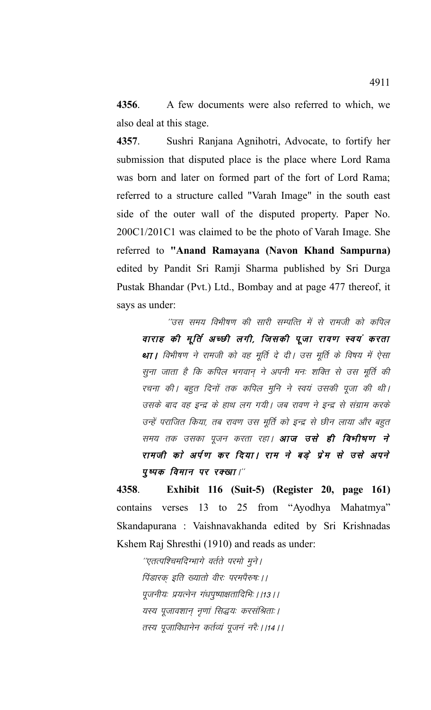**4356**. A few documents were also referred to which, we also deal at this stage.

**4357**. Sushri Ranjana Agnihotri, Advocate, to fortify her submission that disputed place is the place where Lord Rama was born and later on formed part of the fort of Lord Rama; referred to a structure called "Varah Image" in the south east side of the outer wall of the disputed property. Paper No. 200C1/201C1 was claimed to be the photo of Varah Image. She referred to **"Anand Ramayana (Navon Khand Sampurna)** edited by Pandit Sri Ramji Sharma published by Sri Durga Pustak Bhandar (Pvt.) Ltd., Bombay and at page 477 thereof, it says as under:

´उस समय विभीषण की सारी सम्पत्ति में से रामजी को कपिल वाराह की मूर्ति अच्छी लगी, जिसकी पूजा रावण स्वयं करता था। विभीषण ने रामजी को वह मूर्ति दे दी। उस मूर्ति के विषय में ऐसा सूना जाता है कि कपिल भगवान ने अपनी मनः शक्ति से उस मूर्ति की रचना की। बहुत दिनों तक कपिल मुनि ने स्वयं उसकी पूजा की थी। उसके बाद वह इन्द्र के हाथ लग गयी। जब रावण ने इन्द्र से संग्राम करके उन्हें पराजित किया, तब रावण उस मूर्ति को इन्द्र से छीन लाया और बहुत समय तक उसका पूजन करता रहा। **आज उसे ही विभीषण ने** रामजी को अर्पण कर दिया। राम ने बड़े प्रेम से उसे अपने पुष्पक विमान पर रक्खा।"

**4358**. **Exhibit 116 (Suit-5) (Register 20, page 161)** contains verses 13 to 25 from "Ayodhya Mahatmya" Skandapurana : Vaishnavakhanda edited by Sri Krishnadas Kshem Raj Shresthi (1910) and reads as under:

''एतत्पश्चिमदिग्भागे वर्तते परमो मुने | पिंडारक इति ख्यातो वीरः परमपैरुषः ।। पूजनीयः प्रयत्नेन गंधपूष्पाक्षतादिभिः । ।13 । । यस्य पूजावशान् नृणां सिद्धयः करसंश्रिताः । तस्य पूजाविधानेन कर्तव्यं पूजनं नरै:।।14।।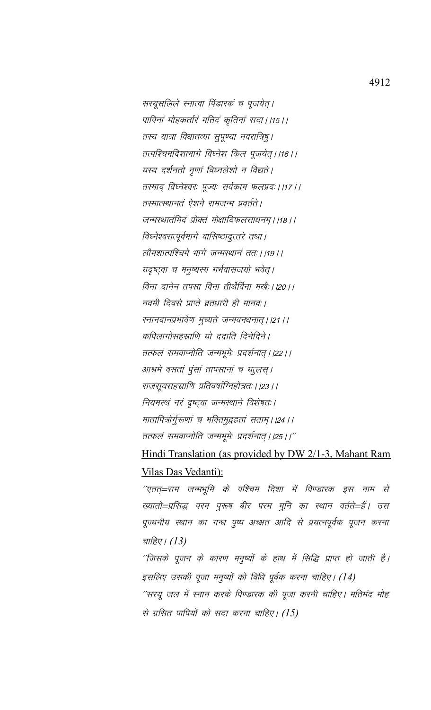सरयूसलिले स्नात्वा पिंडारकं च पूजयेत्। पापिनां मोहकर्तारं मतिदं कृतिनां सदा । । 15 । । तस्य यात्रा विधातव्या सुपूण्या नवरात्रिषु । तत्पश्चिमदिशाभागे विघ्नेश किल पूजयेत् । ।१६ । । यस्य दर्शनतो नृणां विघ्नलेशो न विद्यते । तस्माद् विघ्नेश्वरः पूज्यः सर्वकाम फलप्रदः । ।17 । । तस्मात्स्थानतं ऐशने रामजन्म प्रवर्तते । जन्मस्थातमिदं प्रोक्तं मोक्षादिफलसाधनम् । । 18 । । विघ्नेश्वरात्पूर्वभागे वासिष्ठादुत्तरे तथा। लौमशात्पश्चिमे भागे जन्मस्थानं ततः । ।19 । । यदृष्ट्वा च मनुष्यस्य गर्भवासजयो भवेत् । विना दानेन तपसा विना तीर्थविना मखैः । ।20 । । नवमी दिवसे प्राप्ते व्रतधारी ही मानवः । स्नानदानप्रभावेण मृच्यते जन्मवनधनात् । ।21 । । कपिलागोसहस्राणि यो ददाति दिनेदिने | तत्फलं समवाप्नोति जन्मभूमेः प्रदर्शनात् । ।22 । । आश्रमे वसतां पुंसां तापसानां च यहुलस्। राजसूयसहस्राणि प्रतिवर्षाग्निहोत्रतः । ।23 । । नियमस्थं नरं दृष्ट्वा जन्मस्थाने विशेषतः । मातापित्रोर्गुरूणां च भक्तिमुद्वहतां सताम् । ।24 । । तत्फलं समवाप्नोति जन्मभूमेः प्रदर्शनात् । ।25 । ।"

# Hindi Translation (as provided by DW 2/1-3, Mahant Ram Vilas Das Vedanti):

''एतत्=राम जन्मभूमि के पश्चिम दिशा में पिण्डारक इस नाम से ख्यातो=प्रसिद्ध परम पुरूष बीर परम मुनि का स्थान वर्तते=हैं। उस पूज्यनीय स्थान का गन्ध पुष्प अच्क्षत आदि से प्रयत्नपूर्वक पूजन करना चाहिए | (13)

''जिसके पूजन के कारण मनुष्यों के हाथ में सिद्धि प्राप्त हो जाती है। इसलिए उसकी पूजा मनुष्यों को विधि पूर्वक करना चाहिए। (14) ''सरयू जल में स्नान करके पिण्डारक की पूजा करनी चाहिए। मतिमंद मोह से ग्रसित पापियों को सदा करना चाहिए। (15)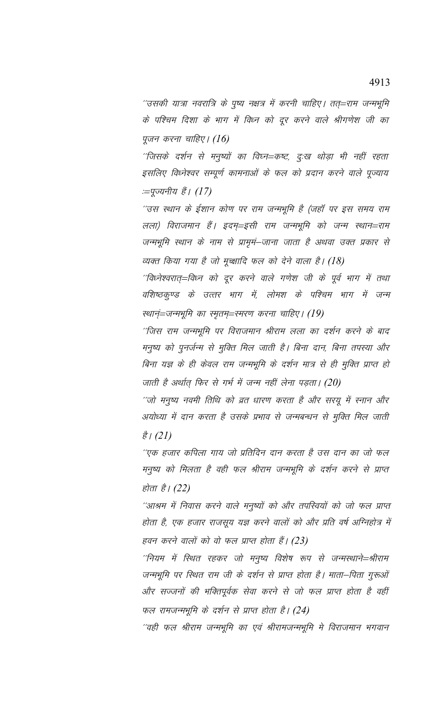''उसकी यात्रा नवरात्रि के पुष्य नक्षत्र में करनी चाहिए। तत्=राम जन्मभूमि के पश्चिम दिशा के भाग में विध्न को दूर करने वाले श्रीगणेश जी का पूजन करना चाहिए।  $(16)$ 

''जिसके दर्शन से मनुष्यों का विघ्न=कष्ट, दुःख थोड़ा भी नहीं रहता इसलिए विध्नेश्वर सम्पूर्ण कामनाओं के फल को प्रदान करने वाले पूज्याय ≔पूज्यनीय हैं। (17)

''उस स्थान के ईशान कोण पर राम जन्मभूमि है (जहाँ पर इस समय राम लला) विराजमान हैं। इदम्=इसी राम जन्मभूमि को जन्म स्थान=राम जन्मभूमि स्थान के नाम से प्रामृमं—जाना जाता है अथवा उक्त प्रकार से व्यक्त किया गया है जो मूच्क्षादि फल को देने वाला है। (18)

''विध्नेश्वरात्=विध्न को दूर करने वाले गणेश जी के पूर्व भाग में तथा वशिष्ठकूण्ड के उत्तर भाग में, लोमश के पश्चिम भाग में जन्म स्थान्ं=जन्मभूमि का स्मृतम्=स्मरण करना चाहिए। (19)

''जिस राम जन्मभूमि पर विराजमान श्रीराम लला का दर्शन करने के बाद मनुष्य को पुनर्जन्म से मुक्ति मिल जाती है। बिना दान, बिना तपस्या और बिना यज्ञ के ही केवल राम जन्मभूमि के दर्शन मात्र से ही मुक्ति प्राप्त हो जाती है अर्थात् फिर से गर्भ में जन्म नहीं लेना पड़ता। (20)

''जो मनुष्य नवमी तिथि को व्रत धारण करता है और सरयू में स्नान और अयोध्या में दान करता है उसके प्रभाव से जन्मबन्धन से मुक्ति मिल जाती है*।* (21)

''एक हजार कपिला गाय जो प्रतिदिन दान करता है उस दान का जो फल मनुष्य को मिलता है वही फल श्रीराम जन्मभूमि के दर्शन करने से प्राप्त होता है। (22)

''आश्रम में निवास करने वाले मनुष्यों को और तपस्वियों को जो फल प्राप्त होता है, एक हजार राजसूय यज्ञ करने वालों को और प्रति वर्ष अग्निहोत्र में हवन करने वालों को वो फल प्राप्त होता हैं। (23)

''नियम में स्थित रहकर जो मनुष्य विशेष रूप से जन्मस्थाने=श्रीराम जन्मभूमि पर स्थित राम जी के दर्शन से प्राप्त होता है। माता–पिता गुरूओं और सज्जनों की भक्तिपूर्वक सेवा करने से जो फल प्राप्त होता है वहीं फल रामजन्मभूमि के दर्शन से प्राप्त होता है। (24)

''वही फल श्रीराम जन्मभूमि का एवं श्रीरामजन्मभूमि मे विराजमान भगवान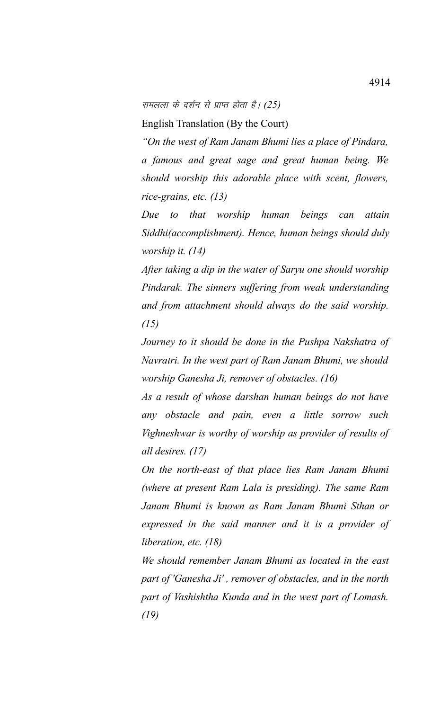रामलला के दर्शन से प्राप्त होता है। (25)

## English Translation (By the Court)

*"On the west of Ram Janam Bhumi lies a place of Pindara, a famous and great sage and great human being. We should worship this adorable place with scent, flowers, rice-grains, etc. (13)*

*Due to that worship human beings can attain Siddhi(accomplishment). Hence, human beings should duly worship it. (14)*

*After taking a dip in the water of Saryu one should worship Pindarak. The sinners suffering from weak understanding and from attachment should always do the said worship. (15)*

*Journey to it should be done in the Pushpa Nakshatra of Navratri. In the west part of Ram Janam Bhumi, we should worship Ganesha Ji, remover of obstacles. (16)*

*As a result of whose darshan human beings do not have any obstacle and pain, even a little sorrow such Vighneshwar is worthy of worship as provider of results of all desires. (17)*

*On the north-east of that place lies Ram Janam Bhumi (where at present Ram Lala is presiding). The same Ram Janam Bhumi is known as Ram Janam Bhumi Sthan or expressed in the said manner and it is a provider of liberation, etc. (18)*

*We should remember Janam Bhumi as located in the east part of 'Ganesha Ji' , remover of obstacles, and in the north part of Vashishtha Kunda and in the west part of Lomash. (19)*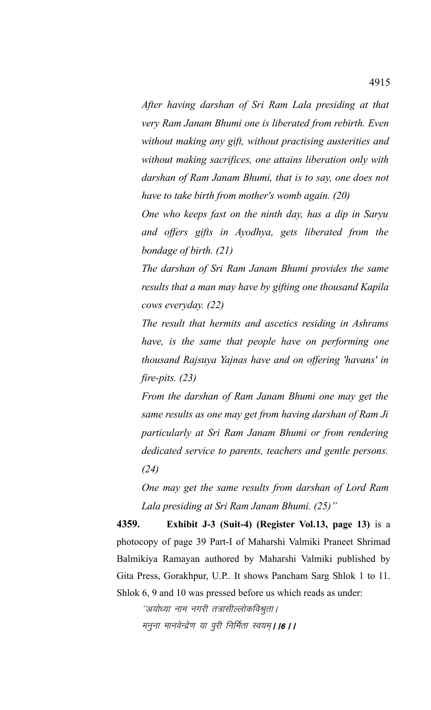*After having darshan of Sri Ram Lala presiding at that very Ram Janam Bhumi one is liberated from rebirth. Even without making any gift, without practising austerities and without making sacrifices, one attains liberation only with darshan of Ram Janam Bhumi, that is to say, one does not have to take birth from mother's womb again. (20)*

*One who keeps fast on the ninth day, has a dip in Saryu and offers gifts in Ayodhya, gets liberated from the bondage of birth. (21)*

*The darshan of Sri Ram Janam Bhumi provides the same results that a man may have by gifting one thousand Kapila cows everyday. (22)*

*The result that hermits and ascetics residing in Ashrams have, is the same that people have on performing one thousand Rajsuya Yajnas have and on offering 'havans' in fire-pits. (23)*

*From the darshan of Ram Janam Bhumi one may get the same results as one may get from having darshan of Ram Ji particularly at Sri Ram Janam Bhumi or from rendering dedicated service to parents, teachers and gentle persons. (24)*

*One may get the same results from darshan of Lord Ram Lala presiding at Sri Ram Janam Bhumi. (25)"* 

**4359. Exhibit J-3 (Suit-4) (Register Vol.13, page 13)** is a photocopy of page 39 Part-I of Maharshi Valmiki Praneet Shrimad Balmikiya Ramayan authored by Maharshi Valmiki published by Gita Press, Gorakhpur, U.P.. It shows Pancham Sarg Shlok 1 to 11. Shlok 6, 9 and 10 was pressed before us which reads as under:

''अयोध्या नाम नगरी तत्रासील्लोकविश्रुता । मनूना मानवेन्द्रेण या पूरी निर्मिता स्वयम् । ।6 । ।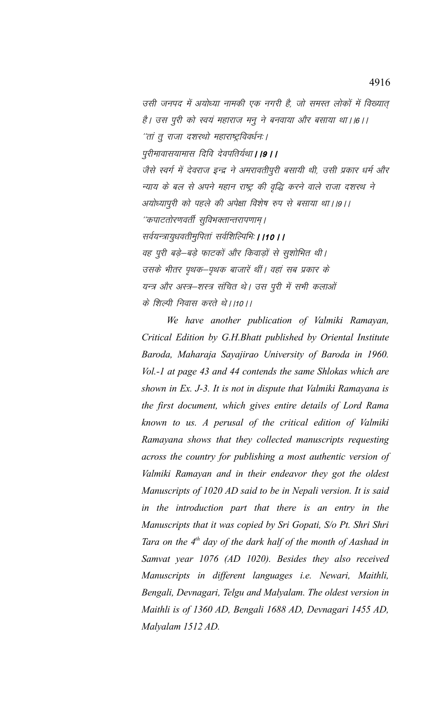उसी जनपद में अयोध्या नामकी एक नगरी है, जो समस्त लोकों में विख्यात है। उस पुरी को स्वयं महाराज मनु ने बनवाया और बसाया था।।6।। ''तां तू राजा दशरथो महाराष्ट्रविवर्धनः । पुरीमावासयामास दिवि देवपतिर्यथा | |9 | | जैसे स्वर्ग में देवराज इन्द्र ने अमरावतीपुरी बसायी थी, उसी प्रकार धर्म और न्याय के बल से अपने महान राष्ट्र की वृद्धि करने वाले राजा दशरथ ने अयोध्यापुरी को पहले की अपेक्षा विशेष रुप से बसाया था।।9।। "कपाटतोरणवर्ती सुविभक्तान्तरापणाम् । सर्वयन्त्रायुधवतीमुपितां सर्वशिल्पिभिः । । 10 । । वह पूरी बड़े–बड़े फाटकों और किवाड़ों से सुशोभित थी। उसके भीतर पुथक–पुथक बाजारें थीं। वहां सब प्रकार के यन्त्र और अस्त्र–शस्त्र संचित थे। उस पुरी में सभी कलाओं के शिल्पी निवास करते थे।।10।।

We have another publication of Valmiki Ramayan, Critical Edition by G.H.Bhatt published by Oriental Institute Baroda, Maharaja Sayajirao University of Baroda in 1960. Vol.-1 at page 43 and 44 contends the same Shlokas which are shown in Ex. J-3. It is not in dispute that Valmiki Ramayana is the first document, which gives entire details of Lord Rama known to us. A perusal of the critical edition of Valmiki Ramayana shows that they collected manuscripts requesting across the country for publishing a most authentic version of Valmiki Ramayan and in their endeavor they got the oldest Manuscripts of 1020 AD said to be in Nepali version. It is said in the introduction part that there is an entry in the Manuscripts that it was copied by Sri Gopati, S/o Pt. Shri Shri Tara on the  $4<sup>th</sup>$  day of the dark half of the month of Aashad in Samvat year 1076 (AD 1020). Besides they also received Manuscripts in different languages i.e. Newari, Maithli, Bengali, Devnagari, Telgu and Malyalam. The oldest version in Maithli is of 1360 AD, Bengali 1688 AD, Devnagari 1455 AD, Malvalam 1512 AD.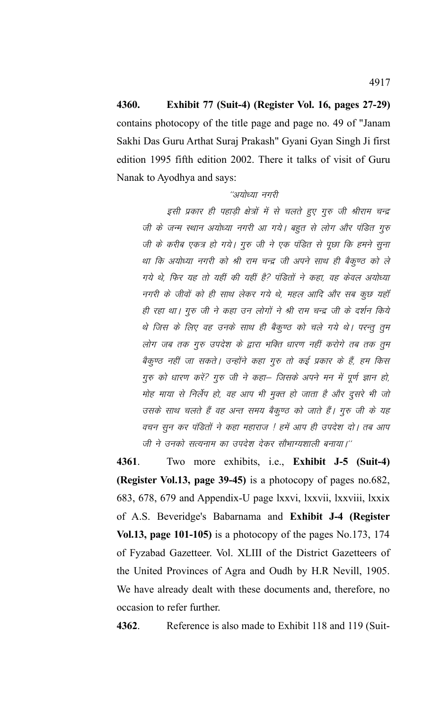**4360. Exhibit 77 (Suit-4) (Register Vol. 16, pages 27-29)** contains photocopy of the title page and page no. 49 of "Janam Sakhi Das Guru Arthat Suraj Prakash" Gyani Gyan Singh Ji first edition 1995 fifth edition 2002. There it talks of visit of Guru Nanak to Ayodhya and says:

#### "अयोध्या नगरी

इसी प्रकार ही पहाड़ी क्षेत्रों में से चलते हुए गुरु जी श्रीराम चन्द्र जी के जन्म स्थान अयोध्या नगरी आ गये। बहुत से लोग और पंडित गुरु जी के करीब एकत्र हो गये। गुरु जी ने एक पंडित से पूछा कि हमने सुना था कि अयोध्या नगरी को श्री राम चन्द्र जी अपने साथ ही बैकुण्ठ को ले गये थे, फिर यह तो यहीं की यहीं है? पंडितों ने कहा, वह केवल अयोध्या नगरी के जीवों को ही साथ लेकर गये थे, महल आदि और सब कुछ यहाँ ही रहा था। गुरु जी ने कहा उन लोगों ने श्री राम चन्द्र जी के दर्शन किये थे जिस के लिए वह उनके साथ ही बैकूण्ठ को चले गये थे। परन्तु तुम लोग जब तक गुरु उपदेश के द्वारा भक्ति धारण नहीं करोगे तब तक तुम बैकूण्ठ नहीं जा सकते। उन्होंने कहा गुरु तो कई प्रकार के हैं, हम किस गुरु को धारण करें? गुरु जी ने कहा— जिसके अपने मन में पूर्ण ज्ञान हो, मोह माया से निर्लेप हो, वह आप भी मुक्त हो जाता है और दूसरे भी जो उसके साथ चलते हैं वह अन्त समय बैकुण्ठ को जाते हैं। गुरु जी के यह वचन सून कर पंडितों ने कहा महाराज ! हमें आप ही उपदेश दो। तब आप जी ने उनको सत्यनाम का उपदेश देकर सौभाग्यशाली बनाया।''

**4361**. Two more exhibits, i.e., **Exhibit J-5 (Suit-4) (Register Vol.13, page 39-45)** is a photocopy of pages no.682, 683, 678, 679 and Appendix-U page lxxvi, lxxvii, lxxviii, lxxix of A.S. Beveridge's Babarnama and **Exhibit J-4 (Register Vol.13, page 101-105)** is a photocopy of the pages No.173, 174 of Fyzabad Gazetteer. Vol. XLIII of the District Gazetteers of the United Provinces of Agra and Oudh by H.R Nevill, 1905. We have already dealt with these documents and, therefore, no occasion to refer further.

**4362**. Reference is also made to Exhibit 118 and 119 (Suit-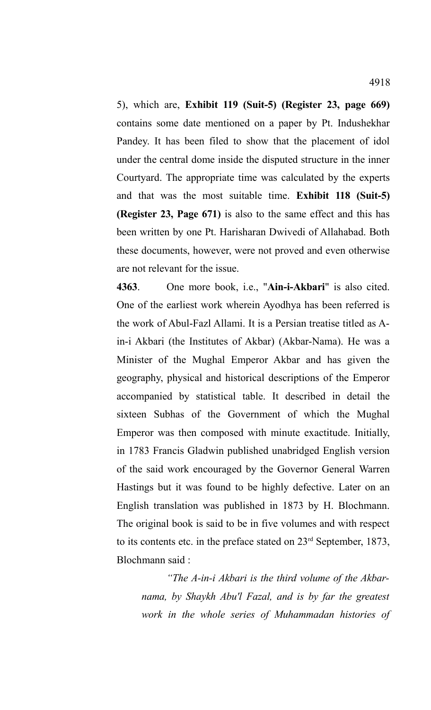5), which are, **Exhibit 119 (Suit-5) (Register 23, page 669)** contains some date mentioned on a paper by Pt. Indushekhar Pandey. It has been filed to show that the placement of idol under the central dome inside the disputed structure in the inner Courtyard. The appropriate time was calculated by the experts and that was the most suitable time. **Exhibit 118 (Suit-5) (Register 23, Page 671)** is also to the same effect and this has been written by one Pt. Harisharan Dwivedi of Allahabad. Both these documents, however, were not proved and even otherwise are not relevant for the issue.

**4363**. One more book, i.e., "**Ain-i-Akbari**" is also cited. One of the earliest work wherein Ayodhya has been referred is the work of Abul-Fazl Allami. It is a Persian treatise titled as Ain-i Akbari (the Institutes of Akbar) (Akbar-Nama). He was a Minister of the Mughal Emperor Akbar and has given the geography, physical and historical descriptions of the Emperor accompanied by statistical table. It described in detail the sixteen Subhas of the Government of which the Mughal Emperor was then composed with minute exactitude. Initially, in 1783 Francis Gladwin published unabridged English version of the said work encouraged by the Governor General Warren Hastings but it was found to be highly defective. Later on an English translation was published in 1873 by H. Blochmann. The original book is said to be in five volumes and with respect to its contents etc. in the preface stated on 23rd September, 1873, Blochmann said :

*"The A-in-i Akbari is the third volume of the Akbarnama, by Shaykh Abu'l Fazal, and is by far the greatest work in the whole series of Muhammadan histories of*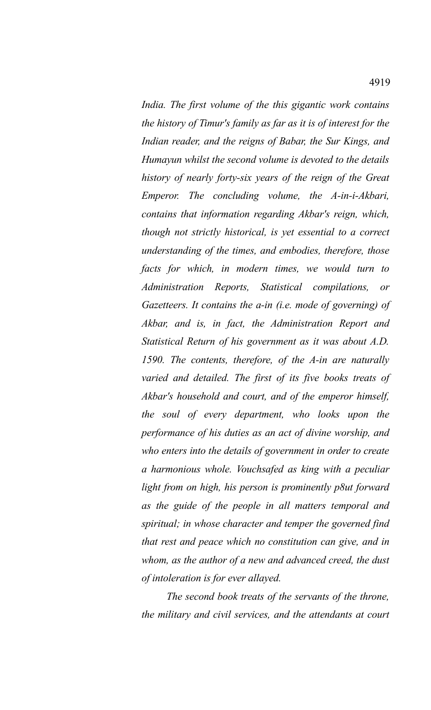*India. The first volume of the this gigantic work contains the history of Timur's family as far as it is of interest for the Indian reader, and the reigns of Babar, the Sur Kings, and Humayun whilst the second volume is devoted to the details history of nearly forty-six years of the reign of the Great Emperor. The concluding volume, the A-in-i-Akbari, contains that information regarding Akbar's reign, which, though not strictly historical, is yet essential to a correct understanding of the times, and embodies, therefore, those facts for which, in modern times, we would turn to Administration Reports, Statistical compilations, or Gazetteers. It contains the a-in (i.e. mode of governing) of Akbar, and is, in fact, the Administration Report and Statistical Return of his government as it was about A.D. 1590. The contents, therefore, of the A-in are naturally varied and detailed. The first of its five books treats of Akbar's household and court, and of the emperor himself, the soul of every department, who looks upon the performance of his duties as an act of divine worship, and who enters into the details of government in order to create a harmonious whole. Vouchsafed as king with a peculiar light from on high, his person is prominently p8ut forward as the guide of the people in all matters temporal and spiritual; in whose character and temper the governed find that rest and peace which no constitution can give, and in whom, as the author of a new and advanced creed, the dust of intoleration is for ever allayed.*

*The second book treats of the servants of the throne, the military and civil services, and the attendants at court*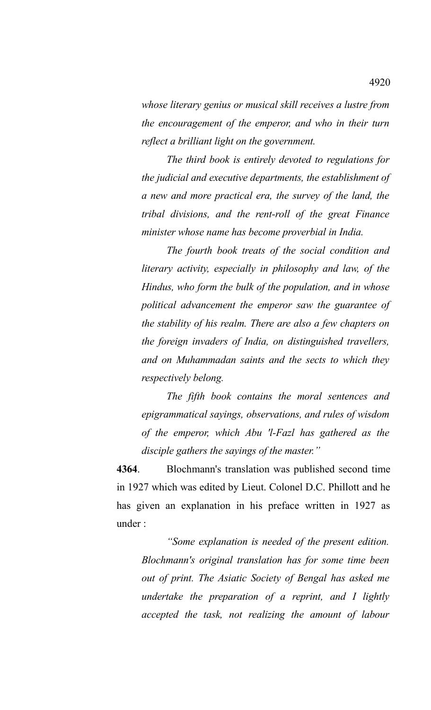*whose literary genius or musical skill receives a lustre from the encouragement of the emperor, and who in their turn reflect a brilliant light on the government.*

*The third book is entirely devoted to regulations for the judicial and executive departments, the establishment of a new and more practical era, the survey of the land, the tribal divisions, and the rent-roll of the great Finance minister whose name has become proverbial in India.*

*The fourth book treats of the social condition and literary activity, especially in philosophy and law, of the Hindus, who form the bulk of the population, and in whose political advancement the emperor saw the guarantee of the stability of his realm. There are also a few chapters on the foreign invaders of India, on distinguished travellers, and on Muhammadan saints and the sects to which they respectively belong.*

*The fifth book contains the moral sentences and epigrammatical sayings, observations, and rules of wisdom of the emperor, which Abu 'l-Fazl has gathered as the disciple gathers the sayings of the master."*

**4364**. Blochmann's translation was published second time in 1927 which was edited by Lieut. Colonel D.C. Phillott and he has given an explanation in his preface written in 1927 as under :

*"Some explanation is needed of the present edition. Blochmann's original translation has for some time been out of print. The Asiatic Society of Bengal has asked me undertake the preparation of a reprint, and I lightly accepted the task, not realizing the amount of labour*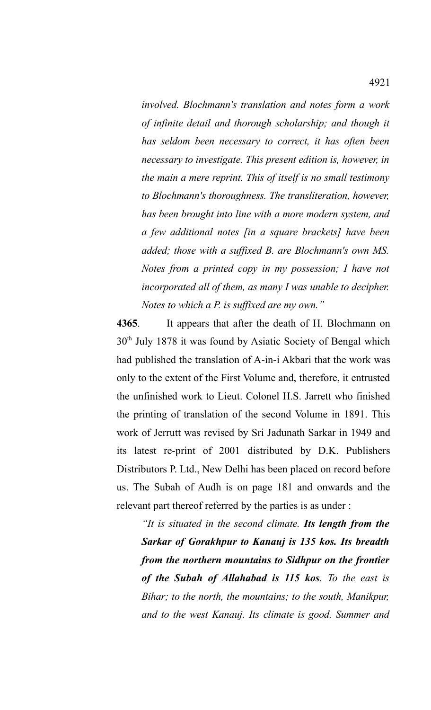*involved. Blochmann's translation and notes form a work of infinite detail and thorough scholarship; and though it has seldom been necessary to correct, it has often been necessary to investigate. This present edition is, however, in the main a mere reprint. This of itself is no small testimony to Blochmann's thoroughness. The transliteration, however, has been brought into line with a more modern system, and a few additional notes [in a square brackets] have been added; those with a suffixed B. are Blochmann's own MS. Notes from a printed copy in my possession; I have not incorporated all of them, as many I was unable to decipher. Notes to which a P. is suffixed are my own."*

**4365**. It appears that after the death of H. Blochmann on 30th July 1878 it was found by Asiatic Society of Bengal which had published the translation of A-in-i Akbari that the work was only to the extent of the First Volume and, therefore, it entrusted the unfinished work to Lieut. Colonel H.S. Jarrett who finished the printing of translation of the second Volume in 1891. This work of Jerrutt was revised by Sri Jadunath Sarkar in 1949 and its latest re-print of 2001 distributed by D.K. Publishers Distributors P. Ltd., New Delhi has been placed on record before us. The Subah of Audh is on page 181 and onwards and the relevant part thereof referred by the parties is as under :

*"It is situated in the second climate. Its length from the Sarkar of Gorakhpur to Kanauj is 135 kos. Its breadth from the northern mountains to Sidhpur on the frontier of the Subah of Allahabad is 115 kos. To the east is Bihar; to the north, the mountains; to the south, Manikpur, and to the west Kanauj. Its climate is good. Summer and*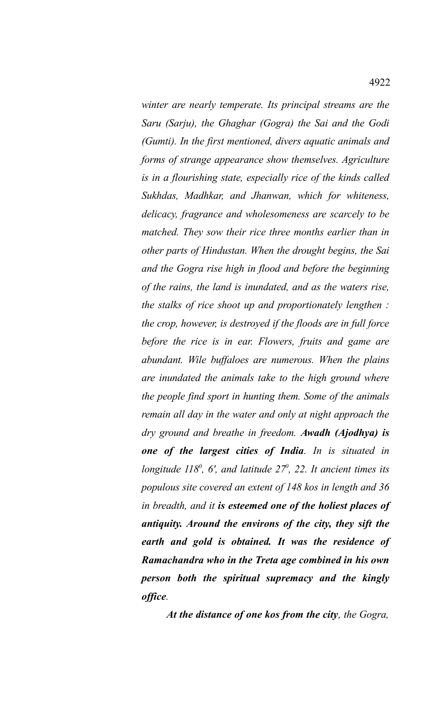*winter are nearly temperate. Its principal streams are the Saru (Sarju), the Ghaghar (Gogra) the Sai and the Godi (Gumti). In the first mentioned, divers aquatic animals and forms of strange appearance show themselves. Agriculture is in a flourishing state, especially rice of the kinds called Sukhdas, Madhkar, and Jhanwan, which for whiteness, delicacy, fragrance and wholesomeness are scarcely to be matched. They sow their rice three months earlier than in other parts of Hindustan. When the drought begins, the Sai and the Gogra rise high in flood and before the beginning of the rains, the land is inundated, and as the waters rise, the stalks of rice shoot up and proportionately lengthen : the crop, however, is destroyed if the floods are in full force before the rice is in ear. Flowers, fruits and game are abundant. Wile buffaloes are numerous. When the plains are inundated the animals take to the high ground where the people find sport in hunting them. Some of the animals remain all day in the water and only at night approach the dry ground and breathe in freedom. Awadh (Ajodhya) is one of the largest cities of India. In is situated in longitude 118<sup>0</sup> , 6', and latitude 27<sup>0</sup> , 22. It ancient times its populous site covered an extent of 148 kos in length and 36 in breadth, and it is esteemed one of the holiest places of antiquity. Around the environs of the city, they sift the earth and gold is obtained. It was the residence of Ramachandra who in the Treta age combined in his own person both the spiritual supremacy and the kingly office.*

*At the distance of one kos from the city, the Gogra,*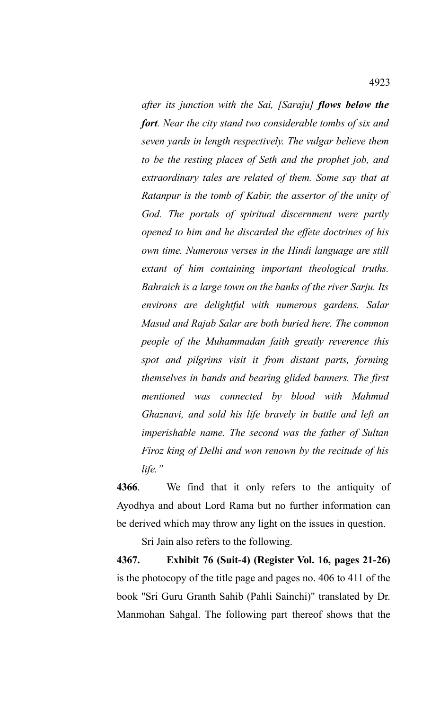*after its junction with the Sai, [Saraju] flows below the fort. Near the city stand two considerable tombs of six and seven yards in length respectively. The vulgar believe them to be the resting places of Seth and the prophet job, and extraordinary tales are related of them. Some say that at Ratanpur is the tomb of Kabir, the assertor of the unity of God. The portals of spiritual discernment were partly opened to him and he discarded the effete doctrines of his own time. Numerous verses in the Hindi language are still extant of him containing important theological truths. Bahraich is a large town on the banks of the river Sarju. Its environs are delightful with numerous gardens. Salar Masud and Rajab Salar are both buried here. The common people of the Muhammadan faith greatly reverence this spot and pilgrims visit it from distant parts, forming themselves in bands and bearing glided banners. The first mentioned was connected by blood with Mahmud Ghaznavi, and sold his life bravely in battle and left an imperishable name. The second was the father of Sultan Firoz king of Delhi and won renown by the recitude of his life."*

**4366**. We find that it only refers to the antiquity of Ayodhya and about Lord Rama but no further information can be derived which may throw any light on the issues in question.

Sri Jain also refers to the following.

**4367. Exhibit 76 (Suit-4) (Register Vol. 16, pages 21-26)** is the photocopy of the title page and pages no. 406 to 411 of the book "Sri Guru Granth Sahib (Pahli Sainchi)" translated by Dr. Manmohan Sahgal. The following part thereof shows that the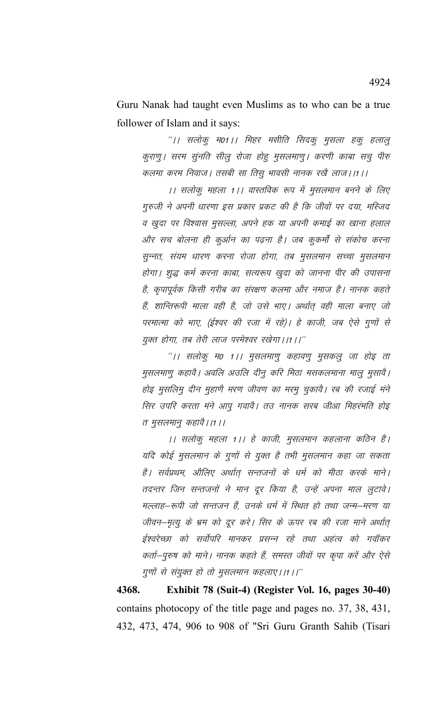Guru Nanak had taught even Muslims as to who can be a true follower of Islam and it says:

"।। सलोकु म01।। मिहर मसीति सिदकु मुसला हकु हलालु कुराणु। सरम सुनति सीलु रोजा होहु मुसलमाणु। करणी काबा सचु पीरु कलमा करम निवाज। तसबी सा तिसू भावसी नानक रखै लाज।।1।।

।। सलोकु महला 1।। वास्तविक रूप में मुसलमान बनने के लिए गुरुजी ने अपनी धारणा इस प्रकार प्रकट की है कि जीवों पर दया, मस्जिद व खुदा पर विश्वास मुसल्ला, अपने हक या अपनी कमाई का खाना हलाल और सच बोलना ही कुर्आन का पढ़ना है। जब कुकर्मों से संकोच करना सुन्नत, संयम धारण करना रोजा होगा, तब मुसलमान सच्चा मुसलमान होगा। शुद्ध कर्म करना काबा, सत्यरूप खुदा को जानना पीर की उपासना है, कृपापूर्वक किसी गरीब का संरक्षण कलमा और नमाज है। नानक कहते हैं, शान्तिरूपी माला वही है, जो उसे भाए। अर्थात् वही माला बनाए जो परमात्मा को भाए, (ईश्वर की रजा में रहे)। हे काजी, जब ऐसे गुणों से युक्त होगा, तब तेरी लाज परमेश्वर रखेगा।।1।।''

"।। सलोकु म0 1।। मुसलमाणु कहावणु मुसकलु जा होइ ता मुसलमाणु कहावै । अवलि अउलि दीनु करि मिठा मसकलमाना मालु मुसावै । होइ मुसलिमु दीन मुहाणे मरण जीवण का मरमू चुकावें। रब की रजाई मंने सिर उपरि करता मंने आपु गवावै। तउ नानक सरब जीआ मिहरंमति होइ त मुसलमानु कहावै | |1 | |

।। सलोकु महला 1।। हे काजी, मुसलमान कहलाना कठिन है। यदि कोई मुसलमान के गुणों से युक्त है तभी मुसलमान कहा जा सकता है। सर्वप्रथम, औलिए अर्थात् सन्तजनों के धर्म को मीठा करके माने। तदन्तर जिन सन्तजनों ने मान दूर किया है, उन्हें अपना माल लुटावे। मल्लाह–रूपी जो सन्तजन हैं, उनके धर्म में स्थित हो तथा जन्म–मरण या जीवन–मृत्यु के भ्रम को दूर करे। सिर के ऊपर रब की रजा माने अर्थात ईश्वरेच्छा को सर्वोपरि मानकर प्रसन्न रहे तथा अहंत्व को गवॉकर कर्ता—पुरुष को माने। नानक कहते हैं, समस्त जीवों पर कृपा करें और ऐसे गुणों से संयुक्त हो तो मुसलमान कहलाए।।1।।''

4368. Exhibit 78 (Suit-4) (Register Vol. 16, pages 30-40) contains photocopy of the title page and pages no. 37, 38, 431, 432, 473, 474, 906 to 908 of "Sri Guru Granth Sahib (Tisari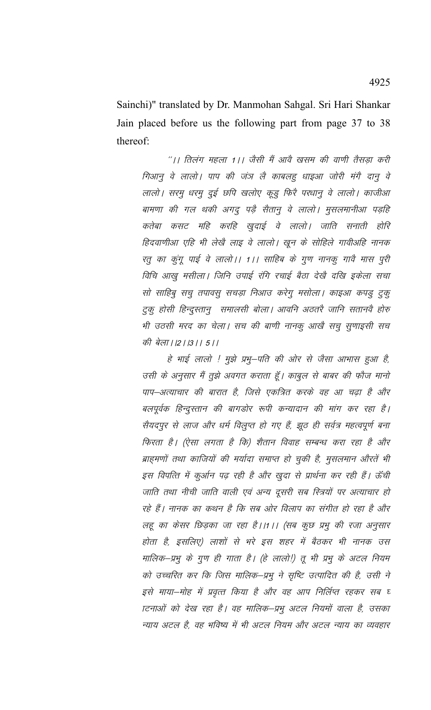Sainchi)" translated by Dr. Manmohan Sahgal. Sri Hari Shankar Jain placed before us the following part from page 37 to 38 thereof:

''।। तिलंग महला 1।। जैसी मैं आवै खसम की वाणी तैसडा करी गिआनु वे लालो। पाप की जंञ लै काबलहु धाइआ जोरी मंगै दानु वे लालो। सरमु धरमु दुई छपि खलोए कूडु फिरै परधानु वे लालो। काजीआ बामणा की गल थकी अगदु पड़े सैतानु वे लालो। मुसलमानीआ पड़हि कतेबा कसट महि करहि खुदाई वे लालो। जाति सनाती होरि हिदवाणीआ एहि भी लेखै लाइ वे लालो। खून के सोहिले गावीअहि नानक रत् का कुंगू पाई वे लालो।। 1।। साहिब के गुण नानकु गावै मास पुरी विचि आखु मसीला। जिनि उपाई रंगि रचाई बैठा देखै दखि इकेला सचा सो साहिबु सचु तपावसु सचड़ा निआउ करेगु मसोला। काइआ कपडु टुकु ट्रक् होसी हिन्दुस्तान् समालसी बोला। आवनि अठतरै जानि सतानवै होरु भी उठसी मरद का चेला। सच की बाणी नानकू आखै सचु सुणाइसी सच की बेला। 12 | 13 | 1 5 | 1

हे भाई लालो ! मुझे प्रभु-पति की ओर से जैसा आभास हुआ है, उसी के अनुसार मैं तुझे अवगत कराता हूँ। काबुल से बाबर की फौज मानो पाप–अत्याचार की बारात है, जिसे एकत्रित करके वह आ चढा है और बलपूर्वक हिन्दुस्तान की बागडोर रूपी कन्यादान की मांग कर रहा है। सैयदपुर से लाज और धर्म विलुप्त हो गए हैं, झूठ ही सर्वत्र महत्वपूर्ण बना फिरता है। (ऐसा लगता है कि) शैतान विवाह सम्बन्ध करा रहा है और ब्राह्मणों तथा काजियों की मर्यादा समाप्त हो चुकी है, मुसलमान औरतें भी इस विपत्ति में कुर्आन पढ़ रही है और खुदा से प्रार्थना कर रही हैं। ऊँची जाति तथा नीची जाति वाली एवं अन्य दूसरी सब स्त्रियों पर अत्याचार हो रहे हैं। नानक का कथन है कि सब ओर विलाप का संगीत हो रहा है और लद्दू का केसर छिड़का जा रहा है।।1।। (सब कुछ प्रभु की रजा अनुसार होता है, इसलिए) लाशों से भरे इस शहर में बैठकर भी नानक उस मालिक-प्रभु के गुण ही गाता है। (हे लालो!) तू भी प्रभु के अटल नियम को उच्चरित कर कि जिस मालिक–प्रभु ने सृष्टि उत्पादित की है, उसी ने इसे माया–मोह में प्रवृत्त किया है और वह आप निर्लिप्त रहकर सब घ ाटनाओं को देख रहा है। वह मालिक–प्रभु अटल नियमों वाला है, उसका न्याय अटल है, वह भविष्य में भी अटल नियम और अटल न्याय का व्यवहार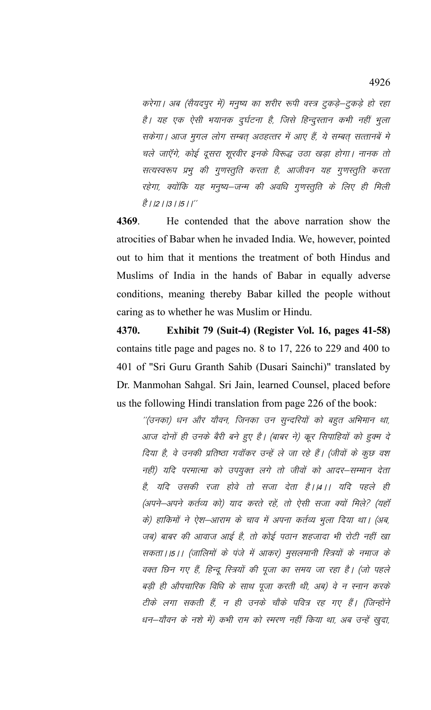करेगा। अब (सैयदपुर में) मनुष्य का शरीर रूपी वस्त्र टुकड़े—टुकड़े हो रहा है। यह एक ऐसी भयानक दुर्घटना है, जिसे हिन्दुस्तान कभी नहीं भुला सकेगा। आज मुगल लोग सम्बत् अठहत्तर में आए हैं, ये सम्बत् सत्तानबें मे चले जाएँगे, कोई दूसरा शूरवीर इनके विरूद्ध उठा खड़ा होगा। नानक तो सत्यस्वरूप प्रभु की गुणस्तुति करता है, आजीवन यह गुणस्तुति करता रहेगा, क्योंकि यह मनुष्य–जन्म की अवधि गुणस्तुति के लिए ही मिली  $\frac{3}{6}$ | |2 | |3 | |5 | |"

**4369**. He contended that the above narration show the atrocities of Babar when he invaded India. We, however, pointed out to him that it mentions the treatment of both Hindus and Muslims of India in the hands of Babar in equally adverse conditions, meaning thereby Babar killed the people without caring as to whether he was Muslim or Hindu.

**4370. Exhibit 79 (Suit-4) (Register Vol. 16, pages 41-58)** contains title page and pages no. 8 to 17, 226 to 229 and 400 to 401 of "Sri Guru Granth Sahib (Dusari Sainchi)" translated by Dr. Manmohan Sahgal. Sri Jain, learned Counsel, placed before us the following Hindi translation from page 226 of the book:

''(उनका) धन और यौवन, जिनका उन सुन्दरियों को बहुत अभिमान था, आज दोनों ही उनके बैरी बने हुए है। (बाबर ने) कूर सिपाहियों को हुक्म दे दिया है, वे उनकी प्रतिष्ठा गवॉकर उन्हें ले जा रहे हैं। (जीवों के कुछ वश नहीं) यदि परमात्मा को उपयुक्त लगे तो जीवों को आदर–सम्मान देता है, यदि उसकी रजा होवे तो सजा देता है।।4।। यदि पहले ही (अपने–अपने कर्तव्य को) याद करते रहें, तो ऐसी सजा क्यों मिले? (यहाँ के) हाकिमों ने ऐश–आराम के चाव में अपना कर्तव्य भूला दिया था। (अब, जब) बाबर की आवाज आई है, तो कोई पठान शहजादा भी रोटी नहीं खा सकता । ।5 । । (जालिमों के पंजे में आकर) मुसलमानी स्त्रियों के नमाज के वक्त छिन गए हैं, हिन्दू स्त्रियों की पूजा का समय जा रहा है। (जो पहले बड़ी ही औपचारिक विधि के साथ पूजा करती थी, अब) वे न स्नान करके टीके लगा सकती हैं, न ही उनके चौके पवित्र रह गए हैं। (जिन्होंने धन–यौवन के नशे में) कभी राम को स्मरण नहीं किया था, अब उन्हें खुदा,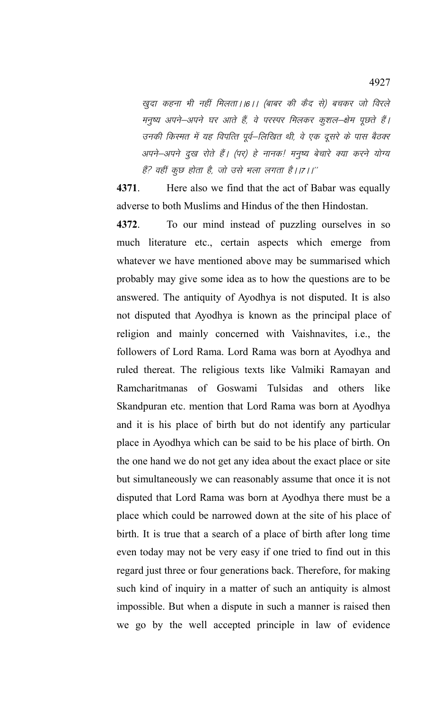खुदा कहना भी नहीं मिलता।।6।। (बाबर की कैंद से) बचकर जो विरले मनुष्य अपने–अपने घर आते हैं, वे परस्पर मिलकर कुशल–क्षेम पूछते हैं। उनकी किस्मत में यह विपत्ति पूर्व–लिखित थी, वे एक दूसरे के पास बैठक्र अपने–अपने दुख रोते हैं। (पर) हे नानक! मनुष्य बेचारे क्या करने योग्य हैं? वहीं कुछ होता है, जो उसे भला लगता है।।7।।''

**4371**. Here also we find that the act of Babar was equally adverse to both Muslims and Hindus of the then Hindostan.

**4372**. To our mind instead of puzzling ourselves in so much literature etc., certain aspects which emerge from whatever we have mentioned above may be summarised which probably may give some idea as to how the questions are to be answered. The antiquity of Ayodhya is not disputed. It is also not disputed that Ayodhya is known as the principal place of religion and mainly concerned with Vaishnavites, i.e., the followers of Lord Rama. Lord Rama was born at Ayodhya and ruled thereat. The religious texts like Valmiki Ramayan and Ramcharitmanas of Goswami Tulsidas and others like Skandpuran etc. mention that Lord Rama was born at Ayodhya and it is his place of birth but do not identify any particular place in Ayodhya which can be said to be his place of birth. On the one hand we do not get any idea about the exact place or site but simultaneously we can reasonably assume that once it is not disputed that Lord Rama was born at Ayodhya there must be a place which could be narrowed down at the site of his place of birth. It is true that a search of a place of birth after long time even today may not be very easy if one tried to find out in this regard just three or four generations back. Therefore, for making such kind of inquiry in a matter of such an antiquity is almost impossible. But when a dispute in such a manner is raised then we go by the well accepted principle in law of evidence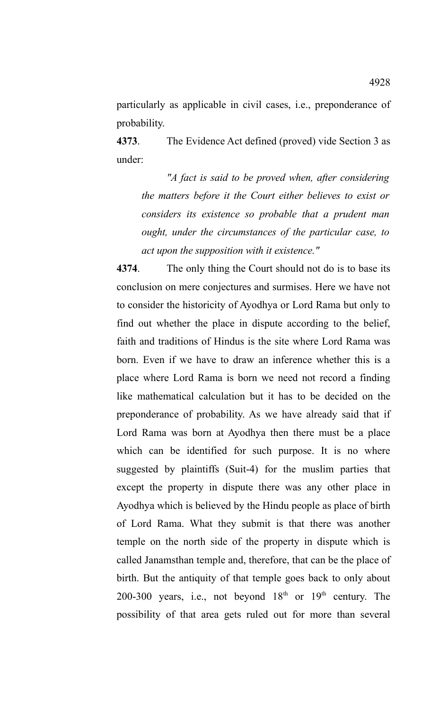particularly as applicable in civil cases, i.e., preponderance of probability.

**4373**. The Evidence Act defined (proved) vide Section 3 as under:

*"A fact is said to be proved when, after considering the matters before it the Court either believes to exist or considers its existence so probable that a prudent man ought, under the circumstances of the particular case, to act upon the supposition with it existence."*

**4374**. The only thing the Court should not do is to base its conclusion on mere conjectures and surmises. Here we have not to consider the historicity of Ayodhya or Lord Rama but only to find out whether the place in dispute according to the belief, faith and traditions of Hindus is the site where Lord Rama was born. Even if we have to draw an inference whether this is a place where Lord Rama is born we need not record a finding like mathematical calculation but it has to be decided on the preponderance of probability. As we have already said that if Lord Rama was born at Ayodhya then there must be a place which can be identified for such purpose. It is no where suggested by plaintiffs (Suit-4) for the muslim parties that except the property in dispute there was any other place in Ayodhya which is believed by the Hindu people as place of birth of Lord Rama. What they submit is that there was another temple on the north side of the property in dispute which is called Janamsthan temple and, therefore, that can be the place of birth. But the antiquity of that temple goes back to only about 200-300 years, i.e., not beyond  $18<sup>th</sup>$  or  $19<sup>th</sup>$  century. The possibility of that area gets ruled out for more than several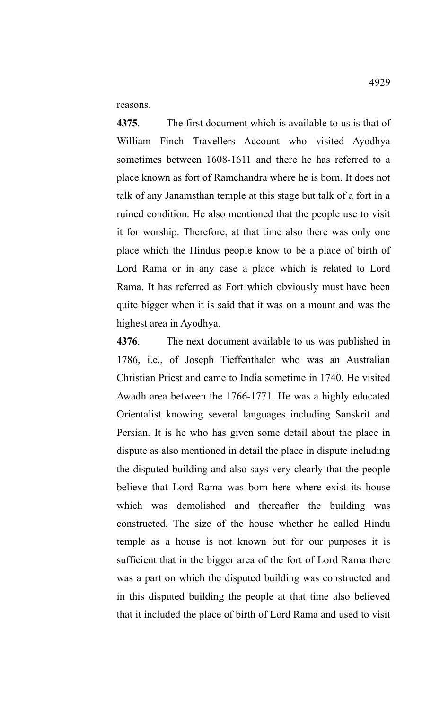reasons.

**4375**. The first document which is available to us is that of William Finch Travellers Account who visited Ayodhya sometimes between 1608-1611 and there he has referred to a place known as fort of Ramchandra where he is born. It does not talk of any Janamsthan temple at this stage but talk of a fort in a ruined condition. He also mentioned that the people use to visit it for worship. Therefore, at that time also there was only one place which the Hindus people know to be a place of birth of Lord Rama or in any case a place which is related to Lord Rama. It has referred as Fort which obviously must have been quite bigger when it is said that it was on a mount and was the highest area in Ayodhya.

**4376**. The next document available to us was published in 1786, i.e., of Joseph Tieffenthaler who was an Australian Christian Priest and came to India sometime in 1740. He visited Awadh area between the 1766-1771. He was a highly educated Orientalist knowing several languages including Sanskrit and Persian. It is he who has given some detail about the place in dispute as also mentioned in detail the place in dispute including the disputed building and also says very clearly that the people believe that Lord Rama was born here where exist its house which was demolished and thereafter the building was constructed. The size of the house whether he called Hindu temple as a house is not known but for our purposes it is sufficient that in the bigger area of the fort of Lord Rama there was a part on which the disputed building was constructed and in this disputed building the people at that time also believed that it included the place of birth of Lord Rama and used to visit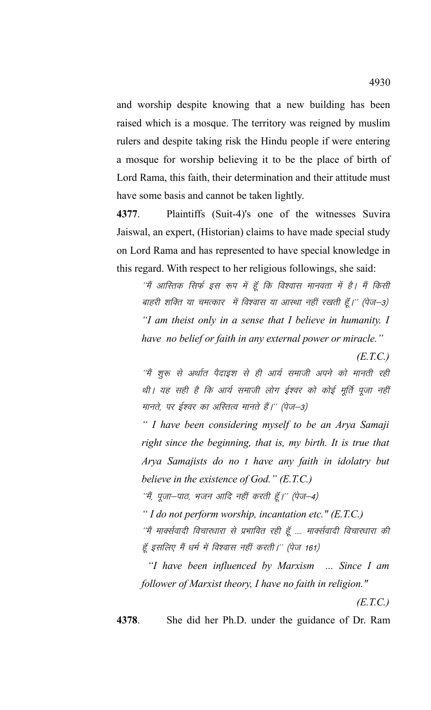and worship despite knowing that a new building has been raised which is a mosque. The territory was reigned by muslim rulers and despite taking risk the Hindu people if were entering a mosque for worship believing it to be the place of birth of Lord Rama, this faith, their determination and their attitude must have some basis and cannot be taken lightly.

**4377**. Plaintiffs (Suit-4)'s one of the witnesses Suvira Jaiswal, an expert, (Historian) claims to have made special study on Lord Rama and has represented to have special knowledge in this regard. With respect to her religious followings, she said:

´´मैं आस्तिक सिर्फ इस रूप में हूँ कि विश्वास मानवता में है। मैं किसी बाहरी शक्ति या चमत्कार में विश्वास या आस्था नहीं रखती हूँ।'' (पेज–3) *"I am theist only in a sense that I believe in humanity. I have no belief or faith in any external power or miracle."*

*(E.T.C.)*

´´मैं शुरू से अर्थात पैदाइश से ही आर्य समाजी अपने को मानती रही थी। यह सही है कि आर्य समाजी लोग ईश्वर को कोई मूर्ति पूजा नहीं मानते, पर ईश्वर का अस्तित्व मानते हैं।'' (पेज-3)

*" I have been considering myself to be an Arya Samaji right since the beginning, that is, my birth. It is true that Arya Samajists do no t have any faith in idolatry but believe in the existence of God." (E.T.C.)* 

 $^{\prime\prime}$ सैं, पूजा $-$ पाठ, भजन आदि नहीं करती हूँ।'' (पेज $-4$ )

*" I do not perform worship, incantation etc." (E.T.C.)* 

''मैं मार्क्सवादी विचारधारा से प्रभावित रही हूँ .... मार्क्सवादी विचारधारा की हूँ इसलिए मैं धर्म में विश्वास नहीं करती।'' (पेज 161)

 *"I have been influenced by Marxism ... Since I am follower of Marxist theory, I have no faith in religion."*

*(E.T.C.)*

**4378**. She did her Ph.D. under the guidance of Dr. Ram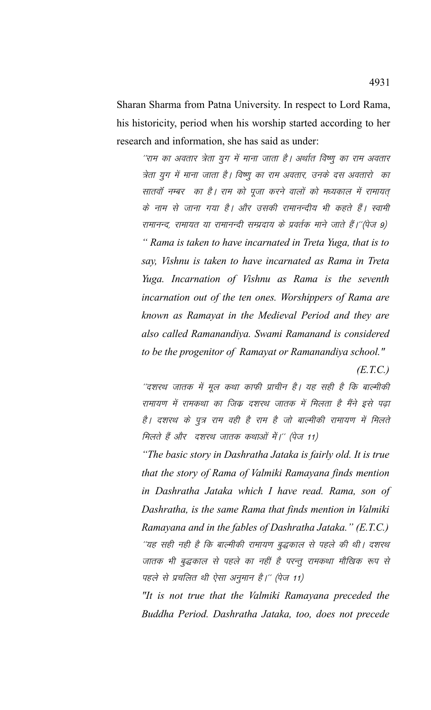Sharan Sharma from Patna University. In respect to Lord Rama, his historicity, period when his worship started according to her research and information, she has said as under:

''राम का अवतार त्रेता युग में माना जाता है। अर्थात विष्णु का राम अवतार त्रेता युग में माना जाता है। विष्णु का राम अवतार, उनके दस अवतारो का सातवॉ नम्बर का है। राम को पूजा करने वालों को मध्यकाल में रामायत के नाम से जाना गया है। और उसकी रामानन्दीय भी कहते हैं। स्वामी रामानन्द, रामायत या रामानन्दी सम्प्रदाय के प्रवर्तक माने जाते हैं।''(पेज 9) *" Rama is taken to have incarnated in Treta Yuga, that is to say, Vishnu is taken to have incarnated as Rama in Treta Yuga. Incarnation of Vishnu as Rama is the seventh incarnation out of the ten ones. Worshippers of Rama are known as Ramayat in the Medieval Period and they are also called Ramanandiya. Swami Ramanand is considered to be the progenitor of Ramayat or Ramanandiya school." (E.T.C.)*

''दशरथ जातक में मूल कथा काफी प्राचीन है। यह सही है कि बाल्मीकी रामायण में रामकथा का जिक दशरथ जातक में मिलता है मैंने इसे पढ़ा है। दशरथ के पुत्र राम वही है राम है जो बाल्मीकी रामायण में मिलते मिलते हैं और दशरथ जातक कथाओं में।'' (पेज 11)

*"The basic story in Dashratha Jataka is fairly old. It is true that the story of Rama of Valmiki Ramayana finds mention in Dashratha Jataka which I have read. Rama, son of Dashratha, is the same Rama that finds mention in Valmiki Ramayana and in the fables of Dashratha Jataka." (E.T.C.)* ''यह सही नही है कि बाल्मीकी रामायण बुद्धकाल से पहले की थी। दशरथ जातक भी बुद्धकाल से पहले का नहीं है परन्तू रामकथा मौखिक रूप से पहले से प्रचलित थी ऐसा अनुमान है।'' (पेज 11)

*"It is not true that the Valmiki Ramayana preceded the Buddha Period. Dashratha Jataka, too, does not precede*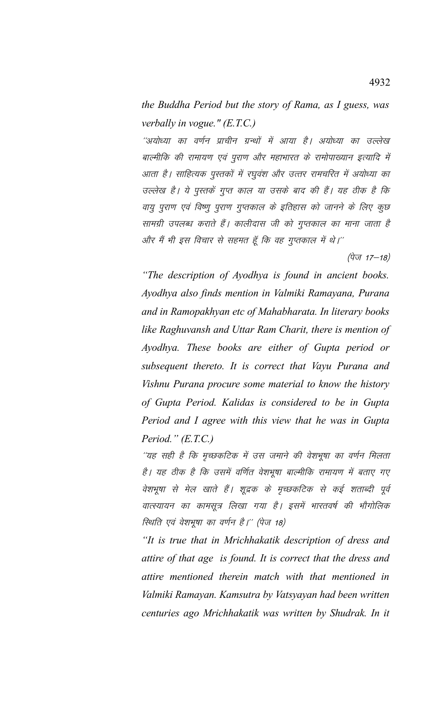*the Buddha Period but the story of Rama, as I guess, was verbally in vogue." (E.T.C.)* 

''अयोध्या का वर्णन प्राचीन ग्रन्थों में आया है। अयोध्या का उल्लेख बाल्मीकि की रामायण एवं पुराण और महाभारत के रामोपाख्यान इत्यादि में आता है। साहित्यक पुस्तकों में रघुवंश और उत्तर रामचरित में अयोध्या का उल्लेख है। ये पुस्तकें गुप्त काल या उसके बाद की हैं। यह ठीक है कि वायू पुराण एवं विष्णू पुराण गुप्तकाल के इतिहास को जानने के लिए कुछ सामग्री उपलब्ध कराते हैं। कालीदास जी को गुप्तकाल का माना जाता है और मैं भी इस विचार से सहमत हूँ कि वह गुप्तकाल में थे।''

 $(\vec{q}_{\vec{v}}$  17—18)

*"The description of Ayodhya is found in ancient books. Ayodhya also finds mention in Valmiki Ramayana, Purana and in Ramopakhyan etc of Mahabharata. In literary books like Raghuvansh and Uttar Ram Charit, there is mention of Ayodhya. These books are either of Gupta period or subsequent thereto. It is correct that Vayu Purana and Vishnu Purana procure some material to know the history of Gupta Period. Kalidas is considered to be in Gupta Period and I agree with this view that he was in Gupta Period." (E.T.C.)*

''यह सही है कि मृच्छकटिक में उस जमाने की वेशभूषा का वर्णन मिलता है। यह ठीक है कि उसमें वर्णित वेशभूषा बाल्मीकि रामायण में बताए गए वेशभूषा से मेल खाते हैं। शूद्रक के मृच्छकटिक से कई शताब्दी पूर्व वात्स्यायन का कामसूत्र लिखा गया है। इसमें भारतवर्ष की भौगोलिक रिथति एवं वेशभूषा का वर्णन है।'' (पेज 18)

*"It is true that in Mrichhakatik description of dress and attire of that age is found. It is correct that the dress and attire mentioned therein match with that mentioned in Valmiki Ramayan. Kamsutra by Vatsyayan had been written centuries ago Mrichhakatik was written by Shudrak. In it*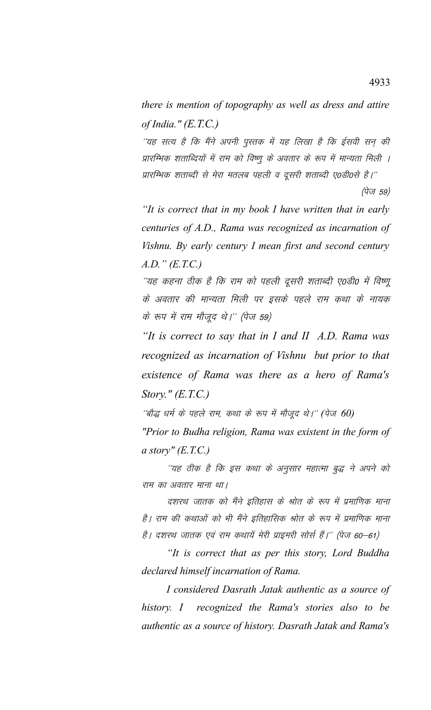*there is mention of topography as well as dress and attire of India." (E.T.C.)*

^'यह सत्य है कि मैंने अपनी पुस्तक में यह लिखा है कि ईसवी सन की प्रारम्भिक शताब्दियों में राम को विष्णू के अवतार के रूप में मान्यता मिली । प्रारम्भिक शताब्दी से मेरा मतलब पहली व दूसरी शताब्दी ए0डी0से है।'' (पेज 59)

*"It is correct that in my book I have written that in early centuries of A.D., Rama was recognized as incarnation of Vishnu. By early century I mean first and second century A.D." (E.T.C.)*

''यह कहना ठीक है कि राम को पहली दुसरी शताब्दी ए0डी0 में विष्णू के अवतार की मान्यता मिली पर इसके पहले राम कथा के नायक के रूप में राम मौजूद थे।'' (पेज 59)

*"It is correct to say that in I and II A.D. Rama was recognized as incarnation of Vishnu but prior to that existence of Rama was there as a hero of Rama's Story." (E.T.C.)* 

''बौद्ध धर्म के पहले राम, कथा के रूप में मौजूद थे।'' (पेज 60)

*"Prior to Budha religion, Rama was existent in the form of a story" (E.T.C.)*

''यह ठीक है कि इस कथा के अनुसार महात्मा बुद्ध ने अपने को राम का अवतार माना था।

दशरथ जातक को मैंने इतिहास के श्रोत के रूप में प्रमाणिक माना है। राम की कथाओं को भी मैंने इतिहासिक श्रोत के रूप में प्रमाणिक माना है। दशरथ जातक एवं राम कथायें मेरी प्राइमरी सोर्स हैं।'' (पेज 60–61)

*"It is correct that as per this story, Lord Buddha declared himself incarnation of Rama.*

*I considered Dasrath Jatak authentic as a source of history. I recognized the Rama's stories also to be authentic as a source of history. Dasrath Jatak and Rama's*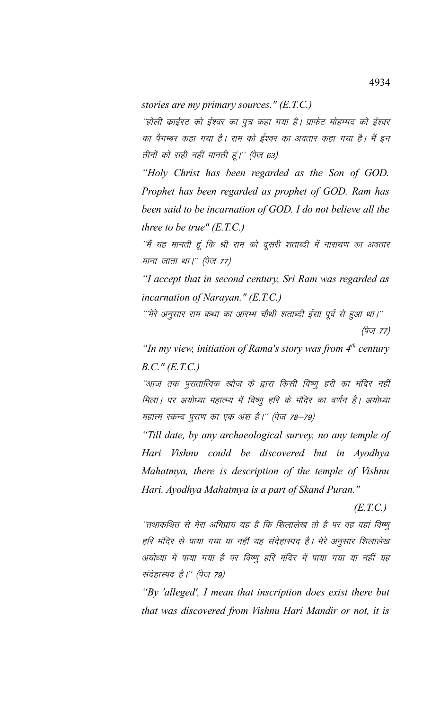*stories are my primary sources." (E.T.C.)* 

''होली काईस्ट को ईश्वर का पुत्र कहा गया है। प्राफेट मोहम्मद को ईश्वर का पैगम्बर कहा गया है। राम को ईश्वर का अवतार कहा गया है। मैं इन तीनों को सही नहीं मानती हूं।" (पेज 63)

*"Holy Christ has been regarded as the Son of GOD. Prophet has been regarded as prophet of GOD. Ram has been said to be incarnation of GOD. I do not believe all the three to be true" (E.T.C.)* 

''मैं यह मानती हूं कि श्री राम को दूसरी शताब्दी में नारायण का अवतार माना जाता था।'' (पेज 77)

*"I accept that in second century, Sri Ram was regarded as incarnation of Narayan." (E.T.C.)* 

'''मेरे अनुसार राम कथा का आरम्भ चौथी शताब्दी ईसा पूर्व से हुआ था*।''* (पेज 77)

*"In my view, initiation of Rama's story was from 4th century B.C." (E.T.C.)* 

''आज तक पुरातात्विक खोज के द्वारा किसी विष्णु हरी का मंदिर नहीं मिला। पर अयोध्या महात्म्य में विष्णू हरि के मंदिर का वर्णन है। अयोध्या महात्म स्कन्द पुराण का एक अंश है।'' (पेज 78–79)

*"Till date, by any archaeological survey, no any temple of Hari Vishnu could be discovered but in Ayodhya Mahatmya, there is description of the temple of Vishnu Hari. Ayodhya Mahatmya is a part of Skand Puran."* 

*(E.T.C.)* 

''तथाकथित से मेरा अभिप्राय यह है कि शिलालेख तो है पर वह वहां विष्णू हरि मंदिर से पाया गया या नहीं यह संदेहास्पद है। मेरे अनुसार शिलालेख अयोध्या में पाया गया है पर विष्णू हरि मंदिर में पाया गया या नहीं यह संदेहास्पद है।" (पेज 79)

*"By 'alleged', I mean that inscription does exist there but that was discovered from Vishnu Hari Mandir or not, it is*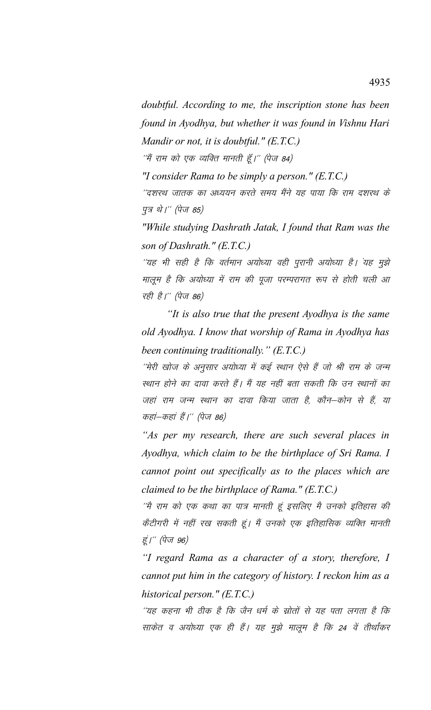*doubtful. According to me, the inscription stone has been found in Ayodhya, but whether it was found in Vishnu Hari Mandir or not, it is doubtful." (E.T.C.)* 

''मैं राम को एक व्यक्ति मानती हूँ।'' (पेज 84)

*"I consider Rama to be simply a person." (E.T.C.)* 

''दशरथ जातक का अध्ययन करते समय मैंने यह पाया कि राम दशरथ के पुत्र थे।'' (पेज 85)

*"While studying Dashrath Jatak, I found that Ram was the son of Dashrath." (E.T.C.)* 

''यह भी सही है कि वर्तमान अयोध्या वही पुरानी अयोध्या है। यह मुझे मालूम है कि अयोध्या में राम की पूजा परम्परागत रूप से होती चली आ रही है।'' (पेज 86)

*"It is also true that the present Ayodhya is the same old Ayodhya. I know that worship of Rama in Ayodhya has been continuing traditionally." (E.T.C.)*

<sup>-</sup>'मेरी खोज के अनुसार अयोध्या में कई स्थान ऐसे हैं जो श्री राम के जन्म स्थान होने का दावा करते हैं। मैं यह नहीं बता सकती कि उन स्थानों का जहां राम जन्म स्थान का दावा किया जाता है. कौन–कोन से हैं. या कहां–कहां हैं।'' (पेज 86)

*"As per my research, there are such several places in Ayodhya, which claim to be the birthplace of Sri Rama. I cannot point out specifically as to the places which are claimed to be the birthplace of Rama." (E.T.C.)* 

''मै राम को एक कथा का पात्र मानती हूं इसलिए मै उनको इतिहास की केंटीगरी में नहीं रख सकती हूं। मैं उनको एक इतिहासिक व्यक्ति मानती हूं।" (पेज 96)

*"I regard Rama as a character of a story, therefore, I cannot put him in the category of history. I reckon him as a historical person." (E.T.C.)*

´´यह कहना भी ठीक है कि जैन धर्म के स्रोतों से यह पता लगता है कि साकेत व अयोध्या एक ही हैं। यह मुझे मालूम है कि 24 वें तीर्थांकर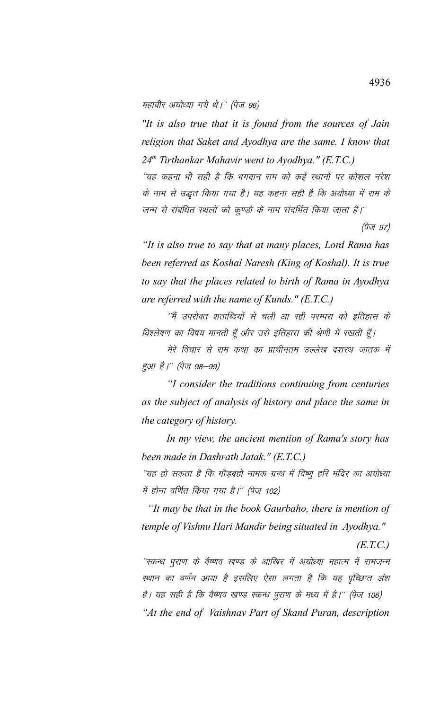महावीर अयोध्या गये थे।'' (पेज 96)

*"It is also true that it is found from the sources of Jain religion that Saket and Ayodhya are the same. I know that 24th Tirthankar Mahavir went to Ayodhya." (E.T.C.)* 

"यह कहना भी सही है कि भगवान राम को कई स्थानों पर कोशल नरेश के नाम से उद्धत किया गया है। यह कहना सही है कि अयोध्या में राम के जन्म से संबंधित स्थलों को कुण्डो के नाम संदर्भित किया जाता है।''

(पेज  $97)$ 

*"It is also true to say that at many places, Lord Rama has been referred as Koshal Naresh (King of Koshal). It is true to say that the places related to birth of Rama in Ayodhya are referred with the name of Kunds." (E.T.C.)* 

''मैं उपरोक्त शताब्दियों से चली आ रही परम्परा को इतिहास के विश्लेषण का विषय मानती हूँ और उसे इतिहास की श्रेणी में रखती हूँ।

मेरे विचार से राम कथा का प्राचीनतम उल्लेख दशरथ जातक में हुआ है।'' (पेज 98-99)

*"I consider the traditions continuing from centuries as the subject of analysis of history and place the same in the category of history.*

*In my view, the ancient mention of Rama's story has been made in Dashrath Jatak." (E.T.C.)* 

''यह हो सकता है कि गौडबहो नामक ग्रन्थ में विष्णू हरि मंदिर का अयोध्या में होना वर्णित किया गया है।'' (पेज 102)

 *"It may be that in the book Gaurbaho, there is mention of temple of Vishnu Hari Mandir being situated in Ayodhya."*

*(E.T.C.)*

''स्कन्ध पुराण के वैष्णव खण्ड के आखिर में अयोध्या महात्म में रामजन्म स्थान का वर्णन आया है इसलिए ऐसा लगता है कि यह पृच्छिप्त अंश है। यह सही है कि वैष्णव खण्ड स्कन्ध पुराण के मध्य में है।'' (पेज 106) *"At the end of Vaishnav Part of Skand Puran, description*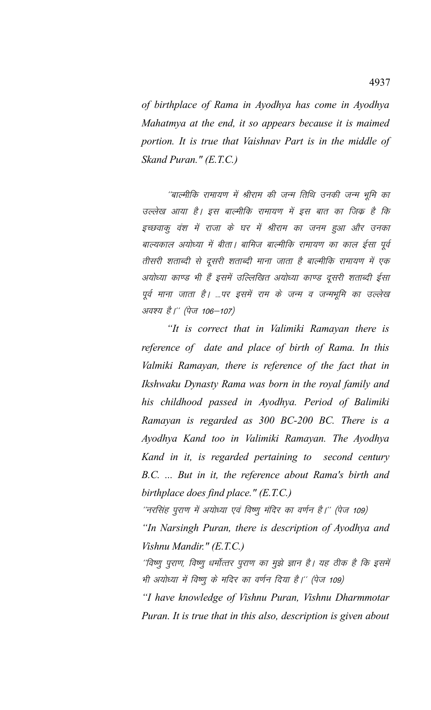*of birthplace of Rama in Ayodhya has come in Ayodhya Mahatmya at the end, it so appears because it is maimed portion. It is true that Vaishnav Part is in the middle of Skand Puran." (E.T.C.)* 

''बाल्मीकि रामायण में श्रीराम की जन्म तिथि उनकी जन्म भूमि का उल्लेख आया है। इस बाल्मीकि रामायण में इस बात का जिक है कि इच्छवाकु वंश में राजा के घर में श्रीराम का जनम हुआ और उनका बाल्यकाल अयोध्या में बीता। बामिज बाल्मीकि रामायण का काल ईसा पूर्व तीसरी शताब्दी से दूसरी शताब्दी माना जाता है बाल्मीकि रामायण में एक अयोध्या काण्ड भी हैं इसमें उल्लिखित अयोध्या काण्ड दूसरी शताब्दी ईसा पूर्व माना जाता है। ...पर इसमें राम के जन्म व जन्मभूमि का उल्लेख अवश्य है।'' (पेज 106–107)

*"It is correct that in Valimiki Ramayan there is reference of date and place of birth of Rama. In this Valmiki Ramayan, there is reference of the fact that in Ikshwaku Dynasty Rama was born in the royal family and his childhood passed in Ayodhya. Period of Balimiki Ramayan is regarded as 300 BC-200 BC. There is a Ayodhya Kand too in Valimiki Ramayan. The Ayodhya Kand in it, is regarded pertaining to second century B.C. ... But in it, the reference about Rama's birth and birthplace does find place." (E.T.C.)* 

''नरसिंह पुराण में अयोध्या एवं विष्णु मंदिर का वर्णन है।'' (पेज 109)

*"In Narsingh Puran, there is description of Ayodhya and Vishnu Mandir." (E.T.C.)* 

^'विष्णु पुराण, विष्णु धर्मोत्तर पुराण का मुझे ज्ञान है। यह ठीक है कि इसमें भी अयोध्या में विष्णू के मदिर का वर्णन दिया है।'' (पेज 109)

*"I have knowledge of Vishnu Puran, Vishnu Dharmmotar Puran. It is true that in this also, description is given about*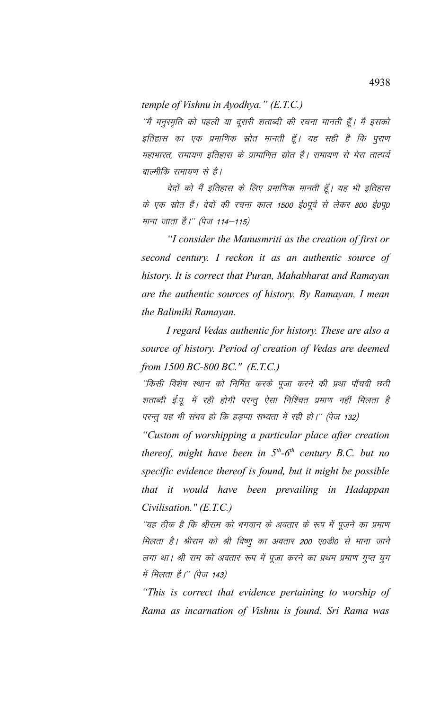*temple of Vishnu in Ayodhya." (E.T.C.)* 

''मैं मनुस्मृति को पहली या दूसरी शताब्दी की रचना मानती हूँ। मैं इसको इतिहास का एक प्रमाणिक स्रोत मानती हूँ। यह सही है कि पुराण महाभारत, रामायण इतिहास के प्रामाणित स्रोत हैं। रामायण से मेरा तात्पर्य बाल्मीकि रामायण से है।

वेदों को मैं इतिहास के लिए प्रमाणिक मानती हूँ। यह भी इतिहास के एक स्रोत हैं। वेदों की रचना काल 1500 ई0पूर्व से लेकर 800 ई0पू0 माना जाता है।'' (पेज 114–115)

*"I consider the Manusmriti as the creation of first or second century. I reckon it as an authentic source of history. It is correct that Puran, Mahabharat and Ramayan are the authentic sources of history. By Ramayan, I mean the Balimiki Ramayan.*

*I regard Vedas authentic for history. These are also a source of history. Period of creation of Vedas are deemed from 1500 BC-800 BC." (E.T.C.)*

''किसी विशेष स्थान को निर्मित करके पूजा करने की प्रथा पॉचवी छठी शताब्दी ई.पू. में रही होगी परन्तु ऐसा निश्चित प्रमाण नहीं मिलता है परन्तु यह भी संभव हो कि हड़प्पा सभ्यता में रही हो।" (पेज 132)

*"Custom of worshipping a particular place after creation thereof, might have been in 5th-6th century B.C. but no specific evidence thereof is found, but it might be possible that it would have been prevailing in Hadappan Civilisation." (E.T.C.)* 

''यह ठीक है कि श्रीराम को भगवान के अवतार के रूप में पूजने का प्रमाण मिलता है। श्रीराम को श्री विष्णू का अवतार 200 ए0डी0 से माना जाने लगा था। श्री राम को अवतार रूप में पूजा करने का प्रथम प्रमाण गुप्त युग में मिलता है।'' (पेज 143)

*"This is correct that evidence pertaining to worship of Rama as incarnation of Vishnu is found. Sri Rama was*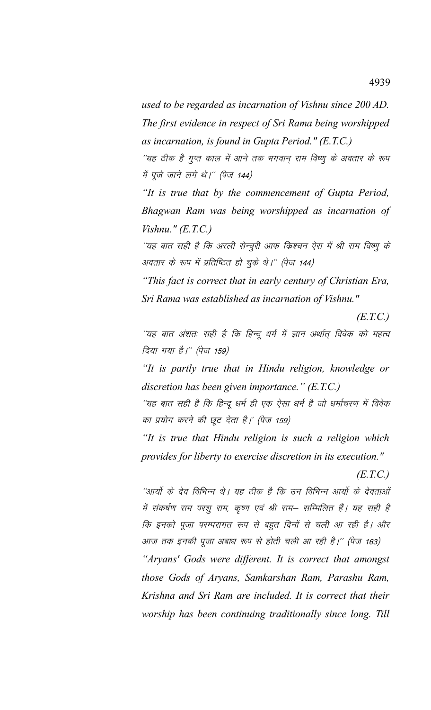*used to be regarded as incarnation of Vishnu since 200 AD. The first evidence in respect of Sri Rama being worshipped as incarnation, is found in Gupta Period." (E.T.C.)*

^'यह ठीक है गुप्त काल में आने तक भगवान् राम विष्णु के अवतार के रूप में पूजे जाने लगे थे।" (पेज 144)

*"It is true that by the commencement of Gupta Period, Bhagwan Ram was being worshipped as incarnation of Vishnu." (E.T.C.)* 

''यह बात सही है कि अरली सेन्चुरी आफ किश्चन ऐरा में श्री राम विष्णू के अवतार के रूप में प्रतिष्ठित हो चुके थे।'' (पेज 144)

*"This fact is correct that in early century of Christian Era, Sri Rama was established as incarnation of Vishnu."*

*(E.T.C.)*

''यह बात अंशत: सही है कि हिन्दू धर्म में ज्ञान अर्थात् विवेक को महत्व *दिया गया है।'' (पेज 159)* 

*"It is partly true that in Hindu religion, knowledge or discretion has been given importance." (E.T.C.)* 

''यह बात सही है कि हिन्दू धर्म ही एक ऐसा धर्म है जो धर्माचरण में विवेक का प्रयोग करने की छूट देता है।' (पेज 159)

*"It is true that Hindu religion is such a religion which provides for liberty to exercise discretion in its execution."*

*(E.T.C.)*

''आर्यो के देव विभिन्न थे। यह ठीक है कि उन विभिन्न आर्यो के देवताओं में संकर्षण राम परशू राम, कृष्ण एवं श्री राम– सम्मिलित हैं। यह सही है कि इनको पूजा परम्परागत रूप से बहुत दिनों से चली आ रही है। और आज तक इनकी पूजा अबाध रूप से होती चली आ रही है।'' (पेज 163) *"Aryans' Gods were different. It is correct that amongst those Gods of Aryans, Samkarshan Ram, Parashu Ram, Krishna and Sri Ram are included. It is correct that their worship has been continuing traditionally since long. Till*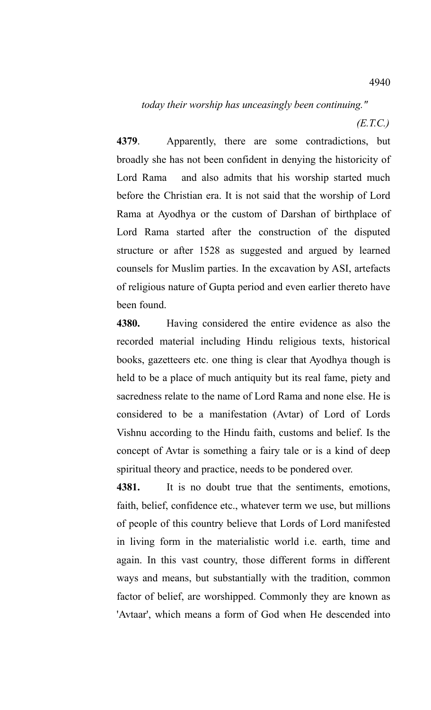## *today their worship has unceasingly been continuing."*

*(E.T.C.)*

**4379**. Apparently, there are some contradictions, but broadly she has not been confident in denying the historicity of Lord Rama and also admits that his worship started much before the Christian era. It is not said that the worship of Lord Rama at Ayodhya or the custom of Darshan of birthplace of Lord Rama started after the construction of the disputed structure or after 1528 as suggested and argued by learned counsels for Muslim parties. In the excavation by ASI, artefacts of religious nature of Gupta period and even earlier thereto have been found.

**4380.** Having considered the entire evidence as also the recorded material including Hindu religious texts, historical books, gazetteers etc. one thing is clear that Ayodhya though is held to be a place of much antiquity but its real fame, piety and sacredness relate to the name of Lord Rama and none else. He is considered to be a manifestation (Avtar) of Lord of Lords Vishnu according to the Hindu faith, customs and belief. Is the concept of Avtar is something a fairy tale or is a kind of deep spiritual theory and practice, needs to be pondered over.

**4381.** It is no doubt true that the sentiments, emotions, faith, belief, confidence etc., whatever term we use, but millions of people of this country believe that Lords of Lord manifested in living form in the materialistic world i.e. earth, time and again. In this vast country, those different forms in different ways and means, but substantially with the tradition, common factor of belief, are worshipped. Commonly they are known as 'Avtaar', which means a form of God when He descended into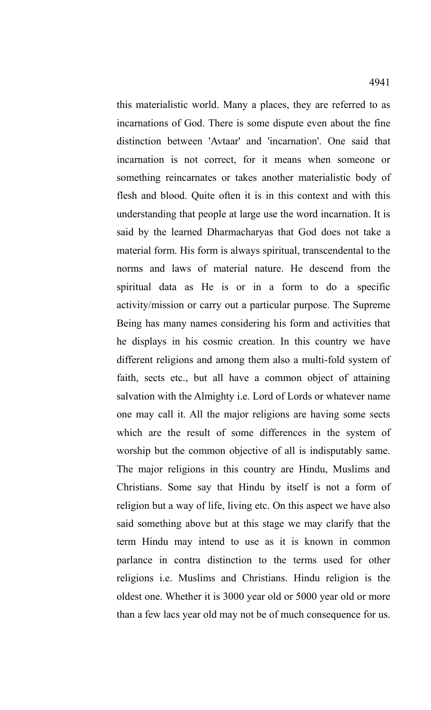this materialistic world. Many a places, they are referred to as incarnations of God. There is some dispute even about the fine distinction between 'Avtaar' and 'incarnation'. One said that incarnation is not correct, for it means when someone or something reincarnates or takes another materialistic body of flesh and blood. Quite often it is in this context and with this understanding that people at large use the word incarnation. It is said by the learned Dharmacharyas that God does not take a material form. His form is always spiritual, transcendental to the norms and laws of material nature. He descend from the spiritual data as He is or in a form to do a specific activity/mission or carry out a particular purpose. The Supreme Being has many names considering his form and activities that he displays in his cosmic creation. In this country we have different religions and among them also a multi-fold system of faith, sects etc., but all have a common object of attaining salvation with the Almighty i.e. Lord of Lords or whatever name one may call it. All the major religions are having some sects which are the result of some differences in the system of worship but the common objective of all is indisputably same. The major religions in this country are Hindu, Muslims and Christians. Some say that Hindu by itself is not a form of religion but a way of life, living etc. On this aspect we have also said something above but at this stage we may clarify that the term Hindu may intend to use as it is known in common parlance in contra distinction to the terms used for other religions i.e. Muslims and Christians. Hindu religion is the oldest one. Whether it is 3000 year old or 5000 year old or more than a few lacs year old may not be of much consequence for us.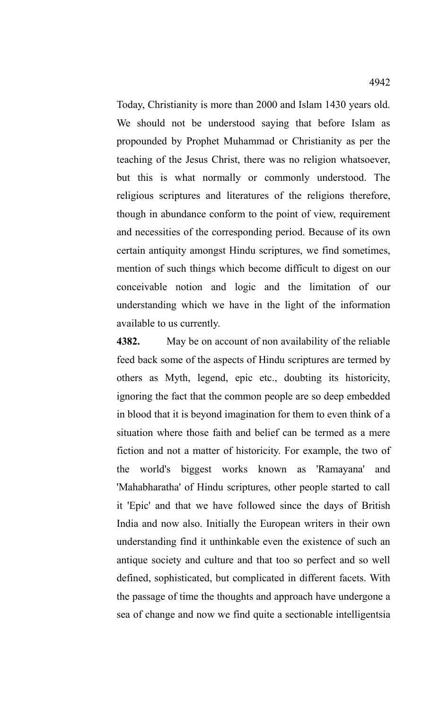Today, Christianity is more than 2000 and Islam 1430 years old. We should not be understood saying that before Islam as propounded by Prophet Muhammad or Christianity as per the teaching of the Jesus Christ, there was no religion whatsoever, but this is what normally or commonly understood. The religious scriptures and literatures of the religions therefore, though in abundance conform to the point of view, requirement and necessities of the corresponding period. Because of its own certain antiquity amongst Hindu scriptures, we find sometimes, mention of such things which become difficult to digest on our conceivable notion and logic and the limitation of our understanding which we have in the light of the information available to us currently.

**4382.** May be on account of non availability of the reliable feed back some of the aspects of Hindu scriptures are termed by others as Myth, legend, epic etc., doubting its historicity, ignoring the fact that the common people are so deep embedded in blood that it is beyond imagination for them to even think of a situation where those faith and belief can be termed as a mere fiction and not a matter of historicity. For example, the two of the world's biggest works known as 'Ramayana' and 'Mahabharatha' of Hindu scriptures, other people started to call it 'Epic' and that we have followed since the days of British India and now also. Initially the European writers in their own understanding find it unthinkable even the existence of such an antique society and culture and that too so perfect and so well defined, sophisticated, but complicated in different facets. With the passage of time the thoughts and approach have undergone a sea of change and now we find quite a sectionable intelligentsia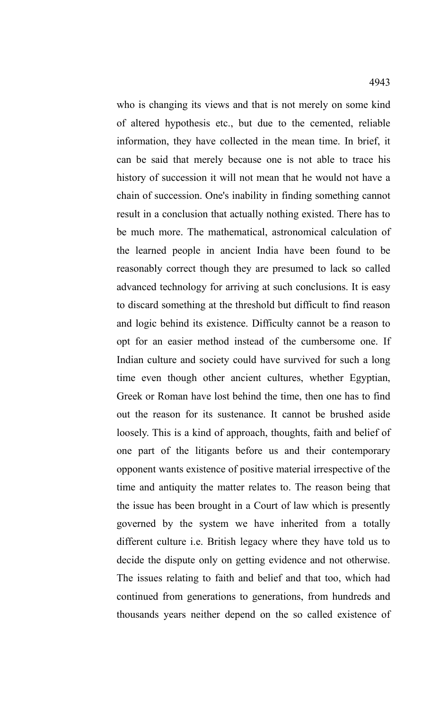who is changing its views and that is not merely on some kind of altered hypothesis etc., but due to the cemented, reliable information, they have collected in the mean time. In brief, it can be said that merely because one is not able to trace his history of succession it will not mean that he would not have a chain of succession. One's inability in finding something cannot result in a conclusion that actually nothing existed. There has to be much more. The mathematical, astronomical calculation of the learned people in ancient India have been found to be reasonably correct though they are presumed to lack so called advanced technology for arriving at such conclusions. It is easy to discard something at the threshold but difficult to find reason and logic behind its existence. Difficulty cannot be a reason to opt for an easier method instead of the cumbersome one. If Indian culture and society could have survived for such a long time even though other ancient cultures, whether Egyptian, Greek or Roman have lost behind the time, then one has to find out the reason for its sustenance. It cannot be brushed aside loosely. This is a kind of approach, thoughts, faith and belief of one part of the litigants before us and their contemporary opponent wants existence of positive material irrespective of the time and antiquity the matter relates to. The reason being that the issue has been brought in a Court of law which is presently governed by the system we have inherited from a totally different culture i.e. British legacy where they have told us to decide the dispute only on getting evidence and not otherwise. The issues relating to faith and belief and that too, which had continued from generations to generations, from hundreds and thousands years neither depend on the so called existence of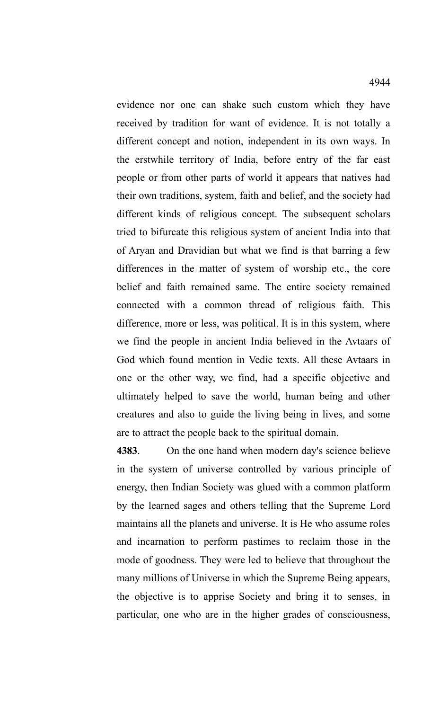evidence nor one can shake such custom which they have received by tradition for want of evidence. It is not totally a different concept and notion, independent in its own ways. In the erstwhile territory of India, before entry of the far east people or from other parts of world it appears that natives had their own traditions, system, faith and belief, and the society had different kinds of religious concept. The subsequent scholars tried to bifurcate this religious system of ancient India into that of Aryan and Dravidian but what we find is that barring a few differences in the matter of system of worship etc., the core belief and faith remained same. The entire society remained connected with a common thread of religious faith. This difference, more or less, was political. It is in this system, where we find the people in ancient India believed in the Avtaars of God which found mention in Vedic texts. All these Avtaars in one or the other way, we find, had a specific objective and ultimately helped to save the world, human being and other creatures and also to guide the living being in lives, and some are to attract the people back to the spiritual domain.

**4383**. On the one hand when modern day's science believe in the system of universe controlled by various principle of energy, then Indian Society was glued with a common platform by the learned sages and others telling that the Supreme Lord maintains all the planets and universe. It is He who assume roles and incarnation to perform pastimes to reclaim those in the mode of goodness. They were led to believe that throughout the many millions of Universe in which the Supreme Being appears, the objective is to apprise Society and bring it to senses, in particular, one who are in the higher grades of consciousness,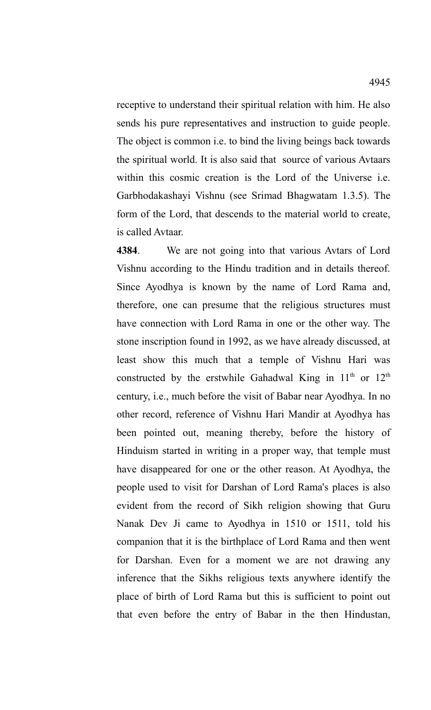receptive to understand their spiritual relation with him. He also sends his pure representatives and instruction to guide people. The object is common i.e. to bind the living beings back towards the spiritual world. It is also said that source of various Avtaars within this cosmic creation is the Lord of the Universe i.e. Garbhodakashayi Vishnu (see Srimad Bhagwatam 1.3.5). The form of the Lord, that descends to the material world to create,

is called Avtaar.

**4384**. We are not going into that various Avtars of Lord Vishnu according to the Hindu tradition and in details thereof. Since Ayodhya is known by the name of Lord Rama and, therefore, one can presume that the religious structures must have connection with Lord Rama in one or the other way. The stone inscription found in 1992, as we have already discussed, at least show this much that a temple of Vishnu Hari was constructed by the erstwhile Gahadwal King in 11<sup>th</sup> or 12<sup>th</sup> century, i.e., much before the visit of Babar near Ayodhya. In no other record, reference of Vishnu Hari Mandir at Ayodhya has been pointed out, meaning thereby, before the history of Hinduism started in writing in a proper way, that temple must have disappeared for one or the other reason. At Ayodhya, the people used to visit for Darshan of Lord Rama's places is also evident from the record of Sikh religion showing that Guru Nanak Dev Ji came to Ayodhya in 1510 or 1511, told his companion that it is the birthplace of Lord Rama and then went for Darshan. Even for a moment we are not drawing any inference that the Sikhs religious texts anywhere identify the place of birth of Lord Rama but this is sufficient to point out that even before the entry of Babar in the then Hindustan,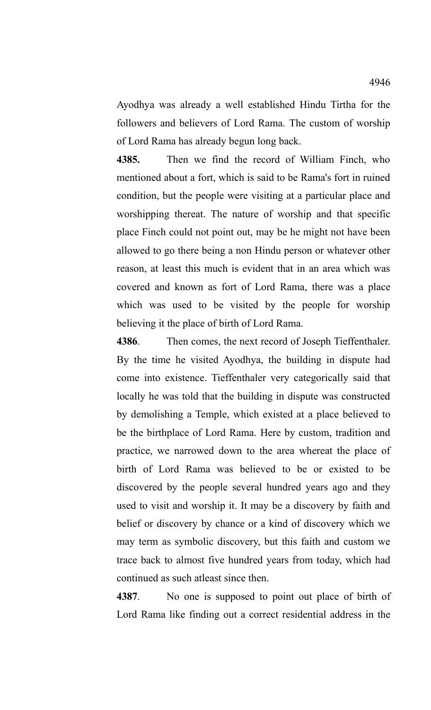Ayodhya was already a well established Hindu Tirtha for the followers and believers of Lord Rama. The custom of worship of Lord Rama has already begun long back.

**4385.** Then we find the record of William Finch, who mentioned about a fort, which is said to be Rama's fort in ruined condition, but the people were visiting at a particular place and worshipping thereat. The nature of worship and that specific place Finch could not point out, may be he might not have been allowed to go there being a non Hindu person or whatever other reason, at least this much is evident that in an area which was covered and known as fort of Lord Rama, there was a place which was used to be visited by the people for worship believing it the place of birth of Lord Rama.

**4386**. Then comes, the next record of Joseph Tieffenthaler. By the time he visited Ayodhya, the building in dispute had come into existence. Tieffenthaler very categorically said that locally he was told that the building in dispute was constructed by demolishing a Temple, which existed at a place believed to be the birthplace of Lord Rama. Here by custom, tradition and practice, we narrowed down to the area whereat the place of birth of Lord Rama was believed to be or existed to be discovered by the people several hundred years ago and they used to visit and worship it. It may be a discovery by faith and belief or discovery by chance or a kind of discovery which we may term as symbolic discovery, but this faith and custom we trace back to almost five hundred years from today, which had continued as such atleast since then.

**4387**. No one is supposed to point out place of birth of Lord Rama like finding out a correct residential address in the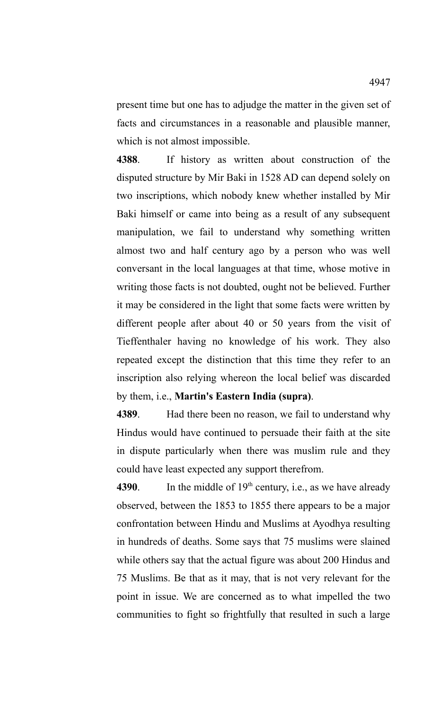present time but one has to adjudge the matter in the given set of facts and circumstances in a reasonable and plausible manner, which is not almost impossible.

**4388**. If history as written about construction of the disputed structure by Mir Baki in 1528 AD can depend solely on two inscriptions, which nobody knew whether installed by Mir Baki himself or came into being as a result of any subsequent manipulation, we fail to understand why something written almost two and half century ago by a person who was well conversant in the local languages at that time, whose motive in writing those facts is not doubted, ought not be believed. Further it may be considered in the light that some facts were written by different people after about 40 or 50 years from the visit of Tieffenthaler having no knowledge of his work. They also repeated except the distinction that this time they refer to an inscription also relying whereon the local belief was discarded by them, i.e., **Martin's Eastern India (supra)**.

**4389**. Had there been no reason, we fail to understand why Hindus would have continued to persuade their faith at the site in dispute particularly when there was muslim rule and they could have least expected any support therefrom.

**4390**. In the middle of 19<sup>th</sup> century, i.e., as we have already observed, between the 1853 to 1855 there appears to be a major confrontation between Hindu and Muslims at Ayodhya resulting in hundreds of deaths. Some says that 75 muslims were slained while others say that the actual figure was about 200 Hindus and 75 Muslims. Be that as it may, that is not very relevant for the point in issue. We are concerned as to what impelled the two communities to fight so frightfully that resulted in such a large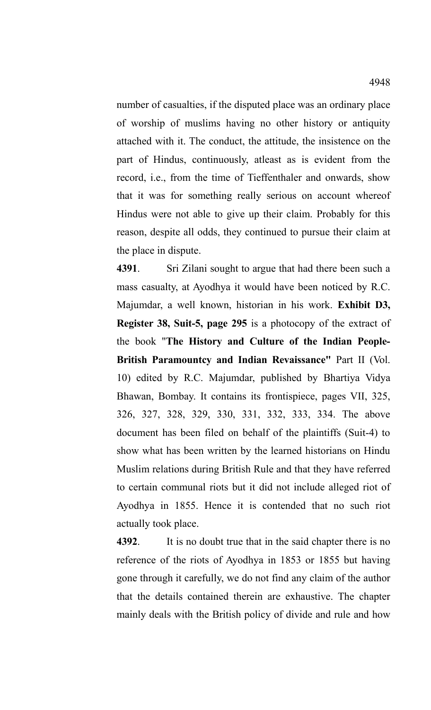number of casualties, if the disputed place was an ordinary place of worship of muslims having no other history or antiquity attached with it. The conduct, the attitude, the insistence on the part of Hindus, continuously, atleast as is evident from the record, i.e., from the time of Tieffenthaler and onwards, show that it was for something really serious on account whereof Hindus were not able to give up their claim. Probably for this reason, despite all odds, they continued to pursue their claim at the place in dispute.

**4391**. Sri Zilani sought to argue that had there been such a mass casualty, at Ayodhya it would have been noticed by R.C. Majumdar, a well known, historian in his work. **Exhibit D3, Register 38, Suit-5, page 295** is a photocopy of the extract of the book "**The History and Culture of the Indian People-British Paramountcy and Indian Revaissance"** Part II (Vol. 10) edited by R.C. Majumdar, published by Bhartiya Vidya Bhawan, Bombay. It contains its frontispiece, pages VII, 325, 326, 327, 328, 329, 330, 331, 332, 333, 334. The above document has been filed on behalf of the plaintiffs (Suit-4) to show what has been written by the learned historians on Hindu Muslim relations during British Rule and that they have referred to certain communal riots but it did not include alleged riot of Ayodhya in 1855. Hence it is contended that no such riot actually took place.

**4392**. It is no doubt true that in the said chapter there is no reference of the riots of Ayodhya in 1853 or 1855 but having gone through it carefully, we do not find any claim of the author that the details contained therein are exhaustive. The chapter mainly deals with the British policy of divide and rule and how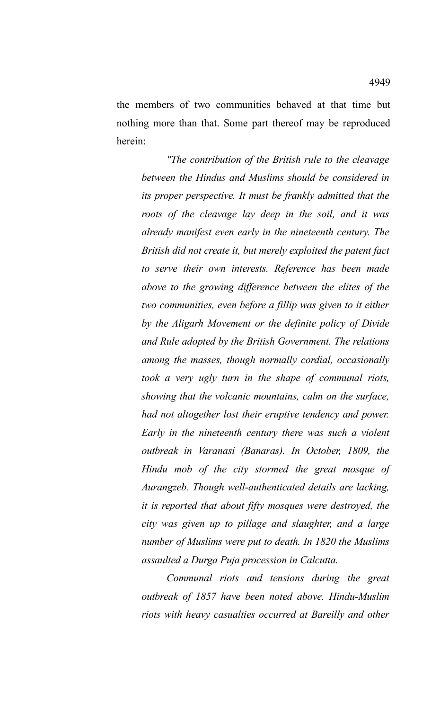the members of two communities behaved at that time but nothing more than that. Some part thereof may be reproduced herein:

*"The contribution of the British rule to the cleavage between the Hindus and Muslims should be considered in its proper perspective. It must be frankly admitted that the roots of the cleavage lay deep in the soil, and it was already manifest even early in the nineteenth century. The British did not create it, but merely exploited the patent fact to serve their own interests. Reference has been made above to the growing difference between the elites of the two communities, even before a fillip was given to it either by the Aligarh Movement or the definite policy of Divide and Rule adopted by the British Government. The relations among the masses, though normally cordial, occasionally took a very ugly turn in the shape of communal riots, showing that the volcanic mountains, calm on the surface, had not altogether lost their eruptive tendency and power. Early in the nineteenth century there was such a violent outbreak in Varanasi (Banaras). In October, 1809, the Hindu mob of the city stormed the great mosque of Aurangzeb. Though well-authenticated details are lacking, it is reported that about fifty mosques were destroyed, the city was given up to pillage and slaughter, and a large number of Muslims were put to death. In 1820 the Muslims assaulted a Durga Puja procession in Calcutta.* 

*Communal riots and tensions during the great outbreak of 1857 have been noted above. Hindu-Muslim riots with heavy casualties occurred at Bareilly and other*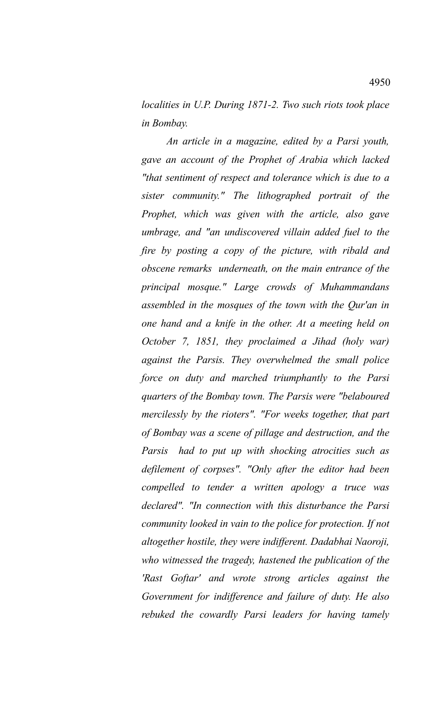*localities in U.P. During 1871-2. Two such riots took place in Bombay.*

*An article in a magazine, edited by a Parsi youth, gave an account of the Prophet of Arabia which lacked "that sentiment of respect and tolerance which is due to a sister community." The lithographed portrait of the Prophet, which was given with the article, also gave umbrage, and "an undiscovered villain added fuel to the fire by posting a copy of the picture, with ribald and obscene remarks underneath, on the main entrance of the principal mosque." Large crowds of Muhammandans assembled in the mosques of the town with the Qur'an in one hand and a knife in the other. At a meeting held on October 7, 1851, they proclaimed a Jihad (holy war) against the Parsis. They overwhelmed the small police force on duty and marched triumphantly to the Parsi quarters of the Bombay town. The Parsis were "belaboured mercilessly by the rioters". "For weeks together, that part of Bombay was a scene of pillage and destruction, and the Parsis had to put up with shocking atrocities such as defilement of corpses". "Only after the editor had been compelled to tender a written apology a truce was declared". "In connection with this disturbance the Parsi community looked in vain to the police for protection. If not altogether hostile, they were indifferent. Dadabhai Naoroji, who witnessed the tragedy, hastened the publication of the 'Rast Goftar' and wrote strong articles against the Government for indifference and failure of duty. He also rebuked the cowardly Parsi leaders for having tamely*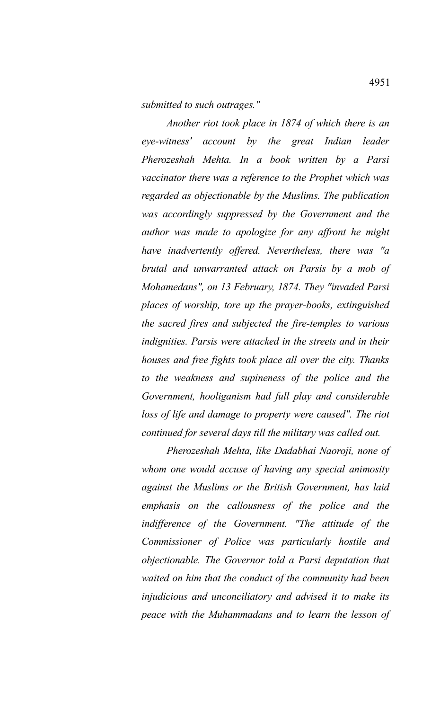*submitted to such outrages."*

*Another riot took place in 1874 of which there is an eye-witness' account by the great Indian leader Pherozeshah Mehta. In a book written by a Parsi vaccinator there was a reference to the Prophet which was regarded as objectionable by the Muslims. The publication was accordingly suppressed by the Government and the author was made to apologize for any affront he might have inadvertently offered. Nevertheless, there was "a brutal and unwarranted attack on Parsis by a mob of Mohamedans", on 13 February, 1874. They "invaded Parsi places of worship, tore up the prayer-books, extinguished the sacred fires and subjected the fire-temples to various indignities. Parsis were attacked in the streets and in their houses and free fights took place all over the city. Thanks to the weakness and supineness of the police and the Government, hooliganism had full play and considerable loss of life and damage to property were caused". The riot continued for several days till the military was called out.*

*Pherozeshah Mehta, like Dadabhai Naoroji, none of whom one would accuse of having any special animosity against the Muslims or the British Government, has laid emphasis on the callousness of the police and the indifference of the Government. "The attitude of the Commissioner of Police was particularly hostile and objectionable. The Governor told a Parsi deputation that waited on him that the conduct of the community had been injudicious and unconciliatory and advised it to make its peace with the Muhammadans and to learn the lesson of*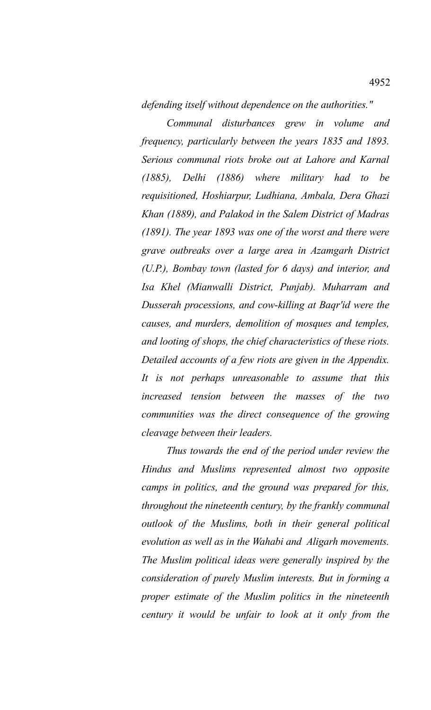*defending itself without dependence on the authorities."*

*Communal disturbances grew in volume and frequency, particularly between the years 1835 and 1893. Serious communal riots broke out at Lahore and Karnal (1885), Delhi (1886) where military had to be requisitioned, Hoshiarpur, Ludhiana, Ambala, Dera Ghazi Khan (1889), and Palakod in the Salem District of Madras (1891). The year 1893 was one of the worst and there were grave outbreaks over a large area in Azamgarh District (U.P.), Bombay town (lasted for 6 days) and interior, and Isa Khel (Mianwalli District, Punjab). Muharram and Dusserah processions, and cow-killing at Baqr'id were the causes, and murders, demolition of mosques and temples, and looting of shops, the chief characteristics of these riots. Detailed accounts of a few riots are given in the Appendix. It is not perhaps unreasonable to assume that this increased tension between the masses of the two communities was the direct consequence of the growing cleavage between their leaders.*

*Thus towards the end of the period under review the Hindus and Muslims represented almost two opposite camps in politics, and the ground was prepared for this, throughout the nineteenth century, by the frankly communal outlook of the Muslims, both in their general political evolution as well as in the Wahabi and Aligarh movements. The Muslim political ideas were generally inspired by the consideration of purely Muslim interests. But in forming a proper estimate of the Muslim politics in the nineteenth century it would be unfair to look at it only from the*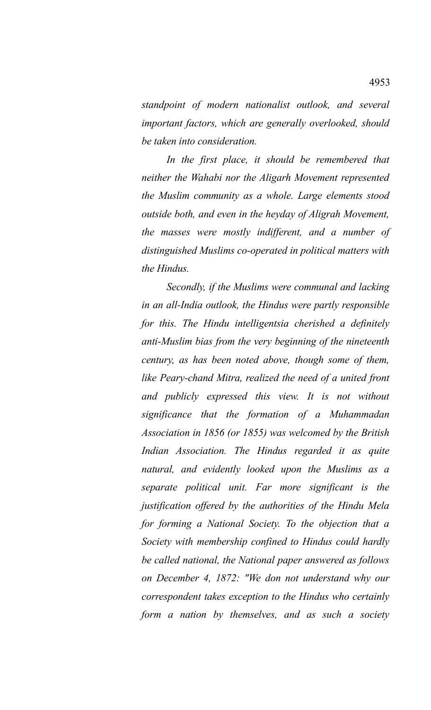*standpoint of modern nationalist outlook, and several important factors, which are generally overlooked, should be taken into consideration.*

*In the first place, it should be remembered that neither the Wahabi nor the Aligarh Movement represented the Muslim community as a whole. Large elements stood outside both, and even in the heyday of Aligrah Movement, the masses were mostly indifferent, and a number of distinguished Muslims co-operated in political matters with the Hindus.*

*Secondly, if the Muslims were communal and lacking in an all-India outlook, the Hindus were partly responsible for this. The Hindu intelligentsia cherished a definitely anti-Muslim bias from the very beginning of the nineteenth century, as has been noted above, though some of them, like Peary-chand Mitra, realized the need of a united front and publicly expressed this view. It is not without significance that the formation of a Muhammadan Association in 1856 (or 1855) was welcomed by the British Indian Association. The Hindus regarded it as quite natural, and evidently looked upon the Muslims as a separate political unit. Far more significant is the justification offered by the authorities of the Hindu Mela for forming a National Society. To the objection that a Society with membership confined to Hindus could hardly be called national, the National paper answered as follows on December 4, 1872: "We don not understand why our correspondent takes exception to the Hindus who certainly form a nation by themselves, and as such a society*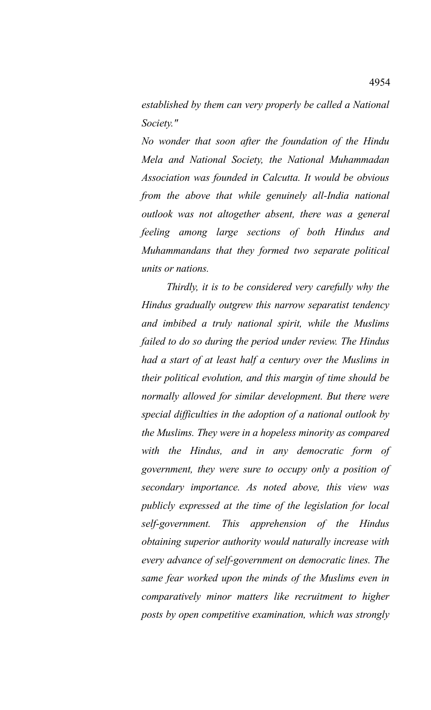*established by them can very properly be called a National Society."*

*No wonder that soon after the foundation of the Hindu Mela and National Society, the National Muhammadan Association was founded in Calcutta. It would be obvious from the above that while genuinely all-India national outlook was not altogether absent, there was a general feeling among large sections of both Hindus and Muhammandans that they formed two separate political units or nations.*

*Thirdly, it is to be considered very carefully why the Hindus gradually outgrew this narrow separatist tendency and imbibed a truly national spirit, while the Muslims failed to do so during the period under review. The Hindus had a start of at least half a century over the Muslims in their political evolution, and this margin of time should be normally allowed for similar development. But there were special difficulties in the adoption of a national outlook by the Muslims. They were in a hopeless minority as compared with the Hindus, and in any democratic form of government, they were sure to occupy only a position of secondary importance. As noted above, this view was publicly expressed at the time of the legislation for local self-government. This apprehension of the Hindus obtaining superior authority would naturally increase with every advance of self-government on democratic lines. The same fear worked upon the minds of the Muslims even in comparatively minor matters like recruitment to higher posts by open competitive examination, which was strongly*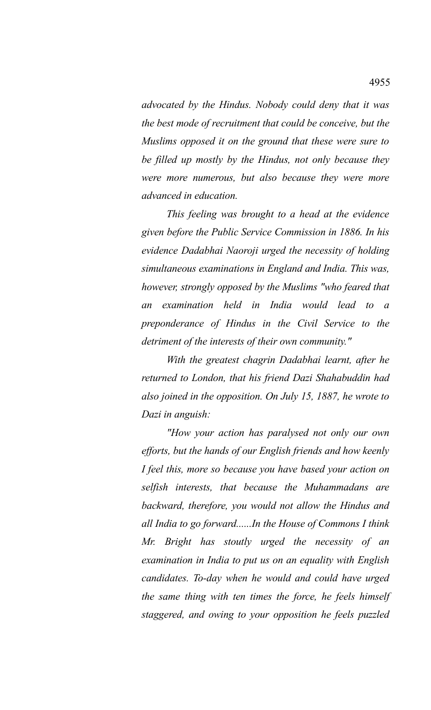*advocated by the Hindus. Nobody could deny that it was the best mode of recruitment that could be conceive, but the Muslims opposed it on the ground that these were sure to be filled up mostly by the Hindus, not only because they were more numerous, but also because they were more advanced in education.*

*This feeling was brought to a head at the evidence given before the Public Service Commission in 1886. In his evidence Dadabhai Naoroji urged the necessity of holding simultaneous examinations in England and India. This was, however, strongly opposed by the Muslims "who feared that an examination held in India would lead to a preponderance of Hindus in the Civil Service to the detriment of the interests of their own community."*

*With the greatest chagrin Dadabhai learnt, after he returned to London, that his friend Dazi Shahabuddin had also joined in the opposition. On July 15, 1887, he wrote to Dazi in anguish:*

*"How your action has paralysed not only our own efforts, but the hands of our English friends and how keenly I feel this, more so because you have based your action on selfish interests, that because the Muhammadans are backward, therefore, you would not allow the Hindus and all India to go forward......In the House of Commons I think Mr. Bright has stoutly urged the necessity of an examination in India to put us on an equality with English candidates. To-day when he would and could have urged the same thing with ten times the force, he feels himself staggered, and owing to your opposition he feels puzzled*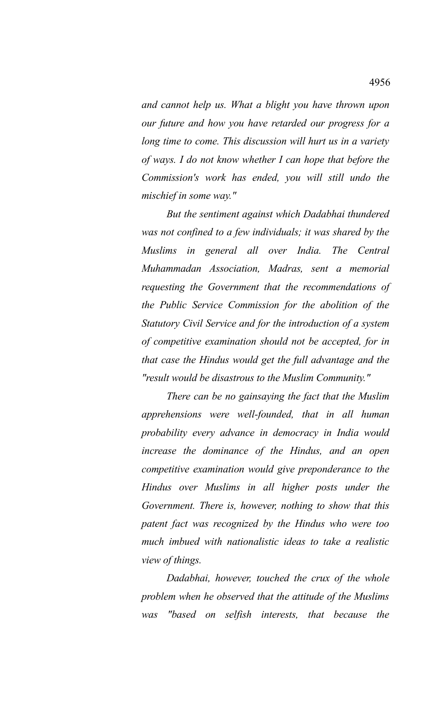*and cannot help us. What a blight you have thrown upon our future and how you have retarded our progress for a long time to come. This discussion will hurt us in a variety of ways. I do not know whether I can hope that before the Commission's work has ended, you will still undo the mischief in some way."*

*But the sentiment against which Dadabhai thundered was not confined to a few individuals; it was shared by the Muslims in general all over India. The Central Muhammadan Association, Madras, sent a memorial requesting the Government that the recommendations of the Public Service Commission for the abolition of the Statutory Civil Service and for the introduction of a system of competitive examination should not be accepted, for in that case the Hindus would get the full advantage and the "result would be disastrous to the Muslim Community."*

*There can be no gainsaying the fact that the Muslim apprehensions were well-founded, that in all human probability every advance in democracy in India would increase the dominance of the Hindus, and an open competitive examination would give preponderance to the Hindus over Muslims in all higher posts under the Government. There is, however, nothing to show that this patent fact was recognized by the Hindus who were too much imbued with nationalistic ideas to take a realistic view of things.*

*Dadabhai, however, touched the crux of the whole problem when he observed that the attitude of the Muslims was "based on selfish interests, that because the*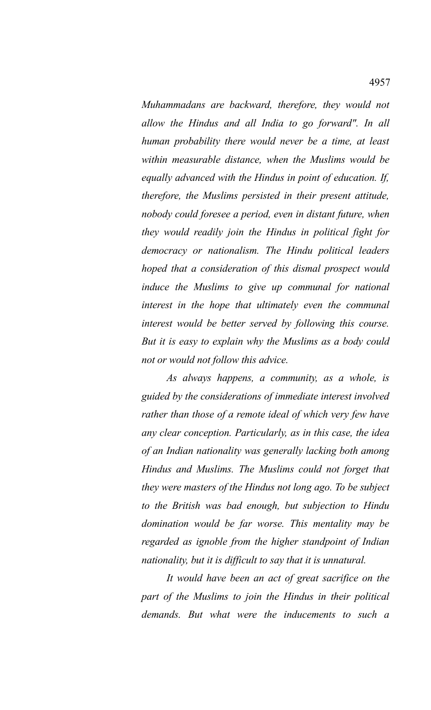*Muhammadans are backward, therefore, they would not allow the Hindus and all India to go forward". In all human probability there would never be a time, at least within measurable distance, when the Muslims would be equally advanced with the Hindus in point of education. If, therefore, the Muslims persisted in their present attitude, nobody could foresee a period, even in distant future, when they would readily join the Hindus in political fight for democracy or nationalism. The Hindu political leaders hoped that a consideration of this dismal prospect would induce the Muslims to give up communal for national interest in the hope that ultimately even the communal interest would be better served by following this course. But it is easy to explain why the Muslims as a body could not or would not follow this advice.*

*As always happens, a community, as a whole, is guided by the considerations of immediate interest involved rather than those of a remote ideal of which very few have any clear conception. Particularly, as in this case, the idea of an Indian nationality was generally lacking both among Hindus and Muslims. The Muslims could not forget that they were masters of the Hindus not long ago. To be subject to the British was bad enough, but subjection to Hindu domination would be far worse. This mentality may be regarded as ignoble from the higher standpoint of Indian nationality, but it is difficult to say that it is unnatural.* 

*It would have been an act of great sacrifice on the part of the Muslims to join the Hindus in their political demands. But what were the inducements to such a*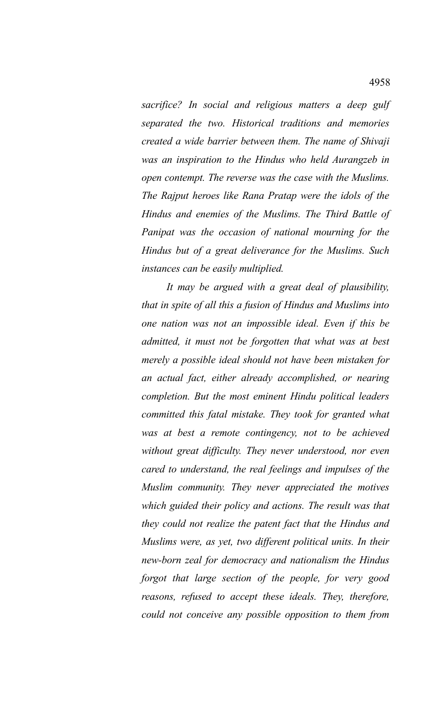*sacrifice? In social and religious matters a deep gulf separated the two. Historical traditions and memories created a wide barrier between them. The name of Shivaji was an inspiration to the Hindus who held Aurangzeb in open contempt. The reverse was the case with the Muslims. The Rajput heroes like Rana Pratap were the idols of the Hindus and enemies of the Muslims. The Third Battle of Panipat was the occasion of national mourning for the Hindus but of a great deliverance for the Muslims. Such instances can be easily multiplied.*

*It may be argued with a great deal of plausibility, that in spite of all this a fusion of Hindus and Muslims into one nation was not an impossible ideal. Even if this be admitted, it must not be forgotten that what was at best merely a possible ideal should not have been mistaken for an actual fact, either already accomplished, or nearing completion. But the most eminent Hindu political leaders committed this fatal mistake. They took for granted what was at best a remote contingency, not to be achieved without great difficulty. They never understood, nor even cared to understand, the real feelings and impulses of the Muslim community. They never appreciated the motives which guided their policy and actions. The result was that they could not realize the patent fact that the Hindus and Muslims were, as yet, two different political units. In their new-born zeal for democracy and nationalism the Hindus forgot that large section of the people, for very good reasons, refused to accept these ideals. They, therefore, could not conceive any possible opposition to them from*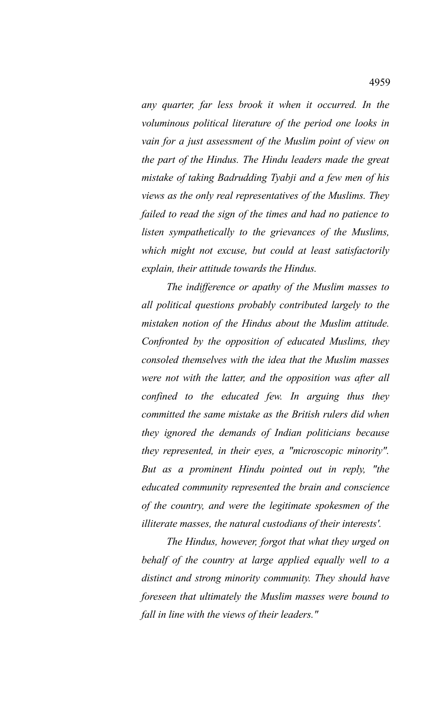*any quarter, far less brook it when it occurred. In the voluminous political literature of the period one looks in vain for a just assessment of the Muslim point of view on the part of the Hindus. The Hindu leaders made the great mistake of taking Badrudding Tyabji and a few men of his views as the only real representatives of the Muslims. They failed to read the sign of the times and had no patience to listen sympathetically to the grievances of the Muslims, which might not excuse, but could at least satisfactorily explain, their attitude towards the Hindus.*

*The indifference or apathy of the Muslim masses to all political questions probably contributed largely to the mistaken notion of the Hindus about the Muslim attitude. Confronted by the opposition of educated Muslims, they consoled themselves with the idea that the Muslim masses were not with the latter, and the opposition was after all confined to the educated few. In arguing thus they committed the same mistake as the British rulers did when they ignored the demands of Indian politicians because they represented, in their eyes, a "microscopic minority". But as a prominent Hindu pointed out in reply, "the educated community represented the brain and conscience of the country, and were the legitimate spokesmen of the illiterate masses, the natural custodians of their interests'.*

*The Hindus, however, forgot that what they urged on behalf of the country at large applied equally well to a distinct and strong minority community. They should have foreseen that ultimately the Muslim masses were bound to fall in line with the views of their leaders."*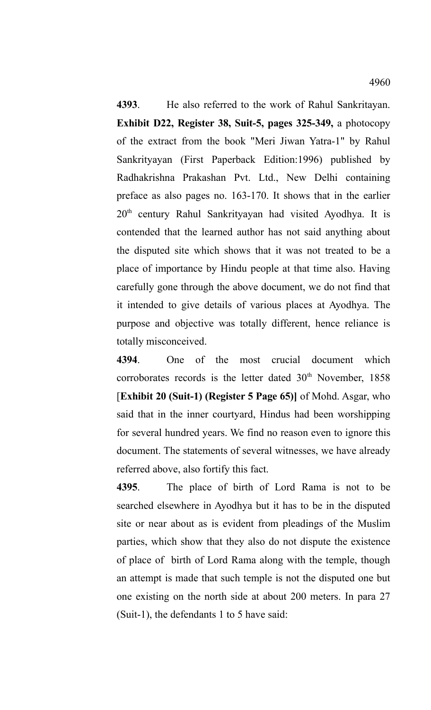**4393**. He also referred to the work of Rahul Sankritayan. **Exhibit D22, Register 38, Suit-5, pages 325-349,** a photocopy of the extract from the book "Meri Jiwan Yatra-1" by Rahul Sankrityayan (First Paperback Edition:1996) published by Radhakrishna Prakashan Pvt. Ltd., New Delhi containing preface as also pages no. 163-170. It shows that in the earlier  $20<sup>th</sup>$  century Rahul Sankrityayan had visited Ayodhya. It is contended that the learned author has not said anything about the disputed site which shows that it was not treated to be a place of importance by Hindu people at that time also. Having carefully gone through the above document, we do not find that it intended to give details of various places at Ayodhya. The purpose and objective was totally different, hence reliance is totally misconceived.

**4394**. One of the most crucial document which corroborates records is the letter dated  $30<sup>th</sup>$  November, 1858 [**Exhibit 20 (Suit-1) (Register 5 Page 65)]** of Mohd. Asgar, who said that in the inner courtyard, Hindus had been worshipping for several hundred years. We find no reason even to ignore this document. The statements of several witnesses, we have already referred above, also fortify this fact.

**4395**. The place of birth of Lord Rama is not to be searched elsewhere in Ayodhya but it has to be in the disputed site or near about as is evident from pleadings of the Muslim parties, which show that they also do not dispute the existence of place of birth of Lord Rama along with the temple, though an attempt is made that such temple is not the disputed one but one existing on the north side at about 200 meters. In para 27 (Suit-1), the defendants 1 to 5 have said: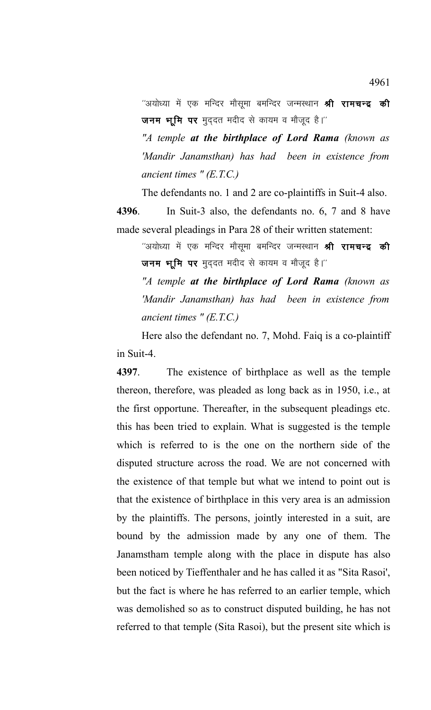$^{\prime\prime}$ अयोध्या में एक मन्दिर मौसुमा बमन्दिर जन्मस्थान **श्री रामचन्द्र की** जनम भूमि पर मुद्दत मदीद से कायम व मौजूद है।"

*"A temple at the birthplace of Lord Rama (known as 'Mandir Janamsthan) has had been in existence from ancient times " (E.T.C.)*

The defendants no. 1 and 2 are co-plaintiffs in Suit-4 also.

**4396**. In Suit-3 also, the defendants no. 6, 7 and 8 have made several pleadings in Para 28 of their written statement:

''अयोध्या में एक मन्दिर मौसुमा बमन्दिर जन्मस्थान **श्री रामचन्द्र की** जनम भूमि पर मुद्दत मदीद से कायम व मौजूद है।"

*"A temple at the birthplace of Lord Rama (known as 'Mandir Janamsthan) has had been in existence from ancient times " (E.T.C.)*

Here also the defendant no. 7, Mohd. Faiq is a co-plaintiff in Suit-4.

**4397**. The existence of birthplace as well as the temple thereon, therefore, was pleaded as long back as in 1950, i.e., at the first opportune. Thereafter, in the subsequent pleadings etc. this has been tried to explain. What is suggested is the temple which is referred to is the one on the northern side of the disputed structure across the road. We are not concerned with the existence of that temple but what we intend to point out is that the existence of birthplace in this very area is an admission by the plaintiffs. The persons, jointly interested in a suit, are bound by the admission made by any one of them. The Janamstham temple along with the place in dispute has also been noticed by Tieffenthaler and he has called it as "Sita Rasoi', but the fact is where he has referred to an earlier temple, which was demolished so as to construct disputed building, he has not referred to that temple (Sita Rasoi), but the present site which is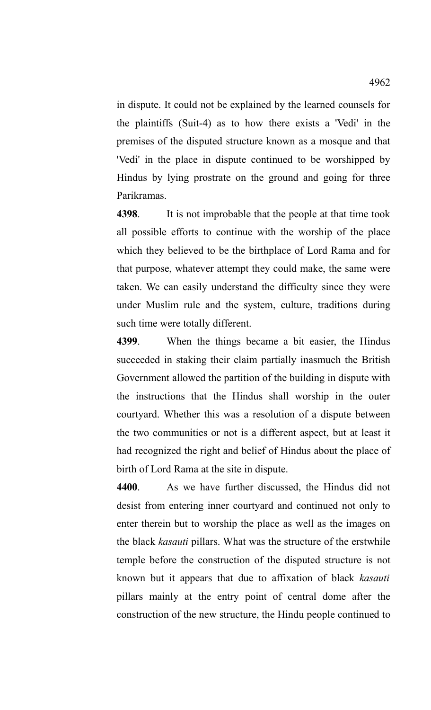in dispute. It could not be explained by the learned counsels for the plaintiffs (Suit-4) as to how there exists a 'Vedi' in the premises of the disputed structure known as a mosque and that 'Vedi' in the place in dispute continued to be worshipped by Hindus by lying prostrate on the ground and going for three Parikramas.

**4398**. It is not improbable that the people at that time took all possible efforts to continue with the worship of the place which they believed to be the birthplace of Lord Rama and for that purpose, whatever attempt they could make, the same were taken. We can easily understand the difficulty since they were under Muslim rule and the system, culture, traditions during such time were totally different.

**4399**. When the things became a bit easier, the Hindus succeeded in staking their claim partially inasmuch the British Government allowed the partition of the building in dispute with the instructions that the Hindus shall worship in the outer courtyard. Whether this was a resolution of a dispute between the two communities or not is a different aspect, but at least it had recognized the right and belief of Hindus about the place of birth of Lord Rama at the site in dispute.

**4400**. As we have further discussed, the Hindus did not desist from entering inner courtyard and continued not only to enter therein but to worship the place as well as the images on the black *kasauti* pillars. What was the structure of the erstwhile temple before the construction of the disputed structure is not known but it appears that due to affixation of black *kasauti* pillars mainly at the entry point of central dome after the construction of the new structure, the Hindu people continued to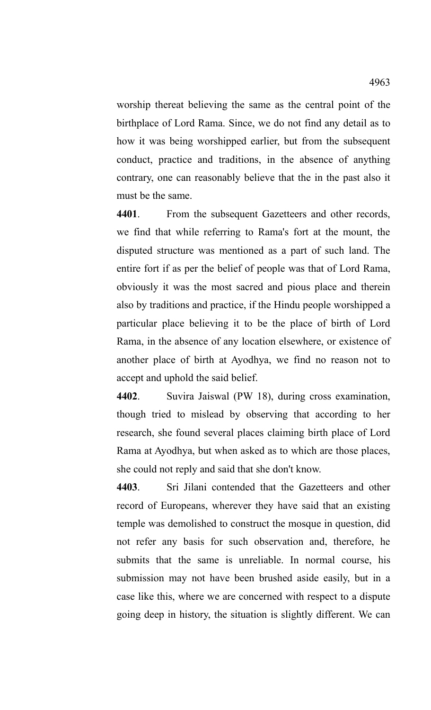worship thereat believing the same as the central point of the birthplace of Lord Rama. Since, we do not find any detail as to how it was being worshipped earlier, but from the subsequent conduct, practice and traditions, in the absence of anything contrary, one can reasonably believe that the in the past also it must be the same.

**4401**. From the subsequent Gazetteers and other records, we find that while referring to Rama's fort at the mount, the disputed structure was mentioned as a part of such land. The entire fort if as per the belief of people was that of Lord Rama, obviously it was the most sacred and pious place and therein also by traditions and practice, if the Hindu people worshipped a particular place believing it to be the place of birth of Lord Rama, in the absence of any location elsewhere, or existence of another place of birth at Ayodhya, we find no reason not to accept and uphold the said belief.

**4402**. Suvira Jaiswal (PW 18), during cross examination, though tried to mislead by observing that according to her research, she found several places claiming birth place of Lord Rama at Ayodhya, but when asked as to which are those places, she could not reply and said that she don't know.

**4403**. Sri Jilani contended that the Gazetteers and other record of Europeans, wherever they have said that an existing temple was demolished to construct the mosque in question, did not refer any basis for such observation and, therefore, he submits that the same is unreliable. In normal course, his submission may not have been brushed aside easily, but in a case like this, where we are concerned with respect to a dispute going deep in history, the situation is slightly different. We can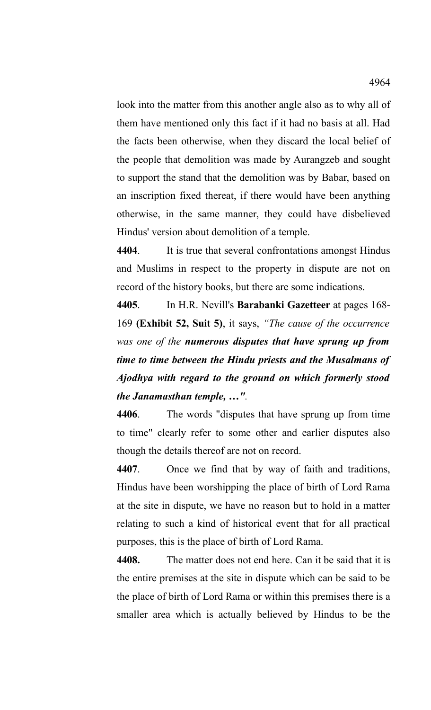look into the matter from this another angle also as to why all of them have mentioned only this fact if it had no basis at all. Had the facts been otherwise, when they discard the local belief of the people that demolition was made by Aurangzeb and sought to support the stand that the demolition was by Babar, based on an inscription fixed thereat, if there would have been anything otherwise, in the same manner, they could have disbelieved Hindus' version about demolition of a temple.

**4404**. It is true that several confrontations amongst Hindus and Muslims in respect to the property in dispute are not on record of the history books, but there are some indications.

**4405**. In H.R. Nevill's **Barabanki Gazetteer** at pages 168- 169 **(Exhibit 52, Suit 5)**, it says, *"The cause of the occurrence was one of the numerous disputes that have sprung up from time to time between the Hindu priests and the Musalmans of Ajodhya with regard to the ground on which formerly stood the Janamasthan temple, …".* 

**4406**. The words "disputes that have sprung up from time to time" clearly refer to some other and earlier disputes also though the details thereof are not on record.

**4407**. Once we find that by way of faith and traditions, Hindus have been worshipping the place of birth of Lord Rama at the site in dispute, we have no reason but to hold in a matter relating to such a kind of historical event that for all practical purposes, this is the place of birth of Lord Rama.

**4408.** The matter does not end here. Can it be said that it is the entire premises at the site in dispute which can be said to be the place of birth of Lord Rama or within this premises there is a smaller area which is actually believed by Hindus to be the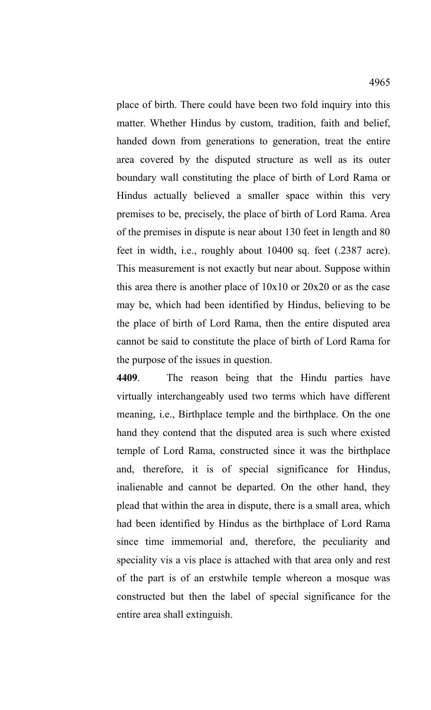place of birth. There could have been two fold inquiry into this matter. Whether Hindus by custom, tradition, faith and belief, handed down from generations to generation, treat the entire area covered by the disputed structure as well as its outer boundary wall constituting the place of birth of Lord Rama or Hindus actually believed a smaller space within this very premises to be, precisely, the place of birth of Lord Rama. Area of the premises in dispute is near about 130 feet in length and 80 feet in width, i.e., roughly about 10400 sq. feet (.2387 acre). This measurement is not exactly but near about. Suppose within this area there is another place of 10x10 or 20x20 or as the case may be, which had been identified by Hindus, believing to be the place of birth of Lord Rama, then the entire disputed area cannot be said to constitute the place of birth of Lord Rama for the purpose of the issues in question.

**4409**. The reason being that the Hindu parties have virtually interchangeably used two terms which have different meaning, i.e., Birthplace temple and the birthplace. On the one hand they contend that the disputed area is such where existed temple of Lord Rama, constructed since it was the birthplace and, therefore, it is of special significance for Hindus, inalienable and cannot be departed. On the other hand, they plead that within the area in dispute, there is a small area, which had been identified by Hindus as the birthplace of Lord Rama since time immemorial and, therefore, the peculiarity and speciality vis a vis place is attached with that area only and rest of the part is of an erstwhile temple whereon a mosque was constructed but then the label of special significance for the entire area shall extinguish.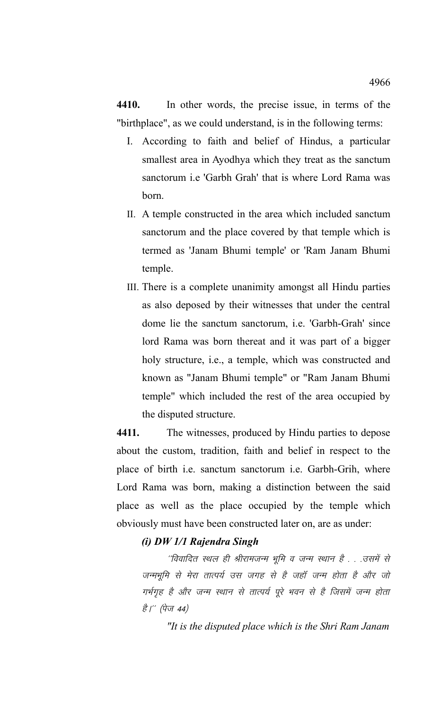**4410.** In other words, the precise issue, in terms of the "birthplace", as we could understand, is in the following terms:

- I. According to faith and belief of Hindus, a particular smallest area in Ayodhya which they treat as the sanctum sanctorum i.e 'Garbh Grah' that is where Lord Rama was born.
- II. A temple constructed in the area which included sanctum sanctorum and the place covered by that temple which is termed as 'Janam Bhumi temple' or 'Ram Janam Bhumi temple.
- III. There is a complete unanimity amongst all Hindu parties as also deposed by their witnesses that under the central dome lie the sanctum sanctorum, i.e. 'Garbh-Grah' since lord Rama was born thereat and it was part of a bigger holy structure, i.e., a temple, which was constructed and known as "Janam Bhumi temple" or "Ram Janam Bhumi temple" which included the rest of the area occupied by the disputed structure.

**4411.** The witnesses, produced by Hindu parties to depose about the custom, tradition, faith and belief in respect to the place of birth i.e. sanctum sanctorum i.e. Garbh-Grih, where Lord Rama was born, making a distinction between the said place as well as the place occupied by the temple which obviously must have been constructed later on, are as under:

## *(i) DW 1/1 Rajendra Singh*

"विवादित स्थल ही श्रीरामजन्म भूमि व जन्म स्थान है . . .उसमें से जन्मभूमि से मेरा तात्पर्य उस जगह से है जहाँ जन्म होता है और जो गर्भगृह है और जन्म स्थान से तात्पर्य पूरे भवन से है जिसमें जन्म होता है।'' (पेज 44)

*"It is the disputed place which is the Shri Ram Janam*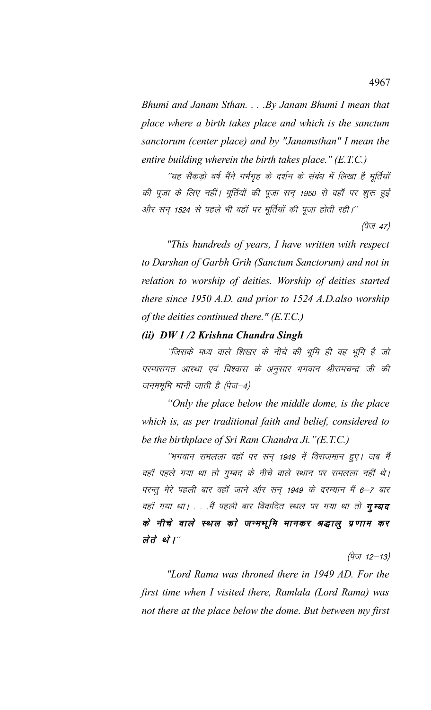Bhumi and Janam Sthan. . . . By Janam Bhumi I mean that place where a birth takes place and which is the sanctum sanctorum (center place) and by "Janamsthan" I mean the entire building wherein the birth takes place."  $(E.T.C.)$ 

''यह सैकडो वर्ष मैंने गर्भगृह के दर्शन के संबंध में लिखा है मुर्तियों की पूजा के लिए नहीं। मूर्तियों की पूजा सन् 1950 से वहाँ पर शुरू हुई और सन् 1524 से पहले भी वहाँ पर मूर्तियों की पूजा होती रही।''

(पेज 47)

"This hundreds of years, I have written with respect to Darshan of Garbh Grih (Sanctum Sanctorum) and not in relation to worship of deities. Worship of deities started there since 1950 A.D. and prior to 1524 A.D. also worship of the deities continued there."  $(E.T.C.)$ 

#### (ii) DW 1/2 Krishna Chandra Singh

''जिसके मध्य वाले शिखर के नीचे की भूमि ही वह भूमि है जो परम्परागत आस्था एवं विश्वास के अनुसार भगवान श्रीरामचन्द्र जी की जनमभूमि मानी जाती है (पेज–4)

"Only the place below the middle dome, is the place" which is, as per traditional faith and belief, considered to be the birthplace of Sri Ram Chandra Ji."(E.T.C.)

''भगवान रामलला वहाँ पर सन् 1949 में विराजमान हुए। जब मैं वहाँ पहले गया था तो गुम्बद के नीचे वाले स्थान पर रामलला नहीं थे। परन्तू मेरे पहली बार वहाँ जाने और सन् 1949 के दरम्यान मैं 6–7 बार वहॉ गया था। . . .मैं पहली बार विवादित स्थल पर गया था तो **गुम्बाद** के नीचे वाले स्थल को जन्मभूमि मानकर श्रद्धालु प्रणाम कर लेते थे।"

 $(\vec{q} \vec{v} 12 - 13)$ 

"Lord Rama was throned there in 1949 AD. For the first time when I visited there, Ramlala (Lord Rama) was not there at the place below the dome. But between my first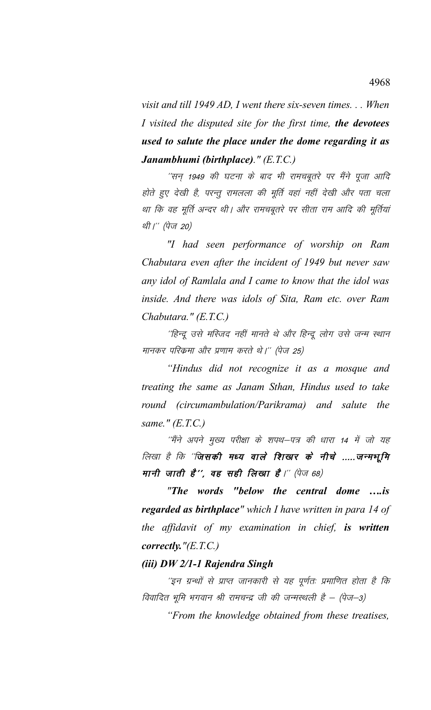*visit and till 1949 AD, I went there six-seven times. . . When I visited the disputed site for the first time, the devotees used to salute the place under the dome regarding it as Janambhumi (birthplace)." (E.T.C.)*

''सन् 1949 की घटना के बाद भी रामचबूतरे पर मैंने पूजा आदि होते हुए देखी है, परन्तु रामलला की मूर्ति वहां नहीं देखी और पता चला था कि वह मूर्ति अन्दर थी। और रामचबूतरे पर सीता राम आदि की मूर्तियां थी।'' (पेज 20)

*"I had seen performance of worship on Ram Chabutara even after the incident of 1949 but never saw any idol of Ramlala and I came to know that the idol was inside. And there was idols of Sita, Ram etc. over Ram Chabutara." (E.T.C.)*

''हिन्दू उसे मस्जिद नहीं मानते थे और हिन्दू लोग उसे जन्म स्थान मानकर परिकमा और प्रणाम करते थे।'' (पेज 25)

*"Hindus did not recognize it as a mosque and treating the same as Janam Sthan, Hindus used to take round (circumambulation/Parikrama) and salute the same." (E.T.C.)* 

''मैंने अपने मुख्य परीक्षा के शपथ–पत्र की धारा 14 में जो यह लिखा है कि ''जिसकी मध्य वाले शिखर के नीचे .....जन्मभूमि मानी जाती है'', वह सही लिखा है।'' (पेज 68)

*"The words "below the central dome ….is regarded as birthplace" which I have written in para 14 of the affidavit of my examination in chief, is written correctly."(E.T.C.)*

#### *(iii) DW 2/1-1 Rajendra Singh*

''इन ग्रन्थों से प्राप्त जानकारी से यह पूर्णतः प्रमाणित होता है कि विवादित भूमि भगवान श्री रामचन्द्र जी की जन्मस्थली है – (पेज–3)

*"From the knowledge obtained from these treatises,*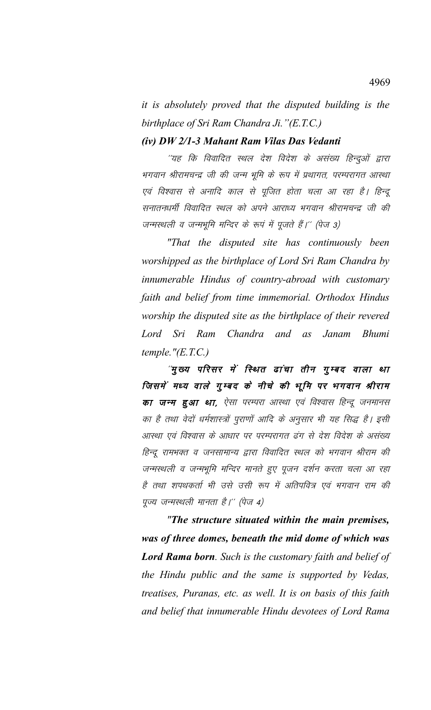it is absolutely proved that the disputed building is the birthplace of Sri Ram Chandra Ji."(E.T.C.)

## (iv) DW 2/1-3 Mahant Ram Vilas Das Vedanti

''यह कि विवादित स्थल देश विदेश के असंख्य हिन्दुओं द्वारा भगवान श्रीरामचन्द्र जी की जन्म भूमि के रूप में प्रथागत, परम्परागत आस्था एवं विश्वास से अनादि काल से पूजित होता चला आ रहा है। हिन्दू सनातनधर्मी विवादित स्थल को अपने आराध्य भगवान श्रीरामचन्द्र जी की जन्मस्थली व जन्मभूमि मन्दिर के रूप में पूजते हैं।" (पेज 3)

"That the disputed site has continuously been worshipped as the birthplace of Lord Sri Ram Chandra by innumerable Hindus of country-abroad with customary faith and belief from time immemorial. Orthodox Hindus worship the disputed site as the birthplace of their revered Lord Sri Ram Chandra and as Janam Bhumi temple." $(E.T.C.)$ 

"मुख्य परिसर में स्थित ढांचा तीन गुम्बद वाला था जिसमें मध्य वाले गुम्बद के नीचे की भूमि पर भगवान श्रीराम का जन्म हुआ था, ऐसा परम्परा आस्था एवं विश्वास हिन्दू जनमानस का है तथा वेदों धर्मशास्त्रों पुराणों आदि के अनुसार भी यह सिद्ध है। इसी आस्था एवं विश्वास के आधार पर परम्परागत ढंग से देश विदेश के असंख्य हिन्दू रामभक्त व जनसामान्य द्वारा विवादित स्थल को भगवान श्रीराम की जन्मस्थली व जन्मभूमि मन्दिर मानते हुए पूजन दर्शन करता चला आ रहा है तथा शपथकर्ता भी उसे उसी रूप में अतिपवित्र एवं भगवान राम की पुज्य जन्मस्थली मानता है।" (पेज 4)

"The structure situated within the main premises, was of three domes, beneath the mid dome of which was **Lord Rama born.** Such is the customary faith and belief of the Hindu public and the same is supported by Vedas, treatises, Puranas, etc. as well. It is on basis of this faith and belief that innumerable Hindu devotees of Lord Rama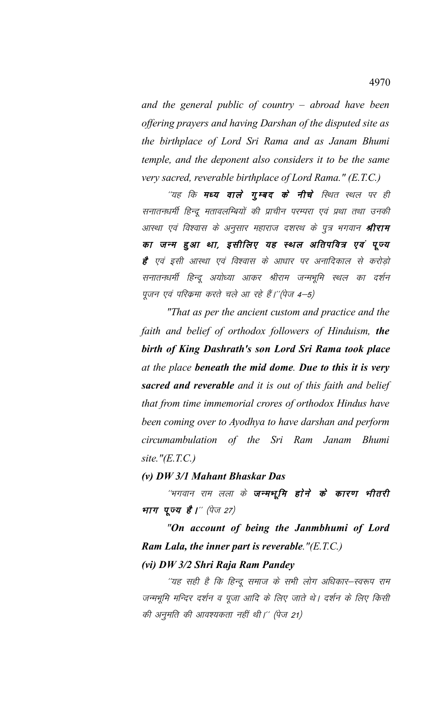*and the general public of country – abroad have been offering prayers and having Darshan of the disputed site as the birthplace of Lord Sri Rama and as Janam Bhumi temple, and the deponent also considers it to be the same very sacred, reverable birthplace of Lord Rama." (E.T.C.)*

''यह कि **मध्य वाले गुम्बद के नीचे** स्थित स्थल पर ही सनातनधर्मी हिन्दू मतावलम्बियों की प्राचीन परम्परा एवं प्रथा तथा उनकी आस्था एवं विश्वास के अनुसार महाराज दशरथ के पुत्र भगवान **श्रीराम** का जन्म हुआ था, इसीलिए यह स्थल अतिपवित्र एवं पूज्य **है** एवं इसी आस्था एवं विश्वास के आधार पर अनादिकाल से करोड़ो सनातनधर्मी हिन्दू अयोध्या आकर श्रीराम जन्मभूमि स्थल का दर्शन पूजन एवं परिकमा करते चले आ रहे हैं।''(पेज 4–5)

*"That as per the ancient custom and practice and the faith and belief of orthodox followers of Hinduism, the birth of King Dashrath's son Lord Sri Rama took place at the place beneath the mid dome. Due to this it is very sacred and reverable and it is out of this faith and belief that from time immemorial crores of orthodox Hindus have been coming over to Ayodhya to have darshan and perform circumambulation of the Sri Ram Janam Bhumi site."(E.T.C.)*

#### *(v) DW 3/1 Mahant Bhaskar Das*

''भगवान राम लला के **जन्मभूमि होने के कारण भीतरी** भाग पूज्य है।"  $(\vec{q} \vec{v} \approx 27)$ 

*"On account of being the Janmbhumi of Lord Ram Lala, the inner part is reverable."(E.T.C.) (vi) DW 3/2 Shri Raja Ram Pandey*

''यह सही है कि हिन्दू समाज के सभी लोग अधिकार–स्वरूप राम जन्मभूमि मन्दिर दर्शन व पूजा आदि के लिए जाते थे। दर्शन के लिए किसी की अनुमति की आवश्यकता नहीं थी।'' (पेज 21)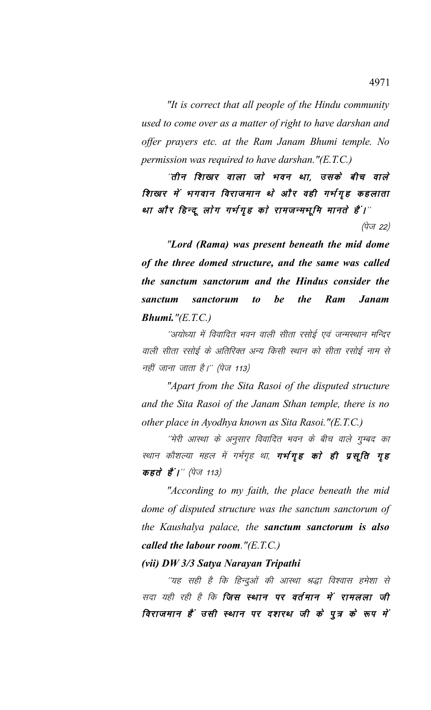*"It is correct that all people of the Hindu community used to come over as a matter of right to have darshan and offer prayers etc. at the Ram Janam Bhumi temple. No permission was required to have darshan."(E.T.C.)*

*'तीन शिखार वाला जो भवन था, उसके बीच वाले* शिखार में भगवान विराजमान थे और वही गर्भगृह कहलाता था और हिन्दू लोग गर्भगृह को रामजन्मभूमि मानते हैं।" (पेज 22)

*"Lord (Rama) was present beneath the mid dome of the three domed structure, and the same was called the sanctum sanctorum and the Hindus consider the sanctum sanctorum to be the Ram Janam Bhumi."(E.T.C.)*

''अयोध्या में विवादित भवन वाली सीता रसोई एवं जन्मस्थान मन्दिर वाली सीता रसोई के अतिरिक्त अन्य किसी स्थान को सीता रसोई नाम से नहीं जाना जाता है।'' (पेज 113)

*"Apart from the Sita Rasoi of the disputed structure and the Sita Rasoi of the Janam Sthan temple, there is no other place in Ayodhya known as Sita Rasoi."(E.T.C.)*

''मेरी आस्था के अनुसार विवादित भवन के बीच वाले गुम्बद का स्थान कौशल्या महल में गर्भगृह था, **गर्भगृह को ही प्रसूति गृह** कहते हैं।'' (पेज 113)

*"According to my faith, the place beneath the mid dome of disputed structure was the sanctum sanctorum of the Kaushalya palace, the sanctum sanctorum is also called the labour room."(E.T.C.)*

*(vii) DW 3/3 Satya Narayan Tripathi*

''यह सही है कि हिन्दुओं की आस्था श्रद्धा विश्वास हमेशा से सदा यही रही है कि **जिस स्थान पर वर्तमान में रामलला जी** विराजमान हैं उसी स्थान पर दशरथ जी के पुत्र के रूप में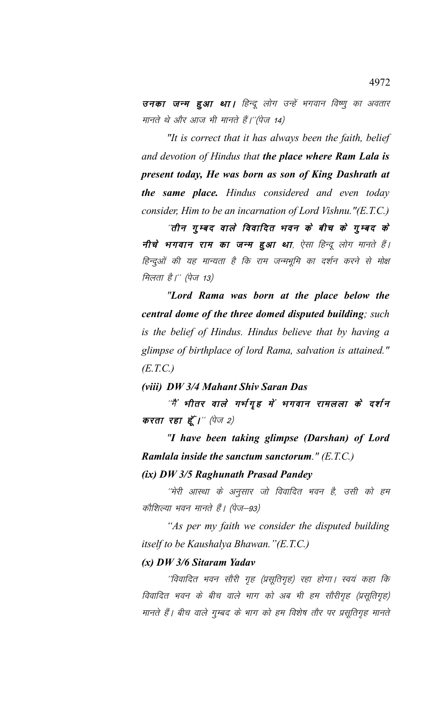उनका जन्म हुआ था। हिन्दू लोग उन्हें भगवान विष्णू का अवतार मानते थे और आज भी मानते हैं।''(पेज 14)

*"It is correct that it has always been the faith, belief and devotion of Hindus that the place where Ram Lala is present today, He was born as son of King Dashrath at the same place. Hindus considered and even today consider, Him to be an incarnation of Lord Vishnu."(E.T.C.)*

*"तीन गुम्बद वाले विवादित भवन के बीच के गुम्बद के* नीचे भगवान राम का जन्म हुआ था, ऐसा हिन्दू लोग मानते हैं। हिन्दुओं की यह मान्यता है कि राम जन्मभूमि का दर्शन करने से मोक्ष मिलता है।'' (पेज 13)

*"Lord Rama was born at the place below the central dome of the three domed disputed building; such is the belief of Hindus. Hindus believe that by having a glimpse of birthplace of lord Rama, salvation is attained." (E.T.C.)*

*(viii) DW 3/4 Mahant Shiv Saran Das*

 $^{\prime\prime}$ सैं भीतर वाले गर्भगृह में भगवान रामलला के दर्शन **करता रहा हूँ।**" (पेज 2)

*"I have been taking glimpse (Darshan) of Lord Ramlala inside the sanctum sanctorum." (E.T.C.)*

*(ix) DW 3/5 Raghunath Prasad Pandey*

''मेरी आस्था के अनुसार जो विवादित भवन है, उसी को हम कौशिल्या भवन मानते हैं। (पेज—93)

*"As per my faith we consider the disputed building itself to be Kaushalya Bhawan."(E.T.C.)*

*(x) DW 3/6 Sitaram Yadav*

''विवादित भवन सौरी गृह (प्रसूतिगृह) रहा होगा। स्वयं कहा कि विवादित भवन के बीच वाले भाग को अब भी हम सौरीगृह (प्रसूतिगृह) मानते हैं। बीच वाले गुम्बद के भाग को हम विशेष तौर पर प्रसूतिगृह मानते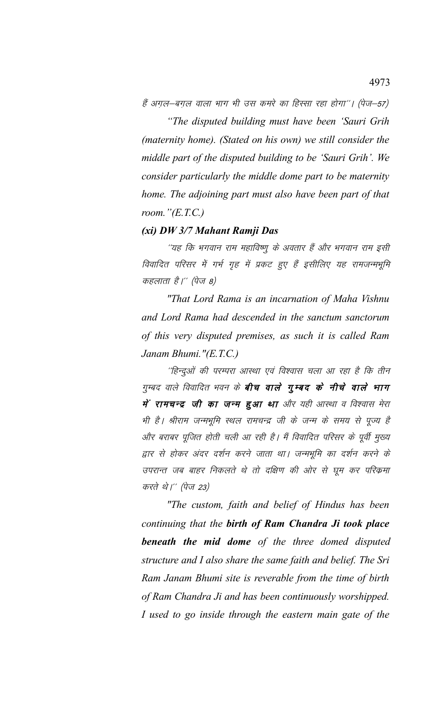हैं अगल—बगल वाला भाग भी उस कमरे का हिस्सा रहा होगा''। (पेज—57)

"The disputed building must have been 'Sauri Grih" (maternity home). (Stated on his own) we still consider the middle part of the disputed building to be 'Sauri Grih'. We consider particularly the middle dome part to be maternity home. The adjoining part must also have been part of that room." $(E.T.C.)$ 

## (xi) DW 3/7 Mahant Ramji Das

''यह कि भगवान राम महाविष्णू के अवतार हैं और भगवान राम इसी विवादित परिसर में गर्भ गृह में प्रकट हुए हैं इसीलिए यह रामजन्मभूमि कहलाता है।'' (पेज 8)

"That Lord Rama is an incarnation of Maha Vishnu and Lord Rama had descended in the sanctum sanctorum of this very disputed premises, as such it is called Ram Janam Bhumi."(E.T.C.)

''हिन्दुओं की परम्परा आस्था एवं विश्वास चला आ रहा है कि तीन गुम्बद वाले विवादित भवन के **बीच वाले गूम्बद के नीचे वाले भाग** में रामचन्द्र जी का जन्म हुआ था और यही आस्था व विश्वास मेरा भी है। श्रीराम जन्मभूमि स्थल रामचन्द्र जी के जन्म के समय से पूज्य है और बराबर पूजित होती चली आ रही है। मैं विवादित परिसर के पूर्वी मुख्य द्वार से होकर अंदर दर्शन करने जाता था। जन्मभूमि का दर्शन करने के उपरान्त जब बाहर निकलते थे तो दक्षिण की ओर से घूम कर परिक्रमा करते थे।'' (पेज 23)

"The custom, faith and belief of Hindus has been continuing that the birth of Ram Chandra Ji took place **beneath the mid dome** of the three domed disputed structure and I also share the same faith and belief. The Sri Ram Janam Bhumi site is reverable from the time of birth of Ram Chandra Ji and has been continuously worshipped. I used to go inside through the eastern main gate of the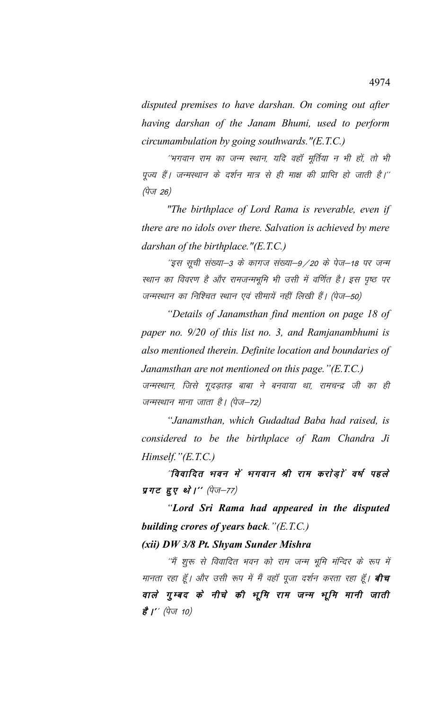*disputed premises to have darshan. On coming out after having darshan of the Janam Bhumi, used to perform circumambulation by going southwards."(E.T.C.)*

''भगवान राम का जन्म स्थान, यदि वहाँ मूर्तिया न भी हों, तो भी पूज्य हैं। जन्मस्थान के दर्शन मात्र से ही माक्ष की प्राप्ति हो जाती है।'' (पेज 26)

*"The birthplace of Lord Rama is reverable, even if there are no idols over there. Salvation is achieved by mere darshan of the birthplace."(E.T.C.)*

''इस सूची संख्या–3 के कागज संख्या–9/20 के पेज–18 पर जन्म स्थान का विवरण है और रामजन्मभूमि भी उसी में वर्णित है। इस पृष्ठ पर जन्मस्थान का निश्चित स्थान एवं सीमायें नहीं लिखी हैं। (पेज–50)

*"Details of Janamsthan find mention on page 18 of paper no. 9/20 of this list no. 3, and Ramjanambhumi is also mentioned therein. Definite location and boundaries of Janamsthan are not mentioned on this page."(E.T.C.)*

जन्मस्थान, जिसे गुदड़तड़ बाबा ने बनवाया था, रामचन्द्र जी का ही जन्मस्थान माना जाता है। (पेज-72)

*"Janamsthan, which Gudadtad Baba had raised, is considered to be the birthplace of Ram Chandra Ji Himself."(E.T.C.)*

"विवादित भवन में भगवान श्री राम करोडों वर्ष पहले प्रगट हुए थो।'' (पेज-77)

*"Lord Sri Rama had appeared in the disputed building crores of years back."(E.T.C.)*

*(xii) DW 3/8 Pt. Shyam Sunder Mishra*

''मैं शुरू से विवादित भवन को राम जन्म भूमि मंन्दिर के रूप में मानता रहा हूँ। और उसी रूप में मैं वहाँ पूजा दर्शन करता रहा हूँ। **बीच** वाले गुम्बद के नीचे की भूमि राम जन्म भूमि मानी जाती **है /'**' (पेज 10)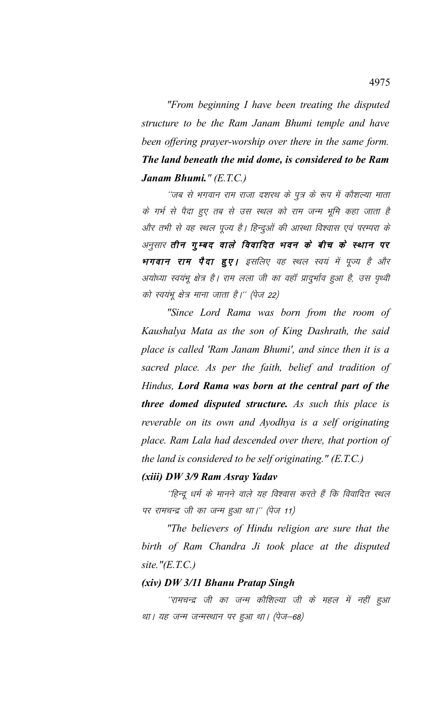*"From beginning I have been treating the disputed structure to be the Ram Janam Bhumi temple and have been offering prayer-worship over there in the same form. The land beneath the mid dome, is considered to be Ram Janam Bhumi." (E.T.C.)*

''जब से भगवान राम राजा दशरथ के पुत्र के रूप में कौशल्या माता के गर्भ से पैदा हुए तब से उस स्थल को राम जन्म भूमि कहा जाता है ओर तभी से वह स्थल पूज्य है। हिन्दुओं की आस्था विश्वास एवं परम्परा के अनुसार तीन गुम्बद वाले विवादित भवन के बीच के स्थान पर भगवान राम पैदा हुए। इसलिए वह स्थल स्वयं में पूज्य है और अयोध्या स्वयंभू क्षेत्र है। राम लला जी का वहाँ प्रादुर्भाव हुआ है, उस पृथ्वी को स्वयंभू क्षेत्र माना जाता है।'' (पेज 22)

*"Since Lord Rama was born from the room of Kaushalya Mata as the son of King Dashrath, the said place is called 'Ram Janam Bhumi', and since then it is a sacred place. As per the faith, belief and tradition of Hindus, Lord Rama was born at the central part of the three domed disputed structure. As such this place is reverable on its own and Ayodhya is a self originating place. Ram Lala had descended over there, that portion of the land is considered to be self originating." (E.T.C.)*

#### *(xiii) DW 3/9 Ram Asray Yadav*

''हिन्दू धर्म के मानने वाले यह विश्वास करते हैं कि विवादित स्थल पर रामचन्द्र जी का जन्म हुआ था।'' (पेज 11)

*"The believers of Hindu religion are sure that the birth of Ram Chandra Ji took place at the disputed site."(E.T.C.)*

#### *(xiv) DW 3/11 Bhanu Pratap Singh*

 $\sqrt[r]{7}$ रामचन्द्र जी का जन्म कौशिल्या जी के महल में नहीं हुआ था। यह जन्म जन्मस्थान पर हुआ था। (पेज–68)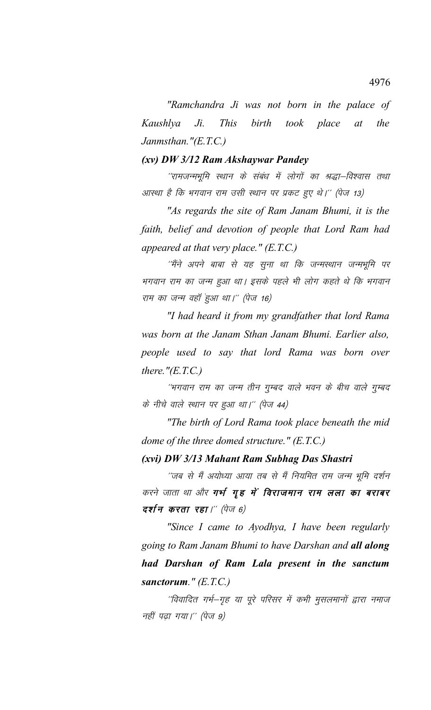*"Ramchandra Ji was not born in the palace of Kaushlya Ji. This birth took place at the Janmsthan."(E.T.C.)*

*(xv) DW 3/12 Ram Akshaywar Pandey*

''रामजन्मभूमि स्थान के संबंध में लोगों का श्रद्धा–विश्वास तथा आस्था है कि भगवान राम उसी स्थान पर प्रकट हुए थे।'' (पेज 13)

*"As regards the site of Ram Janam Bhumi, it is the faith, belief and devotion of people that Lord Ram had appeared at that very place." (E.T.C.)*

 $^{\prime\prime}$ मैंने अपने बाबा से यह सुना था कि जन्मस्थान जन्मभूमि पर भगवान राम का जन्म हुआ था। इसके पहले भी लोग कहते थे कि भगवान राम का जन्म वहाँ हुआ था।" (पेज 16)

*"I had heard it from my grandfather that lord Rama was born at the Janam Sthan Janam Bhumi. Earlier also, people used to say that lord Rama was born over there."(E.T.C.)*

''भगवान राम का जन्म तीन गुम्बद वाले भवन के बीच वाले गुम्बद के नीचे वाले स्थान पर हुआ था।'' (पेज 44)

*"The birth of Lord Rama took place beneath the mid dome of the three domed structure." (E.T.C.)*

*(xvi) DW 3/13 Mahant Ram Subhag Das Shastri*

''जब से मैं अयोध्या आया तब से मैं नियमित राम जन्म भूमि दर्शन करने जाता था और **गर्भ गृह में विराजमान राम लला का बराबर** दर्शन करता रहा।"  $(\vec{q} \vec{q} \vec{b})$ 

*"Since I came to Ayodhya, I have been regularly going to Ram Janam Bhumi to have Darshan and all along had Darshan of Ram Lala present in the sanctum sanctorum." (E.T.C.)*

''विवादित गर्भ–गृह या पूरे परिसर में कभी <u>मु</u>सलमानों द्वारा नमाज नहीं पढा गया।'' (पेज 9)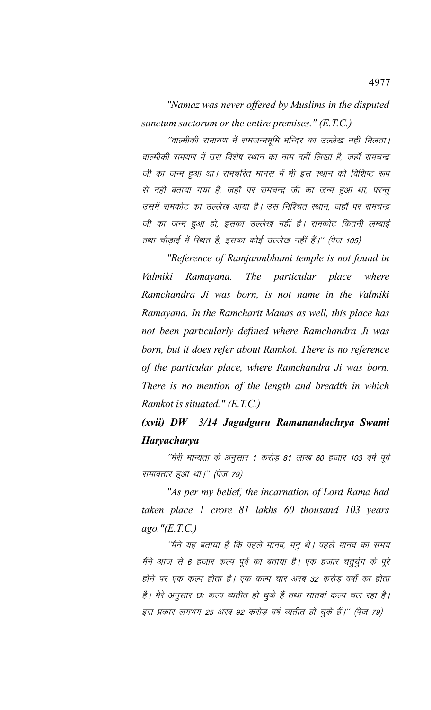*"Namaz was never offered by Muslims in the disputed sanctum sactorum or the entire premises." (E.T.C.)*

''वाल्मीकी रामायण में रामजन्मभूमि मन्दिर का उल्लेख नहीं मिलता। वाल्मीकी रामयण में उस विशेष स्थान का नाम नहीं लिखा है. जहाँ रामचन्द्र जी का जन्म हुआ था। रामचरित मानस में भी इस स्थान को विशिष्ट रूप से नहीं बताया गया है, जहाँ पर रामचन्द्र जी का जन्म हुआ था, परन्तू उसमें रामकोट का उल्लेख आया है। उस निश्चित स्थान, जहाँ पर रामचन्द्र जी का जन्म हुआ हो, इसका उल्लेख नहीं है। रामकोट कितनी लम्बाई तथा चौड़ाई में स्थित है, इसका कोई उल्लेख नहीं हैं।'' (पेज 105)

*"Reference of Ramjanmbhumi temple is not found in Valmiki Ramayana. The particular place where Ramchandra Ji was born, is not name in the Valmiki Ramayana. In the Ramcharit Manas as well, this place has not been particularly defined where Ramchandra Ji was born, but it does refer about Ramkot. There is no reference of the particular place, where Ramchandra Ji was born. There is no mention of the length and breadth in which Ramkot is situated." (E.T.C.)* 

*(xvii) DW 3/14 Jagadguru Ramanandachrya Swami Haryacharya*

''मेरी मान्यता के अनुसार 1 करोड़ 81 लाख 60 हजार 103 वर्ष पूर्व रामावतार हुआ था।'' (पेज 79)

*"As per my belief, the incarnation of Lord Rama had taken place 1 crore 81 lakhs 60 thousand 103 years ago."(E.T.C.)*

''मैंने यह बताया है कि पहले मानव, मन् थे। पहले मानव का समय मैंने आज से 6 हजार कल्प पूर्व का बताया है। एक हजार चतुर्युग के पूरे होने पर एक कल्प होता है। एक कल्प चार अरब 32 करोड़ वर्षों का होता है। मेरे अनुसार छः कल्प व्यतीत हो चुके हैं तथा सातवां कल्प चल रहा है। इस प्रकार लगभग 25 अरब 92 करोड वर्ष व्यतीत हो चुके हैं।'' (पेज 79)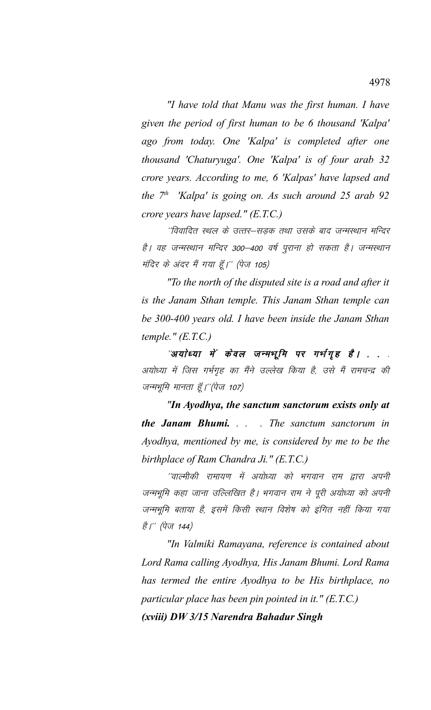*"I have told that Manu was the first human. I have given the period of first human to be 6 thousand 'Kalpa' ago from today. One 'Kalpa' is completed after one thousand 'Chaturyuga'. One 'Kalpa' is of four arab 32 crore years. According to me, 6 'Kalpas' have lapsed and the 7th 'Kalpa' is going on. As such around 25 arab 92 crore years have lapsed." (E.T.C.)*

''विवादित स्थल के उत्तर–सडक तथा उसके बाद जन्मस्थान मन्दिर है। वह जन्मस्थान मन्दिर 300–400 वर्ष पुराना हो सकता है। जन्मस्थान मंदिर के अंदर मैं गया हूँ।'' (पेज 105)

*"To the north of the disputed site is a road and after it is the Janam Sthan temple. This Janam Sthan temple can be 300-400 years old. I have been inside the Janam Sthan temple." (E.T.C.)*

"अयोध्या में केवल जन्मभूमि पर गर्भगृह है। . . . अयोध्या में जिस गर्भगृह का मैंने उल्लेख किया है, उसे मैं रामचन्द्र की जन्मभूमि मानता हूँ।"(पेज 107)

*"In Ayodhya, the sanctum sanctorum exists only at the Janam Bhumi. . . . The sanctum sanctorum in Ayodhya, mentioned by me, is considered by me to be the birthplace of Ram Chandra Ji." (E.T.C.)* 

´´वाल्मीकी रामायण में अयोध्या को भगवान राम द्वारा अपनी जन्मभूमि कहा जाना उल्लिखित है। भगवान राम ने पूरी अयोध्या को अपनी जन्मभूमि बताया है, इसमें किसी स्थान विशेष को इंगित नहीं किया गया है*।'' (पेज 144)* 

*"In Valmiki Ramayana, reference is contained about Lord Rama calling Ayodhya, His Janam Bhumi. Lord Rama has termed the entire Ayodhya to be His birthplace, no particular place has been pin pointed in it." (E.T.C.)*

*(xviii) DW 3/15 Narendra Bahadur Singh*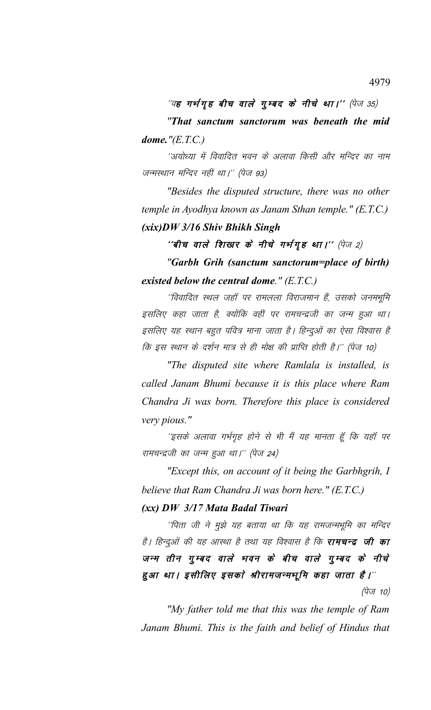"वह गर्भगृह बीच वाले गुम्बद के नीचे था।'' (पेज 35) "That sanctum sanctorum was beneath the mid dome." $(E.T.C.)$ 

''अयोध्या में विवादित भवन के अलावा किसी और मन्दिर का नाम जन्मस्थान मन्दिर नहीं था।" (पेज 93)

"Besides the disputed structure, there was no other temple in Ayodhya known as Janam Sthan temple."  $(E.T.C.)$  $(xix)DW$  3/16 Shiv Bhikh Singh

''बीच वाले शिखार के नीचे गर्भगृह था।'' (पेज 2) "Garbh Grih (sanctum sanctorum=place of birth) existed below the central dome."  $(E.T.C.)$ 

''विवादित स्थल जहाँ पर रामलला विराजमान हैं, उसको जनमभूमि इसलिए कहा जाता है, क्योंकि वहीं पर रामचन्द्रजी का जन्म हुआ था। इसलिए यह स्थान बहुत पवित्र माना जाता है। हिन्दुओं का ऐसा विश्वास है कि इस स्थान के दर्शन मात्र से ही मोक्ष की प्राप्ति होती है।'' (पेज 10)

"The disputed site where Ramlala is installed, is called Janam Bhumi because it is this place where Ram Chandra Ji was born. Therefore this place is considered very pious."

''इसके अलावा गर्भगृह होने से भी मैं यह मानता हूँ कि यहाँ पर रामचन्द्रजी का जन्म हुआ था।'' (पेज 24)

"Except this, on account of it being the Garbhgrih, I believe that Ram Chandra Ji was born here."  $(E.T.C.)$ 

 $(xx)$  DW  $3/17$  Mata Badal Tiwari

''पिता जी ने मुझे यह बताया था कि यह रामजन्मभूमि का मन्दिर है। हिन्दुओं की यह आस्था है तथा यह विश्वास है कि **रामचन्द्र जी का** जन्म तीन गुम्बद वाले भवन के बीच वाले गुम्बद के नीचे हुआ था। इसीलिए इसको श्रीरामजन्मभूमि कहा जाता है।'' (पेज 10)

"My father told me that this was the temple of Ram Janam Bhumi. This is the faith and belief of Hindus that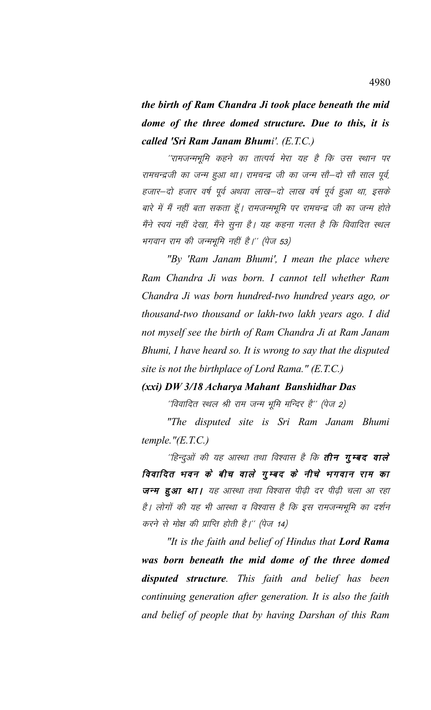*the birth of Ram Chandra Ji took place beneath the mid dome of the three domed structure. Due to this, it is called 'Sri Ram Janam Bhumi'. (E.T.C.)*

<sup>''</sup>रामजन्मभूमि कहने का तात्पर्य मेरा यह है कि उस स्थान पर रामचन्द्रजी का जन्म हुआ था। रामचन्द्र जी का जन्म सौ–दो सौ साल पूर्व, हजार–दो हजार वर्ष पूर्व अथवा लाख–दो लाख वर्ष पूर्व हुआ था, इसके बारे में मैं नहीं बता सकता हूँ। रामजन्मभूमि पर रामचन्द्र जी का जन्म होते मैंने स्वयं नहीं देखा, मैंने सुना है। यह कहना गलत है कि विवादित स्थल भगवान राम की जन्मभूमि नहीं है।'' (पेज 53)

*"By 'Ram Janam Bhumi', I mean the place where Ram Chandra Ji was born. I cannot tell whether Ram Chandra Ji was born hundred-two hundred years ago, or thousand-two thousand or lakh-two lakh years ago. I did not myself see the birth of Ram Chandra Ji at Ram Janam Bhumi, I have heard so. It is wrong to say that the disputed site is not the birthplace of Lord Rama." (E.T.C.)*

*(xxi) DW 3/18 Acharya Mahant Banshidhar Das*

<sup>''विवादित स्थल श्री राम जन्म भूमि मन्दिर है'' (पेज 2)</sup>

*"The disputed site is Sri Ram Janam Bhumi temple."(E.T.C.)*

''हिन्दुओं की यह आस्था तथा विश्वास है कि **तीन गुम्बद वाले** विवादित भवन के बीच वाले गुम्बद के नीचे भगवान राम का जन्म हुआ था। यह आस्था तथा विश्वास पीढ़ी दर पीढ़ी चला आ रहा है। लोगों की यह भी आस्था व विश्वास है कि इस रामजन्मभूमि का दर्शन करने से मोक्ष की प्राप्ति होती है।'' (पेज 14)

*"It is the faith and belief of Hindus that Lord Rama was born beneath the mid dome of the three domed disputed structure. This faith and belief has been continuing generation after generation. It is also the faith and belief of people that by having Darshan of this Ram*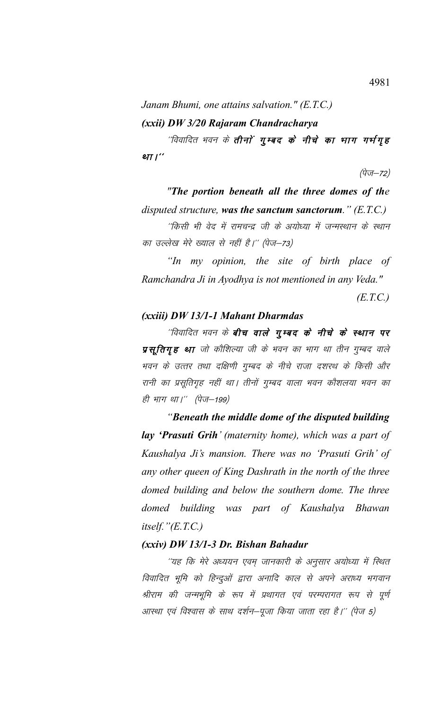''विवादित भवन के **तीनों गुम्बद के नीचे का भाग गर्भगृह** था। $^{\prime\prime}$ 

(पेज—72)

*"The portion beneath all the three domes of the disputed structure, was the sanctum sanctorum." (E.T.C.)*

''किसी भी वेद में रामचन्द्र जी के अयोध्या में जन्मस्थान के स्थान का उल्लेख मेरे ख्याल से नहीं है।'' (पेज-73)

*"In my opinion, the site of birth place of Ramchandra Ji in Ayodhya is not mentioned in any Veda." (E.T.C.)*

#### *(xxiii) DW 13/1-1 Mahant Dharmdas*

''विवादित भवन के **बीच वाले गुम्बद के नीचे के स्थान पर** प्रसूतिगृह था जो कौशिल्या जी के भवन का भाग था तीन गुम्बद वाले भवन के उत्तर तथा दक्षिणी गुम्बद के नीचे राजा दशरथ के किसी और रानी का प्रसूतिगृह नहीं था। तीनों गुम्बद वाला भवन कौशलया भवन का ही भाग था।'' (पेज-199)

*"Beneath the middle dome of the disputed building lay 'Prasuti Grih' (maternity home), which was a part of Kaushalya Ji's mansion. There was no 'Prasuti Grih' of any other queen of King Dashrath in the north of the three domed building and below the southern dome. The three domed building was part of Kaushalya Bhawan itself."(E.T.C.)*

### *(xxiv) DW 13/1-3 Dr. Bishan Bahadur*

''यह कि मेरे अध्ययन एवम् जानकारी के अनुसार अयोध्या में स्थित विवादित भूमि को हिन्दुओं द्वारा अनादि काल से अपने अराध्य भगवान श्रीराम की जन्मभूमि के रूप में प्रथागत एवं परम्परागत रूप से पूर्ण आस्था एवं विश्वास के साथ दर्शन–पूजा किया जाता रहा है।'' (पेज 5)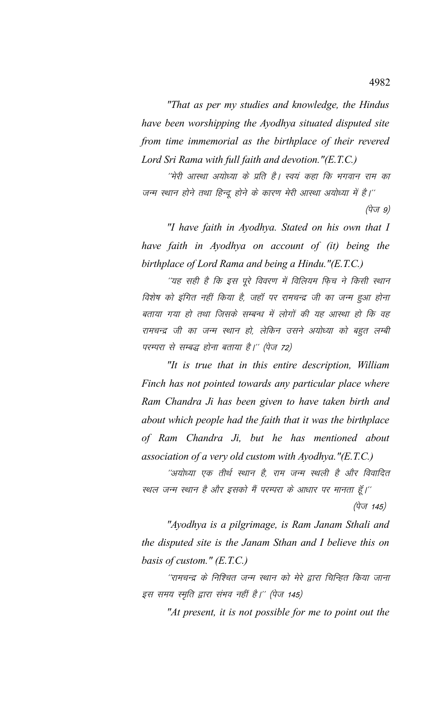"That as per my studies and knowledge, the Hindus have been worshipping the Ayodhya situated disputed site from time immemorial as the birthplace of their revered Lord Sri Rama with full faith and devotion."(E.T.C.)

''मेरी आस्था अयोध्या के प्रति है। स्वयं कहा कि भगवान राम का जन्म स्थान होने तथा हिन्दू होने के कारण मेरी आस्था अयोध्या में है।''  $(\vec{q} \vec{v} \vec{g})$ 

"I have faith in Ayodhya. Stated on his own that I have faith in Ayodhya on account of (it) being the birthplace of Lord Rama and being a Hindu."(E.T.C.)

''यह सही है कि इस पूरे विवरण में विलियम फिच ने किसी स्थान विशेष को इंगित नहीं किया है, जहाँ पर रामचन्द्र जी का जन्म हुआ होना बताया गया हो तथा जिसके सम्बन्ध में लोगों की यह आस्था हो कि वह रामचन्द्र जी का जन्म स्थान हो, लेकिन उसने अयोध्या को बहुत लम्बी परम्परा से सम्बद्ध होना बताया है।'' (पेज 72)

"It is true that in this entire description, William Finch has not pointed towards any particular place where Ram Chandra Ji has been given to have taken birth and about which people had the faith that it was the birthplace of Ram Chandra Ji, but he has mentioned about association of a very old custom with Ayodhya." $(E.T.C.)$ 

''अयोध्या एक तीर्थ स्थान है, राम जन्म स्थली है और विवादित स्थल जन्म स्थान है और इसको मैं परम्परा के आधार पर मानता हूँ।'' (पेज 145)

"Ayodhya is a pilgrimage, is Ram Janam Sthali and the disputed site is the Janam Sthan and I believe this on basis of custom."  $(E.T.C.)$ 

''रामचन्द्र के निश्चित जन्म स्थान को मेरे द्वारा चिन्हित किया जाना इस समय स्मृति द्वारा संभव नहीं है।'' (पेज 145)

"At present, it is not possible for me to point out the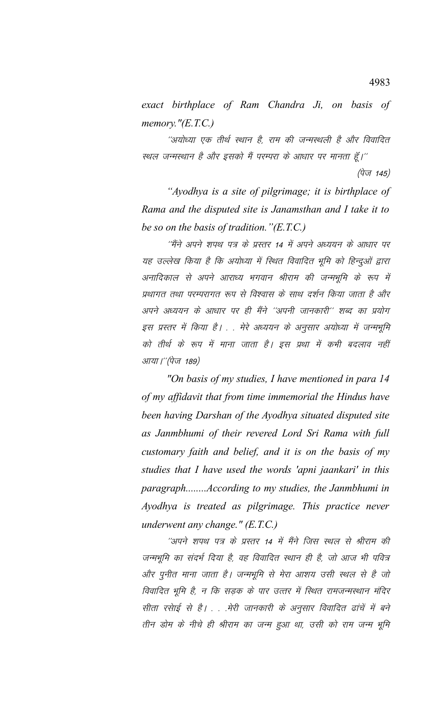*exact birthplace of Ram Chandra Ji, on basis of memory."(E.T.C.)*

''अयोध्या एक तीर्थ स्थान है, राम की जन्मस्थली है और विवादित स्थल जन्मस्थान है और इसको मैं परम्परा के आधार पर मानता हूँ।'' (पेज 145)

*"Ayodhya is a site of pilgrimage; it is birthplace of Rama and the disputed site is Janamsthan and I take it to be so on the basis of tradition."(E.T.C.)*

 $^{\prime\prime}$ मैंने अपने शपथ पत्र के प्रस्तर 14 में अपने अध्ययन के आधार पर यह उल्लेख किया है कि अयोध्या में स्थित विवादित भूमि को हिन्दुओं द्वारा अनादिकाल से अपने आराध्य भगवान श्रीराम की जन्मभूमि के रूप में प्रथागत तथा परम्परागत रूप से विश्वास के साथ दर्शन किया जाता है और अपने अध्ययन के आधार पर ही मैंने ''अपनी जानकारी'' शब्द का प्रयोग इस प्रस्तर में किया है। . . मेरे अध्ययन के अनुसार अयोध्या में जन्मभूमि को तीर्थ के रूप में माना जाता है। इस प्रथा में कभी बदलाव नहीं आया।''(पेज 189)

*"On basis of my studies, I have mentioned in para 14 of my affidavit that from time immemorial the Hindus have been having Darshan of the Ayodhya situated disputed site as Janmbhumi of their revered Lord Sri Rama with full customary faith and belief, and it is on the basis of my studies that I have used the words 'apni jaankari' in this paragraph........According to my studies, the Janmbhumi in Ayodhya is treated as pilgrimage. This practice never underwent any change." (E.T.C.)*

''अपने शपथ पत्र के प्रस्तर 14 में मैंने जिस स्थल से श्रीराम की जन्मभमि का संदर्भ दिया है, वह विवादित स्थान ही है, जो आज भी पवित्र और पुनीत माना जाता है। जन्मभूमि से मेरा आशय उसी स्थल से है जो विवादित भूमि है, न कि सडक के पार उत्तर में स्थित रामजन्मस्थान मंदिर सीता रसाई से है। . . .मेरी जानकारी के अनुसार विवादित ढांचें में बने तीन डोम के नीचे ही श्रीराम का जन्म हुआ था, उसी को राम जन्म भूमि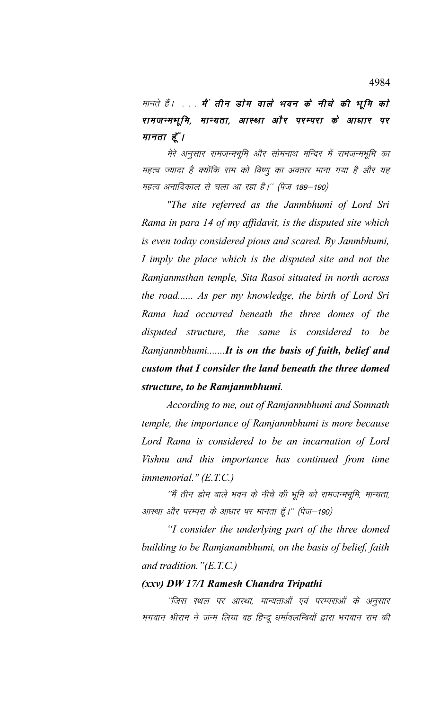मानते हैं। . . . मैं तीन डोम वाले भवन के नीचे की भूमि को रामजन्मभूमि, मान्यता, आस्था और परम्परा के आधार पर मानता हूँ।

मेरे अनुसार रामजन्मभूमि और सोमनाथ मन्दिर में रामजन्मभूमि का महत्व ज्यादा है क्योंकि राम को विष्णू का अवतार माना गया है और यह महत्व अनादिकाल से चला आ रहा है।'' (पेज 189–190)

*"The site referred as the Janmbhumi of Lord Sri Rama in para 14 of my affidavit, is the disputed site which is even today considered pious and scared. By Janmbhumi, I imply the place which is the disputed site and not the Ramjanmsthan temple, Sita Rasoi situated in north across the road...... As per my knowledge, the birth of Lord Sri Rama had occurred beneath the three domes of the disputed structure, the same is considered to be Ramjanmbhumi.......It is on the basis of faith, belief and custom that I consider the land beneath the three domed structure, to be Ramjanmbhumi.*

*According to me, out of Ramjanmbhumi and Somnath temple, the importance of Ramjanmbhumi is more because Lord Rama is considered to be an incarnation of Lord Vishnu and this importance has continued from time immemorial." (E.T.C.)*

''मैं तीन डोम वाले भवन के नीचे की भूमि को रामजन्मभूमि, मान्यता, आस्था और परम्परा के आधार पर मानता हूँ।'' (पेज–190)

*"I consider the underlying part of the three domed building to be Ramjanambhumi, on the basis of belief, faith and tradition."(E.T.C.)*

## *(xxv) DW 17/1 Ramesh Chandra Tripathi*

''जिस स्थल पर आस्था, मान्यताओं एवं परम्पराओं के अनुसार भगवान श्रीराम ने जन्म लिया वह हिन्दू धर्मावलम्बियों द्वारा भगवान राम की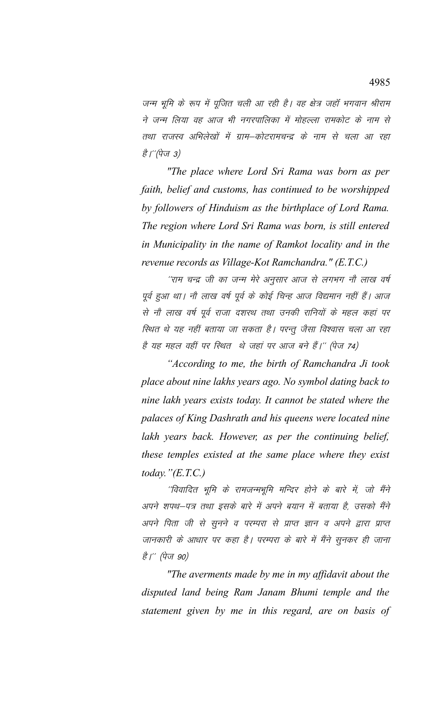जन्म भूमि के रूप में पुजित चली आ रही है। वह क्षेत्र जहाँ भगवान श्रीराम ने जन्म लिया वह आज भी नगरपालिका में मोहल्ला रामकोट के नाम से तथा राजस्व अभिलेखों में ग्राम–कोटरामचन्द्र के नाम से चला आ रहा है।''(पेज 3)

"The place where Lord Sri Rama was born as per faith, belief and customs, has continued to be worshipped by followers of Hinduism as the birthplace of Lord Rama. The region where Lord Sri Rama was born, is still entered in Municipality in the name of Ramkot locality and in the revenue records as Village-Kot Ramchandra." (E.T.C.)

''राम चन्द्र जी का जन्म मेरे अनुसार आज से लगभग नौ लाख वर्ष पूर्व हुआ था। नौ लाख वर्ष पूर्व के कोई चिन्ह आज विद्यमान नहीं हैं। आज से नौ लाख वर्ष पूर्व राजा दशरथ तथा उनकी रानियों के महल कहां पर स्थित थे यह नहीं बताया जा सकता है। परन्तू जैसा विश्वास चला आ रहा है यह महल वहीं पर स्थित थे जहां पर आज बने हैं।" (पेज 74)

"According to me, the birth of Ramchandra Ji took place about nine lakhs years ago. No symbol dating back to nine lakh years exists today. It cannot be stated where the palaces of King Dashrath and his queens were located nine lakh years back. However, as per the continuing belief, these temples existed at the same place where they exist today." $(E.T.C.)$ 

''विवादित भूमि के रामजन्मभूमि मन्दिर होने के बारे में, जो मैंने अपने शपथ–पत्र तथा इसके बारे में अपने बयान में बताया है, उसको मैंने अपने पिता जी से सृनने व परम्परा से प्राप्त ज्ञान व अपने द्वारा प्राप्त जानकारी के आधार पर कहा है। परम्परा के बारे में मैंने सुनकर ही जाना है।'' (पेज 90)

"The averments made by me in my affidavit about the disputed land being Ram Janam Bhumi temple and the statement given by me in this regard, are on basis of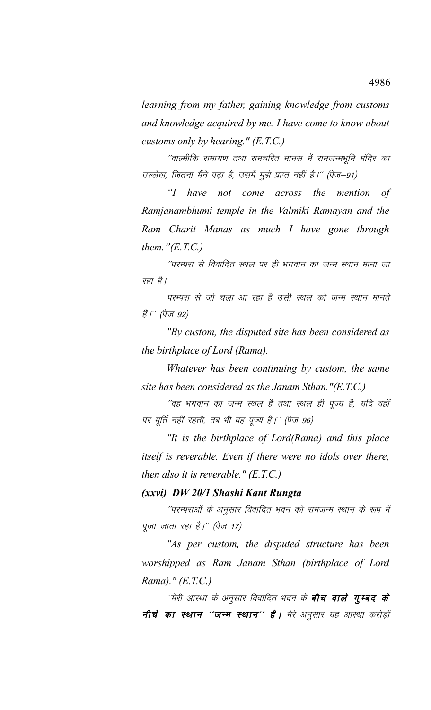*learning from my father, gaining knowledge from customs and knowledge acquired by me. I have come to know about customs only by hearing." (E.T.C.)*

''वाल्मीकि रामायण तथा रामचरित मानस में रामजन्मभूमि मंदिर का उल्लेख, जितना मैंने पढ़ा है, उसमें मुझे प्राप्त नहीं है।'' (पेज–91)

*"I have not come across the mention of Ramjanambhumi temple in the Valmiki Ramayan and the Ram Charit Manas as much I have gone through them."(E.T.C.)*

''परम्परा से विवादित स्थल पर ही भगवान का जन्म स्थान माना जा रहा है।

परम्परा से जो चला आ रहा है उसी स्थल को जन्म स्थान मानते हैं।'' (पेज 92)

*"By custom, the disputed site has been considered as the birthplace of Lord (Rama).*

*Whatever has been continuing by custom, the same site has been considered as the Janam Sthan."(E.T.C.)*

''वह भगवान का जन्म स्थल है तथा स्थल ही पूज्य है, यदि वहाँ पर मूर्ति नहीं रहती, तब भी वह पूज्य है।'' (पेज 96)

*"It is the birthplace of Lord(Rama) and this place itself is reverable. Even if there were no idols over there, then also it is reverable." (E.T.C.)*

## *(xxvi) DW 20/1 Shashi Kant Rungta*

''परम्पराओं के अनुसार विवादित भवन को रामजन्म स्थान के रूप में पूजा जाता रहा है।'' (पेज 17)

*"As per custom, the disputed structure has been worshipped as Ram Janam Sthan (birthplace of Lord Rama)." (E.T.C.)*

''मेरी आस्था के अनुसार विवादित भवन के **बीच वाले गुम्बद के** नीचे का स्थान ''जन्म स्थान'' है। मेरे अनुसार यह आस्था करोड़ों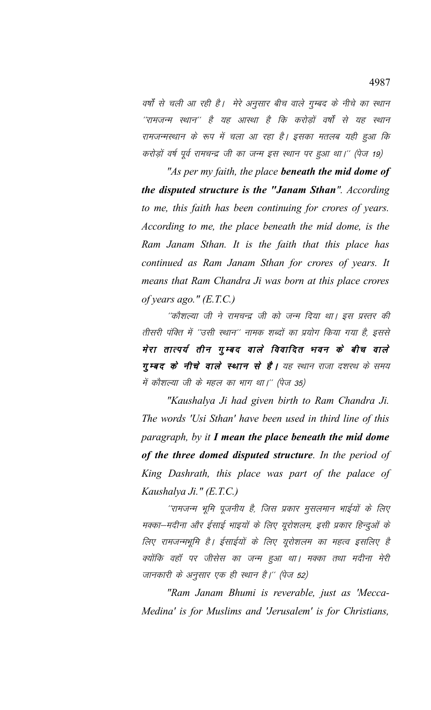वर्षों से चली आ रही है। मेरे अनुसार बीच वाले गुम्बद के नीचे का स्थान ''रामजन्म स्थान'' है यह आस्था है कि करोड़ों वर्षों से यह स्थान रामजन्मस्थान के रूप में चला आ रहा है। इसका मतलब यही हुआ कि करोड़ों वर्ष पूर्व रामचन्द्र जी का जन्म इस स्थान पर हुआ था।'' (पेज 19)

"As per my faith, the place **beneath the mid dome of** the disputed structure is the "Janam Sthan". According to me, this faith has been continuing for crores of years. According to me, the place beneath the mid dome, is the Ram Janam Sthan. It is the faith that this place has continued as Ram Janam Sthan for crores of years. It means that Ram Chandra Ji was born at this place crores of years ago."  $(E.T.C.)$ 

''कौशल्या जी ने रामचन्द्र जी को जन्म दिया था। इस प्रस्तर की तीसरी पंक्ति में ''उसी स्थान'' नामक शब्दों का प्रयोग किया गया है, इससे मेरा तात्पर्य तीन गुम्बद वाले विवादित भवन के बीच वाले गूम्बद के नीचे वाले स्थान से है। यह स्थान राजा दशरथ के समय में कौशल्या जी के महल का भाग था।'' (पेज 35)

"Kaushalya Ji had given birth to Ram Chandra Ji. The words 'Usi Sthan' have been used in third line of this paragraph, by it I mean the place beneath the mid dome of the three domed disputed structure. In the period of King Dashrath, this place was part of the palace of Kaushalya Ji." (E.T.C.)

''रामजन्म भूमि पूजनीय है, जिस प्रकार मुसलमान भाईयों के लिए मक्का-मदीना और ईसाई भाइयों के लिए यूरोशलम, इसी प्रकार हिन्दुओं के लिए रामजन्मभूमि है। ईसाईयों के लिए यूरोशलम का महत्व इसलिए है क्योंकि वहाँ पर जीसेस का जन्म हुआ था। मक्का तथा मदीना मेरी जानकारी के अनुसार एक ही स्थान है।'' (पेज 52)

"Ram Janam Bhumi is reverable, just as 'Mecca-Medina' is for Muslims and 'Jerusalem' is for Christians,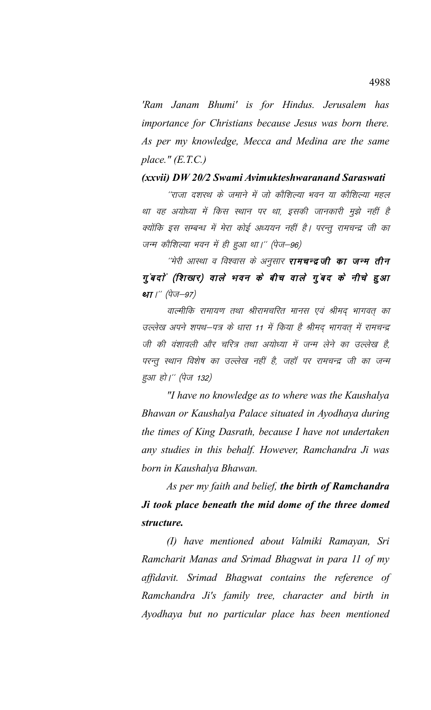*'Ram Janam Bhumi' is for Hindus. Jerusalem has importance for Christians because Jesus was born there. As per my knowledge, Mecca and Medina are the same place." (E.T.C.)*

#### *(xxvii) DW 20/2 Swami Avimukteshwaranand Saraswati*

''राजा दशरथ के जमाने में जो कौशिल्या भवन या कौशिल्या महल था वह अयोध्या में किस स्थान पर था, इसकी जानकारी मुझे नहीं है क्योंकि इस सम्बन्ध में मेरा कोई अध्ययन नहीं है। परन्तू रामचन्द्र जी का जन्म कौशिल्या भवन में ही हुआ था।'' (पेज–96)

''मेरी आस्था व विश्वास के अनुसार **रामचन्द्रजी का जन्म तीन** गुंबदों (शिखार) वाले भवन के बीच वाले गुंबद के नीचे हुआ था ।'' (पेज $-97$ )

वाल्मीकि रामायण तथा श्रीरामचरित मानस एवं श्रीमद भागवत का उल्लेख अपने शपथ-पत्र के धारा 11 में किया है श्रीमद भागवत में रामचन्द्र जी की वंशावली और चरित्र तथा अयोध्या में जन्म लेने का उल्लेख है, परन्तु स्थान विशेष का उल्लेख नहीं है, जहाँ पर रामचन्द्र जी का जन्म हुआ हो।'' (पेज 132)

*"I have no knowledge as to where was the Kaushalya Bhawan or Kaushalya Palace situated in Ayodhaya during the times of King Dasrath, because I have not undertaken any studies in this behalf. However, Ramchandra Ji was born in Kaushalya Bhawan.*

*As per my faith and belief, the birth of Ramchandra Ji took place beneath the mid dome of the three domed structure.*

*(I) have mentioned about Valmiki Ramayan, Sri Ramcharit Manas and Srimad Bhagwat in para 11 of my affidavit. Srimad Bhagwat contains the reference of Ramchandra Ji's family tree, character and birth in Ayodhaya but no particular place has been mentioned*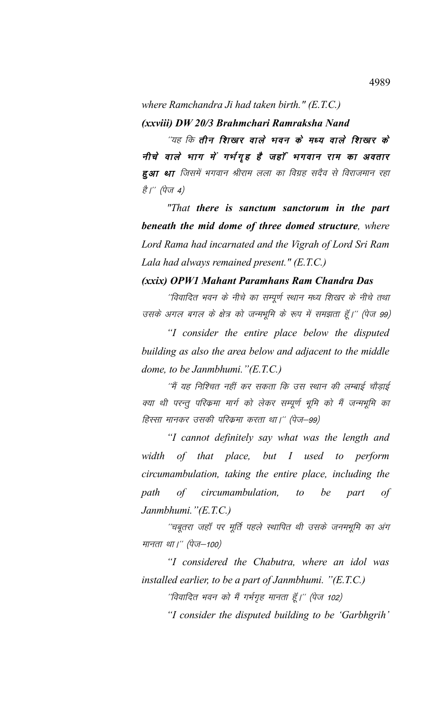*where Ramchandra Ji had taken birth." (E.T.C.)*

*(xxviii) DW 20/3 Brahmchari Ramraksha Nand*

''यह कि **तीन शिखार वाले भवन के मध्य वाले शिखार के** नीचे वाले भाग में गर्भगृह है जहाँ भगवान राम का अवतार हुआ था जिसमें भगवान श्रीराम लला का विग्रह सदैव से विराजमान रहा है।'' (पेज 4)

*"That there is sanctum sanctorum in the part beneath the mid dome of three domed structure, where Lord Rama had incarnated and the Vigrah of Lord Sri Ram Lala had always remained present." (E.T.C.)*

### *(xxix) OPW1 Mahant Paramhans Ram Chandra Das*

''विवादित भवन के नीचे का सम्पूर्ण स्थान मध्य शिखर के नीचे तथा उसके अगल बगल के क्षेत्र को जन्मभूमि के रूप में समझता हूँ।'' (पेज 99)

*"I consider the entire place below the disputed building as also the area below and adjacent to the middle dome, to be Janmbhumi."(E.T.C.)*

''मैं यह निश्चित नहीं कर सकता कि उस स्थान की लम्बाई चौड़ाई क्या थी परन्तु परिकमा मार्ग को लेकर सम्पूर्ण भूमि को मैं जन्मभूमि का हिस्सा मानकर उसकी परिकमा करता था।'' (पेज–99)

*"I cannot definitely say what was the length and width of that place, but I used to perform circumambulation, taking the entire place, including the path of circumambulation, to be part of Janmbhumi."(E.T.C.)*

''चबूतरा जहाँ पर मूर्ति पहले स्थापित थी उसके जनमभूमि का अंग मानता था।'' (पेज–100)

*"I considered the Chabutra, where an idol was installed earlier, to be a part of Janmbhumi. "(E.T.C.)*

''विवादित भवन को मैं गर्भगृह मानता हूँ।'' (पेज 102)

*"I consider the disputed building to be 'Garbhgrih'*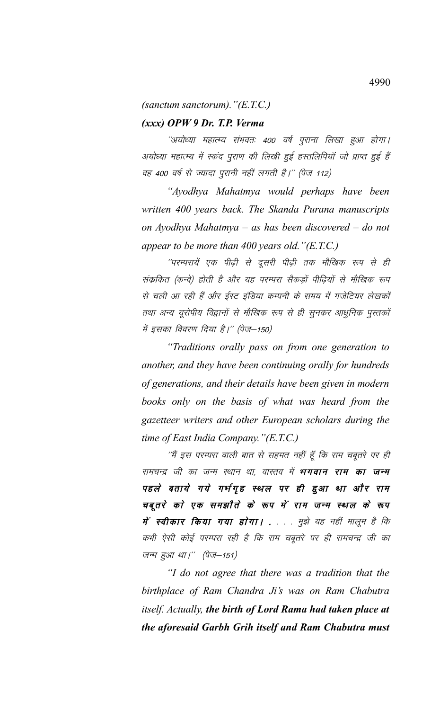*(sanctum sanctorum)."(E.T.C.)*

#### *(xxx) OPW 9 Dr. T.P. Verma*

"अयोध्या महात्म्य संभवतः 400 वर्ष पुराना लिखा हुआ होगा। अयोध्या महात्म्य में स्कंद पुराण की लिखी हुई हस्तलिपियॉ जो प्राप्त हुई हैं वह 400 वर्ष से ज्यादा पुरानी नहीं लगती है।" (पेज 112)

*"Ayodhya Mahatmya would perhaps have been written 400 years back. The Skanda Purana manuscripts on Ayodhya Mahatmya – as has been discovered – do not appear to be more than 400 years old."(E.T.C.)*

''परम्परायें एक पीढ़ी से दूसरी पीढ़ी तक मौखिक रूप से ही संककित (कन्वे) होती है और यह परम्परा सैकडों पीढियों से मौखिक रूप से चली आ रही हैं और ईस्ट इंडिया कम्पनी के समय में गजेटियर लेखकों तथा अन्य यूरोपीय विद्वानों से मौखिक रूप से ही सूनकर आधुनिक पुस्तकों में इसका विवरण दिया है।'' (पेज–150)

*"Traditions orally pass on from one generation to another, and they have been continuing orally for hundreds of generations, and their details have been given in modern books only on the basis of what was heard from the gazetteer writers and other European scholars during the time of East India Company."(E.T.C.)*

''मैं इस परम्परा वाली बात से सहमत नहीं हूँ कि राम चबूतरे पर ही रामचन्द्र जी का जन्म स्थान था, वास्तव में **भगवान राम का जन्म** पहले बताये गये गर्भगृह स्थल पर ही हुआ था और राम चबूतरे को एक समझौते के रूप में राम जन्म स्थल के रूप में स्वीकार किया गया होगा। . . . मुझे यह नहीं मालूम है कि कभी ऐसी कोई परम्परा रही है कि राम चबूतरे पर ही रामचन्द्र जी का जन्म हुआ था।" (पेज $-151$ )

*"I do not agree that there was a tradition that the birthplace of Ram Chandra Ji's was on Ram Chabutra itself. Actually, the birth of Lord Rama had taken place at the aforesaid Garbh Grih itself and Ram Chabutra must*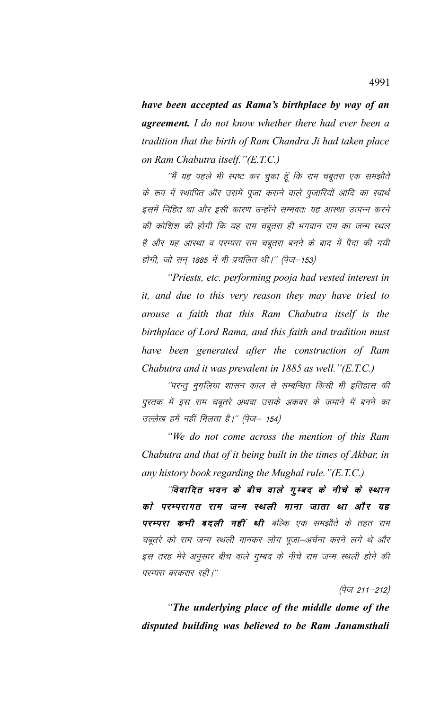*have been accepted as Rama's birthplace by way of an agreement. I do not know whether there had ever been a tradition that the birth of Ram Chandra Ji had taken place on Ram Chabutra itself."(E.T.C.)*

''मैं यह पहले भी स्पष्ट कर चुका हूँ कि राम चबूतरा एक समझौते के रूप में स्थापित और उसमें पूजा कराने वाले पुजारियों आदि का स्वार्थ इसमें निहित था और इसी कारण उन्होंने सम्भवतः यह आस्था उत्पन्न करने की कोशिश की होगी कि यह राम चबूतरा ही भगवान राम का जन्म स्थल है और यह आस्था व परम्परा राम चबूतरा बनने के बाद में पैदा की गयी होगी, जो सन 1885 में भी प्रचलित थी।'' (पेज-153)

*"Priests, etc. performing pooja had vested interest in it, and due to this very reason they may have tried to arouse a faith that this Ram Chabutra itself is the birthplace of Lord Rama, and this faith and tradition must have been generated after the construction of Ram Chabutra and it was prevalent in 1885 as well."(E.T.C.)*

''परन्तु मुग़लिया शासन काल से सम्बन्धित किसी भी इतिहास की पुस्तक में इस राम चबूतरे अथवा उसके अकबर के ज़माने में बनने का उल्लेख हमें नहीं मिलता है।" (पेज– 154)

*"We do not come across the mention of this Ram Chabutra and that of it being built in the times of Akbar, in any history book regarding the Mughal rule."(E.T.C.)*

"विवादित भवन के बीच वाले गुम्बद के नीचे के स्थान को परम्परागत राम जन्म स्थली माना जाता था और यह परम्परा कभी बदली नहीं थी बल्कि एक समझौते के तहत राम चबूतरे को राम जन्म स्थली मानकर लोग पूजा–अर्चना करने लगे थे और इस तरह मेरे अनुसार बीच वाले गुम्बद के नीचे राम जन्म स्थली होने की परम्परा बरकरार रही।''

(पेज 211–212)

*"The underlying place of the middle dome of the disputed building was believed to be Ram Janamsthali*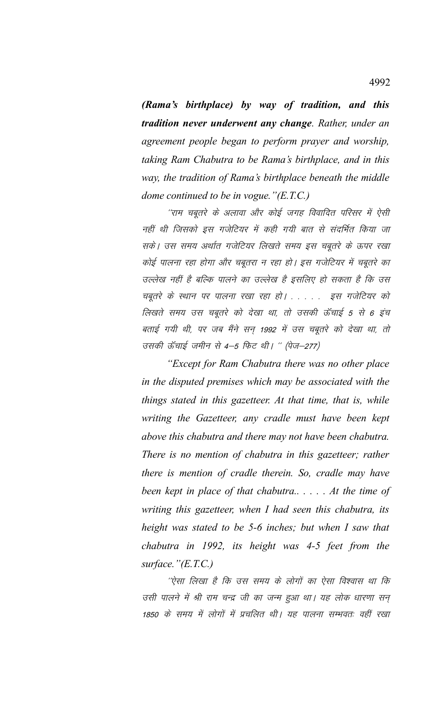*(Rama's birthplace) by way of tradition, and this tradition never underwent any change. Rather, under an agreement people began to perform prayer and worship, taking Ram Chabutra to be Rama's birthplace, and in this way, the tradition of Rama's birthplace beneath the middle dome continued to be in vogue."(E.T.C.)*

''राम चबूतरे के अलावा और कोई जगह विवादित परिसर में ऐसी नहीं थी जिसको इस गजेटियर में कही गयी बात से संदर्भित किया जा सकें। उस समय अर्थात गजेटियर लिखते समय इस चबुतरे के ऊपर रखा कोई पालना रहा होगा और चबूतरा न रहा हो। इस गजेटियर में चबूतरे का उल्लेख नहीं है बल्कि पालने का उल्लेख है इसलिए हो सकता है कि उस चबुतरे के स्थान पर पालना रखा रहा हो। . . . . . इस गजेटियर को लिखते समय उस चबूतरे को देखा था, तो उसकी ऊँचाई 5 से 6 इंच बताई गयी थी, पर जब मैंने सन 1992 में उस चबूतरे को देखा था, तो उसकी ऊँचाई जमीन से 4–5 फिट थी। " (पेज–277)

*"Except for Ram Chabutra there was no other place in the disputed premises which may be associated with the things stated in this gazetteer. At that time, that is, while writing the Gazetteer, any cradle must have been kept above this chabutra and there may not have been chabutra. There is no mention of chabutra in this gazetteer; rather there is mention of cradle therein. So, cradle may have been kept in place of that chabutra.. . . . . At the time of writing this gazetteer, when I had seen this chabutra, its height was stated to be 5-6 inches; but when I saw that chabutra in 1992, its height was 4-5 feet from the surface."(E.T.C.)*

''ऐसा लिखा है कि उस समय के लोगों का ऐसा विश्वास था कि उसी पालने में श्री राम चन्द्र जी का जन्म हुआ था। यह लोक धारणा सन् 1850 के समय में लोगों में प्रचलित थी। यह पालना सम्भवतः वहीं रखा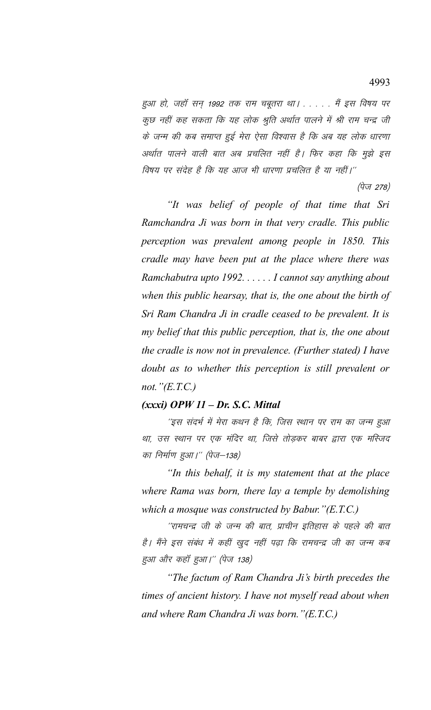हुआ हो, जहाँ सन 1992 तक राम चबूतरा था। . . . . . मैं इस विषय पर कुछ नहीं कह सकता कि यह लोक श्रुति अर्थात पालने में श्री राम चन्द्र जी के जन्म की कब समाप्त हुई मेरा ऐसा विश्वास है कि अब यह लोक धारणा अर्थात पालने वाली बात अब प्रचलित नहीं है। फिर कहा कि मुझे इस विषय पर संदेह है कि यह आज भी धारणा प्रचलित है या नहीं।''

#### (पेज 278)

*"It was belief of people of that time that Sri Ramchandra Ji was born in that very cradle. This public perception was prevalent among people in 1850. This cradle may have been put at the place where there was Ramchabutra upto 1992. . . . . . I cannot say anything about when this public hearsay, that is, the one about the birth of Sri Ram Chandra Ji in cradle ceased to be prevalent. It is my belief that this public perception, that is, the one about the cradle is now not in prevalence. (Further stated) I have doubt as to whether this perception is still prevalent or not."(E.T.C.)*

## *(xxxi) OPW 11 – Dr. S.C. Mittal*

''इस संदर्भ में मेरा कथन है कि, जिस स्थान पर राम का जन्म हुआ था, उस स्थान पर एक मंदिर था, जिसे तोडकर बाबर द्वारा एक मस्जिद का निर्माण हुआ।'' (पेज—138)

*"In this behalf, it is my statement that at the place where Rama was born, there lay a temple by demolishing which a mosque was constructed by Babur."(E.T.C.)*

''रामचन्द्र जी के जन्म की बात, प्राचीन इतिहास के पहले की बात है। मैंने इस संबंध में कहीं खुद नहीं पढ़ा कि रामचन्द्र जी का जन्म कब हुआ और कहाँ हुआ।'' (पेज 138)

*"The factum of Ram Chandra Ji's birth precedes the times of ancient history. I have not myself read about when and where Ram Chandra Ji was born."(E.T.C.)*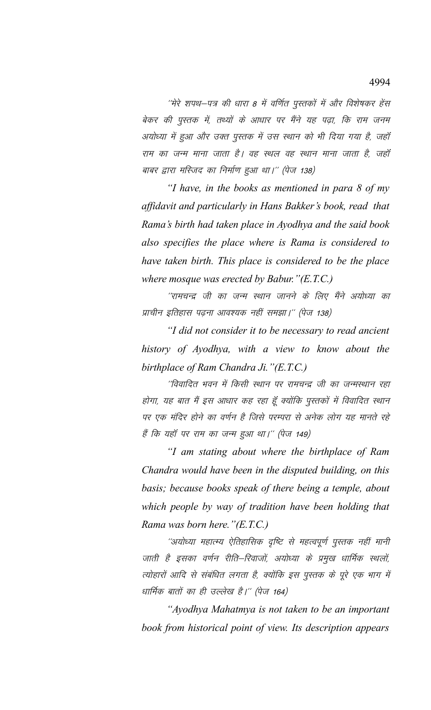''मेरे शपथ–पत्र की धारा 8 में वर्णित पुस्तकों में और विशेषकर हेंस बेकर की पुस्तक में, तथ्यों के आधार पर मैंने यह पढ़ा, कि राम जनम अयोध्या में हुआ और उक्त पुस्तक में उस स्थान को भी दिया गया है, जहाँ राम का जन्म माना जाता है। वह स्थल वह स्थान माना जाता है, जहाँ बाबर द्वारा मस्जिद का निर्माण हुआ था।'' (पेज 138)

"I have, in the books as mentioned in para  $\delta$  of my affidavit and particularly in Hans Bakker's book, read that Rama's birth had taken place in Ayodhya and the said book also specifies the place where is Rama is considered to have taken birth. This place is considered to be the place where mosque was erected by Babur." $(E.T.C.)$ 

''रामचन्द्र जी का जन्म स्थान जानने के लिए मैंने अयोध्या का प्राचीन इतिहास पढ़ना आवश्यक नहीं समझा।'' (पेज 138)

"I did not consider it to be necessary to read ancient history of Ayodhya, with a view to know about the birthplace of Ram Chandra Ji."(E.T.C.)

''विवादित भवन में किसी स्थान पर रामचन्द्र जी का जन्मस्थान रहा होगा, यह बात मैं इस आधार कह रहा हूँ क्योंकि पुस्तकों में विवादित स्थान पर एक मंदिर होने का वर्णन है जिसे परम्परा से अनेक लोग यह मानते रहे हैं कि यहाँ पर राम का जन्म हुआ था।'' (पेज 149)

"I am stating about where the birthplace of Ram Chandra would have been in the disputed building, on this basis; because books speak of there being a temple, about which people by way of tradition have been holding that Rama was born here. " $(E.T.C.)$ 

''अयोध्या महात्म्य ऐतिहासिक दृष्टि से महत्वपूर्ण पुस्तक नहीं मानी जाती है इसका वर्णन रीति–रिवाजों, अयोध्या के प्रमुख धार्मिक स्थलों, त्योहारों आदि से संबंधित लगता है, क्योंकि इस पुस्तक के पूरे एक भाग में धार्मिक बातों का ही उल्लेख है।'' (पेज 164)

"Ayodhya Mahatmya is not taken to be an important book from historical point of view. Its description appears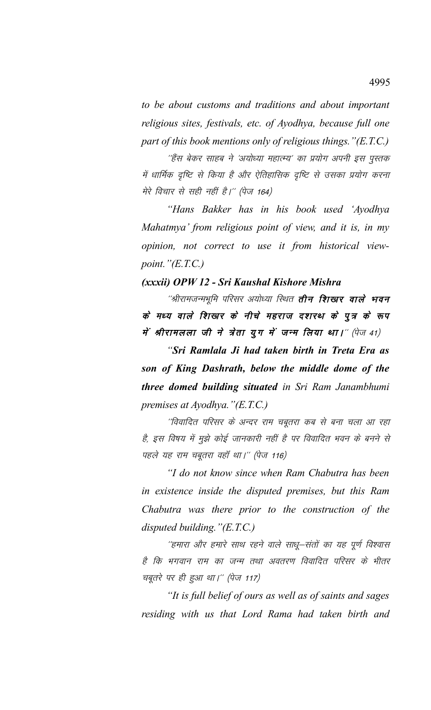*to be about customs and traditions and about important religious sites, festivals, etc. of Ayodhya, because full one part of this book mentions only of religious things."(E.T.C.)*

''हैंस बेकर साहब ने 'अयोध्या महात्म्य' का प्रयोग अपनी इस पुस्तक में धार्मिक दृष्टि से किया है और ऐतिहासिक दृष्टि से उसका प्रयोग करना मेरे विचार से सही नहीं है।'' (पेज 164)

*"Hans Bakker has in his book used 'Ayodhya Mahatmya' from religious point of view, and it is, in my opinion, not correct to use it from historical viewpoint."(E.T.C.)*

*(xxxii) OPW 12 - Sri Kaushal Kishore Mishra*

''श्रीरामजन्मभूमि परिसर अयोध्या स्थित **तीन शिखार वाले भवन** के मध्य वाले शिखार के नीचे महराज दशरथ के पुत्र के रूप में श्रीरामलला जी ने त्रेता युग में जन्म लिया था।" (पेज 41)

*"Sri Ramlala Ji had taken birth in Treta Era as son of King Dashrath, below the middle dome of the three domed building situated in Sri Ram Janambhumi premises at Ayodhya."(E.T.C.)*

''विवादित परिसर के अन्दर राम चबूतरा कब से बना चला आ रहा है, इस विषय में मुझे कोई जानकारी नहीं है पर विवादित भवन के बनने से पहले यह राम चबूतरा वहाँ था।'' (पेज 116)

*"I do not know since when Ram Chabutra has been in existence inside the disputed premises, but this Ram Chabutra was there prior to the construction of the disputed building."(E.T.C.)*

''हमारा और हमारे साथ रहने वाले साधू–संतों का यह पूर्ण विश्वास है कि भगवान राम का जन्म तथा अवतरण विवादित परिसर के भीतर चबूतरे पर ही हुआ था।" (पेज 117)

*"It is full belief of ours as well as of saints and sages residing with us that Lord Rama had taken birth and*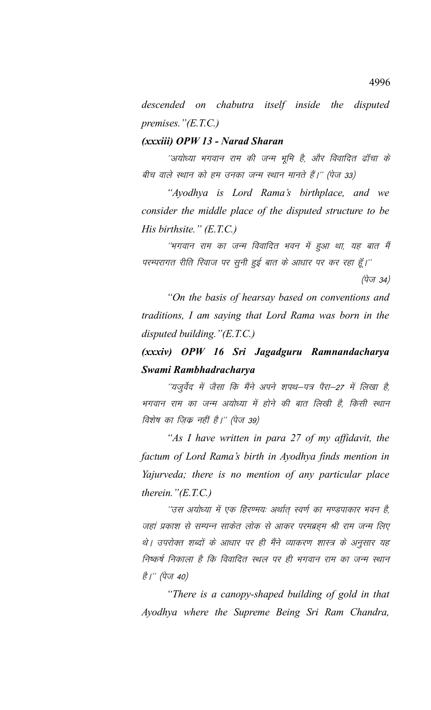*descended on chabutra itself inside the disputed premises."(E.T.C.)*

## *(xxxiii) OPW 13 - Narad Sharan*

''अयोध्या भगवान राम की जन्म भूमि है, और विवादित ढॉचा के बीच वाले स्थान को हम उनका जन्म स्थान मानते हैं।'' (पेज 33)

*"Ayodhya is Lord Rama's birthplace, and we consider the middle place of the disputed structure to be His birthsite." (E.T.C.)*

''भगवान राम का जन्म विवादित भवन में हुआ था, यह बात मैं परम्परागत रीति रिवाज पर सुनी हुई बात के आधार पर कर रहा हूँ।''

(पेज  $34)$ 

*"On the basis of hearsay based on conventions and traditions, I am saying that Lord Rama was born in the disputed building."(E.T.C.)*

*(xxxiv) OPW 16 Sri Jagadguru Ramnandacharya Swami Rambhadracharya*

^'यजुर्वेद में जैसा कि मैंने अपने शपथ–पत्र पैरा–27 में लिखा है, भगवान राम का जन्म अयोध्या में होने की बात लिखी है, किसी स्थान विशेष का ज़िक नहीं है।'' (पेज 39)

*"As I have written in para 27 of my affidavit, the factum of Lord Rama's birth in Ayodhya finds mention in Yajurveda; there is no mention of any particular place therein."(E.T.C.)*

''उस अयोध्या में एक हिरण्मयः अर्थात स्वर्ण का मण्डपाकार भवन है, जहां प्रकाश से सम्पन्न साकेत लोक से आकर परमब्रहम श्री राम जन्म लिए थे। उपरोक्त शब्दों के आधार पर ही मैंने व्याकरण शास्त्र के अनुसार यह निष्कर्ष निकाला है कि विवादित स्थल पर ही भगवान राम का जन्म स्थान है।'' (पेज 40)

*"There is a canopy-shaped building of gold in that Ayodhya where the Supreme Being Sri Ram Chandra,*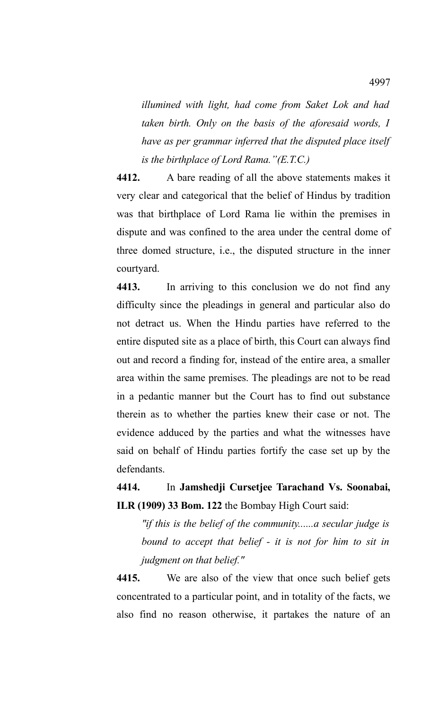*illumined with light, had come from Saket Lok and had taken birth. Only on the basis of the aforesaid words, I have as per grammar inferred that the disputed place itself is the birthplace of Lord Rama."(E.T.C.)*

**4412.** A bare reading of all the above statements makes it very clear and categorical that the belief of Hindus by tradition was that birthplace of Lord Rama lie within the premises in dispute and was confined to the area under the central dome of three domed structure, i.e., the disputed structure in the inner courtyard.

**4413.** In arriving to this conclusion we do not find any difficulty since the pleadings in general and particular also do not detract us. When the Hindu parties have referred to the entire disputed site as a place of birth, this Court can always find out and record a finding for, instead of the entire area, a smaller area within the same premises. The pleadings are not to be read in a pedantic manner but the Court has to find out substance therein as to whether the parties knew their case or not. The evidence adduced by the parties and what the witnesses have said on behalf of Hindu parties fortify the case set up by the defendants.

**4414.** In **Jamshedji Cursetjee Tarachand Vs. Soonabai, ILR (1909) 33 Bom. 122** the Bombay High Court said:

*"if this is the belief of the community......a secular judge is bound to accept that belief - it is not for him to sit in judgment on that belief."*

**4415.** We are also of the view that once such belief gets concentrated to a particular point, and in totality of the facts, we also find no reason otherwise, it partakes the nature of an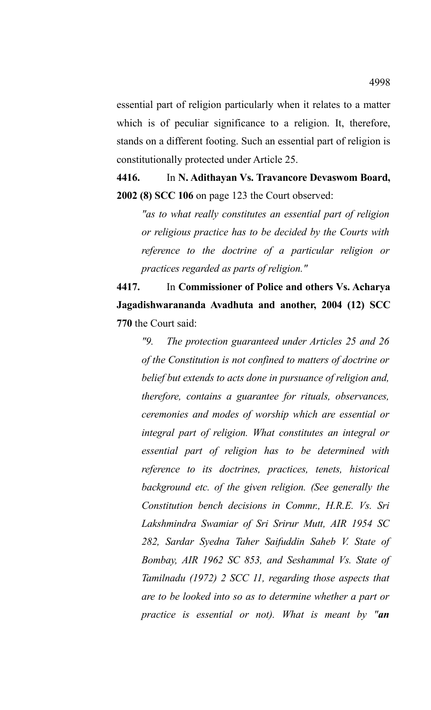essential part of religion particularly when it relates to a matter which is of peculiar significance to a religion. It, therefore, stands on a different footing. Such an essential part of religion is constitutionally protected under Article 25.

**4416.** In **N. Adithayan Vs. Travancore Devaswom Board, 2002 (8) SCC 106** on page 123 the Court observed:

*"as to what really constitutes an essential part of religion or religious practice has to be decided by the Courts with reference to the doctrine of a particular religion or practices regarded as parts of religion."*

**4417.** In **Commissioner of Police and others Vs. Acharya Jagadishwarananda Avadhuta and another, 2004 (12) SCC 770** the Court said:

*"9. The protection guaranteed under Articles 25 and 26 of the Constitution is not confined to matters of doctrine or belief but extends to acts done in pursuance of religion and, therefore, contains a guarantee for rituals, observances, ceremonies and modes of worship which are essential or integral part of religion. What constitutes an integral or essential part of religion has to be determined with reference to its doctrines, practices, tenets, historical background etc. of the given religion. (See generally the Constitution bench decisions in Commr., H.R.E. Vs. Sri Lakshmindra Swamiar of Sri Srirur Mutt, AIR 1954 SC 282, Sardar Syedna Taher Saifuddin Saheb V. State of Bombay, AIR 1962 SC 853, and Seshammal Vs. State of Tamilnadu (1972) 2 SCC 11, regarding those aspects that are to be looked into so as to determine whether a part or practice is essential or not). What is meant by "an*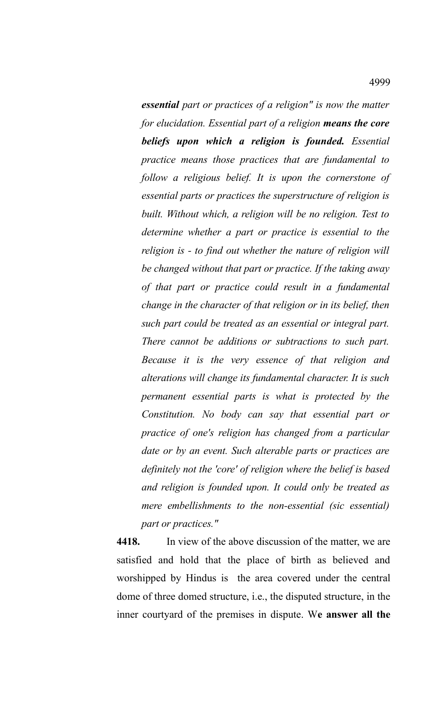*essential part or practices of a religion" is now the matter for elucidation. Essential part of a religion means the core beliefs upon which a religion is founded. Essential practice means those practices that are fundamental to follow a religious belief. It is upon the cornerstone of essential parts or practices the superstructure of religion is built. Without which, a religion will be no religion. Test to determine whether a part or practice is essential to the religion is - to find out whether the nature of religion will be changed without that part or practice. If the taking away of that part or practice could result in a fundamental change in the character of that religion or in its belief, then such part could be treated as an essential or integral part. There cannot be additions or subtractions to such part. Because it is the very essence of that religion and alterations will change its fundamental character. It is such permanent essential parts is what is protected by the Constitution. No body can say that essential part or practice of one's religion has changed from a particular date or by an event. Such alterable parts or practices are definitely not the 'core' of religion where the belief is based and religion is founded upon. It could only be treated as mere embellishments to the non-essential (sic essential) part or practices."*

**4418.** In view of the above discussion of the matter, we are satisfied and hold that the place of birth as believed and worshipped by Hindus is the area covered under the central dome of three domed structure, i.e., the disputed structure, in the inner courtyard of the premises in dispute. W**e answer all the**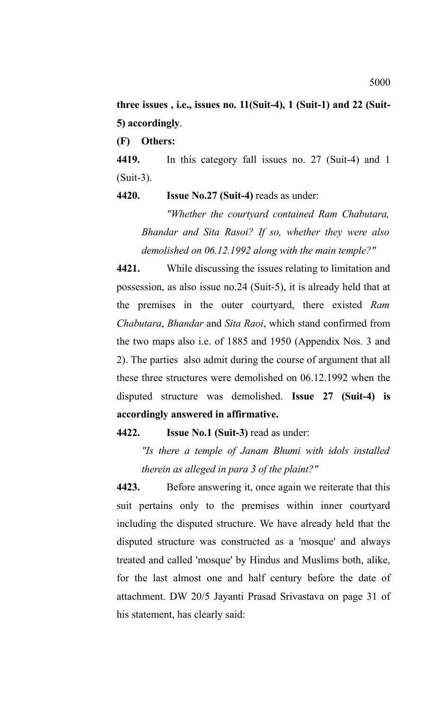**three issues , i.e., issues no. 11(Suit-4), 1 (Suit-1) and 22 (Suit-5) accordingly**.

**(F) Others:**

**4419.** In this category fall issues no. 27 (Suit-4) and 1 (Suit-3).

# **4420. Issue No.27 (Suit-4)** reads as under:

*"Whether the courtyard contained Ram Chabutara, Bhandar and Sita Rasoi? If so, whether they were also demolished on 06.12.1992 along with the main temple?"*

**4421.** While discussing the issues relating to limitation and possession, as also issue no.24 (Suit-5), it is already held that at the premises in the outer courtyard, there existed *Ram Chabutara*, *Bhandar* and *Sita Raoi*, which stand confirmed from the two maps also i.e. of 1885 and 1950 (Appendix Nos. 3 and 2). The parties also admit during the course of argument that all these three structures were demolished on 06.12.1992 when the disputed structure was demolished. **Issue 27 (Suit-4) is accordingly answered in affirmative.**

**4422. Issue No.1 (Suit-3)** read as under:

*"Is there a temple of Janam Bhumi with idols installed therein as alleged in para 3 of the plaint?"*

**4423.** Before answering it, once again we reiterate that this suit pertains only to the premises within inner courtyard including the disputed structure. We have already held that the disputed structure was constructed as a 'mosque' and always treated and called 'mosque' by Hindus and Muslims both, alike, for the last almost one and half century before the date of attachment. DW 20/5 Jayanti Prasad Srivastava on page 31 of his statement, has clearly said: